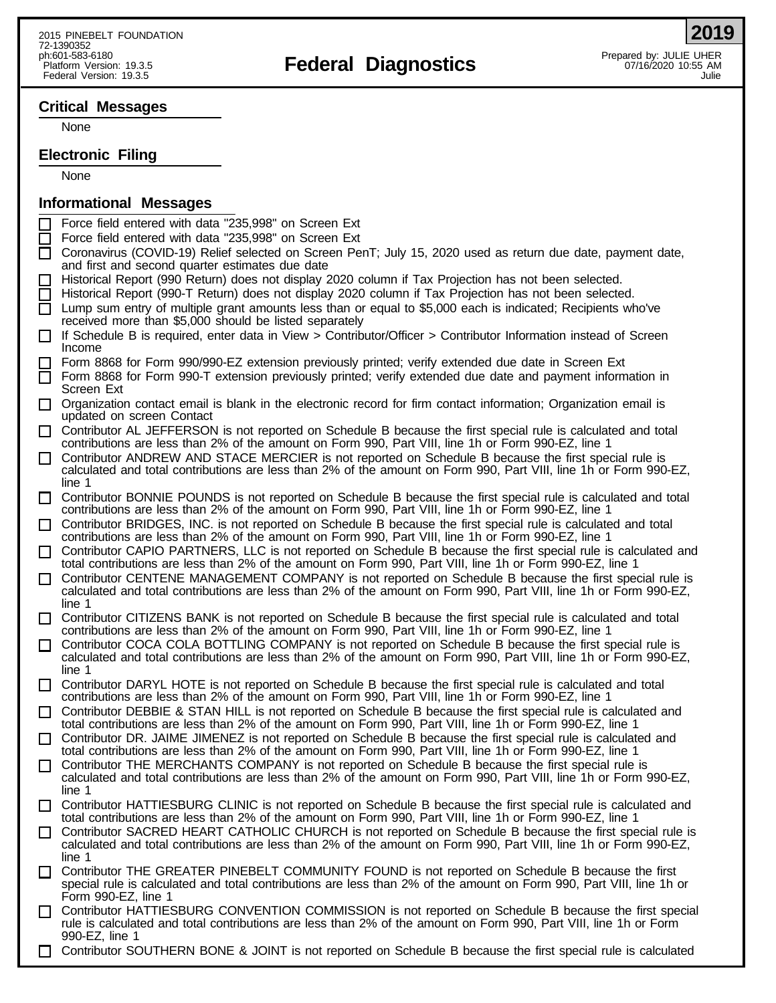# ph:601-583-6180<br>Platform Version: 19.3.5 **Prepared by: JULIE UHER**<br>Platform Version: 19.3.5 AM

## **Critical Messages**

None

## **Electronic Filing**

None

## **Informational Messages**

- Force field entered with data "235,998" on Screen Ext
- Force field entered with data "235,998" on Screen Ext
- Coronavirus (COVID-19) Relief selected on Screen PenT; July 15, 2020 used as return due date, payment date, and first and second quarter estimates due date
- Historical Report (990 Return) does not display 2020 column if Tax Projection has not been selected.
- Historical Report (990-T Return) does not display 2020 column if Tax Projection has not been selected.
- $\Box$  Lump sum entry of multiple grant amounts less than or equal to \$5,000 each is indicated; Recipients who've received more than \$5,000 should be listed separately
- $\Box$  If Schedule B is required, enter data in View > Contributor/Officer > Contributor Information instead of Screen Income
- Form 8868 for Form 990/990-EZ extension previously printed; verify extended due date in Screen Ext
- Form 8868 for Form 990-T extension previously printed; verify extended due date and payment information in Screen Ext
- $\Box$  Organization contact email is blank in the electronic record for firm contact information; Organization email is updated on screen Contact
- Contributor AL JEFFERSON is not reported on Schedule B because the first special rule is calculated and total contributions are less than 2% of the amount on Form 990, Part VIII, line 1h or Form 990-EZ, line 1
- Contributor ANDREW AND STACE MERCIER is not reported on Schedule B because the first special rule is calculated and total contributions are less than 2% of the amount on Form 990, Part VIII, line 1h or Form 990-EZ, line 1
- Contributor BONNIE POUNDS is not reported on Schedule B because the first special rule is calculated and total contributions are less than 2% of the amount on Form 990, Part VIII, line 1h or Form 990-EZ, line 1
- Contributor BRIDGES, INC. is not reported on Schedule B because the first special rule is calculated and total contributions are less than 2% of the amount on Form 990, Part VIII, line 1h or Form 990-EZ, line 1
- Contributor CAPIO PARTNERS, LLC is not reported on Schedule B because the first special rule is calculated and total contributions are less than 2% of the amount on Form 990, Part VIII, line 1h or Form 990-EZ, line 1
- Contributor CENTENE MANAGEMENT COMPANY is not reported on Schedule B because the first special rule is calculated and total contributions are less than 2% of the amount on Form 990, Part VIII, line 1h or Form 990-EZ, line 1
- Contributor CITIZENS BANK is not reported on Schedule B because the first special rule is calculated and total contributions are less than 2% of the amount on Form 990, Part VIII, line 1h or Form 990-EZ, line 1
- Contributor COCA COLA BOTTLING COMPANY is not reported on Schedule B because the first special rule is calculated and total contributions are less than 2% of the amount on Form 990, Part VIII, line 1h or Form 990-EZ, line 1
- Contributor DARYL HOTE is not reported on Schedule B because the first special rule is calculated and total contributions are less than 2% of the amount on Form 990, Part VIII, line 1h or Form 990-EZ, line 1
- Contributor DEBBIE & STAN HILL is not reported on Schedule B because the first special rule is calculated and total contributions are less than 2% of the amount on Form 990, Part VIII, line 1h or Form 990-EZ, line 1
- Contributor DR. JAIME JIMENEZ is not reported on Schedule B because the first special rule is calculated and total contributions are less than 2% of the amount on Form 990, Part VIII, line 1h or Form 990-EZ, line 1
- Contributor THE MERCHANTS COMPANY is not reported on Schedule B because the first special rule is calculated and total contributions are less than 2% of the amount on Form 990, Part VIII, line 1h or Form 990-EZ, line 1
- Contributor HATTIESBURG CLINIC is not reported on Schedule B because the first special rule is calculated and total contributions are less than 2% of the amount on Form 990, Part VIII, line 1h or Form 990-EZ, line 1
- Contributor SACRED HEART CATHOLIC CHURCH is not reported on Schedule B because the first special rule is calculated and total contributions are less than 2% of the amount on Form 990, Part VIII, line 1h or Form 990-EZ, line 1
- Contributor THE GREATER PINEBELT COMMUNITY FOUND is not reported on Schedule B because the first special rule is calculated and total contributions are less than 2% of the amount on Form 990, Part VIII, line 1h or Form 990-EZ, line 1
- Contributor HATTIESBURG CONVENTION COMMISSION is not reported on Schedule B because the first special rule is calculated and total contributions are less than 2% of the amount on Form 990, Part VIII, line 1h or Form 990-EZ, line 1
- Contributor SOUTHERN BONE & JOINT is not reported on Schedule B because the first special rule is calculated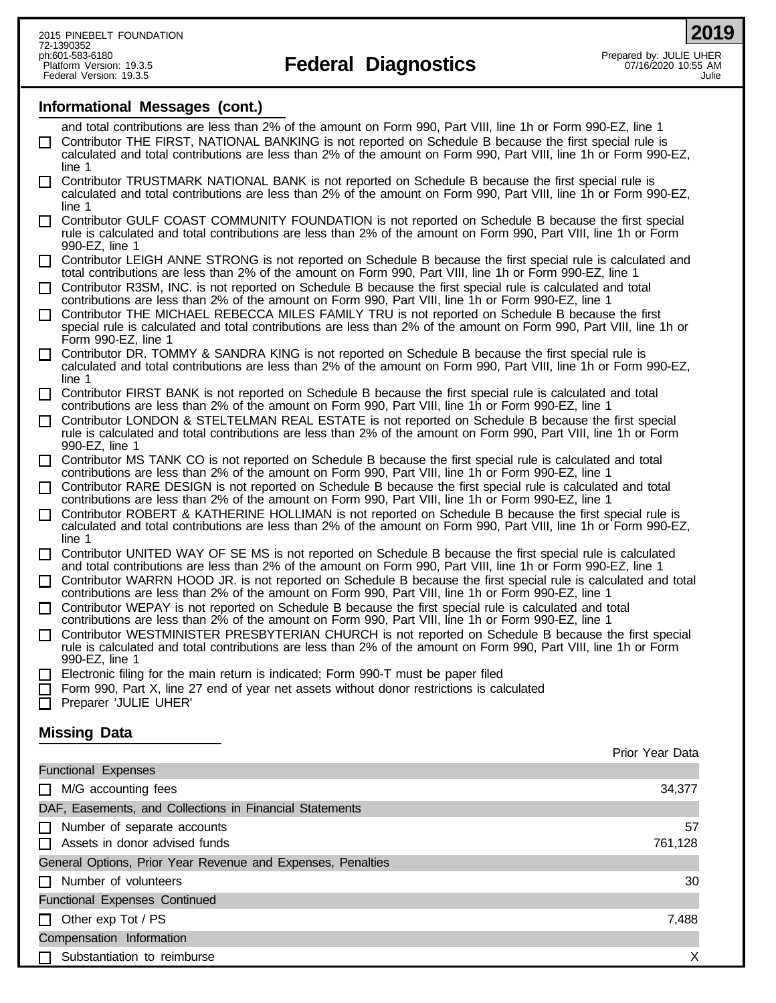**2019**

## **Informational Messages (cont.)**

- and total contributions are less than 2% of the amount on Form 990, Part VIII, line 1h or Form 990-EZ, line 1 Contributor THE FIRST, NATIONAL BANKING is not reported on Schedule B because the first special rule is
- calculated and total contributions are less than 2% of the amount on Form 990, Part VIII, line 1h or Form 990-EZ, line 1
- Contributor TRUSTMARK NATIONAL BANK is not reported on Schedule B because the first special rule is calculated and total contributions are less than 2% of the amount on Form 990, Part VIII, line 1h or Form 990-EZ, line 1
- Contributor GULF COAST COMMUNITY FOUNDATION is not reported on Schedule B because the first special rule is calculated and total contributions are less than 2% of the amount on Form 990, Part VIII, line 1h or Form 990-EZ, line 1
- Contributor LEIGH ANNE STRONG is not reported on Schedule B because the first special rule is calculated and total contributions are less than 2% of the amount on Form 990, Part VIII, line 1h or Form 990-EZ, line 1
- Contributor R3SM, INC. is not reported on Schedule B because the first special rule is calculated and total contributions are less than 2% of the amount on Form 990, Part VIII, line 1h or Form 990-EZ, line 1
- Contributor THE MICHAEL REBECCA MILES FAMILY TRU is not reported on Schedule B because the first special rule is calculated and total contributions are less than 2% of the amount on Form 990, Part VIII, line 1h or Form 990-EZ, line 1
- Contributor DR. TOMMY & SANDRA KING is not reported on Schedule B because the first special rule is calculated and total contributions are less than 2% of the amount on Form 990, Part VIII, line 1h or Form 990-EZ, line 1
- Contributor FIRST BANK is not reported on Schedule B because the first special rule is calculated and total contributions are less than 2% of the amount on Form 990, Part VIII, line 1h or Form 990-EZ, line 1
- Contributor LONDON & STELTELMAN REAL ESTATE is not reported on Schedule B because the first special rule is calculated and total contributions are less than 2% of the amount on Form 990, Part VIII, line 1h or Form 990-EZ, line 1
- Contributor MS TANK CO is not reported on Schedule B because the first special rule is calculated and total contributions are less than 2% of the amount on Form 990, Part VIII, line 1h or Form 990-EZ, line 1
- Contributor RARE DESIGN is not reported on Schedule B because the first special rule is calculated and total contributions are less than 2% of the amount on Form 990, Part VIII, line 1h or Form 990-EZ, line 1
- Contributor ROBERT & KATHERINE HOLLIMAN is not reported on Schedule B because the first special rule is calculated and total contributions are less than 2% of the amount on Form 990, Part VIII, line 1h or Form 990-EZ, line 1
- Contributor UNITED WAY OF SE MS is not reported on Schedule B because the first special rule is calculated and total contributions are less than 2% of the amount on Form 990, Part VIII, line 1h or Form 990-EZ, line 1
- Contributor WARRN HOOD JR. is not reported on Schedule B because the first special rule is calculated and total contributions are less than 2% of the amount on Form 990, Part VIII, line 1h or Form 990-EZ, line 1
- Contributor WEPAY is not reported on Schedule B because the first special rule is calculated and total
- contributions are less than 2% of the amount on Form 990, Part VIII, line 1h or Form 990-EZ, line 1 Contributor WESTMINISTER PRESBYTERIAN CHURCH is not reported on Schedule B because the first special
- rule is calculated and total contributions are less than 2% of the amount on Form 990, Part VIII, line 1h or Form 990-EZ, line 1
- Electronic filing for the main return is indicated; Form 990-T must be paper filed
- Form 990, Part X, line 27 end of year net assets without donor restrictions is calculated
- Preparer 'JULIE UHER'

## **Missing Data**

|                                                             | Prior Year Data |
|-------------------------------------------------------------|-----------------|
| <b>Functional Expenses</b>                                  |                 |
| M/G accounting fees                                         | 34,377          |
| DAF, Easements, and Collections in Financial Statements     |                 |
| Number of separate accounts<br>$\perp$                      | 57              |
| Assets in donor advised funds                               | 761,128         |
| General Options, Prior Year Revenue and Expenses, Penalties |                 |
| Number of volunteers                                        | 30              |
| <b>Functional Expenses Continued</b>                        |                 |
| Other exp Tot / PS<br>$\perp$                               | 7,488           |
| Compensation Information                                    |                 |
| Substantiation to reimburse                                 | х               |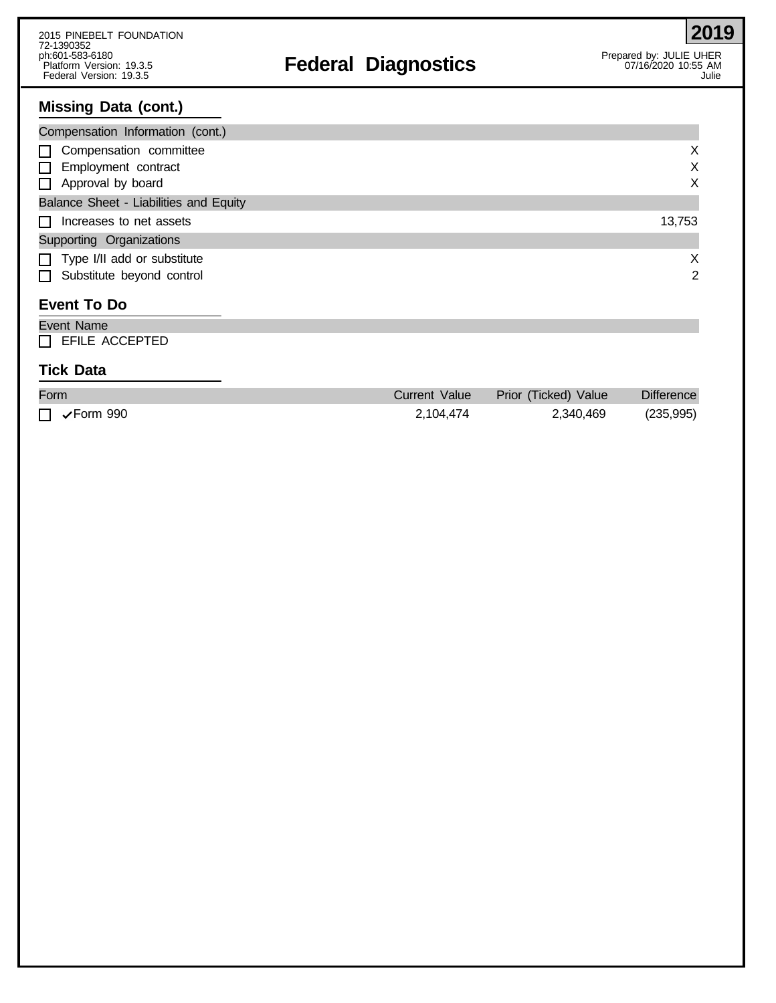# ph:601-583-6180<br>Platform Version: 19.3.5 **Prepared by: JULIE UHER**<br>Platform Version: 19.3.5 AM

# **Missing Data (cont.)**

| Compensation Information (cont.)                                                        |             |
|-----------------------------------------------------------------------------------------|-------------|
| $\Box$ Compensation committee<br>$\Box$ Employment contract<br>$\Box$ Approval by board | X<br>X<br>X |
| Balance Sheet - Liabilities and Equity                                                  |             |
| $\Box$ Increases to net assets                                                          | 13,753      |
| Supporting Organizations                                                                |             |
| $\Box$ Type I/II add or substitute                                                      | X           |
| $\Box$ Substitute beyond control                                                        | 2           |

# **Event To Do**

| Event Name            |  |  |
|-----------------------|--|--|
| $\Box$ EFILE ACCEPTED |  |  |

## **Tick Data**

| Form                       | Current Value | Prior (Ticked) Value | <b>Difference</b> |
|----------------------------|---------------|----------------------|-------------------|
| $\Box \checkmark$ Form 990 | 2.104.474     | 2,340,469            | (235, 995)        |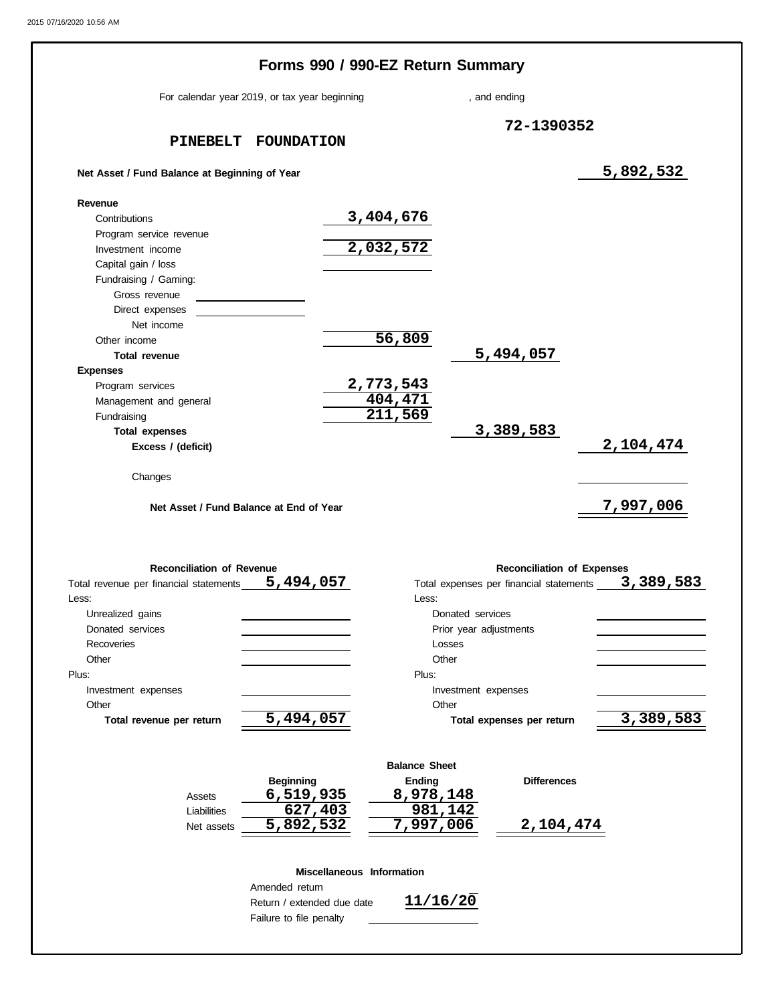|                                                                                     | For calendar year 2019, or tax year beginning |                                | , and ending           |                                                                              |                        |
|-------------------------------------------------------------------------------------|-----------------------------------------------|--------------------------------|------------------------|------------------------------------------------------------------------------|------------------------|
|                                                                                     |                                               |                                |                        |                                                                              |                        |
|                                                                                     | PINEBELT FOUNDATION                           |                                |                        | 72-1390352                                                                   |                        |
|                                                                                     |                                               |                                |                        |                                                                              |                        |
| Net Asset / Fund Balance at Beginning of Year                                       |                                               |                                |                        |                                                                              | 5,892,532              |
| Revenue                                                                             |                                               |                                |                        |                                                                              |                        |
| Contributions                                                                       |                                               | 3,404,676                      |                        |                                                                              |                        |
| Program service revenue                                                             |                                               |                                |                        |                                                                              |                        |
| Investment income                                                                   |                                               | 2,032,572                      |                        |                                                                              |                        |
| Capital gain / loss                                                                 |                                               |                                |                        |                                                                              |                        |
| Fundraising / Gaming:<br>Gross revenue                                              |                                               |                                |                        |                                                                              |                        |
| Direct expenses                                                                     |                                               |                                |                        |                                                                              |                        |
| Net income                                                                          |                                               |                                |                        |                                                                              |                        |
| Other income                                                                        |                                               | 56,809                         |                        |                                                                              |                        |
| <b>Total revenue</b>                                                                |                                               |                                |                        | 5,494,057                                                                    |                        |
| <b>Expenses</b>                                                                     |                                               |                                |                        |                                                                              |                        |
| Program services                                                                    |                                               | 2,773,543                      |                        |                                                                              |                        |
| Management and general                                                              |                                               | 404,471                        |                        |                                                                              |                        |
| Fundraising                                                                         |                                               | 211,569                        |                        |                                                                              |                        |
| <b>Total expenses</b>                                                               |                                               |                                |                        | 3,389,583                                                                    |                        |
| Excess / (deficit)                                                                  |                                               |                                |                        |                                                                              | 2,104,474              |
|                                                                                     | Net Asset / Fund Balance at End of Year       |                                |                        |                                                                              | 7,997,006              |
| <b>Reconciliation of Revenue</b><br>Total revenue per financial statements<br>Less: | 5,494,057                                     | Less:                          |                        | <b>Reconciliation of Expenses</b><br>Total expenses per financial statements |                        |
| Unrealized gains                                                                    |                                               |                                | Donated services       |                                                                              |                        |
| Donated services                                                                    |                                               |                                | Prior year adjustments |                                                                              |                        |
| Recoveries                                                                          |                                               | Losses                         |                        |                                                                              |                        |
| Other<br>Plus:                                                                      |                                               | Other<br>Plus:                 |                        |                                                                              |                        |
| Investment expenses                                                                 |                                               |                                | Investment expenses    |                                                                              |                        |
| Other                                                                               |                                               | Other                          |                        |                                                                              |                        |
| Total revenue per return                                                            | 5,494,057                                     |                                |                        | Total expenses per return                                                    |                        |
|                                                                                     |                                               |                                |                        |                                                                              |                        |
|                                                                                     |                                               | <b>Balance Sheet</b><br>Ending |                        | <b>Differences</b>                                                           |                        |
| Assets                                                                              | <b>Beginning</b><br>6,519,935                 | 8,978,148                      |                        |                                                                              |                        |
| Liabilities                                                                         | 627,403                                       | 981,142                        |                        |                                                                              |                        |
| Net assets                                                                          | 5,892,532                                     | 7,997,006                      |                        | <u>2,104,474</u>                                                             | 3,389,583<br>3,389,583 |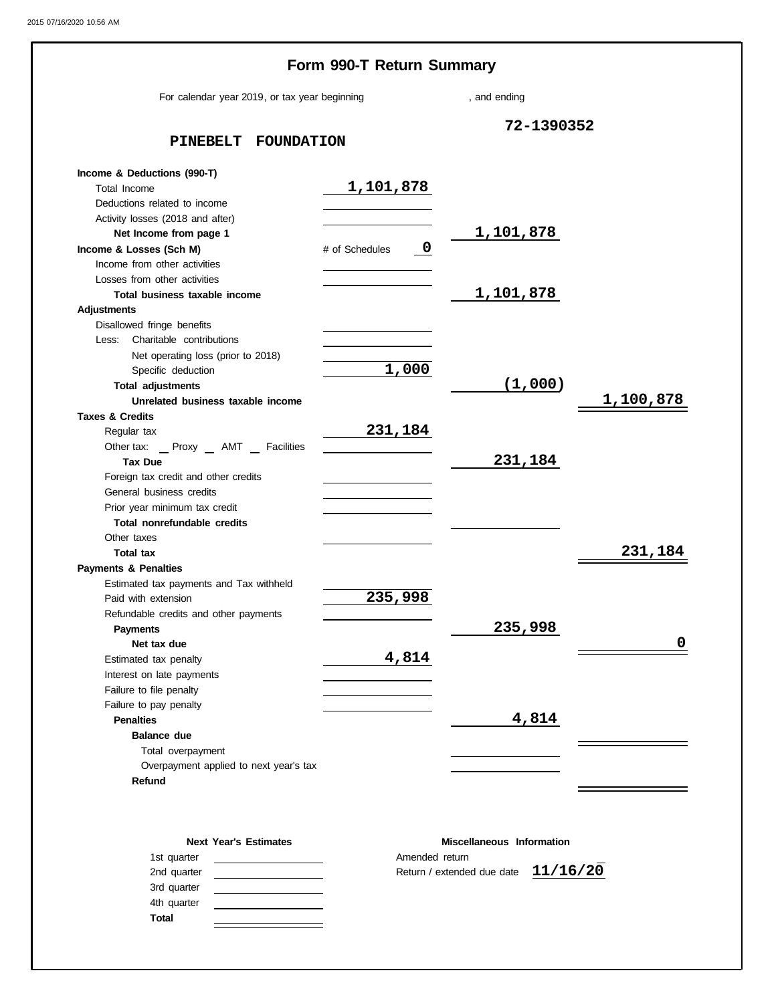|                                                                | Form 990-T Return Summary                 |                  |           |
|----------------------------------------------------------------|-------------------------------------------|------------------|-----------|
| For calendar year 2019, or tax year beginning                  |                                           | , and ending     |           |
| PINEBELT<br><b>FOUNDATION</b>                                  | 72-1390352                                |                  |           |
| Income & Deductions (990-T)                                    |                                           |                  |           |
| Total Income                                                   | 1,101,878                                 |                  |           |
| Deductions related to income                                   |                                           |                  |           |
| Activity losses (2018 and after)                               |                                           |                  |           |
| Net Income from page 1                                         |                                           | <u>1,101,878</u> |           |
| Income & Losses (Sch M)                                        | $\overline{\mathbf{0}}$<br># of Schedules |                  |           |
| Income from other activities                                   |                                           |                  |           |
| Losses from other activities                                   |                                           |                  |           |
| Total business taxable income                                  |                                           | 1,101,878        |           |
| <b>Adjustments</b>                                             |                                           |                  |           |
| Disallowed fringe benefits                                     |                                           |                  |           |
| Charitable contributions<br>Less:                              |                                           |                  |           |
| Net operating loss (prior to 2018)                             |                                           |                  |           |
| Specific deduction                                             | 1,000                                     |                  |           |
| <b>Total adjustments</b>                                       |                                           | (1,000)          |           |
| Unrelated business taxable income                              |                                           |                  | 1,100,878 |
| <b>Taxes &amp; Credits</b>                                     |                                           |                  |           |
| Regular tax                                                    | 231,184                                   |                  |           |
| Other tax: _ Proxy _ AMT _ Facilities                          |                                           |                  |           |
| <b>Tax Due</b>                                                 |                                           | 231,184          |           |
| Foreign tax credit and other credits                           |                                           |                  |           |
| General business credits                                       |                                           |                  |           |
| Prior year minimum tax credit                                  |                                           |                  |           |
| Total nonrefundable credits                                    |                                           |                  |           |
| Other taxes                                                    |                                           |                  | 231,184   |
| <b>Total tax</b>                                               |                                           |                  |           |
| <b>Payments &amp; Penalties</b>                                |                                           |                  |           |
| Estimated tax payments and Tax withheld<br>Paid with extension | 235,998                                   |                  |           |
| Refundable credits and other payments                          |                                           |                  |           |
| <b>Payments</b>                                                |                                           | 235,998          |           |
| Net tax due                                                    |                                           |                  | 0         |
| Estimated tax penalty                                          | 4,814                                     |                  |           |
| Interest on late payments                                      |                                           |                  |           |
| Failure to file penalty                                        |                                           |                  |           |
| Failure to pay penalty                                         |                                           |                  |           |
| <b>Penalties</b>                                               |                                           | 4,814            |           |
| <b>Balance due</b>                                             |                                           |                  |           |
| Total overpayment                                              |                                           |                  |           |
| Overpayment applied to next year's tax                         |                                           |                  |           |
| Refund                                                         |                                           |                  |           |
|                                                                |                                           |                  |           |

| Miscellaneous Information             |
|---------------------------------------|
| Amended return                        |
| Return / extended due date $11/16/20$ |
|                                       |
|                                       |
|                                       |
|                                       |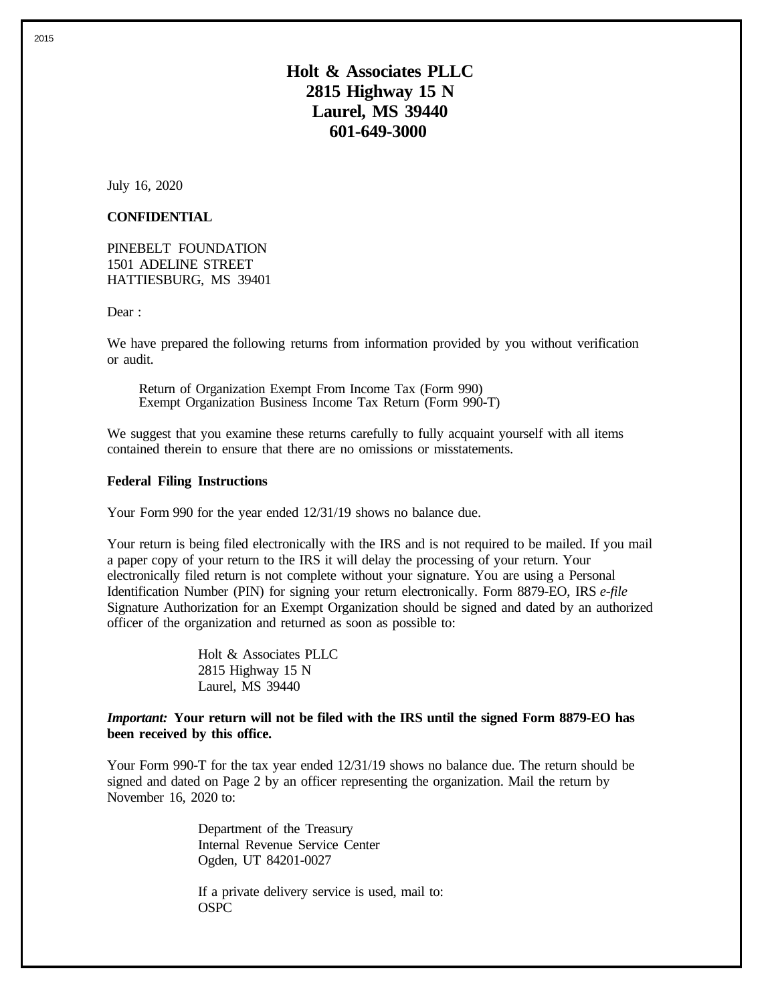**Holt & Associates PLLC 2815 Highway 15 N Laurel, MS 39440 601-649-3000**

July 16, 2020

### **CONFIDENTIAL**

PINEBELT FOUNDATION 1501 ADELINE STREET HATTIESBURG, MS 39401

Dear:

We have prepared the following returns from information provided by you without verification or audit.

Return of Organization Exempt From Income Tax (Form 990) Exempt Organization Business Income Tax Return (Form 990-T)

We suggest that you examine these returns carefully to fully acquaint yourself with all items contained therein to ensure that there are no omissions or misstatements.

#### **Federal Filing Instructions**

Your Form 990 for the year ended 12/31/19 shows no balance due.

Your return is being filed electronically with the IRS and is not required to be mailed. If you mail a paper copy of your return to the IRS it will delay the processing of your return. Your electronically filed return is not complete without your signature. You are using a Personal Identification Number (PIN) for signing your return electronically. Form 8879-EO, IRS *e-file* Signature Authorization for an Exempt Organization should be signed and dated by an authorized officer of the organization and returned as soon as possible to:

> Holt & Associates PLLC 2815 Highway 15 N Laurel, MS 39440

### *Important:* **Your return will not be filed with the IRS until the signed Form 8879-EO has been received by this office.**

Your Form 990-T for the tax year ended 12/31/19 shows no balance due. The return should be signed and dated on Page 2 by an officer representing the organization. Mail the return by November 16, 2020 to:

> Department of the Treasury Internal Revenue Service Center Ogden, UT 84201-0027

If a private delivery service is used, mail to: OSPC

2015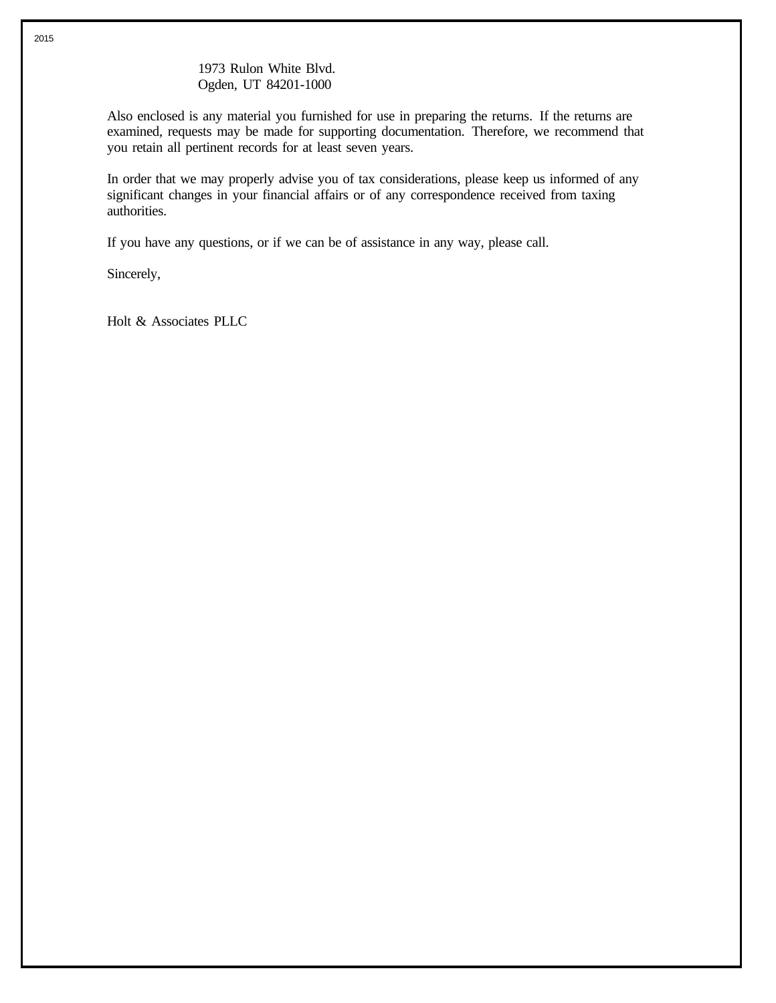### 1973 Rulon White Blvd. Ogden, UT 84201-1000

Also enclosed is any material you furnished for use in preparing the returns. If the returns are examined, requests may be made for supporting documentation. Therefore, we recommend that you retain all pertinent records for at least seven years.

In order that we may properly advise you of tax considerations, please keep us informed of any significant changes in your financial affairs or of any correspondence received from taxing authorities.

If you have any questions, or if we can be of assistance in any way, please call.

Sincerely,

Holt & Associates PLLC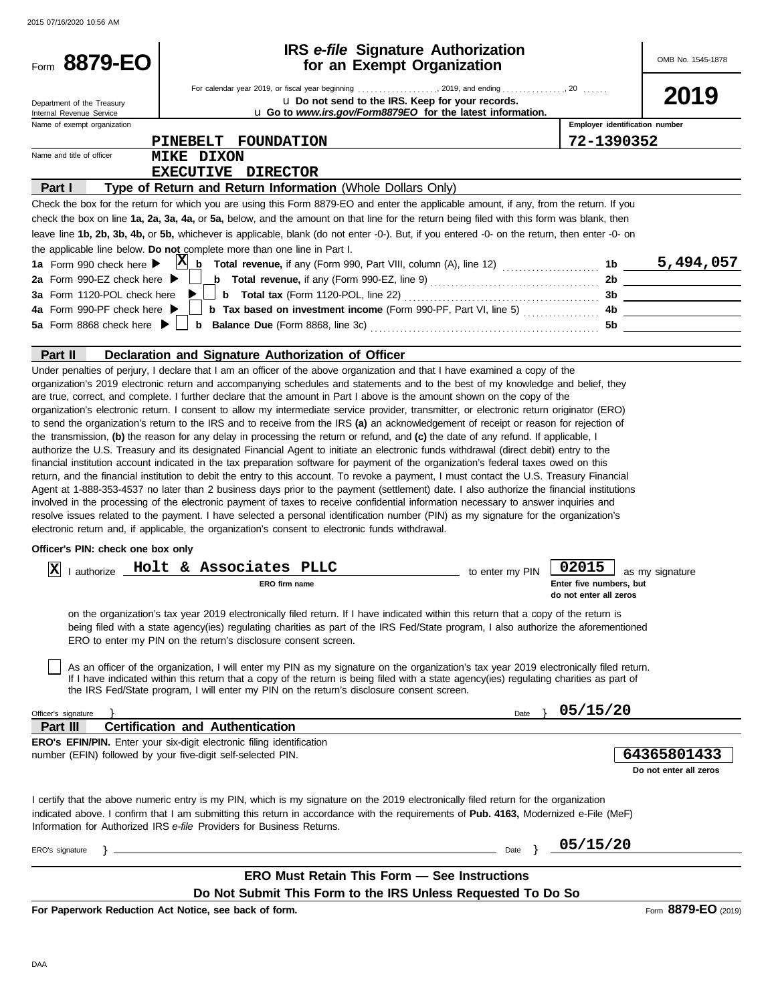2015 07/16/2020 10:56 AM

|                                                        | <b>IRS</b> e-file Signature Authorization<br>for an Exempt Organization                                                                                                                                                                                                                                                                                                                                                                                                                                                                                                                                                                                                   |                 |                                                            | OMB No. 1545-1878      |
|--------------------------------------------------------|---------------------------------------------------------------------------------------------------------------------------------------------------------------------------------------------------------------------------------------------------------------------------------------------------------------------------------------------------------------------------------------------------------------------------------------------------------------------------------------------------------------------------------------------------------------------------------------------------------------------------------------------------------------------------|-----------------|------------------------------------------------------------|------------------------|
|                                                        |                                                                                                                                                                                                                                                                                                                                                                                                                                                                                                                                                                                                                                                                           |                 |                                                            |                        |
| Department of the Treasury<br>Internal Revenue Service | u Do not send to the IRS. Keep for your records.<br>u Go to www.irs.gov/Form8879EO for the latest information.                                                                                                                                                                                                                                                                                                                                                                                                                                                                                                                                                            |                 |                                                            | 2019                   |
| Name of exempt organization                            |                                                                                                                                                                                                                                                                                                                                                                                                                                                                                                                                                                                                                                                                           |                 | Employer identification number                             |                        |
|                                                        | <b>FOUNDATION</b><br><b>PINEBELT</b>                                                                                                                                                                                                                                                                                                                                                                                                                                                                                                                                                                                                                                      |                 | 72-1390352                                                 |                        |
| Name and title of officer                              | <b>MIKE DIXON</b>                                                                                                                                                                                                                                                                                                                                                                                                                                                                                                                                                                                                                                                         |                 |                                                            |                        |
|                                                        | EXECUTIVE DIRECTOR                                                                                                                                                                                                                                                                                                                                                                                                                                                                                                                                                                                                                                                        |                 |                                                            |                        |
| Part I                                                 | Type of Return and Return Information (Whole Dollars Only)                                                                                                                                                                                                                                                                                                                                                                                                                                                                                                                                                                                                                |                 |                                                            |                        |
|                                                        | Check the box for the return for which you are using this Form 8879-EO and enter the applicable amount, if any, from the return. If you                                                                                                                                                                                                                                                                                                                                                                                                                                                                                                                                   |                 |                                                            |                        |
|                                                        | check the box on line 1a, 2a, 3a, 4a, or 5a, below, and the amount on that line for the return being filed with this form was blank, then                                                                                                                                                                                                                                                                                                                                                                                                                                                                                                                                 |                 |                                                            |                        |
|                                                        | leave line 1b, 2b, 3b, 4b, or 5b, whichever is applicable, blank (do not enter -0-). But, if you entered -0- on the return, then enter -0- on                                                                                                                                                                                                                                                                                                                                                                                                                                                                                                                             |                 |                                                            |                        |
| 1a Form 990 check here $\blacktriangleright$           | the applicable line below. Do not complete more than one line in Part I.                                                                                                                                                                                                                                                                                                                                                                                                                                                                                                                                                                                                  |                 |                                                            |                        |
| 2a Form 990-EZ check here $\blacktriangleright$        |                                                                                                                                                                                                                                                                                                                                                                                                                                                                                                                                                                                                                                                                           |                 |                                                            |                        |
|                                                        | 3a Form 1120-POL check here $\blacktriangleright\!\!\!\perp\!\!\!\perp\!\!\!\perp\!\!\!\!\perp\!\!\!\!\perp\!\!\!\!\perp\!\!\!\!\perp\!\!\!\!\perp\!\!\!\!\perp\!\!\!\!\perp\!\!\!\!\perp\!\!\!\!\perp\!\!\!\!\perp\!\!\!\!\perp\!\!\!\!\perp\!\!\!\!\perp\!\!\!\!\perp\!\!\!\!\perp\!\!\!\!\perp\!\!\!\!\perp\!\!\!\!\perp\!\!\!\!\perp\!\!\!\!\perp\!\!\!\!\perp\!\!\!\!\perp\!\!\!\!\perp\!\!\!\!\perp\$                                                                                                                                                                                                                                                               |                 |                                                            |                        |
| 4a Form 990-PF check here ▶                            | <b>b</b> Tax based on investment income (Form 990-PF, Part VI, line 5) $\ldots$                                                                                                                                                                                                                                                                                                                                                                                                                                                                                                                                                                                           |                 |                                                            | 4b                     |
|                                                        |                                                                                                                                                                                                                                                                                                                                                                                                                                                                                                                                                                                                                                                                           |                 | 5b                                                         |                        |
|                                                        |                                                                                                                                                                                                                                                                                                                                                                                                                                                                                                                                                                                                                                                                           |                 |                                                            |                        |
| Part II                                                | Declaration and Signature Authorization of Officer                                                                                                                                                                                                                                                                                                                                                                                                                                                                                                                                                                                                                        |                 |                                                            |                        |
| Officer's PIN: check one box only                      | return, and the financial institution to debit the entry to this account. To revoke a payment, I must contact the U.S. Treasury Financial<br>Agent at 1-888-353-4537 no later than 2 business days prior to the payment (settlement) date. I also authorize the financial institutions<br>involved in the processing of the electronic payment of taxes to receive confidential information necessary to answer inquiries and<br>resolve issues related to the payment. I have selected a personal identification number (PIN) as my signature for the organization's<br>electronic return and, if applicable, the organization's consent to electronic funds withdrawal. |                 |                                                            |                        |
|                                                        |                                                                                                                                                                                                                                                                                                                                                                                                                                                                                                                                                                                                                                                                           |                 |                                                            |                        |
| ΙX<br>Lauthorize                                       | Holt & Associates PLLC<br>ERO firm name                                                                                                                                                                                                                                                                                                                                                                                                                                                                                                                                                                                                                                   | to enter my PIN | 02015<br>Enter five numbers, but<br>do not enter all zeros | as my signature        |
|                                                        | on the organization's tax year 2019 electronically filed return. If I have indicated within this return that a copy of the return is<br>being filed with a state agency(ies) regulating charities as part of the IRS Fed/State program, I also authorize the aforementioned<br>ERO to enter my PIN on the return's disclosure consent screen.                                                                                                                                                                                                                                                                                                                             |                 |                                                            |                        |
|                                                        | As an officer of the organization, I will enter my PIN as my signature on the organization's tax year 2019 electronically filed return.<br>If I have indicated within this return that a copy of the return is being filed with a state agency(ies) regulating charities as part of                                                                                                                                                                                                                                                                                                                                                                                       |                 |                                                            |                        |
|                                                        | the IRS Fed/State program, I will enter my PIN on the return's disclosure consent screen.                                                                                                                                                                                                                                                                                                                                                                                                                                                                                                                                                                                 | Date            | 05/15/20                                                   |                        |
| Officer's signature<br>Part III                        | <b>Certification and Authentication</b>                                                                                                                                                                                                                                                                                                                                                                                                                                                                                                                                                                                                                                   |                 |                                                            |                        |
|                                                        | <b>ERO's EFIN/PIN.</b> Enter your six-digit electronic filing identification                                                                                                                                                                                                                                                                                                                                                                                                                                                                                                                                                                                              |                 |                                                            |                        |
|                                                        | number (EFIN) followed by your five-digit self-selected PIN.                                                                                                                                                                                                                                                                                                                                                                                                                                                                                                                                                                                                              |                 |                                                            | 64365801433            |
|                                                        |                                                                                                                                                                                                                                                                                                                                                                                                                                                                                                                                                                                                                                                                           |                 |                                                            | Do not enter all zeros |
|                                                        | I certify that the above numeric entry is my PIN, which is my signature on the 2019 electronically filed return for the organization<br>indicated above. I confirm that I am submitting this return in accordance with the requirements of Pub. 4163, Modernized e-File (MeF)<br>Information for Authorized IRS e-file Providers for Business Returns.                                                                                                                                                                                                                                                                                                                    |                 |                                                            |                        |
| ERO's signature                                        |                                                                                                                                                                                                                                                                                                                                                                                                                                                                                                                                                                                                                                                                           | Date            | 05/15/20                                                   |                        |
|                                                        |                                                                                                                                                                                                                                                                                                                                                                                                                                                                                                                                                                                                                                                                           |                 |                                                            |                        |
|                                                        | <b>ERO Must Retain This Form - See Instructions</b><br>Do Not Submit This Form to the IRS Unless Requested To Do So                                                                                                                                                                                                                                                                                                                                                                                                                                                                                                                                                       |                 |                                                            |                        |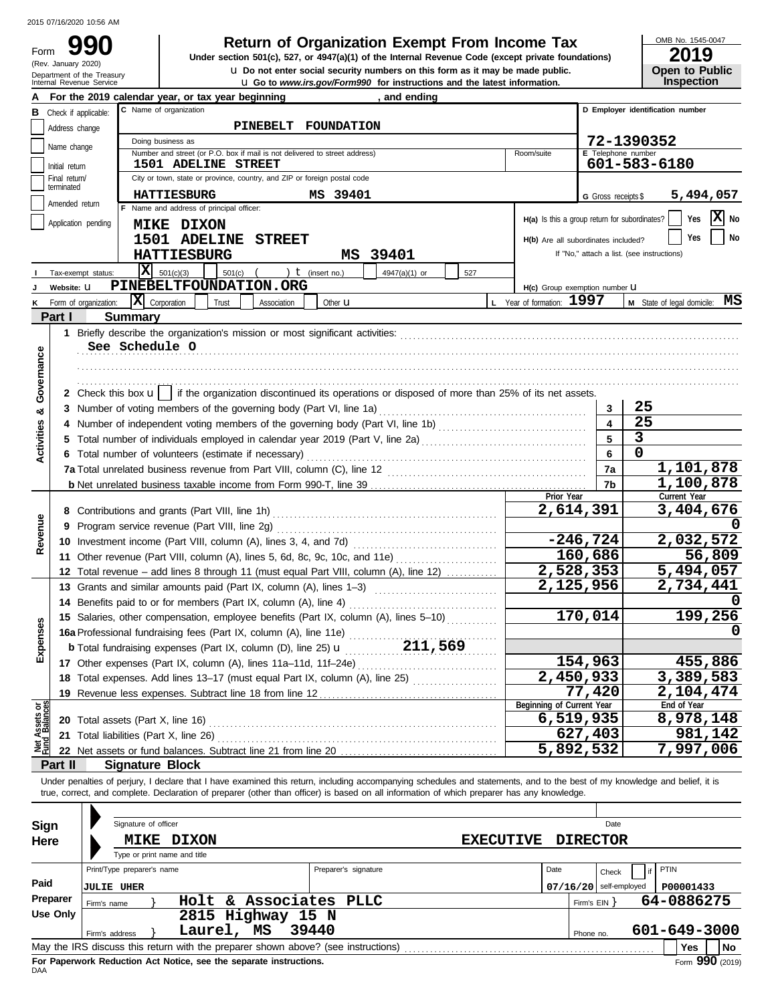Form 990

(Rev. January 2020)

## **Return of Organization Exempt From Income Tax**

**LI** Go to *www.irs.gov/Form990* for instructions and the latest information. **u** Do not enter social security numbers on this form as it may be made public. **Under section 501(c), 527, or 4947(a)(1) of the Internal Revenue Code (except private foundations)** OMB No. 1545-0047

| LU I J                |  |
|-----------------------|--|
| <b>Open to Public</b> |  |
| <b>Inspection</b>     |  |

|                                |                                                                   | Department of the Treasury<br>Internal Revenue Service | <b>u</b> Do not enter social security numbers on this form as it may be made public.<br><b>u</b> Go to <i>www.irs.gov/Form990</i> for instructions and the latest information. |                                    | <b>Open to Public</b><br><b>Inspection</b> |  |  |  |
|--------------------------------|-------------------------------------------------------------------|--------------------------------------------------------|--------------------------------------------------------------------------------------------------------------------------------------------------------------------------------|------------------------------------|--------------------------------------------|--|--|--|
|                                | For the 2019 calendar year, or tax year beginning<br>, and ending |                                                        |                                                                                                                                                                                |                                    |                                            |  |  |  |
|                                | <b>B</b> Check if applicable:                                     |                                                        | C Name of organization                                                                                                                                                         |                                    | D Employer identification number           |  |  |  |
|                                | Address change                                                    |                                                        | PINEBELT FOUNDATION                                                                                                                                                            |                                    |                                            |  |  |  |
|                                | Name change                                                       |                                                        | Doing business as                                                                                                                                                              |                                    | 72-1390352                                 |  |  |  |
|                                | Initial return                                                    |                                                        | Number and street (or P.O. box if mail is not delivered to street address)<br>Room/suite<br><b>1501 ADELINE STREET</b>                                                         | E Telephone number<br>601-583-6180 |                                            |  |  |  |
|                                | Final return/                                                     |                                                        | City or town, state or province, country, and ZIP or foreign postal code                                                                                                       |                                    |                                            |  |  |  |
|                                | terminated                                                        |                                                        | <b>HATTIESBURG</b><br>MS 39401                                                                                                                                                 | G Gross receipts \$                | 5,494,057                                  |  |  |  |
|                                | Amended return                                                    |                                                        | F Name and address of principal officer:                                                                                                                                       |                                    |                                            |  |  |  |
|                                |                                                                   | Application pending                                    | H(a) Is this a group return for subordinates?<br><b>MIKE DIXON</b>                                                                                                             |                                    | $ \mathbf{X} $ No<br>Yes                   |  |  |  |
|                                |                                                                   |                                                        | <b>1501 ADELINE STREET</b><br>H(b) Are all subordinates included?                                                                                                              |                                    | Yes<br>No                                  |  |  |  |
|                                |                                                                   |                                                        | <b>HATTIESBURG</b><br>MS 39401                                                                                                                                                 |                                    | If "No," attach a list. (see instructions) |  |  |  |
|                                |                                                                   | Tax-exempt status:                                     | $ \mathbf{X} $ 501(c)(3)<br>) $t$ (insert no.)<br>501(c)<br>4947(a)(1) or<br>527                                                                                               |                                    |                                            |  |  |  |
|                                | Website: U                                                        |                                                        | PINEBELTFOUNDATION.ORG<br>H(c) Group exemption number U                                                                                                                        |                                    |                                            |  |  |  |
| ĸ                              |                                                                   | Form of organization:                                  | L Year of formation: 1997<br>X Corporation<br>Trust<br>Association<br>Other $\mathbf u$                                                                                        |                                    | M State of legal domicile: MS              |  |  |  |
|                                | Part I                                                            | <b>Summary</b>                                         |                                                                                                                                                                                |                                    |                                            |  |  |  |
|                                |                                                                   |                                                        |                                                                                                                                                                                |                                    |                                            |  |  |  |
|                                |                                                                   |                                                        | See Schedule O                                                                                                                                                                 |                                    |                                            |  |  |  |
| Governance                     |                                                                   |                                                        |                                                                                                                                                                                |                                    |                                            |  |  |  |
|                                |                                                                   |                                                        |                                                                                                                                                                                |                                    |                                            |  |  |  |
|                                |                                                                   |                                                        | 2 Check this box $\mathbf{u}$   if the organization discontinued its operations or disposed of more than 25% of its net assets.                                                |                                    |                                            |  |  |  |
| ఱ                              |                                                                   |                                                        |                                                                                                                                                                                | 3                                  | 25                                         |  |  |  |
| Activities                     | 4                                                                 |                                                        |                                                                                                                                                                                | 4                                  | 25                                         |  |  |  |
|                                | 5.                                                                |                                                        | Total number of individuals employed in calendar year 2019 (Part V, line 2a) [[[[[[[[[[[[[[[[[[[[[[[[[[[[[[[[                                                                  | 5                                  | $\mathbf{3}$<br>$\mathbf 0$                |  |  |  |
|                                |                                                                   |                                                        | 6 Total number of volunteers (estimate if necessary)                                                                                                                           | 6                                  | 1,101,878                                  |  |  |  |
|                                |                                                                   |                                                        |                                                                                                                                                                                | 7a                                 | 1,100,878                                  |  |  |  |
|                                |                                                                   |                                                        | Prior Year                                                                                                                                                                     | 7b                                 | Current Year                               |  |  |  |
|                                |                                                                   |                                                        | 2,614,391                                                                                                                                                                      |                                    | 3,404,676                                  |  |  |  |
| Revenue                        | 9                                                                 |                                                        |                                                                                                                                                                                |                                    |                                            |  |  |  |
|                                |                                                                   |                                                        |                                                                                                                                                                                | $-246,724$                         | 2,032,572                                  |  |  |  |
|                                |                                                                   |                                                        | 11 Other revenue (Part VIII, column (A), lines 5, 6d, 8c, 9c, 10c, and 11e)                                                                                                    | 160,686                            | 56,809                                     |  |  |  |
|                                |                                                                   |                                                        | 2,528,353<br>12 Total revenue – add lines 8 through 11 (must equal Part VIII, column (A), line 12)                                                                             |                                    | 5,494,057                                  |  |  |  |
|                                |                                                                   |                                                        | 2,125,956<br>13 Grants and similar amounts paid (Part IX, column (A), lines 1-3)                                                                                               |                                    | 2,734,441                                  |  |  |  |
|                                | 14                                                                |                                                        | Benefits paid to or for members (Part IX, column (A), line 4)                                                                                                                  |                                    |                                            |  |  |  |
|                                |                                                                   |                                                        | 15 Salaries, other compensation, employee benefits (Part IX, column (A), lines 5-10)                                                                                           | 170,014                            | 199,256                                    |  |  |  |
| <b>ISes</b>                    |                                                                   |                                                        | 16a Professional fundraising fees (Part IX, column (A), line 11e)                                                                                                              |                                    | 0                                          |  |  |  |
| Exper                          |                                                                   |                                                        | <b>b</b> Total fundraising expenses (Part IX, column (D), line 25) <b>u</b> 211, 569                                                                                           |                                    |                                            |  |  |  |
|                                |                                                                   |                                                        |                                                                                                                                                                                | 154,963                            | 455,886                                    |  |  |  |
|                                |                                                                   |                                                        | 2,450,933<br>18 Total expenses. Add lines 13-17 (must equal Part IX, column (A), line 25)                                                                                      |                                    | 3,389,583                                  |  |  |  |
|                                | 19                                                                |                                                        | Revenue less expenses. Subtract line 18 from line 12<br>Beginning of Current Year                                                                                              | 77,420                             | 2,104,474<br>End of Year                   |  |  |  |
| Net Assets or<br>Fund Balances |                                                                   |                                                        | 6,519,935                                                                                                                                                                      |                                    | 8,978,148                                  |  |  |  |
|                                | 21                                                                |                                                        | Total liabilities (Part X, line 26)                                                                                                                                            | 627,403                            | 981,142                                    |  |  |  |
|                                |                                                                   |                                                        | 5,892,532                                                                                                                                                                      |                                    | 7,997,006                                  |  |  |  |
|                                | Part II                                                           |                                                        | <b>Signature Block</b>                                                                                                                                                         |                                    |                                            |  |  |  |
|                                |                                                                   |                                                        | Under penalties of perjury, I declare that I have examined this return, including accompanying schedules and statements, and to the best of my knowledge and belief, it is     |                                    |                                            |  |  |  |
|                                |                                                                   |                                                        | true, correct, and complete. Declaration of preparer (other than officer) is based on all information of which preparer has any knowledge.                                     |                                    |                                            |  |  |  |
|                                |                                                                   |                                                        |                                                                                                                                                                                |                                    |                                            |  |  |  |
| Sign                           |                                                                   |                                                        | Signature of officer                                                                                                                                                           | Date                               |                                            |  |  |  |
| Here                           |                                                                   |                                                        | <b>MIKE DIXON</b><br><b>EXECUTIVE</b>                                                                                                                                          | <b>DIRECTOR</b>                    |                                            |  |  |  |
|                                |                                                                   |                                                        | Type or print name and title                                                                                                                                                   |                                    |                                            |  |  |  |
|                                |                                                                   | Print/Type preparer's name                             | Preparer's signature<br>Date                                                                                                                                                   | Check                              | PTIN                                       |  |  |  |
| Paid                           |                                                                   | <b>JULIE UHER</b>                                      |                                                                                                                                                                                | $07/16/20$ self-employed           | P00001433                                  |  |  |  |
|                                | Preparer                                                          | Firm's name                                            | Holt & Associates PLLC                                                                                                                                                         | Firm's $EIN$ }                     | 64-0886275                                 |  |  |  |
|                                | <b>Use Only</b>                                                   |                                                        | 2815 Highway 15 N                                                                                                                                                              |                                    |                                            |  |  |  |
|                                |                                                                   | Firm's address                                         | 39440<br>Laurel, MS                                                                                                                                                            | Phone no.                          | 601-649-3000                               |  |  |  |
|                                |                                                                   |                                                        | May the IRS discuss this return with the preparer shown above? (see instructions)                                                                                              |                                    | Yes<br>No                                  |  |  |  |

| Sign<br>Here     | Signature of officer<br><b>DIXON</b><br><b>MIKE</b><br>Type or print name and title                                                                                                                   | <b>EXECUTIVE</b>     | <b>DIRECTOR</b>           | Date                              |                            |  |  |
|------------------|-------------------------------------------------------------------------------------------------------------------------------------------------------------------------------------------------------|----------------------|---------------------------|-----------------------------------|----------------------------|--|--|
| Paid<br>Preparer | Print/Type preparer's name<br><b>JULIE UHER</b>                                                                                                                                                       | Preparer's signature | Date                      | Check<br>$07/16/20$ self-employed | <b>PTIN</b><br>P00001433   |  |  |
| Use Only         | & Associates PLLC<br>Holt<br>Firm's name<br>2815 Highway<br>Laurel, MS<br>Firm's address                                                                                                              | 15 N<br>39440        | Firm's $EIN$<br>Phone no. |                                   | 64-0886275<br>601-649-3000 |  |  |
|                  | May the IRS discuss this return with the preparer shown above? (see instructions)<br>l No<br>Yes<br>$F_{\text{Orm}}$ 990 (2019)<br>For Paperwork Reduction Act Notice, see the separate instructions. |                      |                           |                                   |                            |  |  |

DAA **For Paperwork Reduction Act Notice, see the separate instructions.**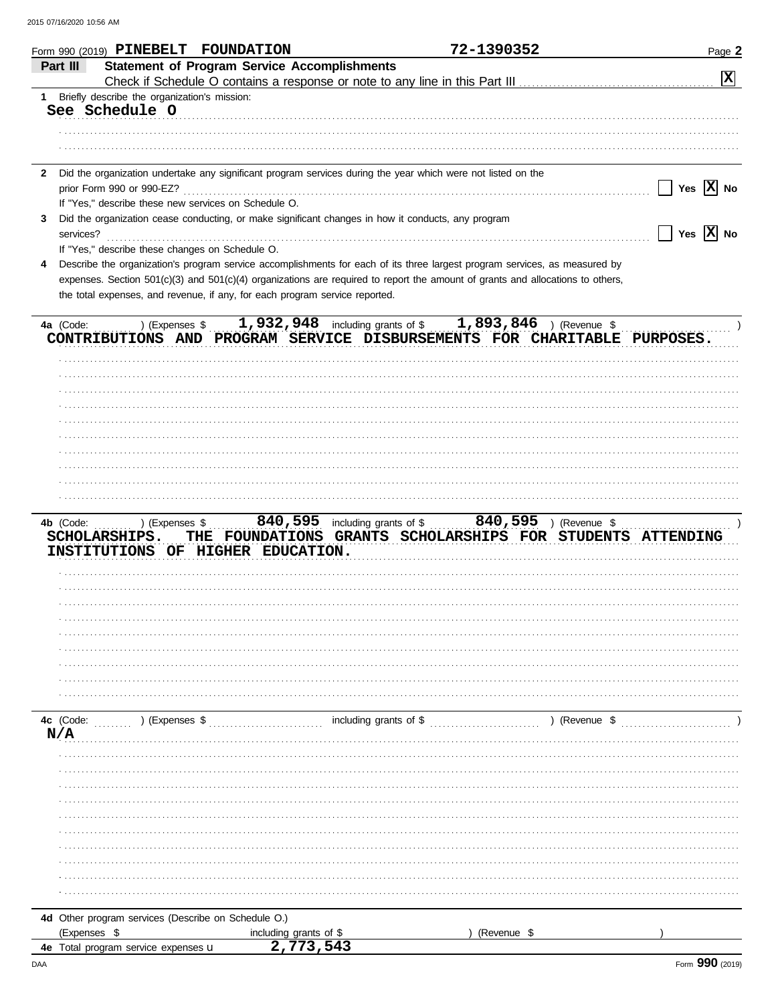|              |              |                                              | Form 990 (2019) PINEBELT FOUNDATION                  |                                                                                                    | 72-1390352                                                                                                                     | Page 2                |
|--------------|--------------|----------------------------------------------|------------------------------------------------------|----------------------------------------------------------------------------------------------------|--------------------------------------------------------------------------------------------------------------------------------|-----------------------|
|              | Part III     |                                              |                                                      | <b>Statement of Program Service Accomplishments</b>                                                |                                                                                                                                |                       |
|              |              |                                              |                                                      |                                                                                                    |                                                                                                                                | $\boxed{\mathbf{x}}$  |
| 1            |              | Briefly describe the organization's mission: |                                                      |                                                                                                    |                                                                                                                                |                       |
|              |              | See Schedule O                               |                                                      |                                                                                                    |                                                                                                                                |                       |
|              |              |                                              |                                                      |                                                                                                    |                                                                                                                                |                       |
|              |              |                                              |                                                      |                                                                                                    |                                                                                                                                |                       |
|              |              |                                              |                                                      |                                                                                                    |                                                                                                                                |                       |
| $\mathbf{2}$ |              |                                              |                                                      |                                                                                                    | Did the organization undertake any significant program services during the year which were not listed on the                   |                       |
|              |              | prior Form 990 or 990-EZ?                    |                                                      |                                                                                                    |                                                                                                                                | Yes $ X $ No          |
|              |              |                                              | If "Yes," describe these new services on Schedule O. |                                                                                                    |                                                                                                                                |                       |
| 3            |              |                                              |                                                      | Did the organization cease conducting, or make significant changes in how it conducts, any program |                                                                                                                                |                       |
|              | services?    |                                              |                                                      |                                                                                                    |                                                                                                                                | Yes $ \mathbf{X} $ No |
|              |              |                                              | If "Yes," describe these changes on Schedule O.      |                                                                                                    |                                                                                                                                |                       |
| 4            |              |                                              |                                                      |                                                                                                    | Describe the organization's program service accomplishments for each of its three largest program services, as measured by     |                       |
|              |              |                                              |                                                      |                                                                                                    | expenses. Section 501(c)(3) and 501(c)(4) organizations are required to report the amount of grants and allocations to others, |                       |
|              |              |                                              |                                                      | the total expenses, and revenue, if any, for each program service reported.                        |                                                                                                                                |                       |
|              |              |                                              |                                                      |                                                                                                    |                                                                                                                                |                       |
|              | 4a (Code:    | ) (Expenses \$                               |                                                      |                                                                                                    | 1,932,948 including grants of \$ 1,893,846 ) (Revenue \$                                                                       |                       |
|              |              |                                              |                                                      |                                                                                                    | CONTRIBUTIONS AND PROGRAM SERVICE DISBURSEMENTS FOR CHARITABLE PURPOSES.                                                       |                       |
|              |              |                                              |                                                      |                                                                                                    |                                                                                                                                |                       |
|              |              |                                              |                                                      |                                                                                                    |                                                                                                                                |                       |
|              |              |                                              |                                                      |                                                                                                    |                                                                                                                                |                       |
|              |              |                                              |                                                      |                                                                                                    |                                                                                                                                |                       |
|              |              |                                              |                                                      |                                                                                                    |                                                                                                                                |                       |
|              |              |                                              |                                                      |                                                                                                    |                                                                                                                                |                       |
|              |              |                                              |                                                      |                                                                                                    |                                                                                                                                |                       |
|              |              |                                              |                                                      |                                                                                                    |                                                                                                                                |                       |
|              |              |                                              |                                                      |                                                                                                    |                                                                                                                                |                       |
|              |              |                                              |                                                      |                                                                                                    |                                                                                                                                |                       |
|              |              |                                              |                                                      |                                                                                                    |                                                                                                                                |                       |
|              | 4b (Code:    | ) (Expenses \$                               |                                                      |                                                                                                    | 840, 595 including grants of \$ 840, 595 ) (Revenue \$                                                                         |                       |
|              |              | <b>SCHOLARSHIPS.</b>                         |                                                      |                                                                                                    | THE FOUNDATIONS GRANTS SCHOLARSHIPS FOR STUDENTS ATTENDING                                                                     |                       |
|              |              |                                              | INSTITUTIONS OF HIGHER EDUCATION.                    |                                                                                                    |                                                                                                                                |                       |
|              |              |                                              |                                                      |                                                                                                    |                                                                                                                                |                       |
|              |              |                                              |                                                      |                                                                                                    |                                                                                                                                |                       |
|              |              |                                              |                                                      |                                                                                                    |                                                                                                                                |                       |
|              |              |                                              |                                                      |                                                                                                    |                                                                                                                                |                       |
|              |              |                                              |                                                      |                                                                                                    |                                                                                                                                |                       |
|              |              |                                              |                                                      |                                                                                                    |                                                                                                                                |                       |
|              |              |                                              |                                                      |                                                                                                    |                                                                                                                                |                       |
|              |              |                                              |                                                      |                                                                                                    |                                                                                                                                |                       |
|              |              |                                              |                                                      |                                                                                                    |                                                                                                                                |                       |
|              |              |                                              |                                                      |                                                                                                    |                                                                                                                                |                       |
|              | 4c (Code:    | $\ldots$ ) (Expenses \$                      |                                                      |                                                                                                    |                                                                                                                                |                       |
|              | N/A          |                                              |                                                      |                                                                                                    |                                                                                                                                |                       |
|              |              |                                              |                                                      |                                                                                                    |                                                                                                                                |                       |
|              |              |                                              |                                                      |                                                                                                    |                                                                                                                                |                       |
|              |              |                                              |                                                      |                                                                                                    |                                                                                                                                |                       |
|              |              |                                              |                                                      |                                                                                                    |                                                                                                                                |                       |
|              |              |                                              |                                                      |                                                                                                    |                                                                                                                                |                       |
|              |              |                                              |                                                      |                                                                                                    |                                                                                                                                |                       |
|              |              |                                              |                                                      |                                                                                                    |                                                                                                                                |                       |
|              |              |                                              |                                                      |                                                                                                    |                                                                                                                                |                       |
|              |              |                                              |                                                      |                                                                                                    |                                                                                                                                |                       |
|              |              |                                              |                                                      |                                                                                                    |                                                                                                                                |                       |
|              |              |                                              |                                                      |                                                                                                    |                                                                                                                                |                       |
|              |              |                                              | 4d Other program services (Describe on Schedule O.)  |                                                                                                    |                                                                                                                                |                       |
|              | (Expenses \$ |                                              |                                                      | including grants of \$                                                                             | (Revenue \$                                                                                                                    |                       |
|              |              | 4e Total program service expenses u          |                                                      | 2,773,543                                                                                          |                                                                                                                                |                       |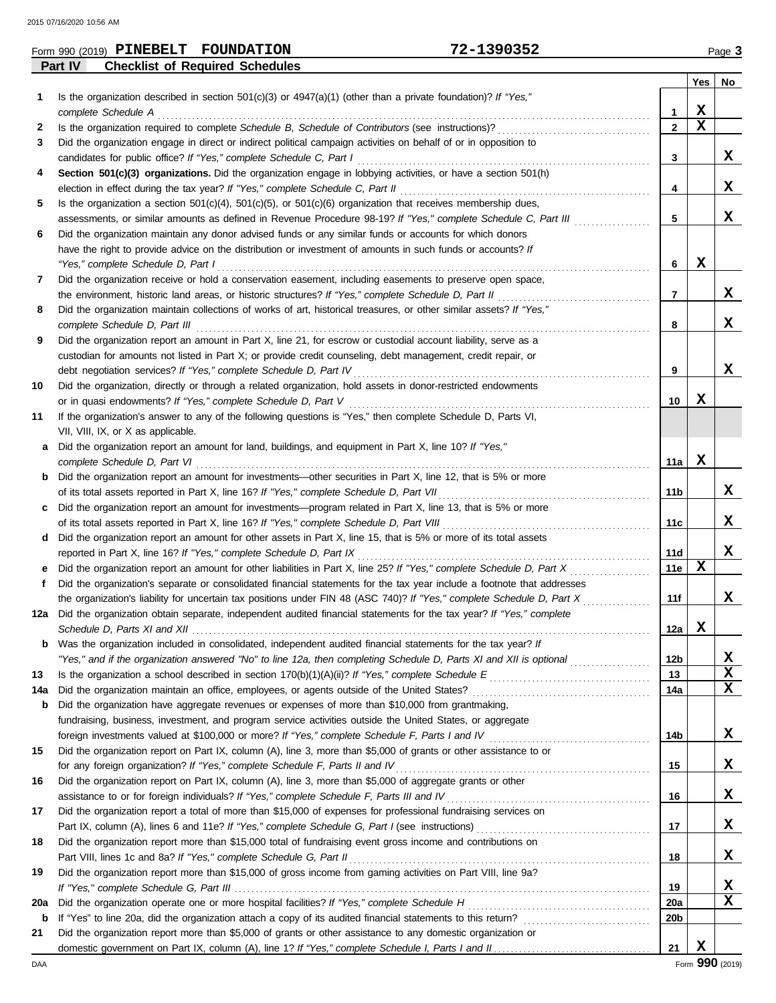| Form 990 (2019) | PINEBELT | <b>FOUNDATION</b>                      | $-1390352$<br><u>~</u> |                | ٽ Page       |
|-----------------|----------|----------------------------------------|------------------------|----------------|--------------|
| Part IV         |          | <b>Checklist of Required Schedules</b> |                        |                |              |
|                 |          |                                        |                        | $V_{\rm{max}}$ | $\mathbf{H}$ |

|     |                                                                                                                                                                               |                 | Yes         | No          |
|-----|-------------------------------------------------------------------------------------------------------------------------------------------------------------------------------|-----------------|-------------|-------------|
| 1   | Is the organization described in section $501(c)(3)$ or $4947(a)(1)$ (other than a private foundation)? If "Yes,"                                                             |                 |             |             |
|     | complete Schedule A                                                                                                                                                           | 1               | X           |             |
| 2   |                                                                                                                                                                               | $\mathbf{2}$    | X           |             |
| 3   | Did the organization engage in direct or indirect political campaign activities on behalf of or in opposition to                                                              |                 |             |             |
|     | candidates for public office? If "Yes," complete Schedule C, Part I                                                                                                           | 3               |             | x           |
| 4   | Section 501(c)(3) organizations. Did the organization engage in lobbying activities, or have a section 501(h)                                                                 |                 |             |             |
|     | election in effect during the tax year? If "Yes," complete Schedule C, Part II                                                                                                | 4               |             | x           |
| 5   | Is the organization a section $501(c)(4)$ , $501(c)(5)$ , or $501(c)(6)$ organization that receives membership dues,                                                          |                 |             |             |
|     | assessments, or similar amounts as defined in Revenue Procedure 98-19? If "Yes," complete Schedule C, Part III                                                                | 5               |             | X           |
| 6   | Did the organization maintain any donor advised funds or any similar funds or accounts for which donors                                                                       |                 |             |             |
|     | have the right to provide advice on the distribution or investment of amounts in such funds or accounts? If                                                                   |                 |             |             |
|     | "Yes," complete Schedule D, Part I                                                                                                                                            | 6               | X           |             |
| 7   | Did the organization receive or hold a conservation easement, including easements to preserve open space,                                                                     |                 |             |             |
|     | the environment, historic land areas, or historic structures? If "Yes," complete Schedule D, Part II                                                                          | 7               |             | X           |
| 8   | Did the organization maintain collections of works of art, historical treasures, or other similar assets? If "Yes,"                                                           |                 |             |             |
|     | complete Schedule D, Part III                                                                                                                                                 | 8               |             | x           |
| 9   | Did the organization report an amount in Part X, line 21, for escrow or custodial account liability, serve as a                                                               |                 |             |             |
|     | custodian for amounts not listed in Part X; or provide credit counseling, debt management, credit repair, or                                                                  |                 |             | x           |
|     |                                                                                                                                                                               | 9               |             |             |
| 10  | Did the organization, directly or through a related organization, hold assets in donor-restricted endowments<br>or in quasi endowments? If "Yes," complete Schedule D, Part V | 10              | X           |             |
| 11  | If the organization's answer to any of the following questions is "Yes," then complete Schedule D, Parts VI,                                                                  |                 |             |             |
|     | VII, VIII, IX, or X as applicable.                                                                                                                                            |                 |             |             |
| a   | Did the organization report an amount for land, buildings, and equipment in Part X, line 10? If "Yes,"                                                                        |                 |             |             |
|     | complete Schedule D, Part VI                                                                                                                                                  | 11a             | X           |             |
|     | <b>b</b> Did the organization report an amount for investments—other securities in Part X, line 12, that is 5% or more                                                        |                 |             |             |
|     |                                                                                                                                                                               | 11b             |             | x           |
|     | c Did the organization report an amount for investments—program related in Part X, line 13, that is 5% or more                                                                |                 |             |             |
|     |                                                                                                                                                                               | 11c             |             | x           |
| d   | Did the organization report an amount for other assets in Part X, line 15, that is 5% or more of its total assets                                                             |                 |             |             |
|     | reported in Part X, line 16? If "Yes," complete Schedule D, Part IX                                                                                                           | 11d             |             | X           |
| е   | Did the organization report an amount for other liabilities in Part X, line 25? If "Yes," complete Schedule D, Part X                                                         | 11e             | х           |             |
| f   | Did the organization's separate or consolidated financial statements for the tax year include a footnote that addresses                                                       |                 |             |             |
|     | the organization's liability for uncertain tax positions under FIN 48 (ASC 740)? If "Yes," complete Schedule D, Part X                                                        | 11f             |             | x           |
| 12a | Did the organization obtain separate, independent audited financial statements for the tax year? If "Yes," complete                                                           |                 |             |             |
|     |                                                                                                                                                                               | 12a             | X           |             |
| b   | Was the organization included in consolidated, independent audited financial statements for the tax year? If                                                                  |                 |             |             |
|     | "Yes," and if the organization answered "No" to line 12a, then completing Schedule D, Parts XI and XII is optional                                                            | 12b             |             | х           |
| 13  |                                                                                                                                                                               | 13              |             | $\mathbf x$ |
| 14a |                                                                                                                                                                               | 14a             |             | $\mathbf x$ |
| b   | Did the organization have aggregate revenues or expenses of more than \$10,000 from grantmaking,                                                                              |                 |             |             |
|     | fundraising, business, investment, and program service activities outside the United States, or aggregate                                                                     |                 |             | X           |
| 15  | Did the organization report on Part IX, column (A), line 3, more than \$5,000 of grants or other assistance to or                                                             | 14b             |             |             |
|     | for any foreign organization? If "Yes," complete Schedule F, Parts II and IV                                                                                                  | 15              |             | X           |
| 16  | Did the organization report on Part IX, column (A), line 3, more than \$5,000 of aggregate grants or other                                                                    |                 |             |             |
|     |                                                                                                                                                                               | 16              |             | X           |
| 17  | Did the organization report a total of more than \$15,000 of expenses for professional fundraising services on                                                                |                 |             |             |
|     |                                                                                                                                                                               | 17              |             | X           |
| 18  | Did the organization report more than \$15,000 total of fundraising event gross income and contributions on                                                                   |                 |             |             |
|     |                                                                                                                                                                               | 18              |             | X           |
| 19  | Did the organization report more than \$15,000 of gross income from gaming activities on Part VIII, line 9a?                                                                  |                 |             |             |
|     |                                                                                                                                                                               | 19              |             | X           |
| 20a |                                                                                                                                                                               | 20a             |             | X           |
| b   |                                                                                                                                                                               | 20 <sub>b</sub> |             |             |
| 21  | Did the organization report more than \$5,000 of grants or other assistance to any domestic organization or                                                                   |                 |             |             |
|     |                                                                                                                                                                               | 21              | $\mathbf X$ |             |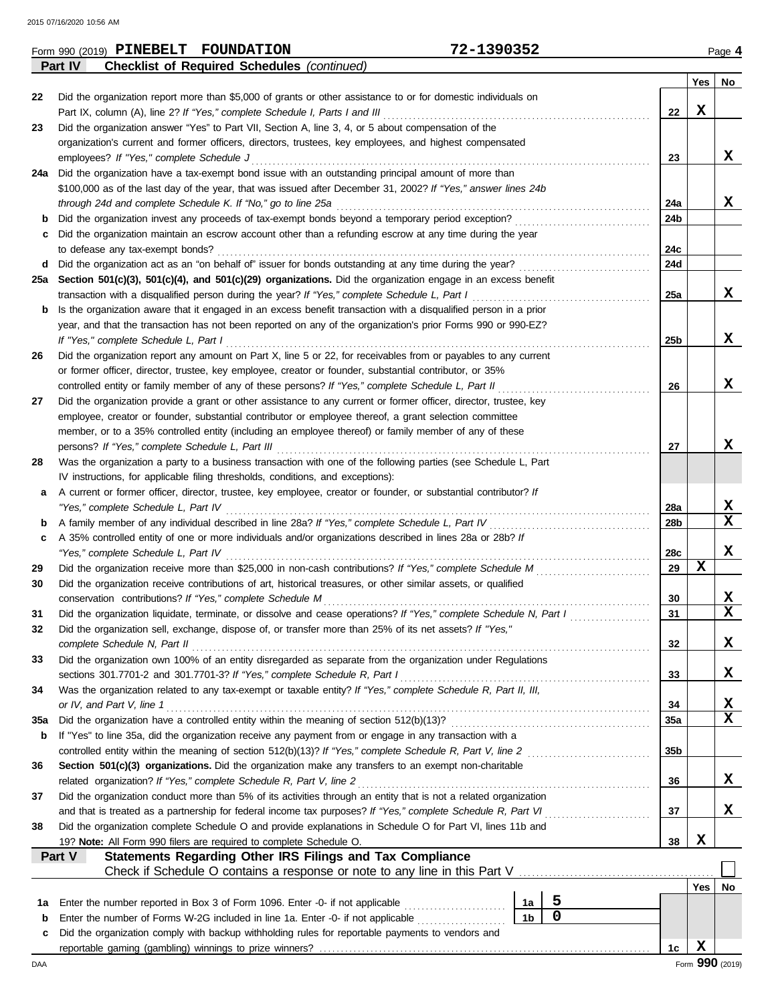| Yes<br>Did the organization report more than \$5,000 of grants or other assistance to or for domestic individuals on<br>22<br>х<br>Part IX, column (A), line 2? If "Yes," complete Schedule I, Parts I and III<br>22<br>Did the organization answer "Yes" to Part VII, Section A, line 3, 4, or 5 about compensation of the<br>23<br>organization's current and former officers, directors, trustees, key employees, and highest compensated<br>employees? If "Yes," complete Schedule J<br>23<br>Did the organization have a tax-exempt bond issue with an outstanding principal amount of more than<br>24a<br>\$100,000 as of the last day of the year, that was issued after December 31, 2002? If "Yes," answer lines 24b<br>through 24d and complete Schedule K. If "No," go to line 25a<br>24a<br>Did the organization invest any proceeds of tax-exempt bonds beyond a temporary period exception?<br>24b<br>b<br>Did the organization maintain an escrow account other than a refunding escrow at any time during the year<br>24c<br>to defease any tax-exempt bonds?<br>Did the organization act as an "on behalf of" issuer for bonds outstanding at any time during the year?<br>24d<br>d<br>Section 501(c)(3), 501(c)(4), and 501(c)(29) organizations. Did the organization engage in an excess benefit<br>25a<br>transaction with a disqualified person during the year? If "Yes," complete Schedule L, Part I<br>25a<br>Is the organization aware that it engaged in an excess benefit transaction with a disqualified person in a prior<br>b<br>year, and that the transaction has not been reported on any of the organization's prior Forms 990 or 990-EZ?<br>If "Yes," complete Schedule L, Part I<br>25b<br>Did the organization report any amount on Part X, line 5 or 22, for receivables from or payables to any current<br>26<br>or former officer, director, trustee, key employee, creator or founder, substantial contributor, or 35%<br>controlled entity or family member of any of these persons? If "Yes," complete Schedule L, Part II<br>26<br>Did the organization provide a grant or other assistance to any current or former officer, director, trustee, key<br>27<br>employee, creator or founder, substantial contributor or employee thereof, a grant selection committee<br>member, or to a 35% controlled entity (including an employee thereof) or family member of any of these<br>persons? If "Yes," complete Schedule L, Part III<br>27<br>Was the organization a party to a business transaction with one of the following parties (see Schedule L, Part<br>28<br>IV instructions, for applicable filing thresholds, conditions, and exceptions):<br>A current or former officer, director, trustee, key employee, creator or founder, or substantial contributor? If<br>а<br>"Yes," complete Schedule L, Part IV<br>28a<br>A family member of any individual described in line 28a? If "Yes," complete Schedule L, Part IV<br>28b<br>b<br>A 35% controlled entity of one or more individuals and/or organizations described in lines 28a or 28b? If<br>c | No.<br>x<br>x<br>x<br>x<br>x<br>x<br>x |  |  |  |  |  |  |  |
|----------------------------------------------------------------------------------------------------------------------------------------------------------------------------------------------------------------------------------------------------------------------------------------------------------------------------------------------------------------------------------------------------------------------------------------------------------------------------------------------------------------------------------------------------------------------------------------------------------------------------------------------------------------------------------------------------------------------------------------------------------------------------------------------------------------------------------------------------------------------------------------------------------------------------------------------------------------------------------------------------------------------------------------------------------------------------------------------------------------------------------------------------------------------------------------------------------------------------------------------------------------------------------------------------------------------------------------------------------------------------------------------------------------------------------------------------------------------------------------------------------------------------------------------------------------------------------------------------------------------------------------------------------------------------------------------------------------------------------------------------------------------------------------------------------------------------------------------------------------------------------------------------------------------------------------------------------------------------------------------------------------------------------------------------------------------------------------------------------------------------------------------------------------------------------------------------------------------------------------------------------------------------------------------------------------------------------------------------------------------------------------------------------------------------------------------------------------------------------------------------------------------------------------------------------------------------------------------------------------------------------------------------------------------------------------------------------------------------------------------------------------------------------------------------------------------------------------------------------------------------------------------------------------------------------------------------------------------------------------------------------------------------------------------------------------------------------------------------------|----------------------------------------|--|--|--|--|--|--|--|
|                                                                                                                                                                                                                                                                                                                                                                                                                                                                                                                                                                                                                                                                                                                                                                                                                                                                                                                                                                                                                                                                                                                                                                                                                                                                                                                                                                                                                                                                                                                                                                                                                                                                                                                                                                                                                                                                                                                                                                                                                                                                                                                                                                                                                                                                                                                                                                                                                                                                                                                                                                                                                                                                                                                                                                                                                                                                                                                                                                                                                                                                                                          |                                        |  |  |  |  |  |  |  |
|                                                                                                                                                                                                                                                                                                                                                                                                                                                                                                                                                                                                                                                                                                                                                                                                                                                                                                                                                                                                                                                                                                                                                                                                                                                                                                                                                                                                                                                                                                                                                                                                                                                                                                                                                                                                                                                                                                                                                                                                                                                                                                                                                                                                                                                                                                                                                                                                                                                                                                                                                                                                                                                                                                                                                                                                                                                                                                                                                                                                                                                                                                          |                                        |  |  |  |  |  |  |  |
|                                                                                                                                                                                                                                                                                                                                                                                                                                                                                                                                                                                                                                                                                                                                                                                                                                                                                                                                                                                                                                                                                                                                                                                                                                                                                                                                                                                                                                                                                                                                                                                                                                                                                                                                                                                                                                                                                                                                                                                                                                                                                                                                                                                                                                                                                                                                                                                                                                                                                                                                                                                                                                                                                                                                                                                                                                                                                                                                                                                                                                                                                                          |                                        |  |  |  |  |  |  |  |
|                                                                                                                                                                                                                                                                                                                                                                                                                                                                                                                                                                                                                                                                                                                                                                                                                                                                                                                                                                                                                                                                                                                                                                                                                                                                                                                                                                                                                                                                                                                                                                                                                                                                                                                                                                                                                                                                                                                                                                                                                                                                                                                                                                                                                                                                                                                                                                                                                                                                                                                                                                                                                                                                                                                                                                                                                                                                                                                                                                                                                                                                                                          |                                        |  |  |  |  |  |  |  |
|                                                                                                                                                                                                                                                                                                                                                                                                                                                                                                                                                                                                                                                                                                                                                                                                                                                                                                                                                                                                                                                                                                                                                                                                                                                                                                                                                                                                                                                                                                                                                                                                                                                                                                                                                                                                                                                                                                                                                                                                                                                                                                                                                                                                                                                                                                                                                                                                                                                                                                                                                                                                                                                                                                                                                                                                                                                                                                                                                                                                                                                                                                          |                                        |  |  |  |  |  |  |  |
|                                                                                                                                                                                                                                                                                                                                                                                                                                                                                                                                                                                                                                                                                                                                                                                                                                                                                                                                                                                                                                                                                                                                                                                                                                                                                                                                                                                                                                                                                                                                                                                                                                                                                                                                                                                                                                                                                                                                                                                                                                                                                                                                                                                                                                                                                                                                                                                                                                                                                                                                                                                                                                                                                                                                                                                                                                                                                                                                                                                                                                                                                                          |                                        |  |  |  |  |  |  |  |
|                                                                                                                                                                                                                                                                                                                                                                                                                                                                                                                                                                                                                                                                                                                                                                                                                                                                                                                                                                                                                                                                                                                                                                                                                                                                                                                                                                                                                                                                                                                                                                                                                                                                                                                                                                                                                                                                                                                                                                                                                                                                                                                                                                                                                                                                                                                                                                                                                                                                                                                                                                                                                                                                                                                                                                                                                                                                                                                                                                                                                                                                                                          |                                        |  |  |  |  |  |  |  |
|                                                                                                                                                                                                                                                                                                                                                                                                                                                                                                                                                                                                                                                                                                                                                                                                                                                                                                                                                                                                                                                                                                                                                                                                                                                                                                                                                                                                                                                                                                                                                                                                                                                                                                                                                                                                                                                                                                                                                                                                                                                                                                                                                                                                                                                                                                                                                                                                                                                                                                                                                                                                                                                                                                                                                                                                                                                                                                                                                                                                                                                                                                          |                                        |  |  |  |  |  |  |  |
|                                                                                                                                                                                                                                                                                                                                                                                                                                                                                                                                                                                                                                                                                                                                                                                                                                                                                                                                                                                                                                                                                                                                                                                                                                                                                                                                                                                                                                                                                                                                                                                                                                                                                                                                                                                                                                                                                                                                                                                                                                                                                                                                                                                                                                                                                                                                                                                                                                                                                                                                                                                                                                                                                                                                                                                                                                                                                                                                                                                                                                                                                                          |                                        |  |  |  |  |  |  |  |
|                                                                                                                                                                                                                                                                                                                                                                                                                                                                                                                                                                                                                                                                                                                                                                                                                                                                                                                                                                                                                                                                                                                                                                                                                                                                                                                                                                                                                                                                                                                                                                                                                                                                                                                                                                                                                                                                                                                                                                                                                                                                                                                                                                                                                                                                                                                                                                                                                                                                                                                                                                                                                                                                                                                                                                                                                                                                                                                                                                                                                                                                                                          |                                        |  |  |  |  |  |  |  |
|                                                                                                                                                                                                                                                                                                                                                                                                                                                                                                                                                                                                                                                                                                                                                                                                                                                                                                                                                                                                                                                                                                                                                                                                                                                                                                                                                                                                                                                                                                                                                                                                                                                                                                                                                                                                                                                                                                                                                                                                                                                                                                                                                                                                                                                                                                                                                                                                                                                                                                                                                                                                                                                                                                                                                                                                                                                                                                                                                                                                                                                                                                          |                                        |  |  |  |  |  |  |  |
|                                                                                                                                                                                                                                                                                                                                                                                                                                                                                                                                                                                                                                                                                                                                                                                                                                                                                                                                                                                                                                                                                                                                                                                                                                                                                                                                                                                                                                                                                                                                                                                                                                                                                                                                                                                                                                                                                                                                                                                                                                                                                                                                                                                                                                                                                                                                                                                                                                                                                                                                                                                                                                                                                                                                                                                                                                                                                                                                                                                                                                                                                                          |                                        |  |  |  |  |  |  |  |
|                                                                                                                                                                                                                                                                                                                                                                                                                                                                                                                                                                                                                                                                                                                                                                                                                                                                                                                                                                                                                                                                                                                                                                                                                                                                                                                                                                                                                                                                                                                                                                                                                                                                                                                                                                                                                                                                                                                                                                                                                                                                                                                                                                                                                                                                                                                                                                                                                                                                                                                                                                                                                                                                                                                                                                                                                                                                                                                                                                                                                                                                                                          |                                        |  |  |  |  |  |  |  |
|                                                                                                                                                                                                                                                                                                                                                                                                                                                                                                                                                                                                                                                                                                                                                                                                                                                                                                                                                                                                                                                                                                                                                                                                                                                                                                                                                                                                                                                                                                                                                                                                                                                                                                                                                                                                                                                                                                                                                                                                                                                                                                                                                                                                                                                                                                                                                                                                                                                                                                                                                                                                                                                                                                                                                                                                                                                                                                                                                                                                                                                                                                          |                                        |  |  |  |  |  |  |  |
|                                                                                                                                                                                                                                                                                                                                                                                                                                                                                                                                                                                                                                                                                                                                                                                                                                                                                                                                                                                                                                                                                                                                                                                                                                                                                                                                                                                                                                                                                                                                                                                                                                                                                                                                                                                                                                                                                                                                                                                                                                                                                                                                                                                                                                                                                                                                                                                                                                                                                                                                                                                                                                                                                                                                                                                                                                                                                                                                                                                                                                                                                                          |                                        |  |  |  |  |  |  |  |
|                                                                                                                                                                                                                                                                                                                                                                                                                                                                                                                                                                                                                                                                                                                                                                                                                                                                                                                                                                                                                                                                                                                                                                                                                                                                                                                                                                                                                                                                                                                                                                                                                                                                                                                                                                                                                                                                                                                                                                                                                                                                                                                                                                                                                                                                                                                                                                                                                                                                                                                                                                                                                                                                                                                                                                                                                                                                                                                                                                                                                                                                                                          |                                        |  |  |  |  |  |  |  |
|                                                                                                                                                                                                                                                                                                                                                                                                                                                                                                                                                                                                                                                                                                                                                                                                                                                                                                                                                                                                                                                                                                                                                                                                                                                                                                                                                                                                                                                                                                                                                                                                                                                                                                                                                                                                                                                                                                                                                                                                                                                                                                                                                                                                                                                                                                                                                                                                                                                                                                                                                                                                                                                                                                                                                                                                                                                                                                                                                                                                                                                                                                          |                                        |  |  |  |  |  |  |  |
|                                                                                                                                                                                                                                                                                                                                                                                                                                                                                                                                                                                                                                                                                                                                                                                                                                                                                                                                                                                                                                                                                                                                                                                                                                                                                                                                                                                                                                                                                                                                                                                                                                                                                                                                                                                                                                                                                                                                                                                                                                                                                                                                                                                                                                                                                                                                                                                                                                                                                                                                                                                                                                                                                                                                                                                                                                                                                                                                                                                                                                                                                                          |                                        |  |  |  |  |  |  |  |
|                                                                                                                                                                                                                                                                                                                                                                                                                                                                                                                                                                                                                                                                                                                                                                                                                                                                                                                                                                                                                                                                                                                                                                                                                                                                                                                                                                                                                                                                                                                                                                                                                                                                                                                                                                                                                                                                                                                                                                                                                                                                                                                                                                                                                                                                                                                                                                                                                                                                                                                                                                                                                                                                                                                                                                                                                                                                                                                                                                                                                                                                                                          |                                        |  |  |  |  |  |  |  |
|                                                                                                                                                                                                                                                                                                                                                                                                                                                                                                                                                                                                                                                                                                                                                                                                                                                                                                                                                                                                                                                                                                                                                                                                                                                                                                                                                                                                                                                                                                                                                                                                                                                                                                                                                                                                                                                                                                                                                                                                                                                                                                                                                                                                                                                                                                                                                                                                                                                                                                                                                                                                                                                                                                                                                                                                                                                                                                                                                                                                                                                                                                          |                                        |  |  |  |  |  |  |  |
|                                                                                                                                                                                                                                                                                                                                                                                                                                                                                                                                                                                                                                                                                                                                                                                                                                                                                                                                                                                                                                                                                                                                                                                                                                                                                                                                                                                                                                                                                                                                                                                                                                                                                                                                                                                                                                                                                                                                                                                                                                                                                                                                                                                                                                                                                                                                                                                                                                                                                                                                                                                                                                                                                                                                                                                                                                                                                                                                                                                                                                                                                                          |                                        |  |  |  |  |  |  |  |
|                                                                                                                                                                                                                                                                                                                                                                                                                                                                                                                                                                                                                                                                                                                                                                                                                                                                                                                                                                                                                                                                                                                                                                                                                                                                                                                                                                                                                                                                                                                                                                                                                                                                                                                                                                                                                                                                                                                                                                                                                                                                                                                                                                                                                                                                                                                                                                                                                                                                                                                                                                                                                                                                                                                                                                                                                                                                                                                                                                                                                                                                                                          |                                        |  |  |  |  |  |  |  |
|                                                                                                                                                                                                                                                                                                                                                                                                                                                                                                                                                                                                                                                                                                                                                                                                                                                                                                                                                                                                                                                                                                                                                                                                                                                                                                                                                                                                                                                                                                                                                                                                                                                                                                                                                                                                                                                                                                                                                                                                                                                                                                                                                                                                                                                                                                                                                                                                                                                                                                                                                                                                                                                                                                                                                                                                                                                                                                                                                                                                                                                                                                          |                                        |  |  |  |  |  |  |  |
|                                                                                                                                                                                                                                                                                                                                                                                                                                                                                                                                                                                                                                                                                                                                                                                                                                                                                                                                                                                                                                                                                                                                                                                                                                                                                                                                                                                                                                                                                                                                                                                                                                                                                                                                                                                                                                                                                                                                                                                                                                                                                                                                                                                                                                                                                                                                                                                                                                                                                                                                                                                                                                                                                                                                                                                                                                                                                                                                                                                                                                                                                                          |                                        |  |  |  |  |  |  |  |
|                                                                                                                                                                                                                                                                                                                                                                                                                                                                                                                                                                                                                                                                                                                                                                                                                                                                                                                                                                                                                                                                                                                                                                                                                                                                                                                                                                                                                                                                                                                                                                                                                                                                                                                                                                                                                                                                                                                                                                                                                                                                                                                                                                                                                                                                                                                                                                                                                                                                                                                                                                                                                                                                                                                                                                                                                                                                                                                                                                                                                                                                                                          |                                        |  |  |  |  |  |  |  |
|                                                                                                                                                                                                                                                                                                                                                                                                                                                                                                                                                                                                                                                                                                                                                                                                                                                                                                                                                                                                                                                                                                                                                                                                                                                                                                                                                                                                                                                                                                                                                                                                                                                                                                                                                                                                                                                                                                                                                                                                                                                                                                                                                                                                                                                                                                                                                                                                                                                                                                                                                                                                                                                                                                                                                                                                                                                                                                                                                                                                                                                                                                          |                                        |  |  |  |  |  |  |  |
|                                                                                                                                                                                                                                                                                                                                                                                                                                                                                                                                                                                                                                                                                                                                                                                                                                                                                                                                                                                                                                                                                                                                                                                                                                                                                                                                                                                                                                                                                                                                                                                                                                                                                                                                                                                                                                                                                                                                                                                                                                                                                                                                                                                                                                                                                                                                                                                                                                                                                                                                                                                                                                                                                                                                                                                                                                                                                                                                                                                                                                                                                                          |                                        |  |  |  |  |  |  |  |
|                                                                                                                                                                                                                                                                                                                                                                                                                                                                                                                                                                                                                                                                                                                                                                                                                                                                                                                                                                                                                                                                                                                                                                                                                                                                                                                                                                                                                                                                                                                                                                                                                                                                                                                                                                                                                                                                                                                                                                                                                                                                                                                                                                                                                                                                                                                                                                                                                                                                                                                                                                                                                                                                                                                                                                                                                                                                                                                                                                                                                                                                                                          |                                        |  |  |  |  |  |  |  |
|                                                                                                                                                                                                                                                                                                                                                                                                                                                                                                                                                                                                                                                                                                                                                                                                                                                                                                                                                                                                                                                                                                                                                                                                                                                                                                                                                                                                                                                                                                                                                                                                                                                                                                                                                                                                                                                                                                                                                                                                                                                                                                                                                                                                                                                                                                                                                                                                                                                                                                                                                                                                                                                                                                                                                                                                                                                                                                                                                                                                                                                                                                          |                                        |  |  |  |  |  |  |  |
|                                                                                                                                                                                                                                                                                                                                                                                                                                                                                                                                                                                                                                                                                                                                                                                                                                                                                                                                                                                                                                                                                                                                                                                                                                                                                                                                                                                                                                                                                                                                                                                                                                                                                                                                                                                                                                                                                                                                                                                                                                                                                                                                                                                                                                                                                                                                                                                                                                                                                                                                                                                                                                                                                                                                                                                                                                                                                                                                                                                                                                                                                                          | $\mathbf x$                            |  |  |  |  |  |  |  |
|                                                                                                                                                                                                                                                                                                                                                                                                                                                                                                                                                                                                                                                                                                                                                                                                                                                                                                                                                                                                                                                                                                                                                                                                                                                                                                                                                                                                                                                                                                                                                                                                                                                                                                                                                                                                                                                                                                                                                                                                                                                                                                                                                                                                                                                                                                                                                                                                                                                                                                                                                                                                                                                                                                                                                                                                                                                                                                                                                                                                                                                                                                          |                                        |  |  |  |  |  |  |  |
|                                                                                                                                                                                                                                                                                                                                                                                                                                                                                                                                                                                                                                                                                                                                                                                                                                                                                                                                                                                                                                                                                                                                                                                                                                                                                                                                                                                                                                                                                                                                                                                                                                                                                                                                                                                                                                                                                                                                                                                                                                                                                                                                                                                                                                                                                                                                                                                                                                                                                                                                                                                                                                                                                                                                                                                                                                                                                                                                                                                                                                                                                                          |                                        |  |  |  |  |  |  |  |
| "Yes," complete Schedule L, Part IV<br>28c                                                                                                                                                                                                                                                                                                                                                                                                                                                                                                                                                                                                                                                                                                                                                                                                                                                                                                                                                                                                                                                                                                                                                                                                                                                                                                                                                                                                                                                                                                                                                                                                                                                                                                                                                                                                                                                                                                                                                                                                                                                                                                                                                                                                                                                                                                                                                                                                                                                                                                                                                                                                                                                                                                                                                                                                                                                                                                                                                                                                                                                               | x                                      |  |  |  |  |  |  |  |
| х<br>29<br>29                                                                                                                                                                                                                                                                                                                                                                                                                                                                                                                                                                                                                                                                                                                                                                                                                                                                                                                                                                                                                                                                                                                                                                                                                                                                                                                                                                                                                                                                                                                                                                                                                                                                                                                                                                                                                                                                                                                                                                                                                                                                                                                                                                                                                                                                                                                                                                                                                                                                                                                                                                                                                                                                                                                                                                                                                                                                                                                                                                                                                                                                                            |                                        |  |  |  |  |  |  |  |
| Did the organization receive contributions of art, historical treasures, or other similar assets, or qualified<br>30                                                                                                                                                                                                                                                                                                                                                                                                                                                                                                                                                                                                                                                                                                                                                                                                                                                                                                                                                                                                                                                                                                                                                                                                                                                                                                                                                                                                                                                                                                                                                                                                                                                                                                                                                                                                                                                                                                                                                                                                                                                                                                                                                                                                                                                                                                                                                                                                                                                                                                                                                                                                                                                                                                                                                                                                                                                                                                                                                                                     |                                        |  |  |  |  |  |  |  |
| conservation contributions? If "Yes," complete Schedule M<br>30                                                                                                                                                                                                                                                                                                                                                                                                                                                                                                                                                                                                                                                                                                                                                                                                                                                                                                                                                                                                                                                                                                                                                                                                                                                                                                                                                                                                                                                                                                                                                                                                                                                                                                                                                                                                                                                                                                                                                                                                                                                                                                                                                                                                                                                                                                                                                                                                                                                                                                                                                                                                                                                                                                                                                                                                                                                                                                                                                                                                                                          | X                                      |  |  |  |  |  |  |  |
| Did the organization liquidate, terminate, or dissolve and cease operations? If "Yes," complete Schedule N, Part I<br>31<br>31                                                                                                                                                                                                                                                                                                                                                                                                                                                                                                                                                                                                                                                                                                                                                                                                                                                                                                                                                                                                                                                                                                                                                                                                                                                                                                                                                                                                                                                                                                                                                                                                                                                                                                                                                                                                                                                                                                                                                                                                                                                                                                                                                                                                                                                                                                                                                                                                                                                                                                                                                                                                                                                                                                                                                                                                                                                                                                                                                                           | $\mathbf x$                            |  |  |  |  |  |  |  |
| Did the organization sell, exchange, dispose of, or transfer more than 25% of its net assets? If "Yes,"                                                                                                                                                                                                                                                                                                                                                                                                                                                                                                                                                                                                                                                                                                                                                                                                                                                                                                                                                                                                                                                                                                                                                                                                                                                                                                                                                                                                                                                                                                                                                                                                                                                                                                                                                                                                                                                                                                                                                                                                                                                                                                                                                                                                                                                                                                                                                                                                                                                                                                                                                                                                                                                                                                                                                                                                                                                                                                                                                                                                  |                                        |  |  |  |  |  |  |  |
| 32<br>complete Schedule N, Part II                                                                                                                                                                                                                                                                                                                                                                                                                                                                                                                                                                                                                                                                                                                                                                                                                                                                                                                                                                                                                                                                                                                                                                                                                                                                                                                                                                                                                                                                                                                                                                                                                                                                                                                                                                                                                                                                                                                                                                                                                                                                                                                                                                                                                                                                                                                                                                                                                                                                                                                                                                                                                                                                                                                                                                                                                                                                                                                                                                                                                                                                       | X                                      |  |  |  |  |  |  |  |
| Did the organization own 100% of an entity disregarded as separate from the organization under Regulations<br>33                                                                                                                                                                                                                                                                                                                                                                                                                                                                                                                                                                                                                                                                                                                                                                                                                                                                                                                                                                                                                                                                                                                                                                                                                                                                                                                                                                                                                                                                                                                                                                                                                                                                                                                                                                                                                                                                                                                                                                                                                                                                                                                                                                                                                                                                                                                                                                                                                                                                                                                                                                                                                                                                                                                                                                                                                                                                                                                                                                                         |                                        |  |  |  |  |  |  |  |
| sections 301.7701-2 and 301.7701-3? If "Yes," complete Schedule R, Part I<br>33                                                                                                                                                                                                                                                                                                                                                                                                                                                                                                                                                                                                                                                                                                                                                                                                                                                                                                                                                                                                                                                                                                                                                                                                                                                                                                                                                                                                                                                                                                                                                                                                                                                                                                                                                                                                                                                                                                                                                                                                                                                                                                                                                                                                                                                                                                                                                                                                                                                                                                                                                                                                                                                                                                                                                                                                                                                                                                                                                                                                                          | X.                                     |  |  |  |  |  |  |  |
| Was the organization related to any tax-exempt or taxable entity? If "Yes," complete Schedule R, Part II, III,<br>34                                                                                                                                                                                                                                                                                                                                                                                                                                                                                                                                                                                                                                                                                                                                                                                                                                                                                                                                                                                                                                                                                                                                                                                                                                                                                                                                                                                                                                                                                                                                                                                                                                                                                                                                                                                                                                                                                                                                                                                                                                                                                                                                                                                                                                                                                                                                                                                                                                                                                                                                                                                                                                                                                                                                                                                                                                                                                                                                                                                     |                                        |  |  |  |  |  |  |  |
| or IV, and Part V, line 1<br>34                                                                                                                                                                                                                                                                                                                                                                                                                                                                                                                                                                                                                                                                                                                                                                                                                                                                                                                                                                                                                                                                                                                                                                                                                                                                                                                                                                                                                                                                                                                                                                                                                                                                                                                                                                                                                                                                                                                                                                                                                                                                                                                                                                                                                                                                                                                                                                                                                                                                                                                                                                                                                                                                                                                                                                                                                                                                                                                                                                                                                                                                          | X                                      |  |  |  |  |  |  |  |
| 35a<br>35a                                                                                                                                                                                                                                                                                                                                                                                                                                                                                                                                                                                                                                                                                                                                                                                                                                                                                                                                                                                                                                                                                                                                                                                                                                                                                                                                                                                                                                                                                                                                                                                                                                                                                                                                                                                                                                                                                                                                                                                                                                                                                                                                                                                                                                                                                                                                                                                                                                                                                                                                                                                                                                                                                                                                                                                                                                                                                                                                                                                                                                                                                               | X                                      |  |  |  |  |  |  |  |
| If "Yes" to line 35a, did the organization receive any payment from or engage in any transaction with a<br>b                                                                                                                                                                                                                                                                                                                                                                                                                                                                                                                                                                                                                                                                                                                                                                                                                                                                                                                                                                                                                                                                                                                                                                                                                                                                                                                                                                                                                                                                                                                                                                                                                                                                                                                                                                                                                                                                                                                                                                                                                                                                                                                                                                                                                                                                                                                                                                                                                                                                                                                                                                                                                                                                                                                                                                                                                                                                                                                                                                                             |                                        |  |  |  |  |  |  |  |
| controlled entity within the meaning of section 512(b)(13)? If "Yes," complete Schedule R, Part V, line 2<br>35b                                                                                                                                                                                                                                                                                                                                                                                                                                                                                                                                                                                                                                                                                                                                                                                                                                                                                                                                                                                                                                                                                                                                                                                                                                                                                                                                                                                                                                                                                                                                                                                                                                                                                                                                                                                                                                                                                                                                                                                                                                                                                                                                                                                                                                                                                                                                                                                                                                                                                                                                                                                                                                                                                                                                                                                                                                                                                                                                                                                         |                                        |  |  |  |  |  |  |  |
| Section 501(c)(3) organizations. Did the organization make any transfers to an exempt non-charitable<br>36                                                                                                                                                                                                                                                                                                                                                                                                                                                                                                                                                                                                                                                                                                                                                                                                                                                                                                                                                                                                                                                                                                                                                                                                                                                                                                                                                                                                                                                                                                                                                                                                                                                                                                                                                                                                                                                                                                                                                                                                                                                                                                                                                                                                                                                                                                                                                                                                                                                                                                                                                                                                                                                                                                                                                                                                                                                                                                                                                                                               |                                        |  |  |  |  |  |  |  |
| related organization? If "Yes," complete Schedule R, Part V, line 2<br>36                                                                                                                                                                                                                                                                                                                                                                                                                                                                                                                                                                                                                                                                                                                                                                                                                                                                                                                                                                                                                                                                                                                                                                                                                                                                                                                                                                                                                                                                                                                                                                                                                                                                                                                                                                                                                                                                                                                                                                                                                                                                                                                                                                                                                                                                                                                                                                                                                                                                                                                                                                                                                                                                                                                                                                                                                                                                                                                                                                                                                                | X.                                     |  |  |  |  |  |  |  |
| Did the organization conduct more than 5% of its activities through an entity that is not a related organization<br>37                                                                                                                                                                                                                                                                                                                                                                                                                                                                                                                                                                                                                                                                                                                                                                                                                                                                                                                                                                                                                                                                                                                                                                                                                                                                                                                                                                                                                                                                                                                                                                                                                                                                                                                                                                                                                                                                                                                                                                                                                                                                                                                                                                                                                                                                                                                                                                                                                                                                                                                                                                                                                                                                                                                                                                                                                                                                                                                                                                                   |                                        |  |  |  |  |  |  |  |
| and that is treated as a partnership for federal income tax purposes? If "Yes," complete Schedule R, Part VI<br>37                                                                                                                                                                                                                                                                                                                                                                                                                                                                                                                                                                                                                                                                                                                                                                                                                                                                                                                                                                                                                                                                                                                                                                                                                                                                                                                                                                                                                                                                                                                                                                                                                                                                                                                                                                                                                                                                                                                                                                                                                                                                                                                                                                                                                                                                                                                                                                                                                                                                                                                                                                                                                                                                                                                                                                                                                                                                                                                                                                                       | x                                      |  |  |  |  |  |  |  |
| Did the organization complete Schedule O and provide explanations in Schedule O for Part VI, lines 11b and<br>38                                                                                                                                                                                                                                                                                                                                                                                                                                                                                                                                                                                                                                                                                                                                                                                                                                                                                                                                                                                                                                                                                                                                                                                                                                                                                                                                                                                                                                                                                                                                                                                                                                                                                                                                                                                                                                                                                                                                                                                                                                                                                                                                                                                                                                                                                                                                                                                                                                                                                                                                                                                                                                                                                                                                                                                                                                                                                                                                                                                         |                                        |  |  |  |  |  |  |  |
| X<br>19? Note: All Form 990 filers are required to complete Schedule O.<br>38                                                                                                                                                                                                                                                                                                                                                                                                                                                                                                                                                                                                                                                                                                                                                                                                                                                                                                                                                                                                                                                                                                                                                                                                                                                                                                                                                                                                                                                                                                                                                                                                                                                                                                                                                                                                                                                                                                                                                                                                                                                                                                                                                                                                                                                                                                                                                                                                                                                                                                                                                                                                                                                                                                                                                                                                                                                                                                                                                                                                                            |                                        |  |  |  |  |  |  |  |
| Part V<br><b>Statements Regarding Other IRS Filings and Tax Compliance</b>                                                                                                                                                                                                                                                                                                                                                                                                                                                                                                                                                                                                                                                                                                                                                                                                                                                                                                                                                                                                                                                                                                                                                                                                                                                                                                                                                                                                                                                                                                                                                                                                                                                                                                                                                                                                                                                                                                                                                                                                                                                                                                                                                                                                                                                                                                                                                                                                                                                                                                                                                                                                                                                                                                                                                                                                                                                                                                                                                                                                                               |                                        |  |  |  |  |  |  |  |
|                                                                                                                                                                                                                                                                                                                                                                                                                                                                                                                                                                                                                                                                                                                                                                                                                                                                                                                                                                                                                                                                                                                                                                                                                                                                                                                                                                                                                                                                                                                                                                                                                                                                                                                                                                                                                                                                                                                                                                                                                                                                                                                                                                                                                                                                                                                                                                                                                                                                                                                                                                                                                                                                                                                                                                                                                                                                                                                                                                                                                                                                                                          |                                        |  |  |  |  |  |  |  |
| Yes                                                                                                                                                                                                                                                                                                                                                                                                                                                                                                                                                                                                                                                                                                                                                                                                                                                                                                                                                                                                                                                                                                                                                                                                                                                                                                                                                                                                                                                                                                                                                                                                                                                                                                                                                                                                                                                                                                                                                                                                                                                                                                                                                                                                                                                                                                                                                                                                                                                                                                                                                                                                                                                                                                                                                                                                                                                                                                                                                                                                                                                                                                      | No.                                    |  |  |  |  |  |  |  |
| 5<br>Enter the number reported in Box 3 of Form 1096. Enter -0- if not applicable<br>1a<br>1a                                                                                                                                                                                                                                                                                                                                                                                                                                                                                                                                                                                                                                                                                                                                                                                                                                                                                                                                                                                                                                                                                                                                                                                                                                                                                                                                                                                                                                                                                                                                                                                                                                                                                                                                                                                                                                                                                                                                                                                                                                                                                                                                                                                                                                                                                                                                                                                                                                                                                                                                                                                                                                                                                                                                                                                                                                                                                                                                                                                                            |                                        |  |  |  |  |  |  |  |
| $\overline{0}$<br>1 <sub>b</sub><br>Enter the number of Forms W-2G included in line 1a. Enter -0- if not applicable<br>b                                                                                                                                                                                                                                                                                                                                                                                                                                                                                                                                                                                                                                                                                                                                                                                                                                                                                                                                                                                                                                                                                                                                                                                                                                                                                                                                                                                                                                                                                                                                                                                                                                                                                                                                                                                                                                                                                                                                                                                                                                                                                                                                                                                                                                                                                                                                                                                                                                                                                                                                                                                                                                                                                                                                                                                                                                                                                                                                                                                 |                                        |  |  |  |  |  |  |  |
|                                                                                                                                                                                                                                                                                                                                                                                                                                                                                                                                                                                                                                                                                                                                                                                                                                                                                                                                                                                                                                                                                                                                                                                                                                                                                                                                                                                                                                                                                                                                                                                                                                                                                                                                                                                                                                                                                                                                                                                                                                                                                                                                                                                                                                                                                                                                                                                                                                                                                                                                                                                                                                                                                                                                                                                                                                                                                                                                                                                                                                                                                                          |                                        |  |  |  |  |  |  |  |
|                                                                                                                                                                                                                                                                                                                                                                                                                                                                                                                                                                                                                                                                                                                                                                                                                                                                                                                                                                                                                                                                                                                                                                                                                                                                                                                                                                                                                                                                                                                                                                                                                                                                                                                                                                                                                                                                                                                                                                                                                                                                                                                                                                                                                                                                                                                                                                                                                                                                                                                                                                                                                                                                                                                                                                                                                                                                                                                                                                                                                                                                                                          |                                        |  |  |  |  |  |  |  |
| Did the organization comply with backup withholding rules for reportable payments to vendors and<br>c<br>X<br>1c                                                                                                                                                                                                                                                                                                                                                                                                                                                                                                                                                                                                                                                                                                                                                                                                                                                                                                                                                                                                                                                                                                                                                                                                                                                                                                                                                                                                                                                                                                                                                                                                                                                                                                                                                                                                                                                                                                                                                                                                                                                                                                                                                                                                                                                                                                                                                                                                                                                                                                                                                                                                                                                                                                                                                                                                                                                                                                                                                                                         |                                        |  |  |  |  |  |  |  |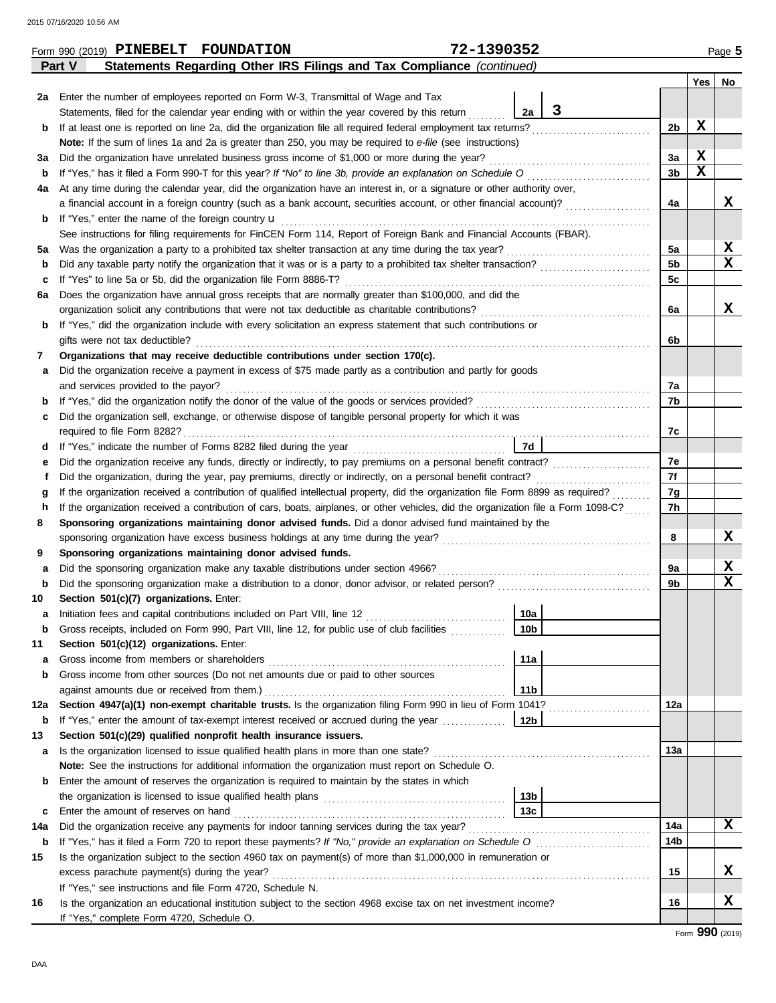|     | Form 990 (2019) PINEBELT FOUNDATION                                                                                                                                                   | 72-1390352 |                 |   |                      |             | Page 5           |  |  |  |  |
|-----|---------------------------------------------------------------------------------------------------------------------------------------------------------------------------------------|------------|-----------------|---|----------------------|-------------|------------------|--|--|--|--|
|     | Statements Regarding Other IRS Filings and Tax Compliance (continued)<br>Part V                                                                                                       |            |                 |   |                      |             |                  |  |  |  |  |
|     |                                                                                                                                                                                       |            |                 |   |                      |             | Yes   No         |  |  |  |  |
| 2a  | Enter the number of employees reported on Form W-3, Transmittal of Wage and Tax                                                                                                       |            |                 |   |                      |             |                  |  |  |  |  |
|     | Statements, filed for the calendar year ending with or within the year covered by this return                                                                                         |            | 2a              | 3 |                      |             |                  |  |  |  |  |
| b   | If at least one is reported on line 2a, did the organization file all required federal employment tax returns?                                                                        |            |                 |   | 2b                   | X           |                  |  |  |  |  |
|     | Note: If the sum of lines 1a and 2a is greater than 250, you may be required to e-file (see instructions)                                                                             |            |                 |   |                      |             |                  |  |  |  |  |
| За  | Did the organization have unrelated business gross income of \$1,000 or more during the year?                                                                                         |            |                 |   | 3a                   | X           |                  |  |  |  |  |
| b   | If "Yes," has it filed a Form 990-T for this year? If "No" to line 3b, provide an explanation on Schedule O                                                                           |            |                 |   | 3 <sub>b</sub>       | $\mathbf x$ |                  |  |  |  |  |
| 4a  | At any time during the calendar year, did the organization have an interest in, or a signature or other authority over,                                                               |            |                 |   |                      |             |                  |  |  |  |  |
|     | a financial account in a foreign country (such as a bank account, securities account, or other financial account)?                                                                    |            |                 |   | 4a                   |             | x                |  |  |  |  |
| b   | If "Yes," enter the name of the foreign country <b>u</b>                                                                                                                              |            |                 |   |                      |             |                  |  |  |  |  |
|     | See instructions for filing requirements for FinCEN Form 114, Report of Foreign Bank and Financial Accounts (FBAR).                                                                   |            |                 |   |                      |             | X                |  |  |  |  |
| 5a  | Was the organization a party to a prohibited tax shelter transaction at any time during the tax year?                                                                                 |            |                 |   | 5a<br>5 <sub>b</sub> |             | $\mathbf x$      |  |  |  |  |
| b   | Did any taxable party notify the organization that it was or is a party to a prohibited tax shelter transaction?<br>If "Yes" to line 5a or 5b, did the organization file Form 8886-T? |            |                 |   | 5c                   |             |                  |  |  |  |  |
| c   | Does the organization have annual gross receipts that are normally greater than \$100,000, and did the<br>6а                                                                          |            |                 |   |                      |             |                  |  |  |  |  |
|     | organization solicit any contributions that were not tax deductible as charitable contributions?                                                                                      |            |                 |   | 6a                   |             | x                |  |  |  |  |
| b   | If "Yes," did the organization include with every solicitation an express statement that such contributions or                                                                        |            |                 |   |                      |             |                  |  |  |  |  |
|     | gifts were not tax deductible?                                                                                                                                                        |            |                 |   | 6b                   |             |                  |  |  |  |  |
| 7   | Organizations that may receive deductible contributions under section 170(c).                                                                                                         |            |                 |   |                      |             |                  |  |  |  |  |
| а   | Did the organization receive a payment in excess of \$75 made partly as a contribution and partly for goods                                                                           |            |                 |   |                      |             |                  |  |  |  |  |
|     | and services provided to the payor?                                                                                                                                                   |            |                 |   | 7а                   |             |                  |  |  |  |  |
| b   | If "Yes," did the organization notify the donor of the value of the goods or services provided?                                                                                       |            |                 |   | 7b                   |             |                  |  |  |  |  |
| c   | Did the organization sell, exchange, or otherwise dispose of tangible personal property for which it was                                                                              |            |                 |   |                      |             |                  |  |  |  |  |
|     |                                                                                                                                                                                       |            |                 |   | 7c                   |             |                  |  |  |  |  |
| d   | 7d                                                                                                                                                                                    |            |                 |   |                      |             |                  |  |  |  |  |
| е   | Did the organization receive any funds, directly or indirectly, to pay premiums on a personal benefit contract?                                                                       |            |                 |   | 7e                   |             |                  |  |  |  |  |
| f   | Did the organization, during the year, pay premiums, directly or indirectly, on a personal benefit contract?                                                                          |            |                 |   | 7f                   |             |                  |  |  |  |  |
| g   | If the organization received a contribution of qualified intellectual property, did the organization file Form 8899 as required?                                                      |            |                 |   | 7g                   |             |                  |  |  |  |  |
| h   | If the organization received a contribution of cars, boats, airplanes, or other vehicles, did the organization file a Form 1098-C?                                                    |            |                 |   |                      |             |                  |  |  |  |  |
| 8   | Sponsoring organizations maintaining donor advised funds. Did a donor advised fund maintained by the                                                                                  |            |                 |   |                      |             |                  |  |  |  |  |
|     | sponsoring organization have excess business holdings at any time during the year?                                                                                                    |            |                 |   | 8                    |             | X                |  |  |  |  |
| 9   | Sponsoring organizations maintaining donor advised funds.                                                                                                                             |            |                 |   |                      |             |                  |  |  |  |  |
| а   | Did the sponsoring organization make any taxable distributions under section 4966?                                                                                                    |            |                 |   | 9a                   |             | X<br>$\mathbf x$ |  |  |  |  |
| b   |                                                                                                                                                                                       |            |                 |   | 9b                   |             |                  |  |  |  |  |
| 10  | Section 501(c)(7) organizations. Enter:                                                                                                                                               |            | 10a             |   |                      |             |                  |  |  |  |  |
| b   | Gross receipts, included on Form 990, Part VIII, line 12, for public use of club facilities                                                                                           |            | 10 <sub>b</sub> |   |                      |             |                  |  |  |  |  |
| 11  | Section 501(c)(12) organizations. Enter:                                                                                                                                              |            |                 |   |                      |             |                  |  |  |  |  |
| а   | Gross income from members or shareholders                                                                                                                                             |            | 11a             |   |                      |             |                  |  |  |  |  |
| b   | Gross income from other sources (Do not net amounts due or paid to other sources                                                                                                      |            |                 |   |                      |             |                  |  |  |  |  |
|     | against amounts due or received from them.)                                                                                                                                           |            | 11 <sub>b</sub> |   |                      |             |                  |  |  |  |  |
| 12a | Section 4947(a)(1) non-exempt charitable trusts. Is the organization filing Form 990 in lieu of Form 1041?                                                                            |            |                 |   | 12a                  |             |                  |  |  |  |  |
| b   | If "Yes," enter the amount of tax-exempt interest received or accrued during the year                                                                                                 |            | 12b             |   |                      |             |                  |  |  |  |  |
| 13  | Section 501(c)(29) qualified nonprofit health insurance issuers.                                                                                                                      |            |                 |   |                      |             |                  |  |  |  |  |
| а   | Is the organization licensed to issue qualified health plans in more than one state?                                                                                                  |            |                 |   | 13а                  |             |                  |  |  |  |  |
|     | Note: See the instructions for additional information the organization must report on Schedule O.                                                                                     |            |                 |   |                      |             |                  |  |  |  |  |
| b   | Enter the amount of reserves the organization is required to maintain by the states in which                                                                                          |            |                 |   |                      |             |                  |  |  |  |  |
|     |                                                                                                                                                                                       |            | 13 <sub>b</sub> |   |                      |             |                  |  |  |  |  |
| c   | Enter the amount of reserves on hand                                                                                                                                                  |            | 13c             |   |                      |             |                  |  |  |  |  |
| 14a | Did the organization receive any payments for indoor tanning services during the tax year?                                                                                            |            |                 |   | 14a                  |             | X                |  |  |  |  |
| b   | If "Yes," has it filed a Form 720 to report these payments? If "No," provide an explanation on Schedule O                                                                             |            |                 |   | 14b                  |             |                  |  |  |  |  |
| 15  | Is the organization subject to the section 4960 tax on payment(s) of more than \$1,000,000 in remuneration or                                                                         |            |                 |   |                      |             |                  |  |  |  |  |
|     | excess parachute payment(s) during the year?                                                                                                                                          |            |                 |   | 15                   |             | X                |  |  |  |  |
|     | If "Yes," see instructions and file Form 4720, Schedule N.                                                                                                                            |            |                 |   |                      |             |                  |  |  |  |  |
| 16  | Is the organization an educational institution subject to the section 4968 excise tax on net investment income?                                                                       |            |                 |   | 16                   |             | X                |  |  |  |  |
|     | If "Yes," complete Form 4720, Schedule O.                                                                                                                                             |            |                 |   |                      |             |                  |  |  |  |  |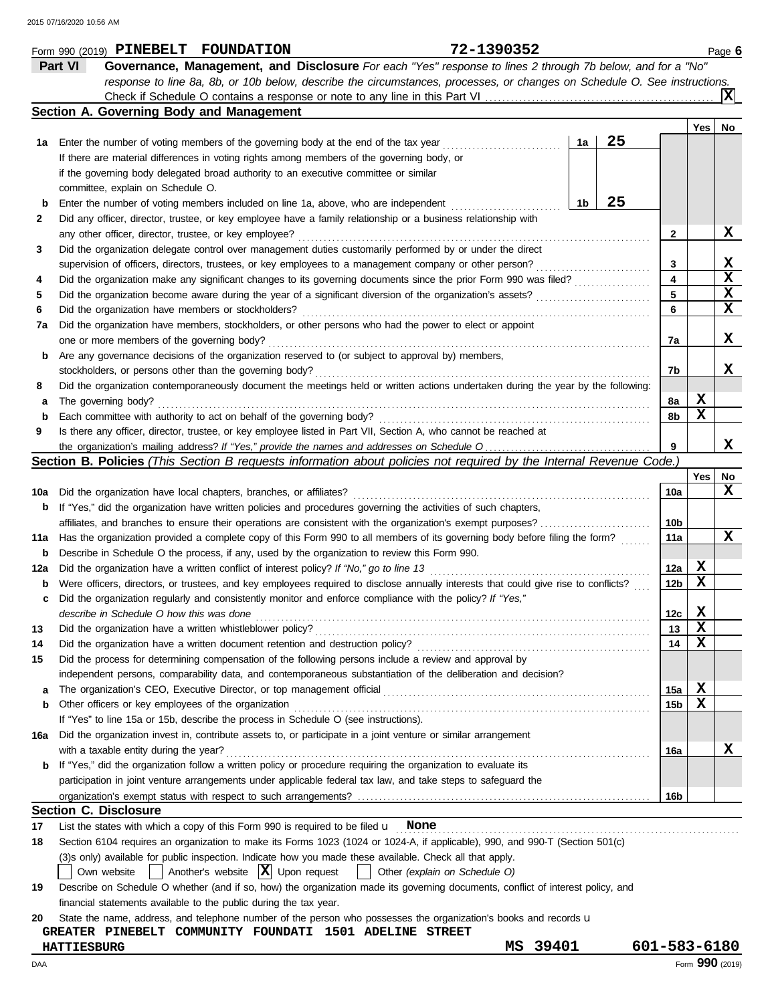|             | Part VI<br>Governance, Management, and Disclosure For each "Yes" response to lines 2 through 7b below, and for a "No"                                                       |              |             |                 |
|-------------|-----------------------------------------------------------------------------------------------------------------------------------------------------------------------------|--------------|-------------|-----------------|
|             | response to line 8a, 8b, or 10b below, describe the circumstances, processes, or changes on Schedule O. See instructions.                                                   |              |             |                 |
|             |                                                                                                                                                                             |              |             | ΙXΙ             |
|             | Section A. Governing Body and Management                                                                                                                                    |              | Yes         | No              |
| 1a          | 25<br>Enter the number of voting members of the governing body at the end of the tax year<br>1a                                                                             |              |             |                 |
|             | If there are material differences in voting rights among members of the governing body, or                                                                                  |              |             |                 |
|             | if the governing body delegated broad authority to an executive committee or similar                                                                                        |              |             |                 |
|             | committee, explain on Schedule O.                                                                                                                                           |              |             |                 |
| b           | 25<br>1b<br>Enter the number of voting members included on line 1a, above, who are independent                                                                              |              |             |                 |
| 2           | Did any officer, director, trustee, or key employee have a family relationship or a business relationship with                                                              |              |             |                 |
|             | any other officer, director, trustee, or key employee?                                                                                                                      | $\mathbf{2}$ |             | x               |
| 3           | Did the organization delegate control over management duties customarily performed by or under the direct                                                                   |              |             |                 |
|             | supervision of officers, directors, trustees, or key employees to a management company or other person?                                                                     | 3            |             | X               |
| 4           | .<br>Did the organization make any significant changes to its governing documents since the prior Form 990 was filed?                                                       | 4            |             | $\mathbf x$     |
| 5           | Did the organization become aware during the year of a significant diversion of the organization's assets?                                                                  | 5            |             | X               |
| 6           | Did the organization have members or stockholders?                                                                                                                          | 6            |             | X               |
| 7a          | Did the organization have members, stockholders, or other persons who had the power to elect or appoint                                                                     |              |             |                 |
|             | one or more members of the governing body?                                                                                                                                  | 7a           |             | x               |
| b           | Are any governance decisions of the organization reserved to (or subject to approval by) members,                                                                           |              |             |                 |
|             | stockholders, or persons other than the governing body?                                                                                                                     | 7b           |             | x               |
| 8           | Did the organization contemporaneously document the meetings held or written actions undertaken during the year by the following:                                           |              |             |                 |
| а           | The governing body?                                                                                                                                                         | 8a           | X           |                 |
| b           | Each committee with authority to act on behalf of the governing body?                                                                                                       | 8b           | X           |                 |
| 9           | Is there any officer, director, trustee, or key employee listed in Part VII, Section A, who cannot be reached at                                                            |              |             |                 |
|             |                                                                                                                                                                             | 9            |             | x               |
|             | Section B. Policies (This Section B requests information about policies not required by the Internal Revenue Code.)                                                         |              |             |                 |
|             |                                                                                                                                                                             |              | Yes         | No              |
| 10a         | Did the organization have local chapters, branches, or affiliates?                                                                                                          | 10a          |             | x               |
| b           | If "Yes," did the organization have written policies and procedures governing the activities of such chapters,                                                              |              |             |                 |
|             | affiliates, and branches to ensure their operations are consistent with the organization's exempt purposes?                                                                 | 10b          |             |                 |
| 11a         | Has the organization provided a complete copy of this Form 990 to all members of its governing body before filing the form?                                                 | 11a          |             | x               |
| $\mathbf b$ | Describe in Schedule O the process, if any, used by the organization to review this Form 990.                                                                               |              |             |                 |
| 12a         | Did the organization have a written conflict of interest policy? If "No," go to line 13                                                                                     | 12a          | X           |                 |
| b           | Were officers, directors, or trustees, and key employees required to disclose annually interests that could give rise to conflicts?                                         | 12b          | х           |                 |
| c           | Did the organization regularly and consistently monitor and enforce compliance with the policy? If "Yes,"                                                                   |              |             |                 |
|             | describe in Schedule O how this was done                                                                                                                                    | 12с          | x           |                 |
| 13          | Did the organization have a written whistleblower policy?                                                                                                                   | 13           | $\mathbf x$ |                 |
| 14          | Did the organization have a written document retention and destruction policy?                                                                                              | 14           | X           |                 |
| 15          | Did the process for determining compensation of the following persons include a review and approval by                                                                      |              |             |                 |
|             | independent persons, comparability data, and contemporaneous substantiation of the deliberation and decision?                                                               |              |             |                 |
| а           |                                                                                                                                                                             | 15a          | X           |                 |
| b           | Other officers or key employees of the organization                                                                                                                         | 15b          | х           |                 |
|             | If "Yes" to line 15a or 15b, describe the process in Schedule O (see instructions).                                                                                         |              |             |                 |
| 16а         | Did the organization invest in, contribute assets to, or participate in a joint venture or similar arrangement                                                              |              |             |                 |
|             | with a taxable entity during the year?                                                                                                                                      | 16a          |             | x               |
| b           | If "Yes," did the organization follow a written policy or procedure requiring the organization to evaluate its                                                              |              |             |                 |
|             | participation in joint venture arrangements under applicable federal tax law, and take steps to safeguard the                                                               |              |             |                 |
|             |                                                                                                                                                                             | 16b          |             |                 |
|             | <b>Section C. Disclosure</b>                                                                                                                                                |              |             |                 |
| 17          | List the states with which a copy of this Form 990 is required to be filed $\mathbf u$ None                                                                                 |              |             |                 |
| 18          | Section 6104 requires an organization to make its Forms 1023 (1024 or 1024-A, if applicable), 990, and 990-T (Section 501(c)                                                |              |             |                 |
|             | (3)s only) available for public inspection. Indicate how you made these available. Check all that apply.                                                                    |              |             |                 |
|             | $\vert$ Another's website $\vert X \vert$ Upon request<br>Other (explain on Schedule O)<br>Own website<br>$\perp$                                                           |              |             |                 |
| 19          | Describe on Schedule O whether (and if so, how) the organization made its governing documents, conflict of interest policy, and                                             |              |             |                 |
|             | financial statements available to the public during the tax year.                                                                                                           |              |             |                 |
| 20          | State the name, address, and telephone number of the person who possesses the organization's books and records u<br>GREATER PINEBELT COMMUNITY FOUNDATI 1501 ADELINE STREET |              |             |                 |
|             | MS 39401<br><b>HATTIESBURG</b>                                                                                                                                              | 601-583-6180 |             |                 |
|             |                                                                                                                                                                             |              |             | Form 990 (2019) |
| DAA         |                                                                                                                                                                             |              |             |                 |

**Form 990 (2019) PINEBELT FOUNDATION 72-1390352** Page 6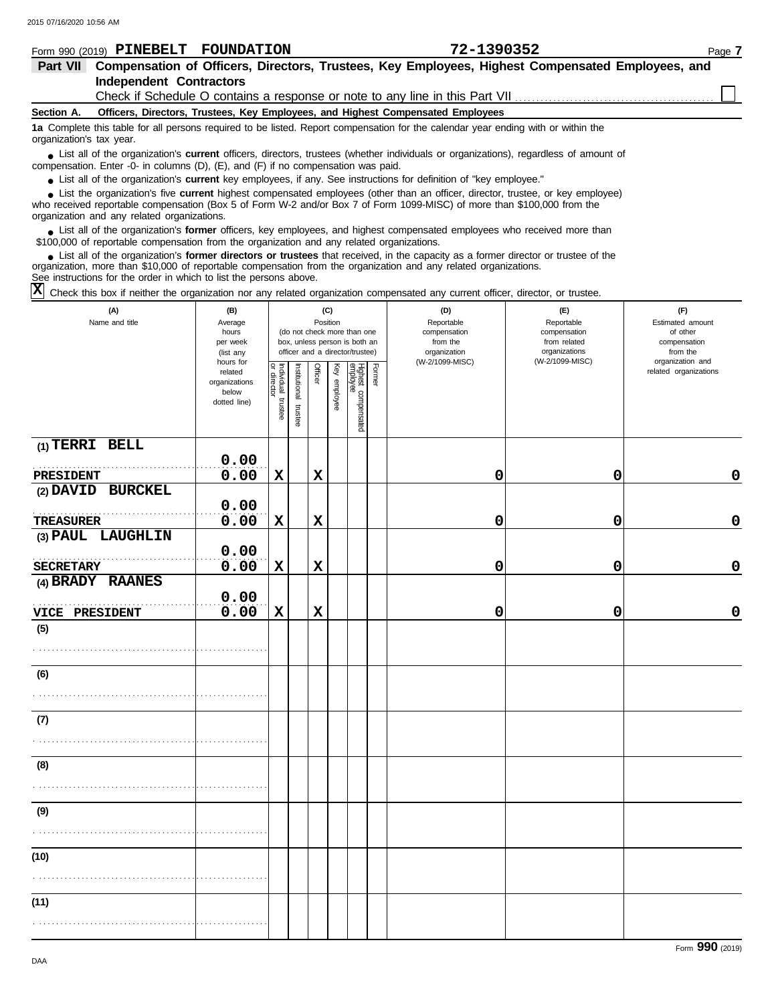|                          | Form 990 (2019) PINEBELT                                                                         | FOUNDATION                                                                                | 72-1390352                                                                                                                             | Page 7 |  |  |  |  |  |  |  |
|--------------------------|--------------------------------------------------------------------------------------------------|-------------------------------------------------------------------------------------------|----------------------------------------------------------------------------------------------------------------------------------------|--------|--|--|--|--|--|--|--|
| <b>Part VII</b>          | Compensation of Officers, Directors, Trustees, Key Employees, Highest Compensated Employees, and |                                                                                           |                                                                                                                                        |        |  |  |  |  |  |  |  |
|                          | <b>Independent Contractors</b>                                                                   |                                                                                           |                                                                                                                                        |        |  |  |  |  |  |  |  |
|                          |                                                                                                  |                                                                                           |                                                                                                                                        |        |  |  |  |  |  |  |  |
| Section A.               |                                                                                                  |                                                                                           | Officers, Directors, Trustees, Key Employees, and Highest Compensated Employees                                                        |        |  |  |  |  |  |  |  |
| organization's tax year. |                                                                                                  |                                                                                           | 1a Complete this table for all persons required to be listed. Report compensation for the calendar year ending with or within the      |        |  |  |  |  |  |  |  |
|                          |                                                                                                  | compensation. Enter -0- in columns $(D)$ , $(E)$ , and $(F)$ if no compensation was paid. | • List all of the organization's current officers, directors, trustees (whether individuals or organizations), regardless of amount of |        |  |  |  |  |  |  |  |
|                          |                                                                                                  |                                                                                           | • List all of the organization's current key employees, if any. See instructions for definition of "key employee."                     |        |  |  |  |  |  |  |  |
|                          |                                                                                                  |                                                                                           | • List the organization's five current highest compensated employees (other than an officer, director, trustee, or key employee)       |        |  |  |  |  |  |  |  |

who received reportable compensation (Box 5 of Form W-2 and/or Box 7 of Form 1099-MISC) of more than \$100,000 from the organization and any related organizations. **•**

■ List all of the organization's **former** officers, key employees, and highest compensated employees who received more than<br> **•** 00.000 of reportable compensation from the ergonization and any related ergonizations \$100,000 of reportable compensation from the organization and any related organizations.

List all of the organization's **former directors or trustees** that received, in the capacity as a former director or trustee of the organization, more than \$10,000 of reportable compensation from the organization and any related organizations. See instructions for the order in which to list the persons above. **•**

Check this box if neither the organization nor any related organization compensated any current officer, director, or trustee. **X**

| (A)<br>Name and title          | (B)<br>Average<br>hours<br>per week<br>(list any               |                                   |                       |             | (C)<br>Position | (do not check more than one<br>box, unless person is both an<br>officer and a director/trustee) |        | (D)<br>Reportable<br>compensation<br>from the<br>organization | (E)<br>Reportable<br>compensation<br>from related<br>organizations<br>(W-2/1099-MISC) | (F)<br>Estimated amount<br>of other<br>compensation<br>from the<br>organization and |
|--------------------------------|----------------------------------------------------------------|-----------------------------------|-----------------------|-------------|-----------------|-------------------------------------------------------------------------------------------------|--------|---------------------------------------------------------------|---------------------------------------------------------------------------------------|-------------------------------------------------------------------------------------|
|                                | hours for<br>related<br>organizations<br>below<br>dotted line) | Individual trustee<br>or director | Institutional trustee | Officer     | Key employee    | Highest compensated<br>employee                                                                 | Former | (W-2/1099-MISC)                                               |                                                                                       | related organizations                                                               |
| (1) TERRI BELL                 | 0.00                                                           |                                   |                       |             |                 |                                                                                                 |        |                                                               |                                                                                       |                                                                                     |
| PRESIDENT<br>(2) DAVID BURCKEL | 0.00                                                           | $\mathbf x$                       |                       | $\mathbf x$ |                 |                                                                                                 |        | 0                                                             | 0                                                                                     | $\mathbf 0$                                                                         |
| <b>TREASURER</b>               | 0.00<br>0.00                                                   | $\mathbf x$                       |                       | $\mathbf x$ |                 |                                                                                                 |        | 0                                                             | 0                                                                                     | $\pmb{0}$                                                                           |
| (3) PAUL LAUGHLIN              | 0.00                                                           |                                   |                       |             |                 |                                                                                                 |        |                                                               |                                                                                       |                                                                                     |
| <b>SECRETARY</b>               | 0.00                                                           | $\mathbf x$                       |                       | $\mathbf x$ |                 |                                                                                                 |        | 0                                                             | 0                                                                                     | $\mathbf 0$                                                                         |
| (4) BRADY RAANES               | 0.00                                                           |                                   |                       |             |                 |                                                                                                 |        |                                                               |                                                                                       |                                                                                     |
| VICE PRESIDENT                 | 0.00                                                           | $\mathbf x$                       |                       | $\mathbf x$ |                 |                                                                                                 |        | 0                                                             | 0                                                                                     | $\mathbf 0$                                                                         |
| (5)                            |                                                                |                                   |                       |             |                 |                                                                                                 |        |                                                               |                                                                                       |                                                                                     |
| (6)                            |                                                                |                                   |                       |             |                 |                                                                                                 |        |                                                               |                                                                                       |                                                                                     |
|                                |                                                                |                                   |                       |             |                 |                                                                                                 |        |                                                               |                                                                                       |                                                                                     |
| (7)                            |                                                                |                                   |                       |             |                 |                                                                                                 |        |                                                               |                                                                                       |                                                                                     |
|                                |                                                                |                                   |                       |             |                 |                                                                                                 |        |                                                               |                                                                                       |                                                                                     |
| (8)                            |                                                                |                                   |                       |             |                 |                                                                                                 |        |                                                               |                                                                                       |                                                                                     |
|                                |                                                                |                                   |                       |             |                 |                                                                                                 |        |                                                               |                                                                                       |                                                                                     |
| (9)                            |                                                                |                                   |                       |             |                 |                                                                                                 |        |                                                               |                                                                                       |                                                                                     |
|                                |                                                                |                                   |                       |             |                 |                                                                                                 |        |                                                               |                                                                                       |                                                                                     |
| (10)                           |                                                                |                                   |                       |             |                 |                                                                                                 |        |                                                               |                                                                                       |                                                                                     |
|                                |                                                                |                                   |                       |             |                 |                                                                                                 |        |                                                               |                                                                                       |                                                                                     |
| (11)                           |                                                                |                                   |                       |             |                 |                                                                                                 |        |                                                               |                                                                                       |                                                                                     |
|                                |                                                                |                                   |                       |             |                 |                                                                                                 |        |                                                               |                                                                                       |                                                                                     |

Form **990** (2019)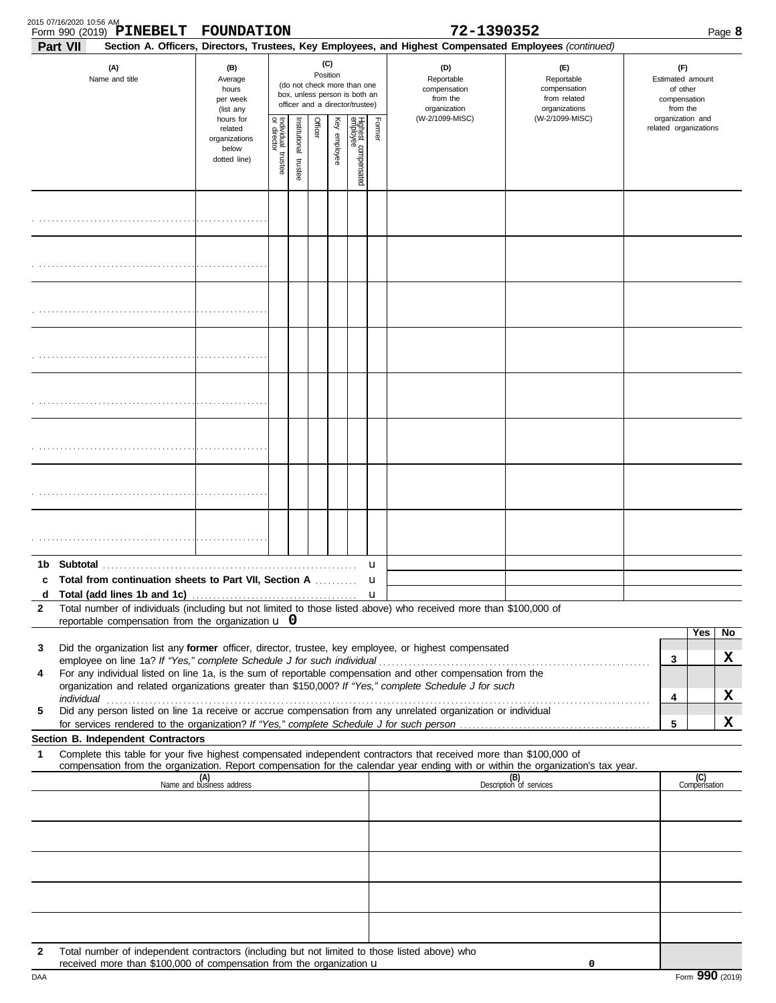| 2015 07/16/2020 10:56 AM | Form 990 (2019) PINEBELT                                                                                                                                                        | FOUNDATION                                                     |                         |                                                                                                                    |         |              |                                 |        | 72-1390352                                                                                                                                                                                                           |                                                                                                                                                                                                                                |                                                                 |                                           |                     | Page 8  |
|--------------------------|---------------------------------------------------------------------------------------------------------------------------------------------------------------------------------|----------------------------------------------------------------|-------------------------|--------------------------------------------------------------------------------------------------------------------|---------|--------------|---------------------------------|--------|----------------------------------------------------------------------------------------------------------------------------------------------------------------------------------------------------------------------|--------------------------------------------------------------------------------------------------------------------------------------------------------------------------------------------------------------------------------|-----------------------------------------------------------------|-------------------------------------------|---------------------|---------|
| Part VII                 | (A)<br>Name and title                                                                                                                                                           | (B)<br>Average<br>hours<br>per week<br>(list any               |                         | (C)<br>Position<br>(do not check more than one<br>box, unless person is both an<br>officer and a director/trustee) |         |              |                                 |        | Section A. Officers, Directors, Trustees, Key Employees, and Highest Compensated Employees (continued)<br>(D)<br>Reportable<br>compensation<br>from the<br>organization                                              | (E)<br>Reportable<br>compensation<br>from related<br>organizations                                                                                                                                                             | (F)<br>Estimated amount<br>of other<br>compensation<br>from the |                                           |                     |         |
|                          |                                                                                                                                                                                 | hours for<br>related<br>organizations<br>below<br>dotted line) | Individual 1<br>trustee | Institutional trustee                                                                                              | Officer | Key employee | Highest compensated<br>employee | Former | (W-2/1099-MISC)                                                                                                                                                                                                      | (W-2/1099-MISC)                                                                                                                                                                                                                |                                                                 | organization and<br>related organizations |                     |         |
|                          |                                                                                                                                                                                 |                                                                |                         |                                                                                                                    |         |              |                                 |        |                                                                                                                                                                                                                      |                                                                                                                                                                                                                                |                                                                 |                                           |                     |         |
|                          |                                                                                                                                                                                 |                                                                |                         |                                                                                                                    |         |              |                                 |        |                                                                                                                                                                                                                      |                                                                                                                                                                                                                                |                                                                 |                                           |                     |         |
|                          |                                                                                                                                                                                 |                                                                |                         |                                                                                                                    |         |              |                                 |        |                                                                                                                                                                                                                      |                                                                                                                                                                                                                                |                                                                 |                                           |                     |         |
|                          |                                                                                                                                                                                 |                                                                |                         |                                                                                                                    |         |              |                                 |        |                                                                                                                                                                                                                      |                                                                                                                                                                                                                                |                                                                 |                                           |                     |         |
|                          |                                                                                                                                                                                 |                                                                |                         |                                                                                                                    |         |              |                                 |        |                                                                                                                                                                                                                      |                                                                                                                                                                                                                                |                                                                 |                                           |                     |         |
|                          |                                                                                                                                                                                 |                                                                |                         |                                                                                                                    |         |              |                                 |        |                                                                                                                                                                                                                      |                                                                                                                                                                                                                                |                                                                 |                                           |                     |         |
|                          |                                                                                                                                                                                 |                                                                |                         |                                                                                                                    |         |              |                                 |        |                                                                                                                                                                                                                      |                                                                                                                                                                                                                                |                                                                 |                                           |                     |         |
|                          |                                                                                                                                                                                 |                                                                |                         |                                                                                                                    |         |              |                                 |        |                                                                                                                                                                                                                      |                                                                                                                                                                                                                                |                                                                 |                                           |                     |         |
| d                        | c Total from continuation sheets to Part VII, Section A                                                                                                                         |                                                                |                         |                                                                                                                    |         |              |                                 | u<br>u |                                                                                                                                                                                                                      |                                                                                                                                                                                                                                |                                                                 |                                           |                     |         |
| 2                        | reportable compensation from the organization $\bf{u}$ 0                                                                                                                        |                                                                |                         |                                                                                                                    |         |              |                                 |        | Total number of individuals (including but not limited to those listed above) who received more than \$100,000 of                                                                                                    |                                                                                                                                                                                                                                |                                                                 |                                           |                     |         |
| 3                        |                                                                                                                                                                                 |                                                                |                         |                                                                                                                    |         |              |                                 |        | Did the organization list any former officer, director, trustee, key employee, or highest compensated                                                                                                                |                                                                                                                                                                                                                                |                                                                 | 3                                         | Yes                 | No<br>X |
| 4                        |                                                                                                                                                                                 |                                                                |                         |                                                                                                                    |         |              |                                 |        | For any individual listed on line 1a, is the sum of reportable compensation and other compensation from the<br>organization and related organizations greater than \$150,000? If "Yes," complete Schedule J for such |                                                                                                                                                                                                                                |                                                                 |                                           |                     |         |
| 5                        |                                                                                                                                                                                 |                                                                |                         |                                                                                                                    |         |              |                                 |        | Did any person listed on line 1a receive or accrue compensation from any unrelated organization or individual                                                                                                        | individual with a construction of the construction of the construction of the construction of the construction of the construction of the construction of the construction of the construction of the construction of the cons |                                                                 | 4                                         |                     | X       |
|                          | Section B. Independent Contractors                                                                                                                                              |                                                                |                         |                                                                                                                    |         |              |                                 |        |                                                                                                                                                                                                                      |                                                                                                                                                                                                                                |                                                                 | 5                                         |                     | X       |
| 1                        |                                                                                                                                                                                 |                                                                |                         |                                                                                                                    |         |              |                                 |        | Complete this table for your five highest compensated independent contractors that received more than \$100,000 of                                                                                                   | compensation from the organization. Report compensation for the calendar year ending with or within the organization's tax year.                                                                                               |                                                                 |                                           |                     |         |
|                          |                                                                                                                                                                                 | (A)<br>Name and business address                               |                         |                                                                                                                    |         |              |                                 |        |                                                                                                                                                                                                                      | (B)<br>Description of services                                                                                                                                                                                                 |                                                                 |                                           | (C)<br>Compensation |         |
|                          |                                                                                                                                                                                 |                                                                |                         |                                                                                                                    |         |              |                                 |        |                                                                                                                                                                                                                      |                                                                                                                                                                                                                                |                                                                 |                                           |                     |         |
|                          |                                                                                                                                                                                 |                                                                |                         |                                                                                                                    |         |              |                                 |        |                                                                                                                                                                                                                      |                                                                                                                                                                                                                                |                                                                 |                                           |                     |         |
|                          |                                                                                                                                                                                 |                                                                |                         |                                                                                                                    |         |              |                                 |        |                                                                                                                                                                                                                      |                                                                                                                                                                                                                                |                                                                 |                                           |                     |         |
| $\mathbf{2}$             | Total number of independent contractors (including but not limited to those listed above) who<br>received more than \$100,000 of compensation from the organization $\mathbf u$ |                                                                |                         |                                                                                                                    |         |              |                                 |        |                                                                                                                                                                                                                      | 0                                                                                                                                                                                                                              |                                                                 |                                           |                     |         |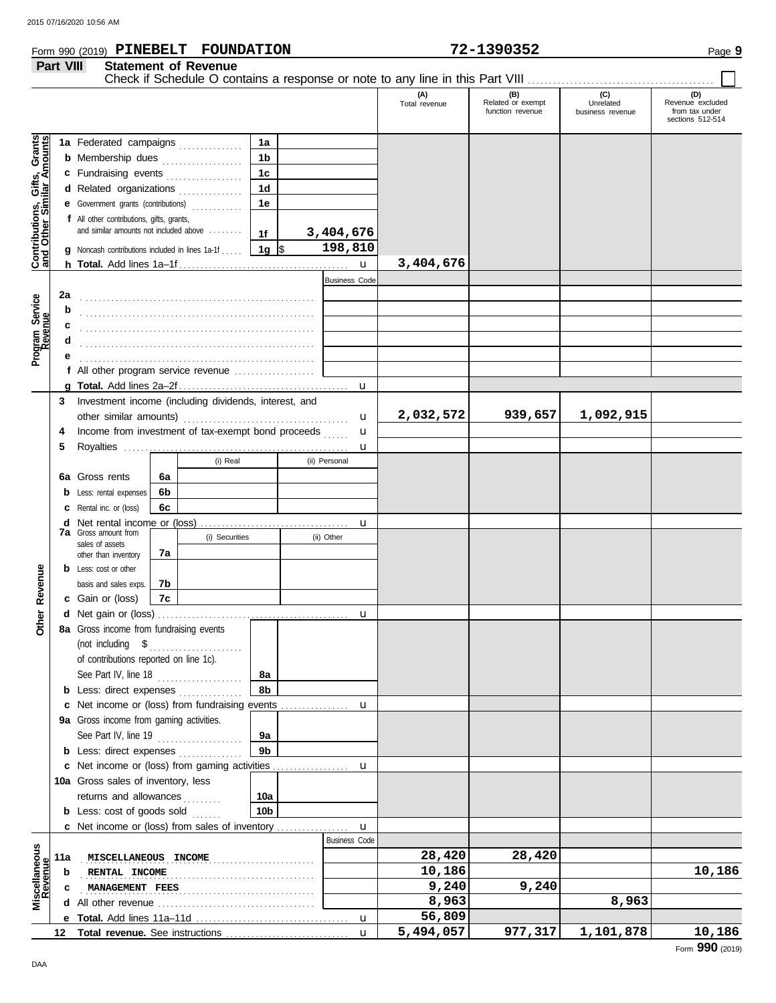## **Form 990 (2019) PINEBELT FOUNDATION 72-1390352** Page 9

|                                                                                                                                               | Part VIII         |                                                                                                                                                                                                                                                                                                                    |          | <b>Statement of Revenue</b>                       |                                                                                               |                                                   |                      |                                              |                                      |                                                               |
|-----------------------------------------------------------------------------------------------------------------------------------------------|-------------------|--------------------------------------------------------------------------------------------------------------------------------------------------------------------------------------------------------------------------------------------------------------------------------------------------------------------|----------|---------------------------------------------------|-----------------------------------------------------------------------------------------------|---------------------------------------------------|----------------------|----------------------------------------------|--------------------------------------|---------------------------------------------------------------|
|                                                                                                                                               |                   |                                                                                                                                                                                                                                                                                                                    |          |                                                   |                                                                                               |                                                   | (A)<br>Total revenue | (B)<br>Related or exempt<br>function revenue | (C)<br>Unrelated<br>business revenue | (D)<br>Revenue excluded<br>from tax under<br>sections 512-514 |
| Grants<br>Amounts<br>Gifts,<br>vilar Ar<br>$\overline{\overline{6}}$<br><b>Contributions,<br/>and Other Sin</b><br>Program Service<br>Revenue | 2a<br>b<br>c<br>d | 1a Federated campaigns<br><b>b</b> Membership dues <i></i><br>c Fundraising events<br>d Related organizations<br>e Government grants (contributions)<br>f All other contributions, gifts, grants,<br>and similar amounts not included above<br><b>g</b> Noncash contributions included in lines $1a-1f$ , $\ldots$ |          |                                                   | 1a<br>1 <sub>b</sub><br>1 <sub>c</sub><br>1 <sub>d</sub><br>1e<br>1f<br>$\vert$ 1g $\vert$ \$ | 3,404,676<br>198,810<br>u<br><b>Business Code</b> | 3,404,676            |                                              |                                      |                                                               |
|                                                                                                                                               | е                 | f All other program service revenue                                                                                                                                                                                                                                                                                |          |                                                   |                                                                                               |                                                   |                      |                                              |                                      |                                                               |
|                                                                                                                                               |                   |                                                                                                                                                                                                                                                                                                                    |          |                                                   |                                                                                               | u                                                 |                      |                                              |                                      |                                                               |
|                                                                                                                                               | 3<br>4<br>5       | Investment income (including dividends, interest, and<br>other similar amounts)<br>Income from investment of tax-exempt bond proceeds                                                                                                                                                                              |          |                                                   |                                                                                               | u<br>u                                            | 2,032,572            | 939,657                                      | 1,092,915                            |                                                               |
|                                                                                                                                               |                   |                                                                                                                                                                                                                                                                                                                    |          | (i) Real                                          |                                                                                               | u<br>(ii) Personal                                |                      |                                              |                                      |                                                               |
|                                                                                                                                               |                   | 6a Gross rents                                                                                                                                                                                                                                                                                                     | 6a<br>6b |                                                   |                                                                                               |                                                   |                      |                                              |                                      |                                                               |
|                                                                                                                                               |                   | <b>b</b> Less: rental expenses<br><b>c</b> Rental inc. or (loss)                                                                                                                                                                                                                                                   | 6c       |                                                   |                                                                                               |                                                   |                      |                                              |                                      |                                                               |
|                                                                                                                                               |                   | <b>d</b> Net rental income or (loss)<br><b>7a</b> Gross amount from<br>sales of assets                                                                                                                                                                                                                             | 7a       | (i) Securities                                    |                                                                                               | u<br>(ii) Other                                   |                      |                                              |                                      |                                                               |
| Revenue                                                                                                                                       |                   | other than inventory<br><b>b</b> Less: cost or other<br>basis and sales exps.                                                                                                                                                                                                                                      | 7b       |                                                   |                                                                                               |                                                   |                      |                                              |                                      |                                                               |
|                                                                                                                                               |                   | c Gain or (loss)                                                                                                                                                                                                                                                                                                   | 7c       |                                                   |                                                                                               |                                                   |                      |                                              |                                      |                                                               |
| ò                                                                                                                                             |                   | 8a Gross income from fundraising events                                                                                                                                                                                                                                                                            |          |                                                   |                                                                                               | u                                                 |                      |                                              |                                      |                                                               |
| δ                                                                                                                                             |                   | (not including \$<br>of contributions reported on line 1c).<br>See Part IV, line 18<br><b>b</b> Less: direct expenses <i>minimum</i>                                                                                                                                                                               |          | <u> 1966 - Johann Stoff, Amerikaansk kanton (</u> | 8а<br>8b                                                                                      |                                                   |                      |                                              |                                      |                                                               |
|                                                                                                                                               |                   | c Net income or (loss) from fundraising events                                                                                                                                                                                                                                                                     |          |                                                   |                                                                                               | u                                                 |                      |                                              |                                      |                                                               |
|                                                                                                                                               |                   | 9a Gross income from gaming activities.                                                                                                                                                                                                                                                                            |          |                                                   |                                                                                               |                                                   |                      |                                              |                                      |                                                               |
|                                                                                                                                               |                   | See Part IV, line 19                                                                                                                                                                                                                                                                                               |          |                                                   | 9а                                                                                            |                                                   |                      |                                              |                                      |                                                               |
|                                                                                                                                               |                   | <b>b</b> Less: direct expenses                                                                                                                                                                                                                                                                                     |          |                                                   | 9b                                                                                            |                                                   |                      |                                              |                                      |                                                               |
|                                                                                                                                               |                   | c Net income or (loss) from gaming activities                                                                                                                                                                                                                                                                      |          |                                                   |                                                                                               | u                                                 |                      |                                              |                                      |                                                               |
|                                                                                                                                               |                   | 10a Gross sales of inventory, less<br>returns and allowances                                                                                                                                                                                                                                                       |          |                                                   | 10a                                                                                           |                                                   |                      |                                              |                                      |                                                               |
|                                                                                                                                               |                   | <b>b</b> Less: cost of goods sold                                                                                                                                                                                                                                                                                  |          |                                                   | 10b                                                                                           |                                                   |                      |                                              |                                      |                                                               |
|                                                                                                                                               |                   | c Net income or (loss) from sales of inventory                                                                                                                                                                                                                                                                     |          |                                                   |                                                                                               | u                                                 |                      |                                              |                                      |                                                               |
|                                                                                                                                               |                   |                                                                                                                                                                                                                                                                                                                    |          |                                                   |                                                                                               | <b>Business Code</b>                              |                      |                                              |                                      |                                                               |
| Miscellaneous<br>Revenue                                                                                                                      | 11a               | MISCELLANEOUS INCOME                                                                                                                                                                                                                                                                                               |          |                                                   |                                                                                               |                                                   | 28,420               | 28,420                                       |                                      |                                                               |
|                                                                                                                                               | b                 | RENTAL INCOME                                                                                                                                                                                                                                                                                                      |          | .                                                 |                                                                                               |                                                   | 10,186               |                                              |                                      | 10,186                                                        |
|                                                                                                                                               | c                 | MANAGEMENT FEES                                                                                                                                                                                                                                                                                                    |          |                                                   |                                                                                               |                                                   | 9,240<br>8,963       | 9,240                                        | 8,963                                |                                                               |
|                                                                                                                                               |                   |                                                                                                                                                                                                                                                                                                                    |          |                                                   |                                                                                               | u                                                 | 56,809               |                                              |                                      |                                                               |
|                                                                                                                                               | 12                |                                                                                                                                                                                                                                                                                                                    |          |                                                   |                                                                                               | u                                                 | 5,494,057            | 977, 317                                     | 1,101,878                            | 10,186                                                        |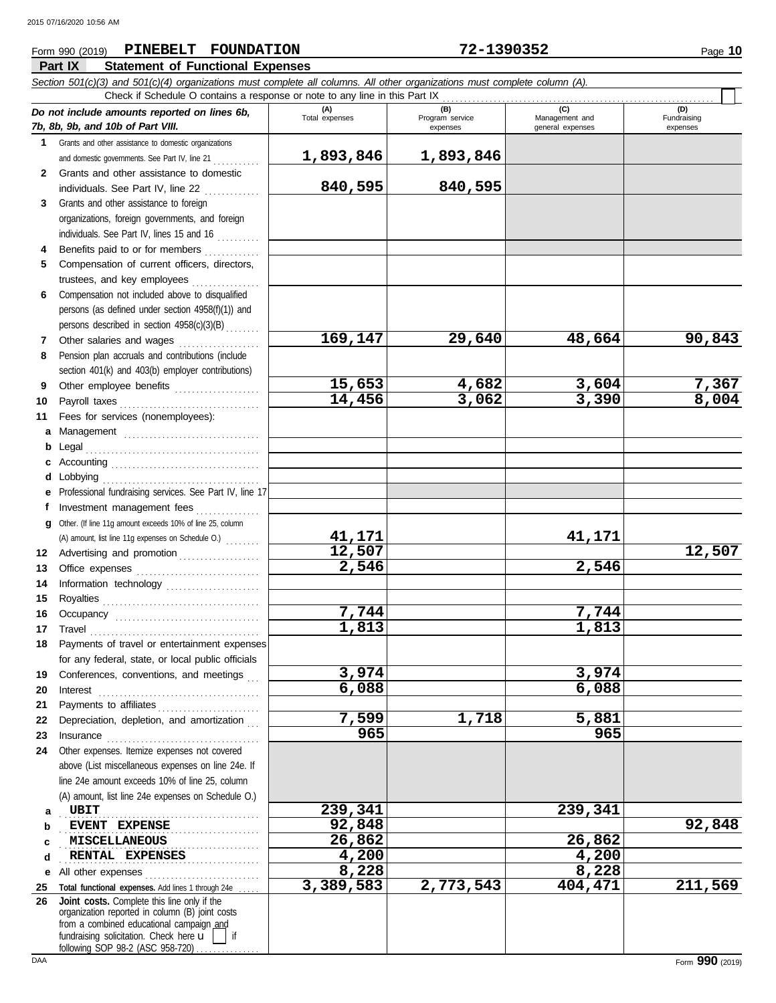### **Part IX Statement of Functional Expenses Form 990 (2019) PINEBELT FOUNDATION 72-1390352** Page 10

| (A)<br>Total expenses<br>(B)<br>Program service<br>(C)<br>(D)<br>Do not include amounts reported on lines 6b,<br>Fundraising<br>Management and<br>general expenses<br>expenses<br>expenses<br>Grants and other assistance to domestic organizations<br>1.<br>1,893,846<br>1,893,846<br>and domestic governments. See Part IV, line 21<br>Grants and other assistance to domestic<br>$\mathbf{2}$<br>840,595<br>840,595<br>individuals. See Part IV, line 22<br>Grants and other assistance to foreign<br>3<br>organizations, foreign governments, and foreign<br>individuals. See Part IV, lines 15 and 16<br>Benefits paid to or for members<br>Compensation of current officers, directors,<br>5<br>trustees, and key employees<br>Compensation not included above to disqualified<br>6<br>persons (as defined under section 4958(f)(1)) and<br>persons described in section 4958(c)(3)(B)<br>169,147<br>90,843<br>29,640<br>48,664<br>Other salaries and wages<br>7<br>Pension plan accruals and contributions (include<br>8<br>section 401(k) and 403(b) employer contributions)<br>15,653<br>4,682<br>3,604<br>7,367<br>Other employee benefits<br>9<br>3,390<br>8,004<br>14,456<br>3,062<br>10<br>Fees for services (nonemployees):<br>11<br>Management<br>а<br>b<br>с<br>Lobbying<br>d<br>Professional fundraising services. See Part IV, line 17<br>е<br>Investment management fees<br>f<br>Other. (If line 11g amount exceeds 10% of line 25, column<br>g<br>41,171<br>41,171<br>(A) amount, list line 11g expenses on Schedule O.)<br>12,507<br>12,507<br>Advertising and promotion<br>12<br>2,546<br>2,546<br>13<br>Information technology<br>14<br>15<br>7,744<br>7,744<br>16<br>1,813<br>1,813<br>17<br>Payments of travel or entertainment expenses<br>18<br>for any federal, state, or local public officials<br>3,974<br>3,974<br>Conferences, conventions, and meetings<br>19<br>6,088<br>6,088<br>20<br>Interest<br>21<br>7,599<br>1,718<br>5,881<br>Depreciation, depletion, and amortization<br>22<br>965<br>965<br>23<br>Insurance <b>continuous</b> contains a series of the series of the series of the series of the series of the series of the series of the series of the series of the series of the series of the series of the series of the series<br>Other expenses. Itemize expenses not covered<br>24<br>above (List miscellaneous expenses on line 24e. If<br>line 24e amount exceeds 10% of line 25, column<br>(A) amount, list line 24e expenses on Schedule O.)<br>239,341<br>239,341<br>UBIT<br>а<br>92,848<br>EVENT EXPENSE<br>b<br>26,862<br>26,862<br>MISCELLANEOUS<br>c |   | Section 501(c)(3) and 501(c)(4) organizations must complete all columns. All other organizations must complete column (A).<br>Check if Schedule O contains a response or note to any line in this Part IX |       |       |         |
|--------------------------------------------------------------------------------------------------------------------------------------------------------------------------------------------------------------------------------------------------------------------------------------------------------------------------------------------------------------------------------------------------------------------------------------------------------------------------------------------------------------------------------------------------------------------------------------------------------------------------------------------------------------------------------------------------------------------------------------------------------------------------------------------------------------------------------------------------------------------------------------------------------------------------------------------------------------------------------------------------------------------------------------------------------------------------------------------------------------------------------------------------------------------------------------------------------------------------------------------------------------------------------------------------------------------------------------------------------------------------------------------------------------------------------------------------------------------------------------------------------------------------------------------------------------------------------------------------------------------------------------------------------------------------------------------------------------------------------------------------------------------------------------------------------------------------------------------------------------------------------------------------------------------------------------------------------------------------------------------------------------------------------------------------------------------------------------------------------------------------------------------------------------------------------------------------------------------------------------------------------------------------------------------------------------------------------------------------------------------------------------------------------------------------------------------------------------------------------------------------------------------------------------------------------------------------------------------------------------------|---|-----------------------------------------------------------------------------------------------------------------------------------------------------------------------------------------------------------|-------|-------|---------|
| 7b, 8b, 9b, and 10b of Part VIII.                                                                                                                                                                                                                                                                                                                                                                                                                                                                                                                                                                                                                                                                                                                                                                                                                                                                                                                                                                                                                                                                                                                                                                                                                                                                                                                                                                                                                                                                                                                                                                                                                                                                                                                                                                                                                                                                                                                                                                                                                                                                                                                                                                                                                                                                                                                                                                                                                                                                                                                                                                                  |   |                                                                                                                                                                                                           |       |       |         |
|                                                                                                                                                                                                                                                                                                                                                                                                                                                                                                                                                                                                                                                                                                                                                                                                                                                                                                                                                                                                                                                                                                                                                                                                                                                                                                                                                                                                                                                                                                                                                                                                                                                                                                                                                                                                                                                                                                                                                                                                                                                                                                                                                                                                                                                                                                                                                                                                                                                                                                                                                                                                                    |   |                                                                                                                                                                                                           |       |       |         |
|                                                                                                                                                                                                                                                                                                                                                                                                                                                                                                                                                                                                                                                                                                                                                                                                                                                                                                                                                                                                                                                                                                                                                                                                                                                                                                                                                                                                                                                                                                                                                                                                                                                                                                                                                                                                                                                                                                                                                                                                                                                                                                                                                                                                                                                                                                                                                                                                                                                                                                                                                                                                                    |   |                                                                                                                                                                                                           |       |       |         |
|                                                                                                                                                                                                                                                                                                                                                                                                                                                                                                                                                                                                                                                                                                                                                                                                                                                                                                                                                                                                                                                                                                                                                                                                                                                                                                                                                                                                                                                                                                                                                                                                                                                                                                                                                                                                                                                                                                                                                                                                                                                                                                                                                                                                                                                                                                                                                                                                                                                                                                                                                                                                                    |   |                                                                                                                                                                                                           |       |       |         |
|                                                                                                                                                                                                                                                                                                                                                                                                                                                                                                                                                                                                                                                                                                                                                                                                                                                                                                                                                                                                                                                                                                                                                                                                                                                                                                                                                                                                                                                                                                                                                                                                                                                                                                                                                                                                                                                                                                                                                                                                                                                                                                                                                                                                                                                                                                                                                                                                                                                                                                                                                                                                                    |   |                                                                                                                                                                                                           |       |       |         |
|                                                                                                                                                                                                                                                                                                                                                                                                                                                                                                                                                                                                                                                                                                                                                                                                                                                                                                                                                                                                                                                                                                                                                                                                                                                                                                                                                                                                                                                                                                                                                                                                                                                                                                                                                                                                                                                                                                                                                                                                                                                                                                                                                                                                                                                                                                                                                                                                                                                                                                                                                                                                                    |   |                                                                                                                                                                                                           |       |       |         |
|                                                                                                                                                                                                                                                                                                                                                                                                                                                                                                                                                                                                                                                                                                                                                                                                                                                                                                                                                                                                                                                                                                                                                                                                                                                                                                                                                                                                                                                                                                                                                                                                                                                                                                                                                                                                                                                                                                                                                                                                                                                                                                                                                                                                                                                                                                                                                                                                                                                                                                                                                                                                                    |   |                                                                                                                                                                                                           |       |       |         |
|                                                                                                                                                                                                                                                                                                                                                                                                                                                                                                                                                                                                                                                                                                                                                                                                                                                                                                                                                                                                                                                                                                                                                                                                                                                                                                                                                                                                                                                                                                                                                                                                                                                                                                                                                                                                                                                                                                                                                                                                                                                                                                                                                                                                                                                                                                                                                                                                                                                                                                                                                                                                                    |   |                                                                                                                                                                                                           |       |       |         |
|                                                                                                                                                                                                                                                                                                                                                                                                                                                                                                                                                                                                                                                                                                                                                                                                                                                                                                                                                                                                                                                                                                                                                                                                                                                                                                                                                                                                                                                                                                                                                                                                                                                                                                                                                                                                                                                                                                                                                                                                                                                                                                                                                                                                                                                                                                                                                                                                                                                                                                                                                                                                                    |   |                                                                                                                                                                                                           |       |       |         |
|                                                                                                                                                                                                                                                                                                                                                                                                                                                                                                                                                                                                                                                                                                                                                                                                                                                                                                                                                                                                                                                                                                                                                                                                                                                                                                                                                                                                                                                                                                                                                                                                                                                                                                                                                                                                                                                                                                                                                                                                                                                                                                                                                                                                                                                                                                                                                                                                                                                                                                                                                                                                                    |   |                                                                                                                                                                                                           |       |       |         |
|                                                                                                                                                                                                                                                                                                                                                                                                                                                                                                                                                                                                                                                                                                                                                                                                                                                                                                                                                                                                                                                                                                                                                                                                                                                                                                                                                                                                                                                                                                                                                                                                                                                                                                                                                                                                                                                                                                                                                                                                                                                                                                                                                                                                                                                                                                                                                                                                                                                                                                                                                                                                                    |   |                                                                                                                                                                                                           |       |       |         |
|                                                                                                                                                                                                                                                                                                                                                                                                                                                                                                                                                                                                                                                                                                                                                                                                                                                                                                                                                                                                                                                                                                                                                                                                                                                                                                                                                                                                                                                                                                                                                                                                                                                                                                                                                                                                                                                                                                                                                                                                                                                                                                                                                                                                                                                                                                                                                                                                                                                                                                                                                                                                                    |   |                                                                                                                                                                                                           |       |       |         |
|                                                                                                                                                                                                                                                                                                                                                                                                                                                                                                                                                                                                                                                                                                                                                                                                                                                                                                                                                                                                                                                                                                                                                                                                                                                                                                                                                                                                                                                                                                                                                                                                                                                                                                                                                                                                                                                                                                                                                                                                                                                                                                                                                                                                                                                                                                                                                                                                                                                                                                                                                                                                                    |   |                                                                                                                                                                                                           |       |       |         |
|                                                                                                                                                                                                                                                                                                                                                                                                                                                                                                                                                                                                                                                                                                                                                                                                                                                                                                                                                                                                                                                                                                                                                                                                                                                                                                                                                                                                                                                                                                                                                                                                                                                                                                                                                                                                                                                                                                                                                                                                                                                                                                                                                                                                                                                                                                                                                                                                                                                                                                                                                                                                                    |   |                                                                                                                                                                                                           |       |       |         |
|                                                                                                                                                                                                                                                                                                                                                                                                                                                                                                                                                                                                                                                                                                                                                                                                                                                                                                                                                                                                                                                                                                                                                                                                                                                                                                                                                                                                                                                                                                                                                                                                                                                                                                                                                                                                                                                                                                                                                                                                                                                                                                                                                                                                                                                                                                                                                                                                                                                                                                                                                                                                                    |   |                                                                                                                                                                                                           |       |       |         |
|                                                                                                                                                                                                                                                                                                                                                                                                                                                                                                                                                                                                                                                                                                                                                                                                                                                                                                                                                                                                                                                                                                                                                                                                                                                                                                                                                                                                                                                                                                                                                                                                                                                                                                                                                                                                                                                                                                                                                                                                                                                                                                                                                                                                                                                                                                                                                                                                                                                                                                                                                                                                                    |   |                                                                                                                                                                                                           |       |       |         |
|                                                                                                                                                                                                                                                                                                                                                                                                                                                                                                                                                                                                                                                                                                                                                                                                                                                                                                                                                                                                                                                                                                                                                                                                                                                                                                                                                                                                                                                                                                                                                                                                                                                                                                                                                                                                                                                                                                                                                                                                                                                                                                                                                                                                                                                                                                                                                                                                                                                                                                                                                                                                                    |   |                                                                                                                                                                                                           |       |       |         |
|                                                                                                                                                                                                                                                                                                                                                                                                                                                                                                                                                                                                                                                                                                                                                                                                                                                                                                                                                                                                                                                                                                                                                                                                                                                                                                                                                                                                                                                                                                                                                                                                                                                                                                                                                                                                                                                                                                                                                                                                                                                                                                                                                                                                                                                                                                                                                                                                                                                                                                                                                                                                                    |   |                                                                                                                                                                                                           |       |       |         |
|                                                                                                                                                                                                                                                                                                                                                                                                                                                                                                                                                                                                                                                                                                                                                                                                                                                                                                                                                                                                                                                                                                                                                                                                                                                                                                                                                                                                                                                                                                                                                                                                                                                                                                                                                                                                                                                                                                                                                                                                                                                                                                                                                                                                                                                                                                                                                                                                                                                                                                                                                                                                                    |   |                                                                                                                                                                                                           |       |       |         |
|                                                                                                                                                                                                                                                                                                                                                                                                                                                                                                                                                                                                                                                                                                                                                                                                                                                                                                                                                                                                                                                                                                                                                                                                                                                                                                                                                                                                                                                                                                                                                                                                                                                                                                                                                                                                                                                                                                                                                                                                                                                                                                                                                                                                                                                                                                                                                                                                                                                                                                                                                                                                                    |   |                                                                                                                                                                                                           |       |       |         |
|                                                                                                                                                                                                                                                                                                                                                                                                                                                                                                                                                                                                                                                                                                                                                                                                                                                                                                                                                                                                                                                                                                                                                                                                                                                                                                                                                                                                                                                                                                                                                                                                                                                                                                                                                                                                                                                                                                                                                                                                                                                                                                                                                                                                                                                                                                                                                                                                                                                                                                                                                                                                                    |   |                                                                                                                                                                                                           |       |       |         |
|                                                                                                                                                                                                                                                                                                                                                                                                                                                                                                                                                                                                                                                                                                                                                                                                                                                                                                                                                                                                                                                                                                                                                                                                                                                                                                                                                                                                                                                                                                                                                                                                                                                                                                                                                                                                                                                                                                                                                                                                                                                                                                                                                                                                                                                                                                                                                                                                                                                                                                                                                                                                                    |   |                                                                                                                                                                                                           |       |       |         |
|                                                                                                                                                                                                                                                                                                                                                                                                                                                                                                                                                                                                                                                                                                                                                                                                                                                                                                                                                                                                                                                                                                                                                                                                                                                                                                                                                                                                                                                                                                                                                                                                                                                                                                                                                                                                                                                                                                                                                                                                                                                                                                                                                                                                                                                                                                                                                                                                                                                                                                                                                                                                                    |   |                                                                                                                                                                                                           |       |       |         |
|                                                                                                                                                                                                                                                                                                                                                                                                                                                                                                                                                                                                                                                                                                                                                                                                                                                                                                                                                                                                                                                                                                                                                                                                                                                                                                                                                                                                                                                                                                                                                                                                                                                                                                                                                                                                                                                                                                                                                                                                                                                                                                                                                                                                                                                                                                                                                                                                                                                                                                                                                                                                                    |   |                                                                                                                                                                                                           |       |       |         |
|                                                                                                                                                                                                                                                                                                                                                                                                                                                                                                                                                                                                                                                                                                                                                                                                                                                                                                                                                                                                                                                                                                                                                                                                                                                                                                                                                                                                                                                                                                                                                                                                                                                                                                                                                                                                                                                                                                                                                                                                                                                                                                                                                                                                                                                                                                                                                                                                                                                                                                                                                                                                                    |   |                                                                                                                                                                                                           |       |       |         |
|                                                                                                                                                                                                                                                                                                                                                                                                                                                                                                                                                                                                                                                                                                                                                                                                                                                                                                                                                                                                                                                                                                                                                                                                                                                                                                                                                                                                                                                                                                                                                                                                                                                                                                                                                                                                                                                                                                                                                                                                                                                                                                                                                                                                                                                                                                                                                                                                                                                                                                                                                                                                                    |   |                                                                                                                                                                                                           |       |       |         |
|                                                                                                                                                                                                                                                                                                                                                                                                                                                                                                                                                                                                                                                                                                                                                                                                                                                                                                                                                                                                                                                                                                                                                                                                                                                                                                                                                                                                                                                                                                                                                                                                                                                                                                                                                                                                                                                                                                                                                                                                                                                                                                                                                                                                                                                                                                                                                                                                                                                                                                                                                                                                                    |   |                                                                                                                                                                                                           |       |       |         |
|                                                                                                                                                                                                                                                                                                                                                                                                                                                                                                                                                                                                                                                                                                                                                                                                                                                                                                                                                                                                                                                                                                                                                                                                                                                                                                                                                                                                                                                                                                                                                                                                                                                                                                                                                                                                                                                                                                                                                                                                                                                                                                                                                                                                                                                                                                                                                                                                                                                                                                                                                                                                                    |   |                                                                                                                                                                                                           |       |       |         |
|                                                                                                                                                                                                                                                                                                                                                                                                                                                                                                                                                                                                                                                                                                                                                                                                                                                                                                                                                                                                                                                                                                                                                                                                                                                                                                                                                                                                                                                                                                                                                                                                                                                                                                                                                                                                                                                                                                                                                                                                                                                                                                                                                                                                                                                                                                                                                                                                                                                                                                                                                                                                                    |   |                                                                                                                                                                                                           |       |       |         |
|                                                                                                                                                                                                                                                                                                                                                                                                                                                                                                                                                                                                                                                                                                                                                                                                                                                                                                                                                                                                                                                                                                                                                                                                                                                                                                                                                                                                                                                                                                                                                                                                                                                                                                                                                                                                                                                                                                                                                                                                                                                                                                                                                                                                                                                                                                                                                                                                                                                                                                                                                                                                                    |   |                                                                                                                                                                                                           |       |       |         |
|                                                                                                                                                                                                                                                                                                                                                                                                                                                                                                                                                                                                                                                                                                                                                                                                                                                                                                                                                                                                                                                                                                                                                                                                                                                                                                                                                                                                                                                                                                                                                                                                                                                                                                                                                                                                                                                                                                                                                                                                                                                                                                                                                                                                                                                                                                                                                                                                                                                                                                                                                                                                                    |   |                                                                                                                                                                                                           |       |       |         |
|                                                                                                                                                                                                                                                                                                                                                                                                                                                                                                                                                                                                                                                                                                                                                                                                                                                                                                                                                                                                                                                                                                                                                                                                                                                                                                                                                                                                                                                                                                                                                                                                                                                                                                                                                                                                                                                                                                                                                                                                                                                                                                                                                                                                                                                                                                                                                                                                                                                                                                                                                                                                                    |   |                                                                                                                                                                                                           |       |       |         |
|                                                                                                                                                                                                                                                                                                                                                                                                                                                                                                                                                                                                                                                                                                                                                                                                                                                                                                                                                                                                                                                                                                                                                                                                                                                                                                                                                                                                                                                                                                                                                                                                                                                                                                                                                                                                                                                                                                                                                                                                                                                                                                                                                                                                                                                                                                                                                                                                                                                                                                                                                                                                                    |   |                                                                                                                                                                                                           |       |       |         |
|                                                                                                                                                                                                                                                                                                                                                                                                                                                                                                                                                                                                                                                                                                                                                                                                                                                                                                                                                                                                                                                                                                                                                                                                                                                                                                                                                                                                                                                                                                                                                                                                                                                                                                                                                                                                                                                                                                                                                                                                                                                                                                                                                                                                                                                                                                                                                                                                                                                                                                                                                                                                                    |   |                                                                                                                                                                                                           |       |       |         |
|                                                                                                                                                                                                                                                                                                                                                                                                                                                                                                                                                                                                                                                                                                                                                                                                                                                                                                                                                                                                                                                                                                                                                                                                                                                                                                                                                                                                                                                                                                                                                                                                                                                                                                                                                                                                                                                                                                                                                                                                                                                                                                                                                                                                                                                                                                                                                                                                                                                                                                                                                                                                                    |   |                                                                                                                                                                                                           |       |       |         |
|                                                                                                                                                                                                                                                                                                                                                                                                                                                                                                                                                                                                                                                                                                                                                                                                                                                                                                                                                                                                                                                                                                                                                                                                                                                                                                                                                                                                                                                                                                                                                                                                                                                                                                                                                                                                                                                                                                                                                                                                                                                                                                                                                                                                                                                                                                                                                                                                                                                                                                                                                                                                                    |   |                                                                                                                                                                                                           |       |       |         |
|                                                                                                                                                                                                                                                                                                                                                                                                                                                                                                                                                                                                                                                                                                                                                                                                                                                                                                                                                                                                                                                                                                                                                                                                                                                                                                                                                                                                                                                                                                                                                                                                                                                                                                                                                                                                                                                                                                                                                                                                                                                                                                                                                                                                                                                                                                                                                                                                                                                                                                                                                                                                                    |   |                                                                                                                                                                                                           |       |       |         |
|                                                                                                                                                                                                                                                                                                                                                                                                                                                                                                                                                                                                                                                                                                                                                                                                                                                                                                                                                                                                                                                                                                                                                                                                                                                                                                                                                                                                                                                                                                                                                                                                                                                                                                                                                                                                                                                                                                                                                                                                                                                                                                                                                                                                                                                                                                                                                                                                                                                                                                                                                                                                                    |   |                                                                                                                                                                                                           |       |       |         |
|                                                                                                                                                                                                                                                                                                                                                                                                                                                                                                                                                                                                                                                                                                                                                                                                                                                                                                                                                                                                                                                                                                                                                                                                                                                                                                                                                                                                                                                                                                                                                                                                                                                                                                                                                                                                                                                                                                                                                                                                                                                                                                                                                                                                                                                                                                                                                                                                                                                                                                                                                                                                                    |   |                                                                                                                                                                                                           |       |       |         |
|                                                                                                                                                                                                                                                                                                                                                                                                                                                                                                                                                                                                                                                                                                                                                                                                                                                                                                                                                                                                                                                                                                                                                                                                                                                                                                                                                                                                                                                                                                                                                                                                                                                                                                                                                                                                                                                                                                                                                                                                                                                                                                                                                                                                                                                                                                                                                                                                                                                                                                                                                                                                                    |   |                                                                                                                                                                                                           |       |       |         |
|                                                                                                                                                                                                                                                                                                                                                                                                                                                                                                                                                                                                                                                                                                                                                                                                                                                                                                                                                                                                                                                                                                                                                                                                                                                                                                                                                                                                                                                                                                                                                                                                                                                                                                                                                                                                                                                                                                                                                                                                                                                                                                                                                                                                                                                                                                                                                                                                                                                                                                                                                                                                                    |   |                                                                                                                                                                                                           |       |       |         |
|                                                                                                                                                                                                                                                                                                                                                                                                                                                                                                                                                                                                                                                                                                                                                                                                                                                                                                                                                                                                                                                                                                                                                                                                                                                                                                                                                                                                                                                                                                                                                                                                                                                                                                                                                                                                                                                                                                                                                                                                                                                                                                                                                                                                                                                                                                                                                                                                                                                                                                                                                                                                                    |   |                                                                                                                                                                                                           |       |       |         |
|                                                                                                                                                                                                                                                                                                                                                                                                                                                                                                                                                                                                                                                                                                                                                                                                                                                                                                                                                                                                                                                                                                                                                                                                                                                                                                                                                                                                                                                                                                                                                                                                                                                                                                                                                                                                                                                                                                                                                                                                                                                                                                                                                                                                                                                                                                                                                                                                                                                                                                                                                                                                                    |   |                                                                                                                                                                                                           |       |       |         |
|                                                                                                                                                                                                                                                                                                                                                                                                                                                                                                                                                                                                                                                                                                                                                                                                                                                                                                                                                                                                                                                                                                                                                                                                                                                                                                                                                                                                                                                                                                                                                                                                                                                                                                                                                                                                                                                                                                                                                                                                                                                                                                                                                                                                                                                                                                                                                                                                                                                                                                                                                                                                                    |   |                                                                                                                                                                                                           |       |       |         |
|                                                                                                                                                                                                                                                                                                                                                                                                                                                                                                                                                                                                                                                                                                                                                                                                                                                                                                                                                                                                                                                                                                                                                                                                                                                                                                                                                                                                                                                                                                                                                                                                                                                                                                                                                                                                                                                                                                                                                                                                                                                                                                                                                                                                                                                                                                                                                                                                                                                                                                                                                                                                                    |   |                                                                                                                                                                                                           |       |       |         |
|                                                                                                                                                                                                                                                                                                                                                                                                                                                                                                                                                                                                                                                                                                                                                                                                                                                                                                                                                                                                                                                                                                                                                                                                                                                                                                                                                                                                                                                                                                                                                                                                                                                                                                                                                                                                                                                                                                                                                                                                                                                                                                                                                                                                                                                                                                                                                                                                                                                                                                                                                                                                                    |   |                                                                                                                                                                                                           |       |       |         |
|                                                                                                                                                                                                                                                                                                                                                                                                                                                                                                                                                                                                                                                                                                                                                                                                                                                                                                                                                                                                                                                                                                                                                                                                                                                                                                                                                                                                                                                                                                                                                                                                                                                                                                                                                                                                                                                                                                                                                                                                                                                                                                                                                                                                                                                                                                                                                                                                                                                                                                                                                                                                                    |   |                                                                                                                                                                                                           |       |       | 92,848  |
|                                                                                                                                                                                                                                                                                                                                                                                                                                                                                                                                                                                                                                                                                                                                                                                                                                                                                                                                                                                                                                                                                                                                                                                                                                                                                                                                                                                                                                                                                                                                                                                                                                                                                                                                                                                                                                                                                                                                                                                                                                                                                                                                                                                                                                                                                                                                                                                                                                                                                                                                                                                                                    |   |                                                                                                                                                                                                           |       |       |         |
|                                                                                                                                                                                                                                                                                                                                                                                                                                                                                                                                                                                                                                                                                                                                                                                                                                                                                                                                                                                                                                                                                                                                                                                                                                                                                                                                                                                                                                                                                                                                                                                                                                                                                                                                                                                                                                                                                                                                                                                                                                                                                                                                                                                                                                                                                                                                                                                                                                                                                                                                                                                                                    | d | RENTAL EXPENSES                                                                                                                                                                                           | 4,200 | 4,200 |         |
| 8,228<br>8,228<br>All other expenses<br>е                                                                                                                                                                                                                                                                                                                                                                                                                                                                                                                                                                                                                                                                                                                                                                                                                                                                                                                                                                                                                                                                                                                                                                                                                                                                                                                                                                                                                                                                                                                                                                                                                                                                                                                                                                                                                                                                                                                                                                                                                                                                                                                                                                                                                                                                                                                                                                                                                                                                                                                                                                          |   |                                                                                                                                                                                                           |       |       |         |
| 3,389,583<br>2,773,543<br>404,471<br>Total functional expenses. Add lines 1 through 24e<br>25                                                                                                                                                                                                                                                                                                                                                                                                                                                                                                                                                                                                                                                                                                                                                                                                                                                                                                                                                                                                                                                                                                                                                                                                                                                                                                                                                                                                                                                                                                                                                                                                                                                                                                                                                                                                                                                                                                                                                                                                                                                                                                                                                                                                                                                                                                                                                                                                                                                                                                                      |   |                                                                                                                                                                                                           |       |       | 211,569 |
| Joint costs. Complete this line only if the<br>26                                                                                                                                                                                                                                                                                                                                                                                                                                                                                                                                                                                                                                                                                                                                                                                                                                                                                                                                                                                                                                                                                                                                                                                                                                                                                                                                                                                                                                                                                                                                                                                                                                                                                                                                                                                                                                                                                                                                                                                                                                                                                                                                                                                                                                                                                                                                                                                                                                                                                                                                                                  |   |                                                                                                                                                                                                           |       |       |         |
| organization reported in column (B) joint costs<br>from a combined educational campaign and                                                                                                                                                                                                                                                                                                                                                                                                                                                                                                                                                                                                                                                                                                                                                                                                                                                                                                                                                                                                                                                                                                                                                                                                                                                                                                                                                                                                                                                                                                                                                                                                                                                                                                                                                                                                                                                                                                                                                                                                                                                                                                                                                                                                                                                                                                                                                                                                                                                                                                                        |   |                                                                                                                                                                                                           |       |       |         |
| fundraising solicitation. Check here $\mathbf{u}$<br>if<br>following SOP 98.2 (ASC 958.720)                                                                                                                                                                                                                                                                                                                                                                                                                                                                                                                                                                                                                                                                                                                                                                                                                                                                                                                                                                                                                                                                                                                                                                                                                                                                                                                                                                                                                                                                                                                                                                                                                                                                                                                                                                                                                                                                                                                                                                                                                                                                                                                                                                                                                                                                                                                                                                                                                                                                                                                        |   |                                                                                                                                                                                                           |       |       |         |

following SOP 98-2 (ASC 958-720) . . . . . . . . . . . . . .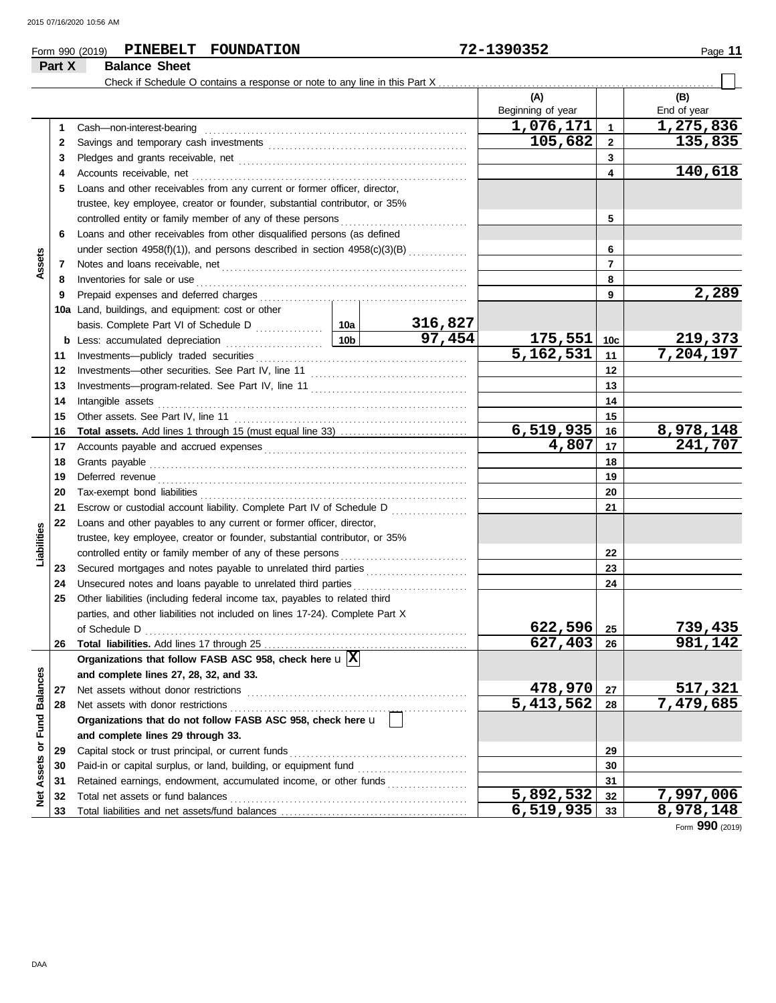| Form 990 (2019) | PINEBELT | <b>FOUNDATION</b> | 1390352<br>70<br>$\overline{\phantom{a}}$ | Page |
|-----------------|----------|-------------------|-------------------------------------------|------|
|                 |          |                   |                                           |      |

#### **Part X Balance Sheet** Check if Schedule O contains a response or note to any line in this Part X **(A) (B)** Beginning of year | | End of year **1,076,171 1,275,836** Cash—non-interest-bearing . . . . . . . . . . . . . . . . . . . . . . . . . . . . . . . . . . . . . . . . . . . . . . . . . . . . . . . . . . . . . . **1 1 2 105,682 135,835** 2 Savings and temporary cash investments **contain the container and the set of the set of the set of the set of the set of the set of the set of the set of the set of the set of the set of the set of the set of the set of 3 3** Pledges and grants receivable, net . . . . . . . . . . . . . . . . . . . . . . . . . . . . . . . . . . . . . . . . . . . . . . . . . . . . . . **140,618 4 4** Accounts receivable, net . . . . . . . . . . . . . . . . . . . . . . . . . . . . . . . . . . . . . . . . . . . . . . . . . . . . . . . . . . . . . . . . . **5** Loans and other receivables from any current or former officer, director, trustee, key employee, creator or founder, substantial contributor, or 35% controlled entity or family member of any of these persons **5 6** Loans and other receivables from other disqualified persons (as defined **6** under section  $4958(f)(1)$ , and persons described in section  $4958(c)(3)(B)$  ............. **Assets 7 7** Notes and loans receivable, net . . . . . . . . . . . . . . . . . . . . . . . . . . . . . . . . . . . . . . . . . . . . . . . . . . . . . . . . . . **8 8** Inventories for sale or use . . . . . . . . . . . . . . . . . . . . . . . . . . . . . . . . . . . . . . . . . . . . . . . . . . . . . . . . . . . . . . . . Prepaid expenses and deferred charges . . . . . . . . . . . . . . . . . . . . . . . . . . . . . . . . . . . . . . . . . . . . . . . . . **2,289 9 9 10a** Land, buildings, and equipment: cost or other **316,827** basis. Complete Part VI of Schedule D . . . . . . . . . . . . 10a **97,454 175,551 219,373 10c b** Less: accumulated depreciation . . . . . . . . . . . . . . . . . . . . . . . **10b** Investments—publicly traded securities . . . . . . . . . . . . . . . . . . . . . . . . . . . . . . . . . . . . . . . . . . . . . . . . . . **5,162,531 7,204,197 11 11** Investments—other securities. See Part IV, line 11 . . . . . . . . . . . . . . . . . . . . . . . . . . . . . . . . . . . . . **12 12 13 13** Investments—program-related. See Part IV, line 11 . . . . . . . . . . . . . . . . . . . . . . . . . . . . . . . . . . . . . Intangible assets . . . . . . . . . . . . . . . . . . . . . . . . . . . . . . . . . . . . . . . . . . . . . . . . . . . . . . . . . . . . . . . . . . . . . . . . . **14 14 15 15** Other assets. See Part IV, line 11 . . . . . . . . . . . . . . . . . . . . . . . . . . . . . . . . . . . . . . . . . . . . . . . . . . . . . . . **6,519,935 8,978,148 Total assets.** Add lines 1 through 15 (must equal line 33) . . . . . . . . . . . . . . . . . . . . . . . . . . . . . . **16 16 4,807 241,707 17** Accounts payable and accrued expenses . . . . . . . . . . . . . . . . . . . . . . . . . . . . . . . . . . . . . . . . . . . . . . . . **17 18** Grants payable . . . . . . . . . . . . . . . . . . . . . . . . . . . . . . . . . . . . . . . . . . . . . . . . . . . . . . . . . . . . . . . . . . . . . . . . . . . **18** Deferred revenue . . . . . . . . . . . . . . . . . . . . . . . . . . . . . . . . . . . . . . . . . . . . . . . . . . . . . . . . . . . . . . . . . . . . . . . . . **19 19** Tax-exempt bond liabilities . . . . . . . . . . . . . . . . . . . . . . . . . . . . . . . . . . . . . . . . . . . . . . . . . . . . . . . . . . . . . . . **20 20 21** Escrow or custodial account liability. Complete Part IV of Schedule D . . . . . . . . . . . . . . . . . . **21 22** Loans and other payables to any current or former officer, director, **Liabilities** trustee, key employee, creator or founder, substantial contributor, or 35% controlled entity or family member of any of these persons **22** Secured mortgages and notes payable to unrelated third parties ........................ **23 23 24** Unsecured notes and loans payable to unrelated third parties . . . . . . . . . . . . . . . . . . . . . . . . . . . **24 25** Other liabilities (including federal income tax, payables to related third parties, and other liabilities not included on lines 17-24). Complete Part X **622,596 739,435** of Schedule D . . . . . . . . . . . . . . . . . . . . . . . . . . . . . . . . . . . . . . . . . . . . . . . . . . . . . . . . . . . . . . . . . . . . . . . . . . . . **25 627,403 981,142 26** Total liabilities. Add lines 17 through 25 **26 Organizations that follow FASB ASC 958, check here** u **X** Net Assets or Fund Balances **Net Assets or Fund Balances and complete lines 27, 28, 32, and 33. 27** Net assets without donor restrictions . . . . . . . . . . . . . . . . . . . . . . . . . . . . . . . . . . . . . . . . . . . . . . . . . . . . **478,970 517,321 27** Net assets with donor restrictions . . . . . . . . . . . . . . . . . . . . . . . . . . . . . . . . . . . . . . . . . . . . . . . . . . . . . . . . **5,413,562 7,479,685 28 28 Organizations that do not follow FASB ASC 958, check here** u **and complete lines 29 through 33.** Capital stock or trust principal, or current funds . . . . . . . . . . . . . . . . . . . . . . . . . . . . . . . . . . . . . . . . . . **29 29** Paid-in or capital surplus, or land, building, or equipment fund ........................... **30 30** Retained earnings, endowment, accumulated income, or other funds . . . . . . . . . . . . . . . . . . . **31 31 5,892,532 7,997,006** Total net assets or fund balances . . . . . . . . . . . . . . . . . . . . . . . . . . . . . . . . . . . . . . . . . . . . . . . . . . . . . . . . **32 32 33** Total liabilities and net assets/fund balances ... **6,519,935 8,978,148 33**

Form **990** (2019)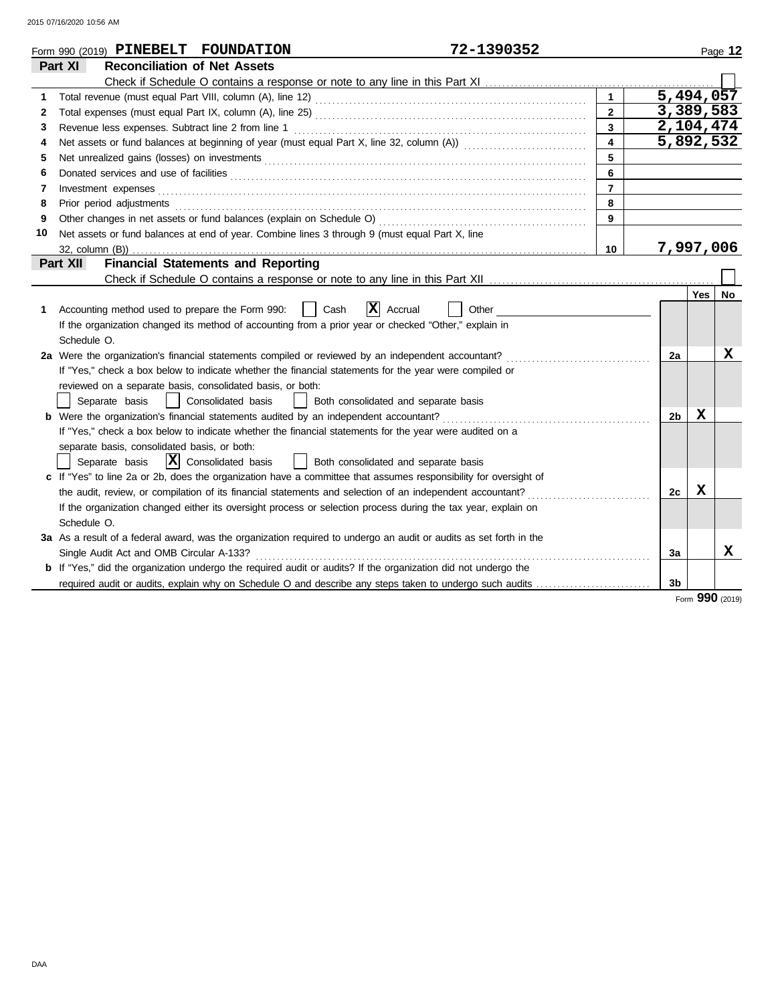2015 07/16/2020 10:56 AM

|    | 72-1390352<br>Form 990 (2019) PINEBELT FOUNDATION                                                                      |                         |                |            | Page 12 |
|----|------------------------------------------------------------------------------------------------------------------------|-------------------------|----------------|------------|---------|
|    | <b>Reconciliation of Net Assets</b><br>Part XI                                                                         |                         |                |            |         |
|    |                                                                                                                        |                         |                |            |         |
| 1  | Total revenue (must equal Part VIII, column (A), line 12) [2010] [2010] [2010] [2010] [2010] [2010] [2010] [20         | $\mathbf 1$             | 5,494,057      |            |         |
| 2  |                                                                                                                        | $\overline{2}$          | 3,389,583      |            |         |
| 3  | Revenue less expenses. Subtract line 2 from line 1                                                                     | $\overline{3}$          | 2,104,474      |            |         |
| 4  |                                                                                                                        | $\overline{\mathbf{4}}$ | 5,892,532      |            |         |
| 5  | Net unrealized gains (losses) on investments [11] results and the unrealized gains (losses) on investments [11] $\sim$ | 5                       |                |            |         |
| 6  |                                                                                                                        | 6                       |                |            |         |
| 7  |                                                                                                                        | $\overline{7}$          |                |            |         |
| 8  | Prior period adjustments entertainment and an intervention of the contract of the contract of the contract of          | 8                       |                |            |         |
| 9  |                                                                                                                        | 9                       |                |            |         |
| 10 | Net assets or fund balances at end of year. Combine lines 3 through 9 (must equal Part X, line                         |                         |                |            |         |
|    |                                                                                                                        | 10                      | 7,997,006      |            |         |
|    | <b>Financial Statements and Reporting</b><br><b>Part XII</b>                                                           |                         |                |            |         |
|    |                                                                                                                        |                         |                |            |         |
|    |                                                                                                                        |                         |                | <b>Yes</b> | No      |
| 1  | $ \mathbf{X} $ Accrual<br>Accounting method used to prepare the Form 990:<br>Cash<br>Other                             |                         |                |            |         |
|    | If the organization changed its method of accounting from a prior year or checked "Other," explain in                  |                         |                |            |         |
|    | Schedule O.                                                                                                            |                         |                |            |         |
|    | 2a Were the organization's financial statements compiled or reviewed by an independent accountant?                     |                         | 2a             |            | X       |
|    | If "Yes," check a box below to indicate whether the financial statements for the year were compiled or                 |                         |                |            |         |
|    | reviewed on a separate basis, consolidated basis, or both:                                                             |                         |                |            |         |
|    | Separate basis<br>  Consolidated basis<br>  Both consolidated and separate basis                                       |                         |                |            |         |
|    | <b>b</b> Were the organization's financial statements audited by an independent accountant?                            |                         | 2 <sub>b</sub> | X          |         |
|    | If "Yes," check a box below to indicate whether the financial statements for the year were audited on a                |                         |                |            |         |
|    | separate basis, consolidated basis, or both:                                                                           |                         |                |            |         |
|    | $ \mathbf{X} $ Consolidated basis<br>Separate basis<br>Both consolidated and separate basis                            |                         |                |            |         |
|    | c If "Yes" to line 2a or 2b, does the organization have a committee that assumes responsibility for oversight of       |                         |                |            |         |
|    |                                                                                                                        |                         | 2c             | X          |         |
|    | If the organization changed either its oversight process or selection process during the tax year, explain on          |                         |                |            |         |
|    | Schedule O.                                                                                                            |                         |                |            |         |
|    | 3a As a result of a federal award, was the organization required to undergo an audit or audits as set forth in the     |                         |                |            |         |
|    | Single Audit Act and OMB Circular A-133?                                                                               |                         | 3a             |            | x       |
|    | <b>b</b> If "Yes," did the organization undergo the required audit or audits? If the organization did not undergo the  |                         |                |            |         |
|    | required audit or audits, explain why on Schedule O and describe any steps taken to undergo such audits                |                         | 3 <sub>b</sub> |            |         |

Form **990** (2019)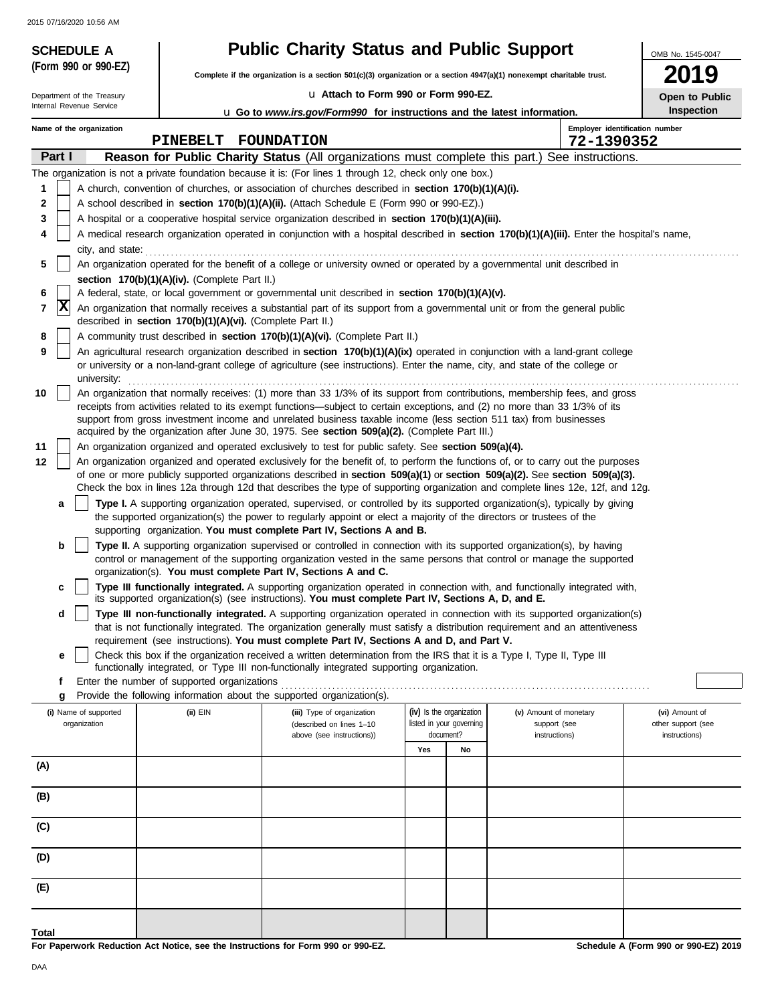2015 07/16/2020 10:56 AM

Department of the Treasury

**(Form 990 or 990-EZ)**

# **SCHEDULE A Public Charity Status and Public Support**

**Complete if the organization is a section 501(c)(3) organization or a section 4947(a)(1) nonexempt charitable trust.**

u **Attach to Form 990 or Form 990-EZ.**

OMB No. 1545-0047

**Open to Public Inspection**

|       | Internal Revenue Service<br>Inspection<br><b>u</b> Go to www.irs.gov/Form990 for instructions and the latest information. |                                                                                                                                                                                                                                                                                                                                                                                                                                                                                                 |  |          |  |                                                                                                                                                                                                                                                                                                                                                                                                    |     |                          |                        |                                              |                    |
|-------|---------------------------------------------------------------------------------------------------------------------------|-------------------------------------------------------------------------------------------------------------------------------------------------------------------------------------------------------------------------------------------------------------------------------------------------------------------------------------------------------------------------------------------------------------------------------------------------------------------------------------------------|--|----------|--|----------------------------------------------------------------------------------------------------------------------------------------------------------------------------------------------------------------------------------------------------------------------------------------------------------------------------------------------------------------------------------------------------|-----|--------------------------|------------------------|----------------------------------------------|--------------------|
|       |                                                                                                                           | Name of the organization                                                                                                                                                                                                                                                                                                                                                                                                                                                                        |  | PINEBELT |  | FOUNDATION                                                                                                                                                                                                                                                                                                                                                                                         |     |                          |                        | Employer identification number<br>72-1390352 |                    |
|       | Part I                                                                                                                    |                                                                                                                                                                                                                                                                                                                                                                                                                                                                                                 |  |          |  | Reason for Public Charity Status (All organizations must complete this part.) See instructions.                                                                                                                                                                                                                                                                                                    |     |                          |                        |                                              |                    |
|       |                                                                                                                           |                                                                                                                                                                                                                                                                                                                                                                                                                                                                                                 |  |          |  | The organization is not a private foundation because it is: (For lines 1 through 12, check only one box.)                                                                                                                                                                                                                                                                                          |     |                          |                        |                                              |                    |
| 1     |                                                                                                                           | A church, convention of churches, or association of churches described in section 170(b)(1)(A)(i).                                                                                                                                                                                                                                                                                                                                                                                              |  |          |  |                                                                                                                                                                                                                                                                                                                                                                                                    |     |                          |                        |                                              |                    |
| 2     |                                                                                                                           | A school described in section 170(b)(1)(A)(ii). (Attach Schedule E (Form 990 or 990-EZ).)                                                                                                                                                                                                                                                                                                                                                                                                       |  |          |  |                                                                                                                                                                                                                                                                                                                                                                                                    |     |                          |                        |                                              |                    |
| 3     |                                                                                                                           |                                                                                                                                                                                                                                                                                                                                                                                                                                                                                                 |  |          |  | A hospital or a cooperative hospital service organization described in section 170(b)(1)(A)(iii).                                                                                                                                                                                                                                                                                                  |     |                          |                        |                                              |                    |
| 4     |                                                                                                                           | A medical research organization operated in conjunction with a hospital described in section 170(b)(1)(A)(iii). Enter the hospital's name,                                                                                                                                                                                                                                                                                                                                                      |  |          |  |                                                                                                                                                                                                                                                                                                                                                                                                    |     |                          |                        |                                              |                    |
| 5     |                                                                                                                           | city, and state:                                                                                                                                                                                                                                                                                                                                                                                                                                                                                |  |          |  |                                                                                                                                                                                                                                                                                                                                                                                                    |     |                          |                        |                                              |                    |
|       |                                                                                                                           | section 170(b)(1)(A)(iv). (Complete Part II.)                                                                                                                                                                                                                                                                                                                                                                                                                                                   |  |          |  | An organization operated for the benefit of a college or university owned or operated by a governmental unit described in                                                                                                                                                                                                                                                                          |     |                          |                        |                                              |                    |
| 6     |                                                                                                                           |                                                                                                                                                                                                                                                                                                                                                                                                                                                                                                 |  |          |  | A federal, state, or local government or governmental unit described in section 170(b)(1)(A)(v).                                                                                                                                                                                                                                                                                                   |     |                          |                        |                                              |                    |
| 7     | x                                                                                                                         |                                                                                                                                                                                                                                                                                                                                                                                                                                                                                                 |  |          |  | An organization that normally receives a substantial part of its support from a governmental unit or from the general public<br>described in section 170(b)(1)(A)(vi). (Complete Part II.)                                                                                                                                                                                                         |     |                          |                        |                                              |                    |
| 8     |                                                                                                                           |                                                                                                                                                                                                                                                                                                                                                                                                                                                                                                 |  |          |  | A community trust described in section 170(b)(1)(A)(vi). (Complete Part II.)                                                                                                                                                                                                                                                                                                                       |     |                          |                        |                                              |                    |
| 9     |                                                                                                                           |                                                                                                                                                                                                                                                                                                                                                                                                                                                                                                 |  |          |  | An agricultural research organization described in section 170(b)(1)(A)(ix) operated in conjunction with a land-grant college<br>or university or a non-land-grant college of agriculture (see instructions). Enter the name, city, and state of the college or                                                                                                                                    |     |                          |                        |                                              |                    |
| 10    |                                                                                                                           | university:<br>An organization that normally receives: (1) more than 33 1/3% of its support from contributions, membership fees, and gross<br>receipts from activities related to its exempt functions—subject to certain exceptions, and (2) no more than 33 1/3% of its<br>support from gross investment income and unrelated business taxable income (less section 511 tax) from businesses<br>acquired by the organization after June 30, 1975. See section 509(a)(2). (Complete Part III.) |  |          |  |                                                                                                                                                                                                                                                                                                                                                                                                    |     |                          |                        |                                              |                    |
| 11    |                                                                                                                           |                                                                                                                                                                                                                                                                                                                                                                                                                                                                                                 |  |          |  | An organization organized and operated exclusively to test for public safety. See section 509(a)(4).                                                                                                                                                                                                                                                                                               |     |                          |                        |                                              |                    |
| 12    |                                                                                                                           |                                                                                                                                                                                                                                                                                                                                                                                                                                                                                                 |  |          |  | An organization organized and operated exclusively for the benefit of, to perform the functions of, or to carry out the purposes<br>of one or more publicly supported organizations described in section 509(a)(1) or section 509(a)(2). See section 509(a)(3).<br>Check the box in lines 12a through 12d that describes the type of supporting organization and complete lines 12e, 12f, and 12g. |     |                          |                        |                                              |                    |
|       | а                                                                                                                         |                                                                                                                                                                                                                                                                                                                                                                                                                                                                                                 |  |          |  | Type I. A supporting organization operated, supervised, or controlled by its supported organization(s), typically by giving                                                                                                                                                                                                                                                                        |     |                          |                        |                                              |                    |
|       |                                                                                                                           |                                                                                                                                                                                                                                                                                                                                                                                                                                                                                                 |  |          |  | the supported organization(s) the power to regularly appoint or elect a majority of the directors or trustees of the<br>supporting organization. You must complete Part IV, Sections A and B.                                                                                                                                                                                                      |     |                          |                        |                                              |                    |
|       | b                                                                                                                         |                                                                                                                                                                                                                                                                                                                                                                                                                                                                                                 |  |          |  | Type II. A supporting organization supervised or controlled in connection with its supported organization(s), by having<br>control or management of the supporting organization vested in the same persons that control or manage the supported<br>organization(s). You must complete Part IV, Sections A and C.                                                                                   |     |                          |                        |                                              |                    |
|       | c                                                                                                                         |                                                                                                                                                                                                                                                                                                                                                                                                                                                                                                 |  |          |  | Type III functionally integrated. A supporting organization operated in connection with, and functionally integrated with,<br>its supported organization(s) (see instructions). You must complete Part IV, Sections A, D, and E.                                                                                                                                                                   |     |                          |                        |                                              |                    |
|       | d                                                                                                                         |                                                                                                                                                                                                                                                                                                                                                                                                                                                                                                 |  |          |  | Type III non-functionally integrated. A supporting organization operated in connection with its supported organization(s)                                                                                                                                                                                                                                                                          |     |                          |                        |                                              |                    |
|       |                                                                                                                           |                                                                                                                                                                                                                                                                                                                                                                                                                                                                                                 |  |          |  | that is not functionally integrated. The organization generally must satisfy a distribution requirement and an attentiveness<br>requirement (see instructions). You must complete Part IV, Sections A and D, and Part V.                                                                                                                                                                           |     |                          |                        |                                              |                    |
|       | е                                                                                                                         |                                                                                                                                                                                                                                                                                                                                                                                                                                                                                                 |  |          |  | Check this box if the organization received a written determination from the IRS that it is a Type I, Type II, Type III<br>functionally integrated, or Type III non-functionally integrated supporting organization.                                                                                                                                                                               |     |                          |                        |                                              |                    |
|       | f                                                                                                                         | Enter the number of supported organizations                                                                                                                                                                                                                                                                                                                                                                                                                                                     |  |          |  |                                                                                                                                                                                                                                                                                                                                                                                                    |     |                          |                        |                                              |                    |
|       | g                                                                                                                         |                                                                                                                                                                                                                                                                                                                                                                                                                                                                                                 |  |          |  | Provide the following information about the supported organization(s).                                                                                                                                                                                                                                                                                                                             |     |                          |                        |                                              |                    |
|       |                                                                                                                           | (i) Name of supported                                                                                                                                                                                                                                                                                                                                                                                                                                                                           |  | (ii) EIN |  | (iii) Type of organization                                                                                                                                                                                                                                                                                                                                                                         |     | (iv) Is the organization | (v) Amount of monetary |                                              | (vi) Amount of     |
|       |                                                                                                                           | organization                                                                                                                                                                                                                                                                                                                                                                                                                                                                                    |  |          |  | (described on lines 1-10                                                                                                                                                                                                                                                                                                                                                                           |     | listed in your governing | support (see           |                                              | other support (see |
|       |                                                                                                                           |                                                                                                                                                                                                                                                                                                                                                                                                                                                                                                 |  |          |  | above (see instructions))                                                                                                                                                                                                                                                                                                                                                                          |     | document?                | instructions)          |                                              | instructions)      |
|       |                                                                                                                           |                                                                                                                                                                                                                                                                                                                                                                                                                                                                                                 |  |          |  |                                                                                                                                                                                                                                                                                                                                                                                                    | Yes | No                       |                        |                                              |                    |
| (A)   |                                                                                                                           |                                                                                                                                                                                                                                                                                                                                                                                                                                                                                                 |  |          |  |                                                                                                                                                                                                                                                                                                                                                                                                    |     |                          |                        |                                              |                    |
| (B)   |                                                                                                                           |                                                                                                                                                                                                                                                                                                                                                                                                                                                                                                 |  |          |  |                                                                                                                                                                                                                                                                                                                                                                                                    |     |                          |                        |                                              |                    |
| (C)   |                                                                                                                           |                                                                                                                                                                                                                                                                                                                                                                                                                                                                                                 |  |          |  |                                                                                                                                                                                                                                                                                                                                                                                                    |     |                          |                        |                                              |                    |
| (D)   |                                                                                                                           |                                                                                                                                                                                                                                                                                                                                                                                                                                                                                                 |  |          |  |                                                                                                                                                                                                                                                                                                                                                                                                    |     |                          |                        |                                              |                    |
| (E)   |                                                                                                                           |                                                                                                                                                                                                                                                                                                                                                                                                                                                                                                 |  |          |  |                                                                                                                                                                                                                                                                                                                                                                                                    |     |                          |                        |                                              |                    |
|       |                                                                                                                           |                                                                                                                                                                                                                                                                                                                                                                                                                                                                                                 |  |          |  |                                                                                                                                                                                                                                                                                                                                                                                                    |     |                          |                        |                                              |                    |
| Total |                                                                                                                           |                                                                                                                                                                                                                                                                                                                                                                                                                                                                                                 |  |          |  |                                                                                                                                                                                                                                                                                                                                                                                                    |     |                          |                        |                                              |                    |

**For Paperwork Reduction Act Notice, see the Instructions for Form 990 or 990-EZ.**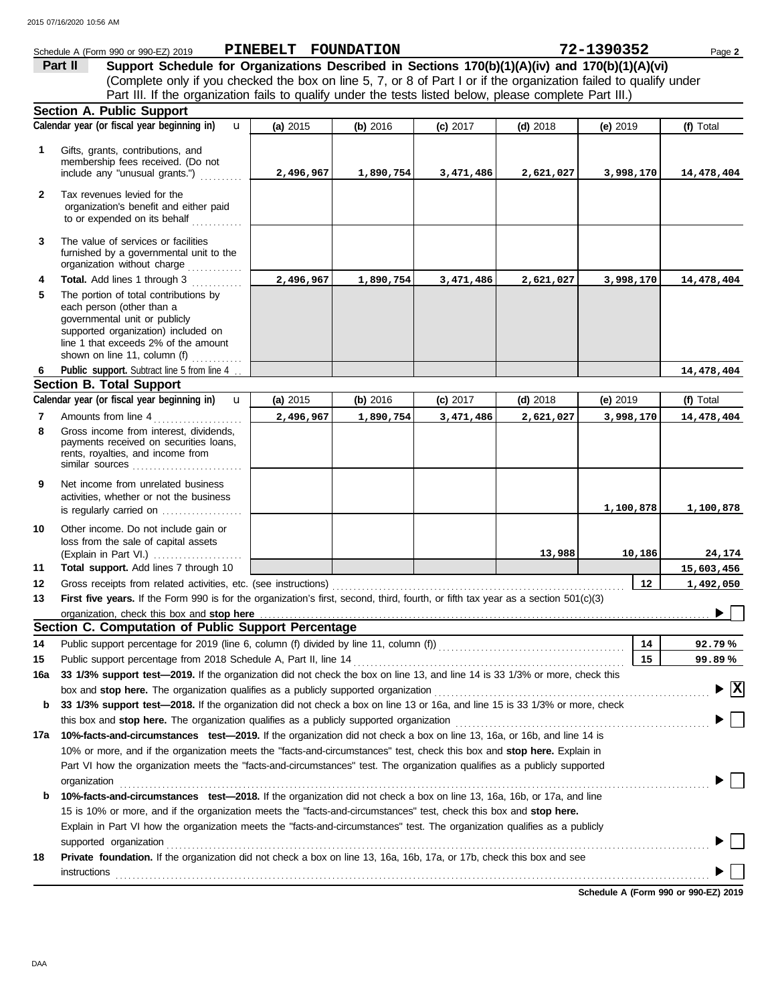|              | Schedule A (Form 990 or 990-EZ) 2019                                                                                                                                               | PINEBELT FOUNDATION |           |            |            | 72-1390352 | Page 2                                 |
|--------------|------------------------------------------------------------------------------------------------------------------------------------------------------------------------------------|---------------------|-----------|------------|------------|------------|----------------------------------------|
|              | Support Schedule for Organizations Described in Sections 170(b)(1)(A)(iv) and 170(b)(1)(A)(vi)<br>Part II                                                                          |                     |           |            |            |            |                                        |
|              | (Complete only if you checked the box on line 5, 7, or 8 of Part I or if the organization failed to qualify under                                                                  |                     |           |            |            |            |                                        |
|              | Part III. If the organization fails to qualify under the tests listed below, please complete Part III.)                                                                            |                     |           |            |            |            |                                        |
|              | <b>Section A. Public Support</b>                                                                                                                                                   |                     |           |            |            |            |                                        |
|              | Calendar year (or fiscal year beginning in)<br>$\mathbf{u}$                                                                                                                        | (a) 2015            | (b) 2016  | (c) 2017   | $(d)$ 2018 | (e) $2019$ | (f) Total                              |
| 1            | Gifts, grants, contributions, and                                                                                                                                                  |                     |           |            |            |            |                                        |
|              | membership fees received. (Do not                                                                                                                                                  |                     |           |            |            |            |                                        |
|              | include any "unusual grants.")                                                                                                                                                     | 2,496,967           | 1,890,754 | 3,471,486  | 2,621,027  | 3,998,170  | 14,478,404                             |
| $\mathbf{2}$ | Tax revenues levied for the<br>organization's benefit and either paid                                                                                                              |                     |           |            |            |            |                                        |
|              | to or expended on its behalf                                                                                                                                                       |                     |           |            |            |            |                                        |
| 3            | The value of services or facilities<br>furnished by a governmental unit to the<br>organization without charge<br>.                                                                 |                     |           |            |            |            |                                        |
| 4            | Total. Add lines 1 through 3                                                                                                                                                       | 2,496,967           | 1,890,754 | 3,471,486  | 2,621,027  | 3,998,170  | 14,478,404                             |
| 5            | The portion of total contributions by<br>each person (other than a<br>governmental unit or publicly<br>supported organization) included on<br>line 1 that exceeds 2% of the amount |                     |           |            |            |            |                                        |
|              | shown on line 11, column (f)                                                                                                                                                       |                     |           |            |            |            |                                        |
| 6            | Public support. Subtract line 5 from line 4.<br><b>Section B. Total Support</b>                                                                                                    |                     |           |            |            |            | 14,478,404                             |
|              | Calendar year (or fiscal year beginning in)<br>$\mathbf{u}$                                                                                                                        | (a) 2015            | (b) 2016  | $(c)$ 2017 | $(d)$ 2018 | (e) $2019$ | (f) Total                              |
| 7            | Amounts from line 4                                                                                                                                                                | 2,496,967           | 1,890,754 | 3,471,486  | 2,621,027  | 3,998,170  | 14,478,404                             |
| 8            | Gross income from interest, dividends,                                                                                                                                             |                     |           |            |            |            |                                        |
|              | payments received on securities loans,<br>rents, royalties, and income from<br>similar sources                                                                                     |                     |           |            |            |            |                                        |
| 9            | Net income from unrelated business<br>activities, whether or not the business                                                                                                      |                     |           |            |            | 1,100,878  | 1,100,878                              |
| 10           | Other income. Do not include gain or<br>loss from the sale of capital assets<br>(Explain in Part VI.)                                                                              |                     |           |            | 13,988     | 10,186     | 24,174                                 |
| 11           | Total support. Add lines 7 through 10                                                                                                                                              |                     |           |            |            |            | 15,603,456                             |
| 12           | Gross receipts from related activities, etc. (see instructions)                                                                                                                    |                     |           |            |            | 12         | 1,492,050                              |
| 13           | First five years. If the Form 990 is for the organization's first, second, third, fourth, or fifth tax year as a section 501(c)(3)                                                 |                     |           |            |            |            |                                        |
|              |                                                                                                                                                                                    |                     |           |            |            |            | $\blacksquare$                         |
|              | Section C. Computation of Public Support Percentage                                                                                                                                |                     |           |            |            |            |                                        |
| 14           | Public support percentage for 2019 (line 6, column (f) divided by line 11, column (f)) [[[[[[[[[[[[[[[[[[[[[[                                                                      |                     |           |            |            | 14         | 92.79%                                 |
| 15           | Public support percentage from 2018 Schedule A, Part II, line 14                                                                                                                   |                     |           |            |            | 15         | 99.89%                                 |
| 16a          | 33 1/3% support test-2019. If the organization did not check the box on line 13, and line 14 is 33 1/3% or more, check this                                                        |                     |           |            |            |            |                                        |
|              | box and stop here. The organization qualifies as a publicly supported organization                                                                                                 |                     |           |            |            |            | $\blacktriangleright \boxed{\text{X}}$ |
| b            | 33 1/3% support test-2018. If the organization did not check a box on line 13 or 16a, and line 15 is 33 1/3% or more, check                                                        |                     |           |            |            |            |                                        |
|              |                                                                                                                                                                                    |                     |           |            |            |            |                                        |
|              | 17a 10%-facts-and-circumstances test-2019. If the organization did not check a box on line 13, 16a, or 16b, and line 14 is                                                         |                     |           |            |            |            |                                        |
|              | 10% or more, and if the organization meets the "facts-and-circumstances" test, check this box and stop here. Explain in                                                            |                     |           |            |            |            |                                        |
|              | Part VI how the organization meets the "facts-and-circumstances" test. The organization qualifies as a publicly supported<br>organization                                          |                     |           |            |            |            |                                        |
| b            | 10%-facts-and-circumstances test-2018. If the organization did not check a box on line 13, 16a, 16b, or 17a, and line                                                              |                     |           |            |            |            |                                        |
|              | 15 is 10% or more, and if the organization meets the "facts-and-circumstances" test, check this box and stop here.                                                                 |                     |           |            |            |            |                                        |
|              | Explain in Part VI how the organization meets the "facts-and-circumstances" test. The organization qualifies as a publicly                                                         |                     |           |            |            |            |                                        |
| 18           | supported organization<br>Private foundation. If the organization did not check a box on line 13, 16a, 16b, 17a, or 17b, check this box and see                                    |                     |           |            |            |            |                                        |
|              | instructions                                                                                                                                                                       |                     |           |            |            |            |                                        |
|              |                                                                                                                                                                                    |                     |           |            |            |            |                                        |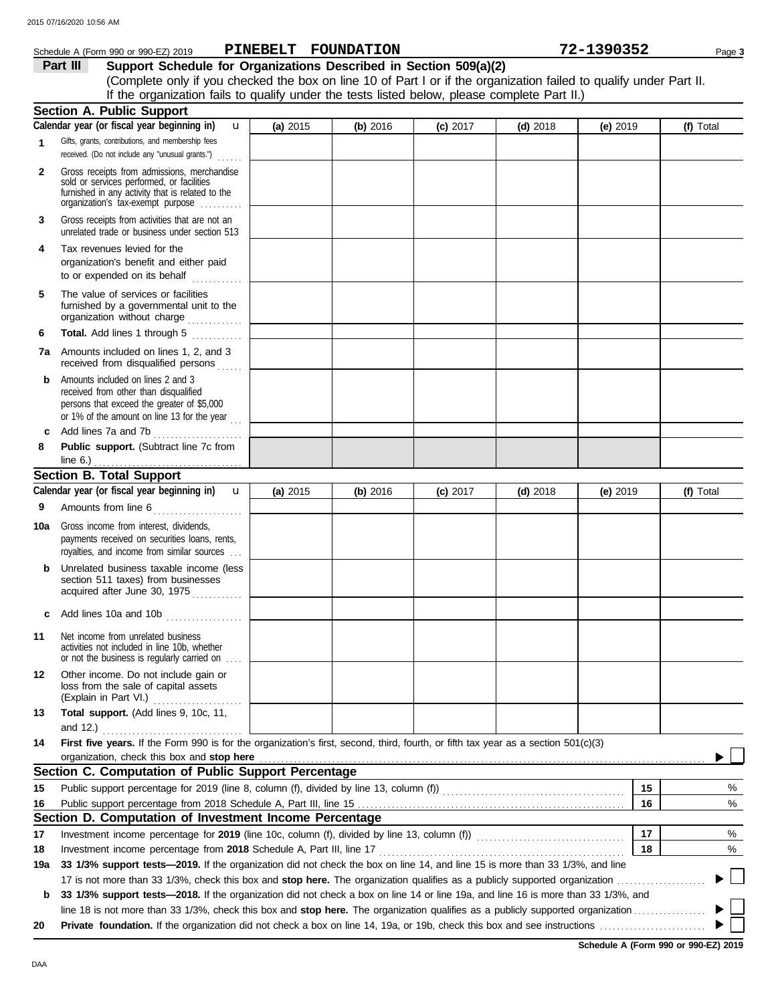|              | Schedule A (Form 990 or 990-EZ) 2019                                                                                                                                              | PINEBELT FOUNDATION |          |            |            | 72-1390352 | Page 3    |
|--------------|-----------------------------------------------------------------------------------------------------------------------------------------------------------------------------------|---------------------|----------|------------|------------|------------|-----------|
|              | Support Schedule for Organizations Described in Section 509(a)(2)<br>Part III                                                                                                     |                     |          |            |            |            |           |
|              | (Complete only if you checked the box on line 10 of Part I or if the organization failed to qualify under Part II.                                                                |                     |          |            |            |            |           |
|              | If the organization fails to qualify under the tests listed below, please complete Part II.)                                                                                      |                     |          |            |            |            |           |
|              | <b>Section A. Public Support</b><br>Calendar year (or fiscal year beginning in)<br>$\mathbf{u}$                                                                                   | (a) 2015            | (b) 2016 | $(c)$ 2017 | $(d)$ 2018 | (e) 2019   | (f) Total |
| 1            | Gifts, grants, contributions, and membership fees                                                                                                                                 |                     |          |            |            |            |           |
|              | received. (Do not include any "unusual grants.")<br>$\ldots$                                                                                                                      |                     |          |            |            |            |           |
| $\mathbf{2}$ | Gross receipts from admissions, merchandise<br>sold or services performed, or facilities<br>furnished in any activity that is related to the<br>organization's tax-exempt purpose |                     |          |            |            |            |           |
| 3            | Gross receipts from activities that are not an<br>unrelated trade or business under section 513                                                                                   |                     |          |            |            |            |           |
| 4            | Tax revenues levied for the<br>organization's benefit and either paid<br>to or expended on its behalf<br>.                                                                        |                     |          |            |            |            |           |
| 5            | The value of services or facilities<br>furnished by a governmental unit to the<br>organization without charge                                                                     |                     |          |            |            |            |           |
| 6            | Total. Add lines 1 through 5                                                                                                                                                      |                     |          |            |            |            |           |
|              | <b>7a</b> Amounts included on lines 1, 2, and 3<br>received from disqualified persons                                                                                             |                     |          |            |            |            |           |
| b            | Amounts included on lines 2 and 3<br>received from other than disqualified<br>persons that exceed the greater of \$5,000<br>or 1% of the amount on line 13 for the year $\ldots$  |                     |          |            |            |            |           |
| c            | Add lines 7a and 7b<br>.                                                                                                                                                          |                     |          |            |            |            |           |
| 8            | Public support. (Subtract line 7c from<br>line $6.$ )                                                                                                                             |                     |          |            |            |            |           |
|              | <b>Section B. Total Support</b>                                                                                                                                                   |                     |          |            |            |            |           |
|              | Calendar year (or fiscal year beginning in)<br>$\mathbf{u}$                                                                                                                       | (a) 2015            | (b) 2016 | (c) 2017   | $(d)$ 2018 | (e) 2019   | (f) Total |
| 9<br>10a     | Gross income from interest, dividends,<br>payments received on securities loans, rents,<br>royalties, and income from similar sources                                             |                     |          |            |            |            |           |
| b            | Unrelated business taxable income (less<br>section 511 taxes) from businesses<br>acquired after June 30, 1975                                                                     |                     |          |            |            |            |           |
| c            | Add lines 10a and 10b                                                                                                                                                             |                     |          |            |            |            |           |
| 11           | Net income from unrelated business<br>activities not included in line 10b, whether<br>or not the business is regularly carried on                                                 |                     |          |            |            |            |           |
| 12           | Other income. Do not include gain or<br>loss from the sale of capital assets<br>(Explain in Part VI.)                                                                             |                     |          |            |            |            |           |
| 13           | Total support. (Add lines 9, 10c, 11,<br>and 12.) $\ldots$                                                                                                                        |                     |          |            |            |            |           |
| 14           | First five years. If the Form 990 is for the organization's first, second, third, fourth, or fifth tax year as a section 501(c)(3)                                                |                     |          |            |            |            |           |

| 14  | First five years. If the Form 990 is for the organization's first, second, third, fourth, or fifth tax year as a section 501(c)(3)                                                                                             |    |   |
|-----|--------------------------------------------------------------------------------------------------------------------------------------------------------------------------------------------------------------------------------|----|---|
|     | organization, check this box and stop here manufactured and stop here contained a state of the contained and stop here contained and stop here are all the state of the state of the state of the state of the state of the st |    |   |
|     | Section C. Computation of Public Support Percentage                                                                                                                                                                            |    |   |
| 15  | Public support percentage for 2019 (line 8, column (f), divided by line 13, column (f))                                                                                                                                        | 15 | % |
| 16  |                                                                                                                                                                                                                                | 16 | % |
|     | Section D. Computation of Investment Income Percentage                                                                                                                                                                         |    |   |
| 17  | Investment income percentage for 2019 (line 10c, column (f), divided by line 13, column (f))                                                                                                                                   | 17 | % |
| 18  | Investment income percentage from 2018 Schedule A, Part III, line 17                                                                                                                                                           | 18 | % |
| 19a | 33 1/3% support tests—2019. If the organization did not check the box on line 14, and line 15 is more than 33 1/3%, and line                                                                                                   |    |   |
|     | 17 is not more than 33 1/3%, check this box and stop here. The organization qualifies as a publicly supported organization                                                                                                     |    |   |
| b   | 33 1/3% support tests—2018. If the organization did not check a box on line 14 or line 19a, and line 16 is more than 33 1/3%, and                                                                                              |    |   |
|     | line 18 is not more than 33 1/3%, check this box and <b>stop here.</b> The organization qualifies as a publicly supported organization                                                                                         |    |   |
| 20  |                                                                                                                                                                                                                                |    |   |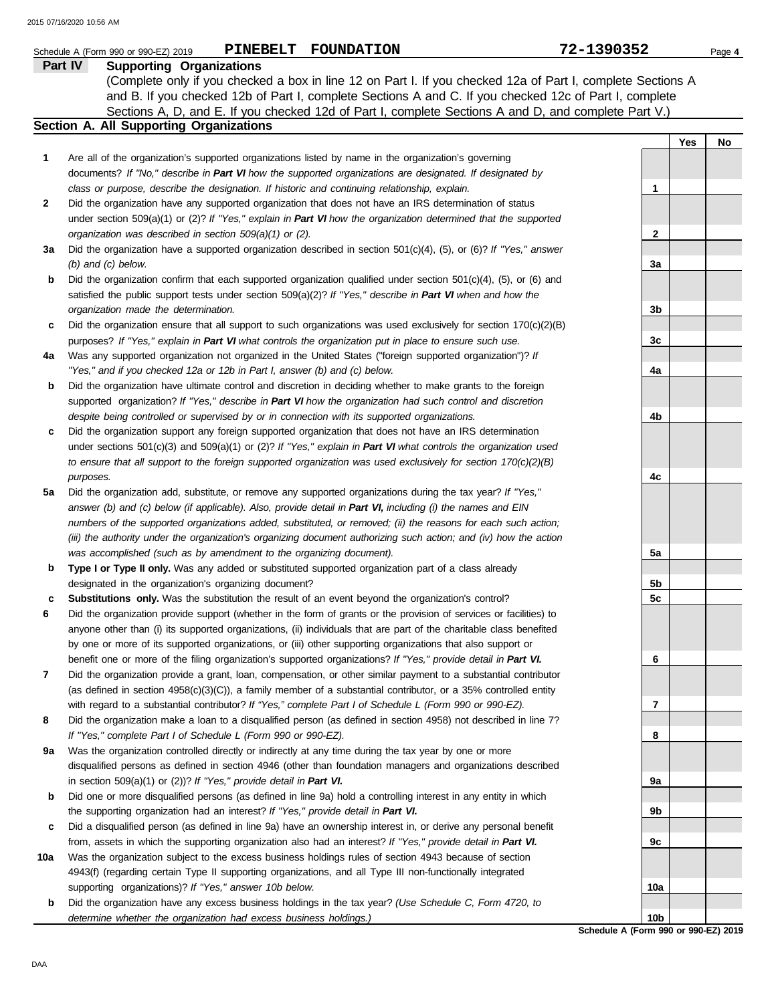|     | <b>PINEBELT</b><br><b>FOUNDATION</b><br>Schedule A (Form 990 or 990-EZ) 2019                                                                                                                                                       | 72-1390352      |     | Page 4 |
|-----|------------------------------------------------------------------------------------------------------------------------------------------------------------------------------------------------------------------------------------|-----------------|-----|--------|
|     | <b>Supporting Organizations</b><br>Part IV                                                                                                                                                                                         |                 |     |        |
|     | (Complete only if you checked a box in line 12 on Part I. If you checked 12a of Part I, complete Sections A                                                                                                                        |                 |     |        |
|     | and B. If you checked 12b of Part I, complete Sections A and C. If you checked 12c of Part I, complete                                                                                                                             |                 |     |        |
|     | Sections A, D, and E. If you checked 12d of Part I, complete Sections A and D, and complete Part V.)                                                                                                                               |                 |     |        |
|     | Section A. All Supporting Organizations                                                                                                                                                                                            |                 |     |        |
|     |                                                                                                                                                                                                                                    |                 | Yes | No     |
| 1   | Are all of the organization's supported organizations listed by name in the organization's governing                                                                                                                               |                 |     |        |
|     | documents? If "No," describe in Part VI how the supported organizations are designated. If designated by                                                                                                                           | 1               |     |        |
| 2   | class or purpose, describe the designation. If historic and continuing relationship, explain.<br>Did the organization have any supported organization that does not have an IRS determination of status                            |                 |     |        |
|     | under section 509(a)(1) or (2)? If "Yes," explain in Part VI how the organization determined that the supported                                                                                                                    |                 |     |        |
|     | organization was described in section 509(a)(1) or (2).                                                                                                                                                                            | 2               |     |        |
| За  | Did the organization have a supported organization described in section $501(c)(4)$ , $(5)$ , or $(6)$ ? If "Yes," answer                                                                                                          |                 |     |        |
|     | $(b)$ and $(c)$ below.                                                                                                                                                                                                             | За              |     |        |
| b   | Did the organization confirm that each supported organization qualified under section $501(c)(4)$ , $(5)$ , or $(6)$ and                                                                                                           |                 |     |        |
|     | satisfied the public support tests under section 509(a)(2)? If "Yes," describe in Part VI when and how the                                                                                                                         |                 |     |        |
|     | organization made the determination.                                                                                                                                                                                               | 3b              |     |        |
| c   | Did the organization ensure that all support to such organizations was used exclusively for section $170(c)(2)(B)$                                                                                                                 |                 |     |        |
|     | purposes? If "Yes," explain in Part VI what controls the organization put in place to ensure such use.                                                                                                                             | 3c              |     |        |
| 4a  | Was any supported organization not organized in the United States ("foreign supported organization")? If                                                                                                                           |                 |     |        |
|     | "Yes," and if you checked 12a or 12b in Part I, answer (b) and (c) below.                                                                                                                                                          | 4a              |     |        |
| b   | Did the organization have ultimate control and discretion in deciding whether to make grants to the foreign                                                                                                                        |                 |     |        |
|     | supported organization? If "Yes," describe in Part VI how the organization had such control and discretion                                                                                                                         |                 |     |        |
|     | despite being controlled or supervised by or in connection with its supported organizations.                                                                                                                                       | 4b              |     |        |
| c   | Did the organization support any foreign supported organization that does not have an IRS determination                                                                                                                            |                 |     |        |
|     | under sections $501(c)(3)$ and $509(a)(1)$ or (2)? If "Yes," explain in Part VI what controls the organization used                                                                                                                |                 |     |        |
|     | to ensure that all support to the foreign supported organization was used exclusively for section $170(c)(2)(B)$                                                                                                                   |                 |     |        |
|     | purposes.                                                                                                                                                                                                                          | 4c              |     |        |
| 5a  | Did the organization add, substitute, or remove any supported organizations during the tax year? If "Yes,"                                                                                                                         |                 |     |        |
|     | answer (b) and (c) below (if applicable). Also, provide detail in Part VI, including (i) the names and EIN                                                                                                                         |                 |     |        |
|     | numbers of the supported organizations added, substituted, or removed; (ii) the reasons for each such action;<br>(iii) the authority under the organization's organizing document authorizing such action; and (iv) how the action |                 |     |        |
|     | was accomplished (such as by amendment to the organizing document).                                                                                                                                                                | 5a              |     |        |
| b   | Type I or Type II only. Was any added or substituted supported organization part of a class already                                                                                                                                |                 |     |        |
|     | designated in the organization's organizing document?                                                                                                                                                                              | 5b              |     |        |
| c   | Substitutions only. Was the substitution the result of an event beyond the organization's control?                                                                                                                                 | 5c              |     |        |
| 6   | Did the organization provide support (whether in the form of grants or the provision of services or facilities) to                                                                                                                 |                 |     |        |
|     | anyone other than (i) its supported organizations, (ii) individuals that are part of the charitable class benefited                                                                                                                |                 |     |        |
|     | by one or more of its supported organizations, or (iii) other supporting organizations that also support or                                                                                                                        |                 |     |        |
|     | benefit one or more of the filing organization's supported organizations? If "Yes," provide detail in Part VI.                                                                                                                     | 6               |     |        |
| 7   | Did the organization provide a grant, loan, compensation, or other similar payment to a substantial contributor                                                                                                                    |                 |     |        |
|     | (as defined in section $4958(c)(3)(C)$ ), a family member of a substantial contributor, or a 35% controlled entity                                                                                                                 |                 |     |        |
|     | with regard to a substantial contributor? If "Yes," complete Part I of Schedule L (Form 990 or 990-EZ).                                                                                                                            | 7               |     |        |
| 8   | Did the organization make a loan to a disqualified person (as defined in section 4958) not described in line 7?                                                                                                                    |                 |     |        |
|     | If "Yes," complete Part I of Schedule L (Form 990 or 990-EZ).                                                                                                                                                                      | 8               |     |        |
| 9а  | Was the organization controlled directly or indirectly at any time during the tax year by one or more                                                                                                                              |                 |     |        |
|     | disqualified persons as defined in section 4946 (other than foundation managers and organizations described                                                                                                                        |                 |     |        |
|     | in section $509(a)(1)$ or (2))? If "Yes," provide detail in Part VI.                                                                                                                                                               | 9а              |     |        |
| b   | Did one or more disqualified persons (as defined in line 9a) hold a controlling interest in any entity in which                                                                                                                    |                 |     |        |
|     | the supporting organization had an interest? If "Yes," provide detail in Part VI.                                                                                                                                                  | 9b              |     |        |
| c   | Did a disqualified person (as defined in line 9a) have an ownership interest in, or derive any personal benefit<br>from, assets in which the supporting organization also had an interest? If "Yes," provide detail in Part VI.    | 9c              |     |        |
| 10a | Was the organization subject to the excess business holdings rules of section 4943 because of section                                                                                                                              |                 |     |        |
|     | 4943(f) (regarding certain Type II supporting organizations, and all Type III non-functionally integrated                                                                                                                          |                 |     |        |
|     | supporting organizations)? If "Yes," answer 10b below.                                                                                                                                                                             | 10a             |     |        |
| b   | Did the organization have any excess business holdings in the tax year? (Use Schedule C, Form 4720, to                                                                                                                             |                 |     |        |
|     | determine whether the organization had excess business holdings.)                                                                                                                                                                  | 10 <sub>b</sub> |     |        |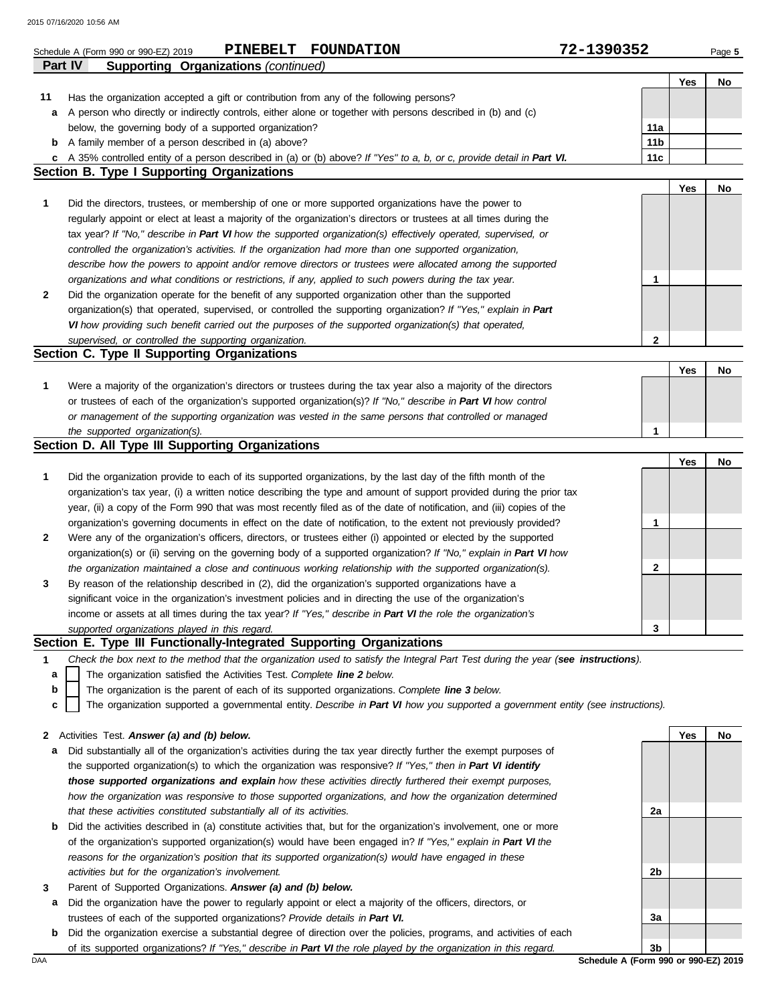2015 07/16/2020 10:56 AM

|    | <b>FOUNDATION</b><br>PINEBELT<br>Schedule A (Form 990 or 990-EZ) 2019                                                                                                      | 72-1390352      |     | Page 5 |
|----|----------------------------------------------------------------------------------------------------------------------------------------------------------------------------|-----------------|-----|--------|
|    | Part IV<br><b>Supporting Organizations (continued)</b>                                                                                                                     |                 |     |        |
|    |                                                                                                                                                                            |                 | Yes | No     |
| 11 | Has the organization accepted a gift or contribution from any of the following persons?                                                                                    |                 |     |        |
| а  | A person who directly or indirectly controls, either alone or together with persons described in (b) and (c)                                                               |                 |     |        |
|    | below, the governing body of a supported organization?                                                                                                                     | 11a             |     |        |
| b  | A family member of a person described in (a) above?                                                                                                                        | 11 <sub>b</sub> |     |        |
| c  | A 35% controlled entity of a person described in (a) or (b) above? If "Yes" to a, b, or c, provide detail in Part VI.<br><b>Section B. Type I Supporting Organizations</b> | 11c             |     |        |
|    |                                                                                                                                                                            |                 | Yes | No     |
| 1  | Did the directors, trustees, or membership of one or more supported organizations have the power to                                                                        |                 |     |        |
|    | regularly appoint or elect at least a majority of the organization's directors or trustees at all times during the                                                         |                 |     |        |
|    | tax year? If "No," describe in Part VI how the supported organization(s) effectively operated, supervised, or                                                              |                 |     |        |
|    | controlled the organization's activities. If the organization had more than one supported organization,                                                                    |                 |     |        |
|    | describe how the powers to appoint and/or remove directors or trustees were allocated among the supported                                                                  |                 |     |        |
|    | organizations and what conditions or restrictions, if any, applied to such powers during the tax year.                                                                     | 1               |     |        |
| 2  | Did the organization operate for the benefit of any supported organization other than the supported                                                                        |                 |     |        |
|    | organization(s) that operated, supervised, or controlled the supporting organization? If "Yes," explain in Part                                                            |                 |     |        |
|    | VI how providing such benefit carried out the purposes of the supported organization(s) that operated,                                                                     |                 |     |        |
|    | supervised, or controlled the supporting organization.                                                                                                                     | $\mathbf{2}$    |     |        |
|    | Section C. Type II Supporting Organizations                                                                                                                                |                 |     |        |
|    |                                                                                                                                                                            |                 | Yes | No     |
| 1  | Were a majority of the organization's directors or trustees during the tax year also a majority of the directors                                                           |                 |     |        |
|    | or trustees of each of the organization's supported organization(s)? If "No," describe in Part VI how control                                                              |                 |     |        |
|    | or management of the supporting organization was vested in the same persons that controlled or managed                                                                     |                 |     |        |
|    | the supported organization(s).                                                                                                                                             | 1               |     |        |
|    | Section D. All Type III Supporting Organizations                                                                                                                           |                 |     |        |
|    |                                                                                                                                                                            |                 | Yes | No     |
| 1  | Did the organization provide to each of its supported organizations, by the last day of the fifth month of the                                                             |                 |     |        |
|    | organization's tax year, (i) a written notice describing the type and amount of support provided during the prior tax                                                      |                 |     |        |
|    | year, (ii) a copy of the Form 990 that was most recently filed as of the date of notification, and (iii) copies of the                                                     |                 |     |        |
|    | organization's governing documents in effect on the date of notification, to the extent not previously provided?                                                           | 1               |     |        |
| 2  | Were any of the organization's officers, directors, or trustees either (i) appointed or elected by the supported                                                           |                 |     |        |
|    | organization(s) or (ii) serving on the governing body of a supported organization? If "No," explain in Part VI how                                                         |                 |     |        |
|    | the organization maintained a close and continuous working relationship with the supported organization(s).                                                                | 2               |     |        |
| 3  | By reason of the relationship described in (2), did the organization's supported organizations have a                                                                      |                 |     |        |
|    | significant voice in the organization's investment policies and in directing the use of the organization's                                                                 |                 |     |        |
|    | income or assets at all times during the tax year? If "Yes," describe in Part VI the role the organization's                                                               |                 |     |        |
|    | supported organizations played in this regard.                                                                                                                             | 3               |     |        |
|    | Section E. Type III Functionally-Integrated Supporting Organizations                                                                                                       |                 |     |        |
| 1  | Check the box next to the method that the organization used to satisfy the Integral Part Test during the year (see instructions).                                          |                 |     |        |
| a  | The organization satisfied the Activities Test. Complete line 2 below.                                                                                                     |                 |     |        |
| b  | The organization is the parent of each of its supported organizations. Complete line 3 below.                                                                              |                 |     |        |
| c  | The organization supported a governmental entity. Describe in Part VI how you supported a government entity (see instructions).                                            |                 |     |        |
| 2  | Activities Test. Answer (a) and (b) below.                                                                                                                                 |                 | Yes | No     |
| а  | Did substantially all of the organization's activities during the tax year directly further the exempt purposes of                                                         |                 |     |        |
|    | the supported organization(s) to which the organization was responsive? If "Yes," then in Part VI identify                                                                 |                 |     |        |
|    | those supported organizations and explain how these activities directly furthered their exempt purposes,                                                                   |                 |     |        |
|    | how the organization was responsive to those supported organizations, and how the organization determined                                                                  |                 |     |        |
|    | that these activities constituted substantially all of its activities.                                                                                                     | 2a              |     |        |
| b  | Did the activities described in (a) constitute activities that, but for the organization's involvement, one or more                                                        |                 |     |        |
|    | of the organization's supported organization(s) would have been engaged in? If "Yes," explain in Part VI the                                                               |                 |     |        |
|    | reasons for the organization's position that its supported organization(s) would have engaged in these                                                                     |                 |     |        |
|    | activities but for the organization's involvement.                                                                                                                         | 2b              |     |        |
| 3  | Parent of Supported Organizations. Answer (a) and (b) below.                                                                                                               |                 |     |        |
| a  | Did the organization have the power to regularly appoint or elect a majority of the officers, directors, or                                                                |                 |     |        |
|    | trustees of each of the supported organizations? Provide details in Part VI.                                                                                               | За              |     |        |
|    |                                                                                                                                                                            |                 |     |        |

**b** Did the organization exercise a substantial degree of direction over the policies, programs, and activities of each of its supported organizations? *If "Yes," describe in Part VI the role played by the organization in this regard.*

DAA **Schedule A (Form 990 or 990-EZ) 2019 3b**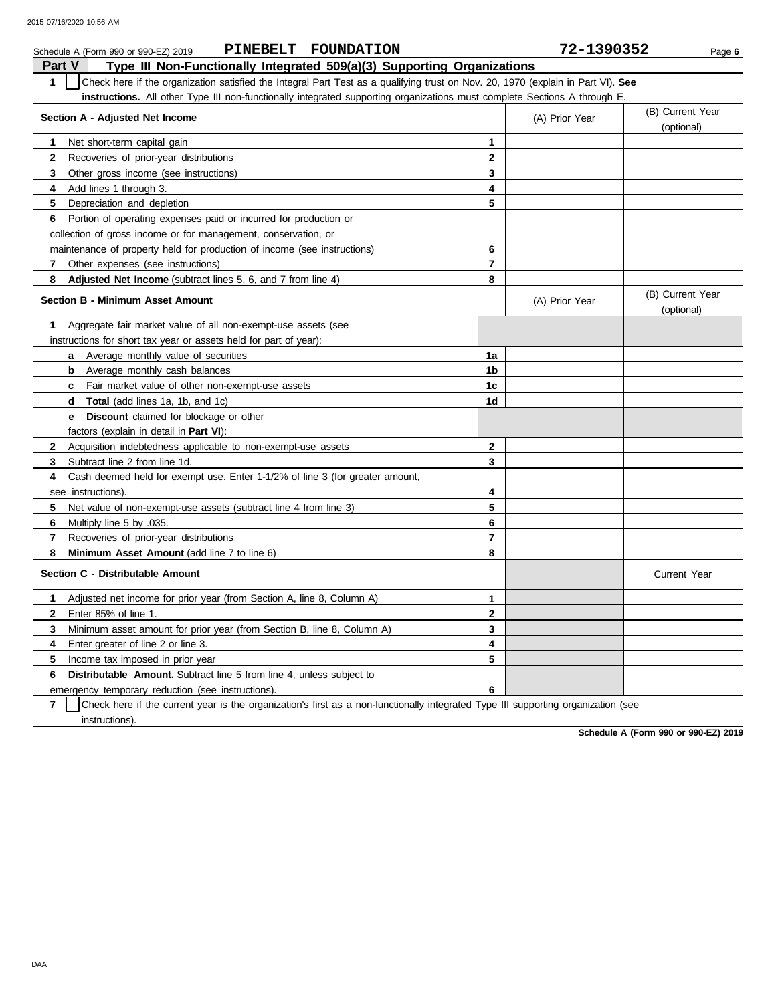| PINEBELT FOUNDATION<br>Schedule A (Form 990 or 990-EZ) 2019                                                                           |                  | 72-1390352     | Page 6                         |
|---------------------------------------------------------------------------------------------------------------------------------------|------------------|----------------|--------------------------------|
| Part V<br>Type III Non-Functionally Integrated 509(a)(3) Supporting Organizations                                                     |                  |                |                                |
| Check here if the organization satisfied the Integral Part Test as a qualifying trust on Nov. 20, 1970 (explain in Part VI). See<br>1 |                  |                |                                |
| <b>instructions.</b> All other Type III non-functionally integrated supporting organizations must complete Sections A through E.      |                  |                |                                |
| Section A - Adjusted Net Income                                                                                                       |                  | (A) Prior Year | (B) Current Year               |
|                                                                                                                                       |                  |                | (optional)                     |
| 1<br>Net short-term capital gain                                                                                                      | 1                |                |                                |
| $\mathbf{2}$<br>Recoveries of prior-year distributions                                                                                | $\mathbf{2}$     |                |                                |
| 3<br>Other gross income (see instructions)                                                                                            | 3                |                |                                |
| Add lines 1 through 3.<br>4                                                                                                           | 4                |                |                                |
| 5<br>Depreciation and depletion                                                                                                       | 5                |                |                                |
| Portion of operating expenses paid or incurred for production or<br>6                                                                 |                  |                |                                |
| collection of gross income or for management, conservation, or                                                                        |                  |                |                                |
| maintenance of property held for production of income (see instructions)                                                              | 6                |                |                                |
| 7<br>Other expenses (see instructions)                                                                                                | 7                |                |                                |
| 8<br>Adjusted Net Income (subtract lines 5, 6, and 7 from line 4)                                                                     | 8                |                |                                |
| <b>Section B - Minimum Asset Amount</b>                                                                                               |                  | (A) Prior Year | (B) Current Year<br>(optional) |
| Aggregate fair market value of all non-exempt-use assets (see<br>1                                                                    |                  |                |                                |
| instructions for short tax year or assets held for part of year):                                                                     |                  |                |                                |
| <b>a</b> Average monthly value of securities                                                                                          | 1a               |                |                                |
| <b>b</b> Average monthly cash balances                                                                                                | 1b               |                |                                |
| Fair market value of other non-exempt-use assets<br>C                                                                                 | 1c               |                |                                |
| <b>Total</b> (add lines 1a, 1b, and 1c)<br>d                                                                                          | 1d               |                |                                |
| <b>Discount</b> claimed for blockage or other<br>е                                                                                    |                  |                |                                |
| factors (explain in detail in Part VI):                                                                                               |                  |                |                                |
| $\mathbf{2}$<br>Acquisition indebtedness applicable to non-exempt-use assets                                                          | $\boldsymbol{2}$ |                |                                |
| 3<br>Subtract line 2 from line 1d.                                                                                                    | 3                |                |                                |
| Cash deemed held for exempt use. Enter 1-1/2% of line 3 (for greater amount,<br>4                                                     |                  |                |                                |
| see instructions).                                                                                                                    | 4                |                |                                |
| 5<br>Net value of non-exempt-use assets (subtract line 4 from line 3)                                                                 | 5                |                |                                |
| 6<br>Multiply line 5 by .035.                                                                                                         | 6                |                |                                |
| $\overline{7}$<br>Recoveries of prior-year distributions                                                                              | $\overline{7}$   |                |                                |
| 8<br>Minimum Asset Amount (add line 7 to line 6)                                                                                      | 8                |                |                                |
| Section C - Distributable Amount                                                                                                      |                  |                | <b>Current Year</b>            |
| Adjusted net income for prior year (from Section A, line 8, Column A)<br>1                                                            | $\mathbf{1}$     |                |                                |
| $\mathbf{2}$<br>Enter 85% of line 1.                                                                                                  | $\mathbf{2}$     |                |                                |
| 3<br>Minimum asset amount for prior year (from Section B, line 8, Column A)                                                           | 3                |                |                                |
| 4<br>Enter greater of line 2 or line 3.                                                                                               | 4                |                |                                |
| 5<br>Income tax imposed in prior year                                                                                                 | 5                |                |                                |
| <b>Distributable Amount.</b> Subtract line 5 from line 4, unless subject to<br>6                                                      |                  |                |                                |
| emergency temporary reduction (see instructions).                                                                                     | 6                |                |                                |

**7** instructions). Check here if the current year is the organization's first as a non-functionally integrated Type III supporting organization (see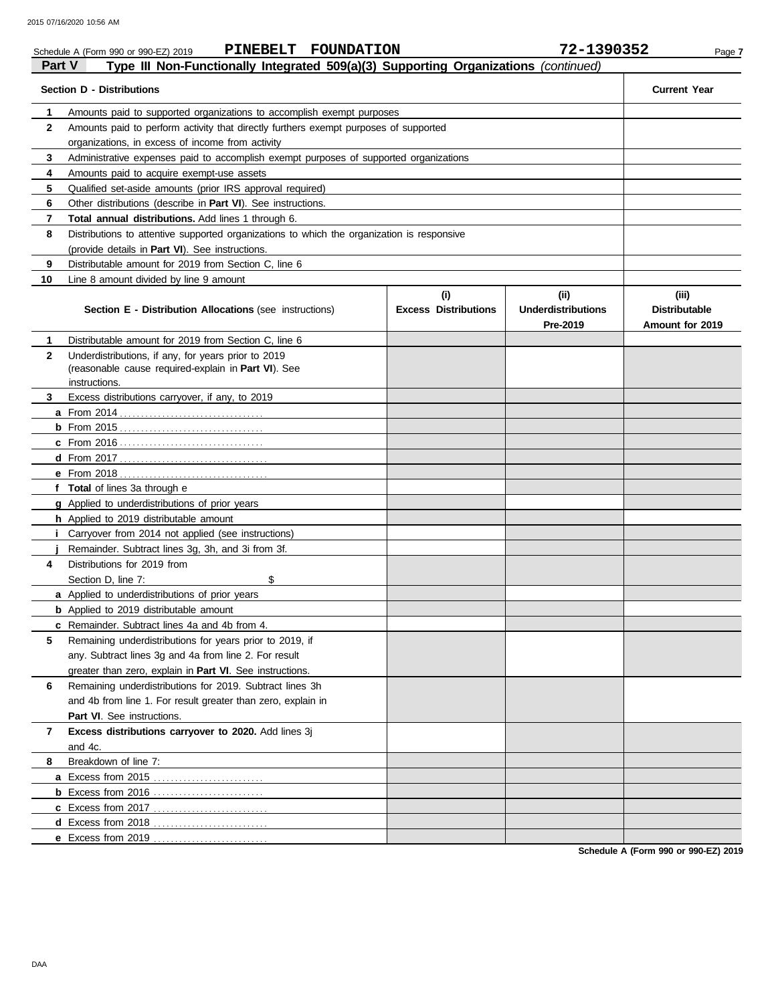|               | PINEBELT FOUNDATION<br>Schedule A (Form 990 or 990-EZ) 2019                                |                             | 72-1390352                            | Page 7                                  |
|---------------|--------------------------------------------------------------------------------------------|-----------------------------|---------------------------------------|-----------------------------------------|
| <b>Part V</b> | Type III Non-Functionally Integrated 509(a)(3) Supporting Organizations (continued)        |                             |                                       |                                         |
|               | <b>Section D - Distributions</b>                                                           |                             |                                       | <b>Current Year</b>                     |
| 1             | Amounts paid to supported organizations to accomplish exempt purposes                      |                             |                                       |                                         |
| $\mathbf{2}$  | Amounts paid to perform activity that directly furthers exempt purposes of supported       |                             |                                       |                                         |
|               | organizations, in excess of income from activity                                           |                             |                                       |                                         |
| 3             | Administrative expenses paid to accomplish exempt purposes of supported organizations      |                             |                                       |                                         |
| 4             | Amounts paid to acquire exempt-use assets                                                  |                             |                                       |                                         |
| 5             | Qualified set-aside amounts (prior IRS approval required)                                  |                             |                                       |                                         |
| 6             | Other distributions (describe in <b>Part VI</b> ). See instructions.                       |                             |                                       |                                         |
| 7             | Total annual distributions. Add lines 1 through 6.                                         |                             |                                       |                                         |
| 8             | Distributions to attentive supported organizations to which the organization is responsive |                             |                                       |                                         |
|               | (provide details in Part VI). See instructions.                                            |                             |                                       |                                         |
| 9             | Distributable amount for 2019 from Section C, line 6                                       |                             |                                       |                                         |
| 10            | Line 8 amount divided by line 9 amount                                                     |                             |                                       |                                         |
|               |                                                                                            | (i)                         | (ii)                                  | (iii)                                   |
|               | Section E - Distribution Allocations (see instructions)                                    | <b>Excess Distributions</b> | <b>Underdistributions</b><br>Pre-2019 | <b>Distributable</b><br>Amount for 2019 |
| 1             | Distributable amount for 2019 from Section C. line 6                                       |                             |                                       |                                         |
| $\mathbf{2}$  | Underdistributions, if any, for years prior to 2019                                        |                             |                                       |                                         |
|               | (reasonable cause required-explain in Part VI). See                                        |                             |                                       |                                         |
|               | instructions.                                                                              |                             |                                       |                                         |
| 3             | Excess distributions carryover, if any, to 2019                                            |                             |                                       |                                         |
|               |                                                                                            |                             |                                       |                                         |
|               |                                                                                            |                             |                                       |                                         |
|               |                                                                                            |                             |                                       |                                         |
|               |                                                                                            |                             |                                       |                                         |
|               |                                                                                            |                             |                                       |                                         |
|               | f Total of lines 3a through e                                                              |                             |                                       |                                         |
|               | <b>g</b> Applied to underdistributions of prior years                                      |                             |                                       |                                         |
|               | h Applied to 2019 distributable amount                                                     |                             |                                       |                                         |
|               | <i>i</i> Carryover from 2014 not applied (see instructions)                                |                             |                                       |                                         |
|               | Remainder. Subtract lines 3g, 3h, and 3i from 3f.                                          |                             |                                       |                                         |
| 4             | Distributions for 2019 from                                                                |                             |                                       |                                         |
|               | \$<br>Section D, line 7:                                                                   |                             |                                       |                                         |
|               | <b>a</b> Applied to underdistributions of prior years                                      |                             |                                       |                                         |
|               | <b>b</b> Applied to 2019 distributable amount                                              |                             |                                       |                                         |
|               | c Remainder. Subtract lines 4a and 4b from 4.                                              |                             |                                       |                                         |
| 5             | Remaining underdistributions for years prior to 2019, if                                   |                             |                                       |                                         |
|               | any. Subtract lines 3g and 4a from line 2. For result                                      |                             |                                       |                                         |
|               | greater than zero, explain in Part VI. See instructions.                                   |                             |                                       |                                         |
| 6             | Remaining underdistributions for 2019. Subtract lines 3h                                   |                             |                                       |                                         |
|               | and 4b from line 1. For result greater than zero, explain in                               |                             |                                       |                                         |
|               | <b>Part VI.</b> See instructions.                                                          |                             |                                       |                                         |
| 7             | Excess distributions carryover to 2020. Add lines 3j                                       |                             |                                       |                                         |
|               | and 4c.                                                                                    |                             |                                       |                                         |
| 8             | Breakdown of line 7:                                                                       |                             |                                       |                                         |
|               | a Excess from 2015                                                                         |                             |                                       |                                         |
|               |                                                                                            |                             |                                       |                                         |
|               |                                                                                            |                             |                                       |                                         |
|               |                                                                                            |                             |                                       |                                         |
|               | e Excess from 2019                                                                         |                             |                                       |                                         |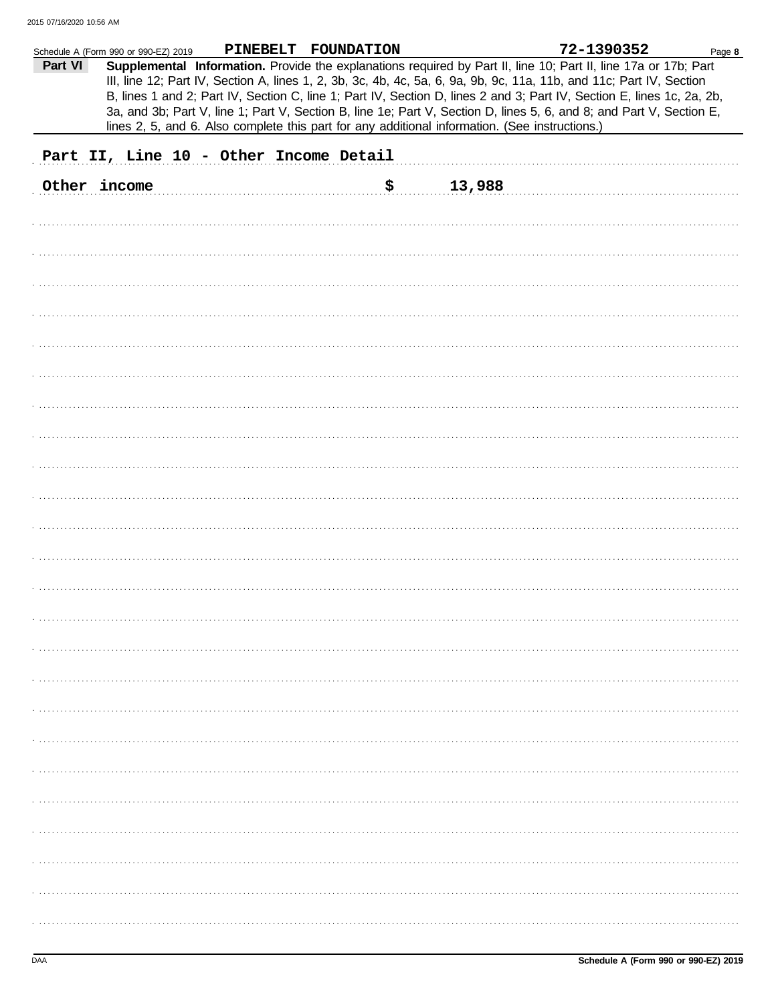|              | Schedule A (Form 990 or 990-EZ) 2019                                                           |  |  | PINEBELT FOUNDATION |     |        |  | 72-1390352                                                                                                                                                                                                                                                                                                                                                        | Page 8 |
|--------------|------------------------------------------------------------------------------------------------|--|--|---------------------|-----|--------|--|-------------------------------------------------------------------------------------------------------------------------------------------------------------------------------------------------------------------------------------------------------------------------------------------------------------------------------------------------------------------|--------|
| Part VI      |                                                                                                |  |  |                     |     |        |  | Supplemental Information. Provide the explanations required by Part II, line 10; Part II, line 17a or 17b; Part<br>III, line 12; Part IV, Section A, lines 1, 2, 3b, 3c, 4b, 4c, 5a, 6, 9a, 9b, 9c, 11a, 11b, and 11c; Part IV, Section<br>B, lines 1 and 2; Part IV, Section C, line 1; Part IV, Section D, lines 2 and 3; Part IV, Section E, lines 1c, 2a, 2b, |        |
|              |                                                                                                |  |  |                     |     |        |  | 3a, and 3b; Part V, line 1; Part V, Section B, line 1e; Part V, Section D, lines 5, 6, and 8; and Part V, Section E,                                                                                                                                                                                                                                              |        |
|              | lines 2, 5, and 6. Also complete this part for any additional information. (See instructions.) |  |  |                     |     |        |  |                                                                                                                                                                                                                                                                                                                                                                   |        |
|              | Part II, Line 10 - Other Income Detail                                                         |  |  |                     |     |        |  |                                                                                                                                                                                                                                                                                                                                                                   |        |
| Other income |                                                                                                |  |  |                     | \$. | 13,988 |  |                                                                                                                                                                                                                                                                                                                                                                   |        |
|              |                                                                                                |  |  |                     |     |        |  |                                                                                                                                                                                                                                                                                                                                                                   |        |
|              |                                                                                                |  |  |                     |     |        |  |                                                                                                                                                                                                                                                                                                                                                                   |        |
|              |                                                                                                |  |  |                     |     |        |  |                                                                                                                                                                                                                                                                                                                                                                   |        |
|              |                                                                                                |  |  |                     |     |        |  |                                                                                                                                                                                                                                                                                                                                                                   |        |
|              |                                                                                                |  |  |                     |     |        |  |                                                                                                                                                                                                                                                                                                                                                                   |        |
|              |                                                                                                |  |  |                     |     |        |  |                                                                                                                                                                                                                                                                                                                                                                   |        |
|              |                                                                                                |  |  |                     |     |        |  |                                                                                                                                                                                                                                                                                                                                                                   |        |
|              |                                                                                                |  |  |                     |     |        |  |                                                                                                                                                                                                                                                                                                                                                                   |        |
|              |                                                                                                |  |  |                     |     |        |  |                                                                                                                                                                                                                                                                                                                                                                   |        |
|              |                                                                                                |  |  |                     |     |        |  |                                                                                                                                                                                                                                                                                                                                                                   |        |
|              |                                                                                                |  |  |                     |     |        |  |                                                                                                                                                                                                                                                                                                                                                                   |        |
|              |                                                                                                |  |  |                     |     |        |  |                                                                                                                                                                                                                                                                                                                                                                   |        |
|              |                                                                                                |  |  |                     |     |        |  |                                                                                                                                                                                                                                                                                                                                                                   |        |
|              |                                                                                                |  |  |                     |     |        |  |                                                                                                                                                                                                                                                                                                                                                                   |        |
|              |                                                                                                |  |  |                     |     |        |  |                                                                                                                                                                                                                                                                                                                                                                   |        |
|              |                                                                                                |  |  |                     |     |        |  |                                                                                                                                                                                                                                                                                                                                                                   |        |
|              |                                                                                                |  |  |                     |     |        |  |                                                                                                                                                                                                                                                                                                                                                                   |        |
|              |                                                                                                |  |  |                     |     |        |  |                                                                                                                                                                                                                                                                                                                                                                   |        |
|              |                                                                                                |  |  |                     |     |        |  |                                                                                                                                                                                                                                                                                                                                                                   |        |
|              |                                                                                                |  |  |                     |     |        |  |                                                                                                                                                                                                                                                                                                                                                                   |        |
|              |                                                                                                |  |  |                     |     |        |  |                                                                                                                                                                                                                                                                                                                                                                   |        |
|              |                                                                                                |  |  |                     |     |        |  |                                                                                                                                                                                                                                                                                                                                                                   |        |
|              |                                                                                                |  |  |                     |     |        |  |                                                                                                                                                                                                                                                                                                                                                                   |        |
|              |                                                                                                |  |  |                     |     |        |  |                                                                                                                                                                                                                                                                                                                                                                   |        |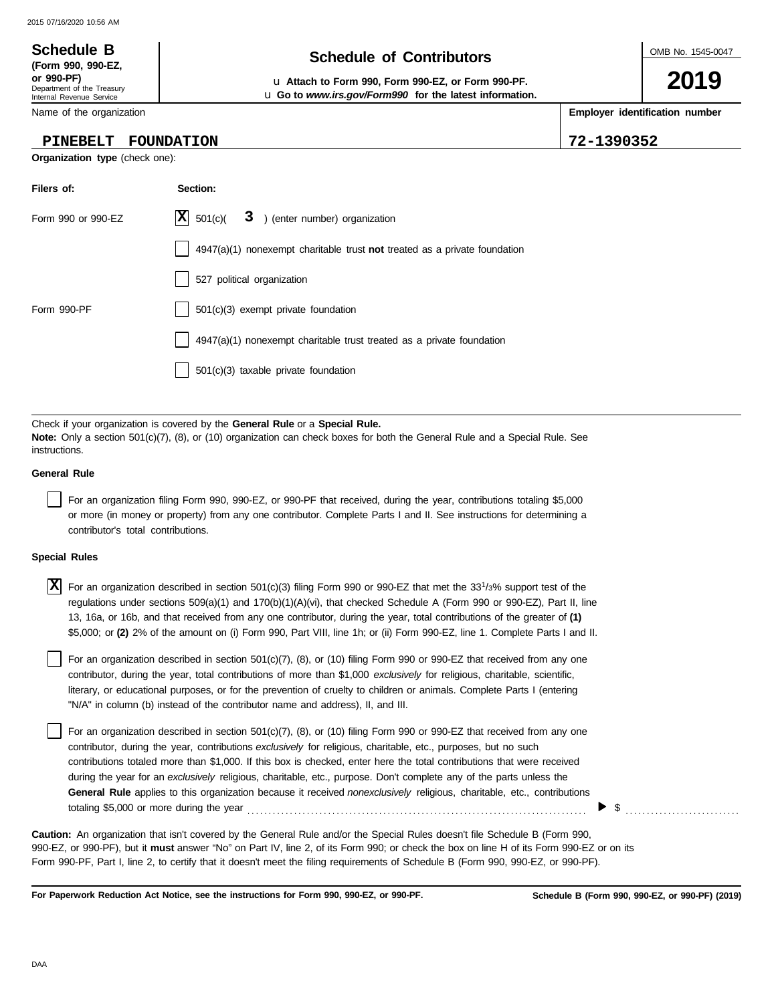#### OMB No. 1545-0047 Department of the Treasury Internal Revenue Service Name of the organization **2019 Schedule of Contributors Schedule B (Form 990, 990-EZ, or 990-PF)** u **Attach to Form 990, Form 990-EZ, or Form 990-PF. Employer identification number** u **Go to** *www.irs.gov/Form990* **for the latest information. PINEBELT FOUNDATION 72-1390352**

**Organization type** (check one):

| Filers of:         | Section:                                                                    |
|--------------------|-----------------------------------------------------------------------------|
| Form 990 or 990-EZ | $ \mathbf{X} $ 501(c)( $3$ ) (enter number) organization                    |
|                    | $4947(a)(1)$ nonexempt charitable trust not treated as a private foundation |
|                    | 527 political organization                                                  |
| Form 990-PF        | 501(c)(3) exempt private foundation                                         |
|                    | 4947(a)(1) nonexempt charitable trust treated as a private foundation       |
|                    | 501(c)(3) taxable private foundation                                        |

Check if your organization is covered by the **General Rule** or a **Special Rule. Note:** Only a section 501(c)(7), (8), or (10) organization can check boxes for both the General Rule and a Special Rule. See instructions.

### **General Rule**

For an organization filing Form 990, 990-EZ, or 990-PF that received, during the year, contributions totaling \$5,000 or more (in money or property) from any one contributor. Complete Parts I and II. See instructions for determining a contributor's total contributions.

#### **Special Rules**

X For an organization described in section 501(c)(3) filing Form 990 or 990-EZ that met the 33<sup>1</sup>/3% support test of the regulations under sections 509(a)(1) and 170(b)(1)(A)(vi), that checked Schedule A (Form 990 or 990-EZ), Part II, line 13, 16a, or 16b, and that received from any one contributor, during the year, total contributions of the greater of **(1)** \$5,000; or **(2)** 2% of the amount on (i) Form 990, Part VIII, line 1h; or (ii) Form 990-EZ, line 1. Complete Parts I and II.

literary, or educational purposes, or for the prevention of cruelty to children or animals. Complete Parts I (entering For an organization described in section 501(c)(7), (8), or (10) filing Form 990 or 990-EZ that received from any one contributor, during the year, total contributions of more than \$1,000 *exclusively* for religious, charitable, scientific, "N/A" in column (b) instead of the contributor name and address), II, and III.

For an organization described in section 501(c)(7), (8), or (10) filing Form 990 or 990-EZ that received from any one contributor, during the year, contributions *exclusively* for religious, charitable, etc., purposes, but no such contributions totaled more than \$1,000. If this box is checked, enter here the total contributions that were received during the year for an *exclusively* religious, charitable, etc., purpose. Don't complete any of the parts unless the **General Rule** applies to this organization because it received *nonexclusively* religious, charitable, etc., contributions totaling \$5,000 or more during the year . . . . . . . . . . . . . . . . . . . . . . . . . . . . . . . . . . . . . . . . . . . . . . . . . . . . . . . . . . . . . . . . . . . . . . . . . . . . . . . .

990-EZ, or 990-PF), but it **must** answer "No" on Part IV, line 2, of its Form 990; or check the box on line H of its Form 990-EZ or on its Form 990-PF, Part I, line 2, to certify that it doesn't meet the filing requirements of Schedule B (Form 990, 990-EZ, or 990-PF). **Caution:** An organization that isn't covered by the General Rule and/or the Special Rules doesn't file Schedule B (Form 990,

**For Paperwork Reduction Act Notice, see the instructions for Form 990, 990-EZ, or 990-PF.**

 $\triangleright$  \$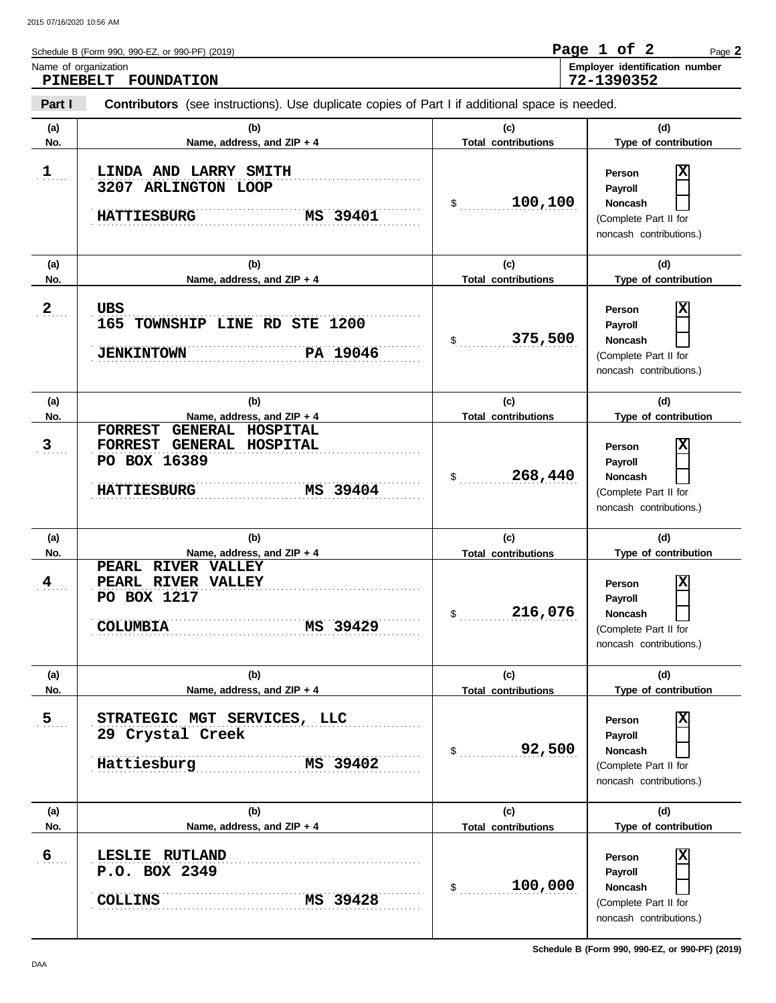| Schedule B (Form 990, 990-EZ, or 990-PF) (2019)                                                                 | Page 1 of 2 |  | Page 2                         |
|-----------------------------------------------------------------------------------------------------------------|-------------|--|--------------------------------|
| Name of organization<br>PINEBELT FOUNDATION                                                                     | 72-1390352  |  | Employer identification number |
| Part I<br><b>Contributors</b> (see instructions). Use duplicate copies of Part I if additional space is needed. |             |  |                                |

| Part I                | <b>Contributors</b> (see instructions). Use duplicate copies of Part I if additional space is needed.                                |                                             |                                                                                                                       |
|-----------------------|--------------------------------------------------------------------------------------------------------------------------------------|---------------------------------------------|-----------------------------------------------------------------------------------------------------------------------|
| (a)<br>No.            | (b)<br>Name, address, and ZIP + 4                                                                                                    | (c)<br><b>Total contributions</b>           | (d)<br>Type of contribution                                                                                           |
| $\mathbf{1}$          | LINDA AND LARRY SMITH<br>3207 ARLINGTON LOOP<br><b>HATTIESBURG</b><br>MS 39401                                                       | 100,100<br>\$                               | X<br>Person<br>Payroll<br><b>Noncash</b><br>(Complete Part II for<br>noncash contributions.)                          |
| (a)                   | (b)                                                                                                                                  | (c)                                         | (d)                                                                                                                   |
| No.                   | Name, address, and ZIP + 4                                                                                                           | <b>Total contributions</b>                  | Type of contribution                                                                                                  |
| $2_{\ldots}$          | <b>UBS</b><br>165 TOWNSHIP LINE RD STE 1200<br>PA 19046<br><b>JENKINTOWN</b>                                                         | 375,500<br>\$                               | Ιx<br>Person<br>Payroll<br><b>Noncash</b><br>(Complete Part II for<br>noncash contributions.)                         |
| (a)                   | (b)                                                                                                                                  | (c)                                         | (d)                                                                                                                   |
| No.<br>3 <sub>1</sub> | Name, address, and ZIP + 4<br>FORREST GENERAL HOSPITAL<br>FORREST GENERAL HOSPITAL<br>PO BOX 16389<br>MS 39404<br><b>HATTIESBURG</b> | <b>Total contributions</b><br>268,440<br>\$ | Type of contribution<br> X<br>Person<br>Payroll<br><b>Noncash</b><br>(Complete Part II for<br>noncash contributions.) |
| (a)<br>No.            | (b)<br>Name, address, and ZIP + 4                                                                                                    | (c)<br><b>Total contributions</b>           | (d)<br>Type of contribution                                                                                           |
| $\frac{4}{1}$ .       | PEARL RIVER VALLEY<br>PEARL RIVER VALLEY<br>PO BOX 1217<br><b>COLUMBIA</b><br>MS 39429                                               | 216,076<br>\$                               | Ιx<br>Person<br>Payroll<br><b>Noncash</b><br>(Complete Part II for<br>noncash contributions.)                         |
| (a)<br>No.            | (b)<br>Name, address, and ZIP + 4                                                                                                    | (c)<br><b>Total contributions</b>           | (d)<br>Type of contribution                                                                                           |
| $\overline{5}$        | STRATEGIC MGT SERVICES, LLC<br>29 Crystal Creek<br>Hattiesburg<br>MS 39402                                                           | 92,500<br>\$                                | Ιx<br>Person<br>Payroll<br><b>Noncash</b><br>(Complete Part II for<br>noncash contributions.)                         |
| (a)<br>No.            | (b)<br>Name, address, and ZIP + 4                                                                                                    | (c)<br><b>Total contributions</b>           | (d)<br>Type of contribution                                                                                           |
| $6 \overline{6}$      | <b>RUTLAND</b><br>LESLIE<br>P.O. BOX 2349<br>MS 39428<br><b>COLLINS</b>                                                              | 100,000<br>\$                               | X<br>Person<br>Payroll<br><b>Noncash</b><br>(Complete Part II for<br>noncash contributions.)                          |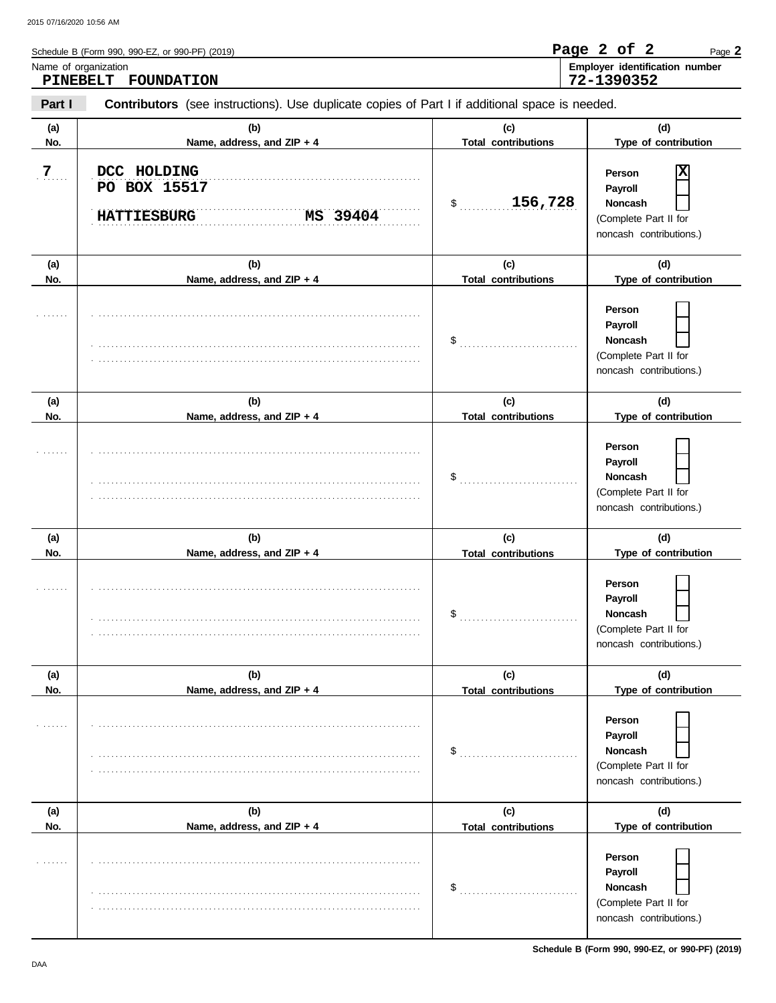|          | Schedule B (Form 990, 990-EZ, or 990-PF) (2019)                                                       |                                              | Page 2 of 2<br>Page 2           |  |  |  |
|----------|-------------------------------------------------------------------------------------------------------|----------------------------------------------|---------------------------------|--|--|--|
| PINEBELT | Name of organization<br><b>FOUNDATION</b>                                                             | Employer identification number<br>72-1390352 |                                 |  |  |  |
| Part I   | <b>Contributors</b> (see instructions). Use duplicate copies of Part I if additional space is needed. |                                              |                                 |  |  |  |
| (a)      | (b)                                                                                                   | (c)                                          | (d)                             |  |  |  |
| No.      | Name, address, and $ZIP + 4$                                                                          | <b>Total contributions</b>                   | Type of contribution            |  |  |  |
| 7<br>.   | DCC HOLDING<br>PO BOX 15517                                                                           |                                              | ΙxΙ<br>Person<br><b>Payroll</b> |  |  |  |
|          |                                                                                                       | 156,728<br>\$                                | <b>Noncash</b>                  |  |  |  |

|            | MS 39404<br><b>HATTIESBURG</b>    | \$<br>156,728                     | Noncash<br>(Complete Part II for<br>noncash contributions.)                             |
|------------|-----------------------------------|-----------------------------------|-----------------------------------------------------------------------------------------|
| (a)<br>No. | (b)<br>Name, address, and ZIP + 4 | (c)<br><b>Total contributions</b> | (d)<br>Type of contribution                                                             |
|            |                                   | \$                                | Person<br>Payroll<br><b>Noncash</b><br>(Complete Part II for<br>noncash contributions.) |
| (a)<br>No. | (b)<br>Name, address, and ZIP + 4 | (c)<br><b>Total contributions</b> | (d)<br>Type of contribution                                                             |
|            |                                   | \$                                | Person<br>Payroll<br><b>Noncash</b><br>(Complete Part II for<br>noncash contributions.) |
| (a)<br>No. | (b)<br>Name, address, and ZIP + 4 | (c)<br><b>Total contributions</b> | (d)<br>Type of contribution                                                             |
|            |                                   | \$                                | Person<br>Payroll<br>Noncash<br>(Complete Part II for<br>noncash contributions.)        |
| (a)<br>No. | (b)<br>Name, address, and ZIP + 4 | (c)<br><b>Total contributions</b> | (d)<br>Type of contribution                                                             |
|            |                                   | \$                                | Person<br>Payroll<br>Noncash<br>(Complete Part II for<br>noncash contributions.)        |
| (a)<br>No. | (b)<br>Name, address, and ZIP + 4 | (c)<br><b>Total contributions</b> | (d)<br>Type of contribution                                                             |
|            |                                   | \$                                | Person<br>Payroll<br>Noncash<br>(Complete Part II for<br>noncash contributions.)        |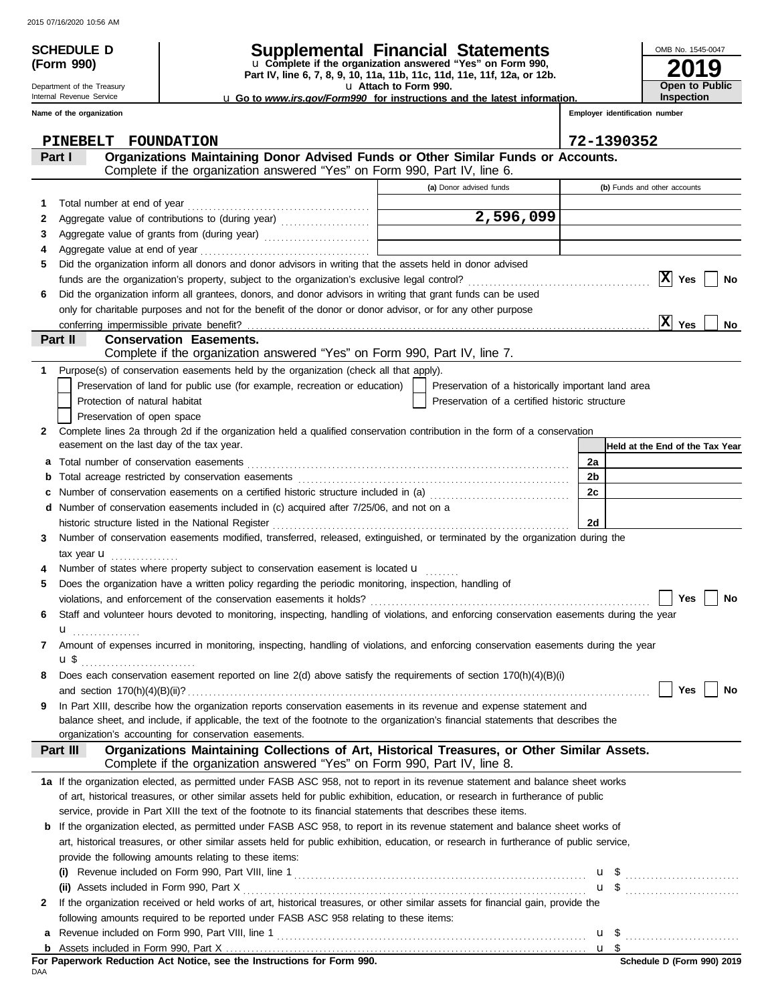Department of the Treasury Internal Revenue Service **Name of the organization**

**(Form 990)**

# **SCHEDULE D Supplemental Financial Statements**

**Part IV, line 6, 7, 8, 9, 10, 11a, 11b, 11c, 11d, 11e, 11f, 12a, or 12b.** u **Complete if the organization answered "Yes" on Form 990,**

u **Attach to Form 990.** 

| <b>u</b> Go to <i>www.irs.gov/Form990</i> for instructions and the latest information. |  |
|----------------------------------------------------------------------------------------|--|
|                                                                                        |  |

**2019** OMB No. 1545-0047 **Open to Public Inspection**

|   | <b>PINEBELT</b><br><b>FOUNDATION</b>                                                                                                                                                       |                                                    | 72-1390352                      |
|---|--------------------------------------------------------------------------------------------------------------------------------------------------------------------------------------------|----------------------------------------------------|---------------------------------|
|   | Organizations Maintaining Donor Advised Funds or Other Similar Funds or Accounts.<br>Part I                                                                                                |                                                    |                                 |
|   | Complete if the organization answered "Yes" on Form 990, Part IV, line 6.                                                                                                                  |                                                    |                                 |
|   |                                                                                                                                                                                            | (a) Donor advised funds                            | (b) Funds and other accounts    |
| 1 |                                                                                                                                                                                            |                                                    |                                 |
| 2 |                                                                                                                                                                                            | 2,596,099                                          |                                 |
| 3 |                                                                                                                                                                                            |                                                    |                                 |
| 4 |                                                                                                                                                                                            |                                                    |                                 |
| 5 | Did the organization inform all donors and donor advisors in writing that the assets held in donor advised                                                                                 |                                                    |                                 |
|   |                                                                                                                                                                                            |                                                    | $ {\bf x} $<br>Yes<br>No        |
| 6 | Did the organization inform all grantees, donors, and donor advisors in writing that grant funds can be used                                                                               |                                                    |                                 |
|   | only for charitable purposes and not for the benefit of the donor or donor advisor, or for any other purpose                                                                               |                                                    |                                 |
|   |                                                                                                                                                                                            |                                                    | X <br>No<br>Yes                 |
|   | Part II<br><b>Conservation Easements.</b>                                                                                                                                                  |                                                    |                                 |
|   | Complete if the organization answered "Yes" on Form 990, Part IV, line 7.                                                                                                                  |                                                    |                                 |
| 1 | Purpose(s) of conservation easements held by the organization (check all that apply).                                                                                                      |                                                    |                                 |
|   | Preservation of land for public use (for example, recreation or education)                                                                                                                 | Preservation of a historically important land area |                                 |
|   | Protection of natural habitat                                                                                                                                                              | Preservation of a certified historic structure     |                                 |
|   | Preservation of open space                                                                                                                                                                 |                                                    |                                 |
| 2 | Complete lines 2a through 2d if the organization held a qualified conservation contribution in the form of a conservation                                                                  |                                                    |                                 |
|   | easement on the last day of the tax year.                                                                                                                                                  |                                                    | Held at the End of the Tax Year |
| a |                                                                                                                                                                                            |                                                    | 2a                              |
| b |                                                                                                                                                                                            |                                                    | 2b                              |
| с | Number of conservation easements on a certified historic structure included in (a) [[[[[[[[[[[[[[[[[[[[[[[[[]]]]]]]                                                                        |                                                    | 2c                              |
| d | Number of conservation easements included in (c) acquired after 7/25/06, and not on a                                                                                                      |                                                    |                                 |
|   | historic structure listed in the National Register                                                                                                                                         |                                                    | 2d                              |
| 3 | Number of conservation easements modified, transferred, released, extinguished, or terminated by the organization during the                                                               |                                                    |                                 |
|   | tax year $\mathbf{u}$                                                                                                                                                                      |                                                    |                                 |
| 4 | Number of states where property subject to conservation easement is located u                                                                                                              |                                                    |                                 |
| 5 | Does the organization have a written policy regarding the periodic monitoring, inspection, handling of                                                                                     |                                                    |                                 |
|   | violations, and enforcement of the conservation easements it holds?                                                                                                                        |                                                    | Yes<br>No                       |
| 6 | Staff and volunteer hours devoted to monitoring, inspecting, handling of violations, and enforcing conservation easements during the year                                                  |                                                    |                                 |
|   | u                                                                                                                                                                                          |                                                    |                                 |
| 7 | Amount of expenses incurred in monitoring, inspecting, handling of violations, and enforcing conservation easements during the year                                                        |                                                    |                                 |
|   | u \$                                                                                                                                                                                       |                                                    |                                 |
| 8 | Does each conservation easement reported on line $2(d)$ above satisfy the requirements of section $170(h)(4)(B)(i)$                                                                        |                                                    |                                 |
|   |                                                                                                                                                                                            |                                                    | Yes  <br><b>No</b>              |
| 9 | In Part XIII, describe how the organization reports conservation easements in its revenue and expense statement and                                                                        |                                                    |                                 |
|   | balance sheet, and include, if applicable, the text of the footnote to the organization's financial statements that describes the<br>organization's accounting for conservation easements. |                                                    |                                 |
|   | Organizations Maintaining Collections of Art, Historical Treasures, or Other Similar Assets.<br>Part III                                                                                   |                                                    |                                 |
|   | Complete if the organization answered "Yes" on Form 990, Part IV, line 8.                                                                                                                  |                                                    |                                 |
|   | 1a If the organization elected, as permitted under FASB ASC 958, not to report in its revenue statement and balance sheet works                                                            |                                                    |                                 |
|   | of art, historical treasures, or other similar assets held for public exhibition, education, or research in furtherance of public                                                          |                                                    |                                 |
|   | service, provide in Part XIII the text of the footnote to its financial statements that describes these items.                                                                             |                                                    |                                 |
| b | If the organization elected, as permitted under FASB ASC 958, to report in its revenue statement and balance sheet works of                                                                |                                                    |                                 |
|   | art, historical treasures, or other similar assets held for public exhibition, education, or research in furtherance of public service,                                                    |                                                    |                                 |
|   | provide the following amounts relating to these items:                                                                                                                                     |                                                    |                                 |
|   | (i)                                                                                                                                                                                        |                                                    | $\mathbf{u}$ \$                 |
|   |                                                                                                                                                                                            |                                                    | $\mathbf{u}$ \$                 |
| 2 | If the organization received or held works of art, historical treasures, or other similar assets for financial gain, provide the                                                           |                                                    |                                 |
|   | following amounts required to be reported under FASB ASC 958 relating to these items:                                                                                                      |                                                    |                                 |
| а |                                                                                                                                                                                            |                                                    |                                 |
| b |                                                                                                                                                                                            |                                                    | u \$                            |

DAA **For Paperwork Reduction Act Notice, see the Instructions for Form 990.**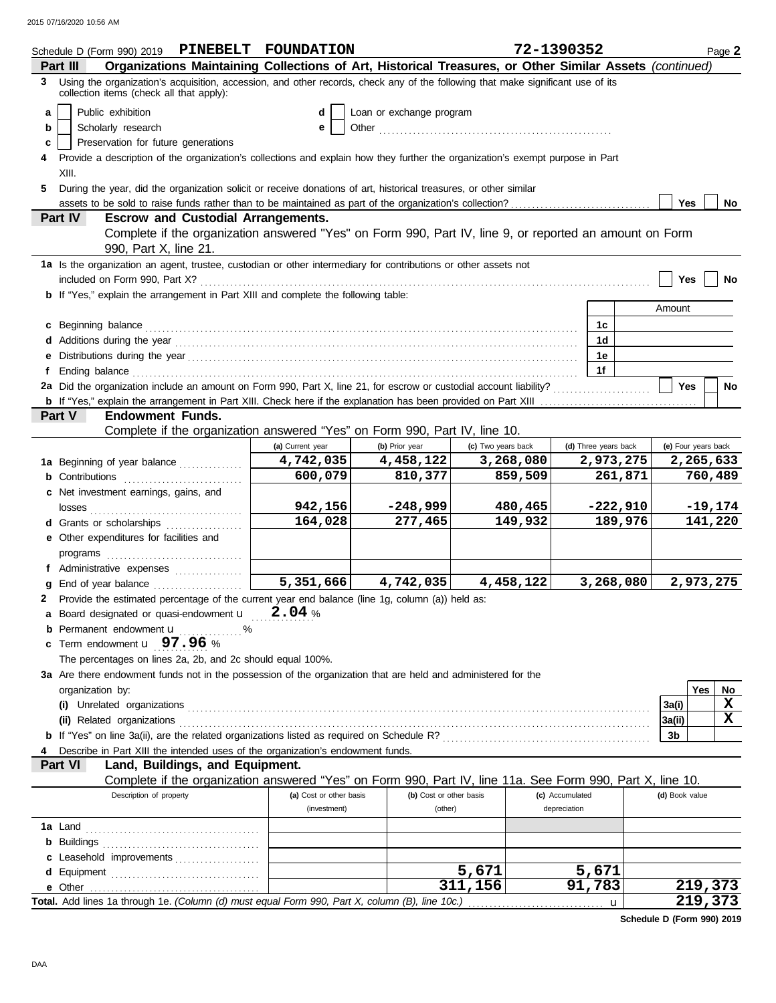2015 07/16/2020 10:56 AM

|   | Schedule D (Form 990) 2019 PINEBELT FOUNDATION                                                                                                                                                                                      |                         |                                                                                                                   |                    | 72-1390352      |                      |                     |     | Page 2    |
|---|-------------------------------------------------------------------------------------------------------------------------------------------------------------------------------------------------------------------------------------|-------------------------|-------------------------------------------------------------------------------------------------------------------|--------------------|-----------------|----------------------|---------------------|-----|-----------|
|   | Organizations Maintaining Collections of Art, Historical Treasures, or Other Similar Assets (continued)<br>Part III                                                                                                                 |                         |                                                                                                                   |                    |                 |                      |                     |     |           |
|   | 3 Using the organization's acquisition, accession, and other records, check any of the following that make significant use of its<br>collection items (check all that apply):                                                       |                         |                                                                                                                   |                    |                 |                      |                     |     |           |
| a | Public exhibition                                                                                                                                                                                                                   | d                       | Loan or exchange program                                                                                          |                    |                 |                      |                     |     |           |
| b | Scholarly research                                                                                                                                                                                                                  | е                       | Other $\ldots$ $\ldots$ $\ldots$ $\ldots$ $\ldots$ $\ldots$ $\ldots$ $\ldots$ $\ldots$ $\ldots$ $\ldots$ $\ldots$ |                    |                 |                      |                     |     |           |
| С | Preservation for future generations                                                                                                                                                                                                 |                         |                                                                                                                   |                    |                 |                      |                     |     |           |
| 4 | Provide a description of the organization's collections and explain how they further the organization's exempt purpose in Part                                                                                                      |                         |                                                                                                                   |                    |                 |                      |                     |     |           |
|   | XIII.                                                                                                                                                                                                                               |                         |                                                                                                                   |                    |                 |                      |                     |     |           |
| 5 | During the year, did the organization solicit or receive donations of art, historical treasures, or other similar                                                                                                                   |                         |                                                                                                                   |                    |                 |                      |                     |     |           |
|   |                                                                                                                                                                                                                                     |                         |                                                                                                                   |                    |                 |                      | <b>Yes</b>          |     | No        |
|   | Part IV<br><b>Escrow and Custodial Arrangements.</b>                                                                                                                                                                                |                         |                                                                                                                   |                    |                 |                      |                     |     |           |
|   | Complete if the organization answered "Yes" on Form 990, Part IV, line 9, or reported an amount on Form                                                                                                                             |                         |                                                                                                                   |                    |                 |                      |                     |     |           |
|   | 990, Part X, line 21.                                                                                                                                                                                                               |                         |                                                                                                                   |                    |                 |                      |                     |     |           |
|   | 1a Is the organization an agent, trustee, custodian or other intermediary for contributions or other assets not                                                                                                                     |                         |                                                                                                                   |                    |                 |                      |                     |     |           |
|   |                                                                                                                                                                                                                                     |                         |                                                                                                                   |                    |                 |                      | Yes                 |     | No        |
|   | <b>b</b> If "Yes," explain the arrangement in Part XIII and complete the following table:                                                                                                                                           |                         |                                                                                                                   |                    |                 |                      |                     |     |           |
|   |                                                                                                                                                                                                                                     |                         |                                                                                                                   |                    |                 |                      | Amount              |     |           |
|   | c Beginning balance contract and contract and contract and contract and contract and contract and contract and contract and contract and contract and contract and contract and contract and contract and contract and contrac      |                         |                                                                                                                   |                    |                 | 1c                   |                     |     |           |
|   |                                                                                                                                                                                                                                     |                         |                                                                                                                   |                    |                 | 1d                   |                     |     |           |
|   |                                                                                                                                                                                                                                     |                         |                                                                                                                   |                    |                 | 1е                   |                     |     |           |
| f | Ending balance <i>communication</i> and the contract of the contract of the contract of the contract of the contract of the contract of the contract of the contract of the contract of the contract of the contract of the contrac |                         |                                                                                                                   |                    |                 | 1f                   |                     |     |           |
|   | 2a Did the organization include an amount on Form 990, Part X, line 21, for escrow or custodial account liability?                                                                                                                  |                         |                                                                                                                   |                    |                 |                      | <b>Yes</b>          |     | No        |
|   |                                                                                                                                                                                                                                     |                         |                                                                                                                   |                    |                 |                      |                     |     |           |
|   | <b>Endowment Funds.</b><br><b>Part V</b>                                                                                                                                                                                            |                         |                                                                                                                   |                    |                 |                      |                     |     |           |
|   | Complete if the organization answered "Yes" on Form 990, Part IV, line 10.                                                                                                                                                          |                         |                                                                                                                   |                    |                 |                      |                     |     |           |
|   |                                                                                                                                                                                                                                     | (a) Current year        | (b) Prior year                                                                                                    | (c) Two years back |                 | (d) Three years back | (e) Four years back |     |           |
|   | 1a Beginning of year balance                                                                                                                                                                                                        | 4,742,035               | 4,458,122                                                                                                         | 3,268,080          |                 | 2,973,275            |                     |     | 2,265,633 |
|   | <b>b</b> Contributions $\ldots$                                                                                                                                                                                                     | 600,079                 | 810,377                                                                                                           | 859,509            |                 | 261,871              |                     |     | 760,489   |
|   | c Net investment earnings, gains, and                                                                                                                                                                                               |                         |                                                                                                                   |                    |                 |                      |                     |     |           |
|   |                                                                                                                                                                                                                                     | 942,156                 | $-248,999$                                                                                                        | 480,465            |                 | $-222,910$           |                     |     | $-19,174$ |
|   | d Grants or scholarships                                                                                                                                                                                                            | 164,028                 | 277,465                                                                                                           | 149,932            |                 | 189,976              |                     |     | 141,220   |
|   | e Other expenditures for facilities and                                                                                                                                                                                             |                         |                                                                                                                   |                    |                 |                      |                     |     |           |
|   |                                                                                                                                                                                                                                     |                         |                                                                                                                   |                    |                 |                      |                     |     |           |
|   | f Administrative expenses                                                                                                                                                                                                           |                         |                                                                                                                   |                    |                 |                      |                     |     |           |
| g | End of year balance                                                                                                                                                                                                                 | $\overline{5,351,666}$  | 4,742,035                                                                                                         | 4,458,122          |                 | 3,268,080            |                     |     | 2,973,275 |
|   | 2 Provide the estimated percentage of the current year end balance (line 1g, column (a)) held as:                                                                                                                                   |                         |                                                                                                                   |                    |                 |                      |                     |     |           |
|   | <b>a</b> Board designated or quasi-endowment $\mathbf{u} = 2.04$ %                                                                                                                                                                  |                         |                                                                                                                   |                    |                 |                      |                     |     |           |
|   | <b>b</b> Permanent endowment <b>u</b><br>. %                                                                                                                                                                                        |                         |                                                                                                                   |                    |                 |                      |                     |     |           |
|   | c Term endowment <b>u</b> 97.96 %                                                                                                                                                                                                   |                         |                                                                                                                   |                    |                 |                      |                     |     |           |
|   | The percentages on lines 2a, 2b, and 2c should equal 100%.                                                                                                                                                                          |                         |                                                                                                                   |                    |                 |                      |                     |     |           |
|   | 3a Are there endowment funds not in the possession of the organization that are held and administered for the                                                                                                                       |                         |                                                                                                                   |                    |                 |                      |                     |     |           |
|   |                                                                                                                                                                                                                                     |                         |                                                                                                                   |                    |                 |                      |                     | Yes |           |
|   | organization by:                                                                                                                                                                                                                    |                         |                                                                                                                   |                    |                 |                      |                     |     | No<br>X   |
|   |                                                                                                                                                                                                                                     |                         |                                                                                                                   |                    |                 |                      | 3a(i)               |     | x         |
|   | (ii) Related organizations <b>contracts</b> and contracts are contracted as a contract or contract or contract or contract or contract or contract or contract or contract or contract or contract or contract or contract or contr |                         |                                                                                                                   |                    |                 |                      | 3a(ii)              |     |           |
|   |                                                                                                                                                                                                                                     |                         |                                                                                                                   |                    |                 |                      | 3b                  |     |           |
|   | Describe in Part XIII the intended uses of the organization's endowment funds.                                                                                                                                                      |                         |                                                                                                                   |                    |                 |                      |                     |     |           |
|   | Part VI<br>Land, Buildings, and Equipment.                                                                                                                                                                                          |                         |                                                                                                                   |                    |                 |                      |                     |     |           |
|   | Complete if the organization answered "Yes" on Form 990, Part IV, line 11a. See Form 990, Part X, line 10.                                                                                                                          |                         |                                                                                                                   |                    |                 |                      |                     |     |           |
|   | Description of property                                                                                                                                                                                                             | (a) Cost or other basis | (b) Cost or other basis                                                                                           |                    | (c) Accumulated |                      | (d) Book value      |     |           |
|   |                                                                                                                                                                                                                                     | (investment)            | (other)                                                                                                           |                    | depreciation    |                      |                     |     |           |
|   |                                                                                                                                                                                                                                     |                         |                                                                                                                   |                    |                 |                      |                     |     |           |
|   |                                                                                                                                                                                                                                     |                         |                                                                                                                   |                    |                 |                      |                     |     |           |
|   | c Leasehold improvements                                                                                                                                                                                                            |                         |                                                                                                                   |                    |                 |                      |                     |     |           |
|   |                                                                                                                                                                                                                                     |                         |                                                                                                                   | 5,671              |                 | 5,671                |                     |     |           |
|   |                                                                                                                                                                                                                                     |                         |                                                                                                                   | 311,156            |                 | 91,783               |                     |     | 219,373   |
|   | Total. Add lines 1a through 1e. (Column (d) must equal Form 990, Part X, column (B), line 10c.)                                                                                                                                     |                         |                                                                                                                   |                    |                 | u                    |                     |     | 219,373   |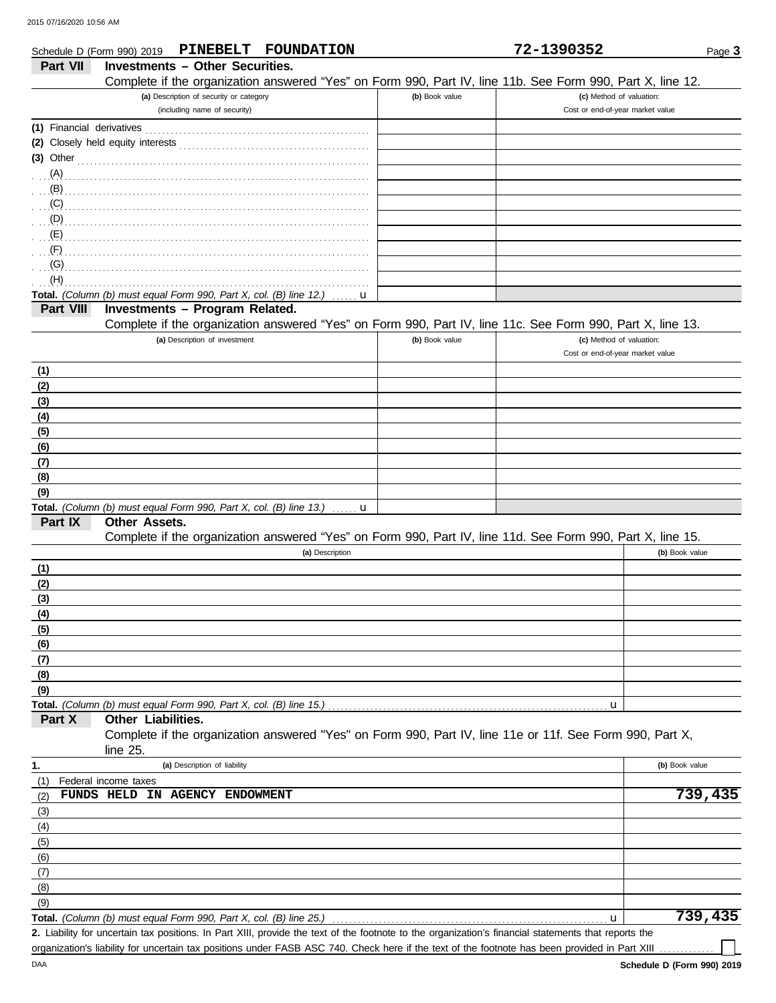|            | PINEBELT FOUNDATION<br>Schedule D (Form 990) 2019                                                          |                | 72-1390352                       | Page 3               |
|------------|------------------------------------------------------------------------------------------------------------|----------------|----------------------------------|----------------------|
| Part VII   | <b>Investments - Other Securities.</b>                                                                     |                |                                  |                      |
|            | Complete if the organization answered "Yes" on Form 990, Part IV, line 11b. See Form 990, Part X, line 12. |                |                                  |                      |
|            | (a) Description of security or category                                                                    | (b) Book value | (c) Method of valuation:         |                      |
|            | (including name of security)                                                                               |                | Cost or end-of-year market value |                      |
|            |                                                                                                            |                |                                  |                      |
|            |                                                                                                            |                |                                  |                      |
|            | (3) Other $\ldots$ and $\ldots$ and $\ldots$ and $\ldots$                                                  |                |                                  |                      |
|            |                                                                                                            |                |                                  |                      |
| (B)        |                                                                                                            |                |                                  |                      |
| (C)        |                                                                                                            |                |                                  |                      |
| (D)        |                                                                                                            |                |                                  |                      |
| (E)        |                                                                                                            |                |                                  |                      |
| (F)        |                                                                                                            |                |                                  |                      |
| (G)        |                                                                                                            |                |                                  |                      |
| (H)        |                                                                                                            |                |                                  |                      |
|            | Total. (Column (b) must equal Form 990, Part X, col. (B) line 12.)<br>u                                    |                |                                  |                      |
| Part VIII  | Investments - Program Related.                                                                             |                |                                  |                      |
|            | Complete if the organization answered "Yes" on Form 990, Part IV, line 11c. See Form 990, Part X, line 13. |                |                                  |                      |
|            | (a) Description of investment                                                                              | (b) Book value | (c) Method of valuation:         |                      |
|            |                                                                                                            |                | Cost or end-of-year market value |                      |
|            |                                                                                                            |                |                                  |                      |
| (1)        |                                                                                                            |                |                                  |                      |
| (2)        |                                                                                                            |                |                                  |                      |
| (3)        |                                                                                                            |                |                                  |                      |
| (4)        |                                                                                                            |                |                                  |                      |
| (5)        |                                                                                                            |                |                                  |                      |
| (6)        |                                                                                                            |                |                                  |                      |
| (7)        |                                                                                                            |                |                                  |                      |
| (8)        |                                                                                                            |                |                                  |                      |
| (9)        |                                                                                                            |                |                                  |                      |
| Part IX    | Total. (Column (b) must equal Form 990, Part X, col. (B) line 13.)<br>u<br>Other Assets.                   |                |                                  |                      |
|            | Complete if the organization answered "Yes" on Form 990, Part IV, line 11d. See Form 990, Part X, line 15. |                |                                  |                      |
|            |                                                                                                            |                |                                  |                      |
|            | (a) Description                                                                                            |                |                                  | (b) Book value       |
| (1)        |                                                                                                            |                |                                  |                      |
| (2)        |                                                                                                            |                |                                  |                      |
| (3)        |                                                                                                            |                |                                  |                      |
| <u>(4)</u> |                                                                                                            |                |                                  |                      |
| (5)        |                                                                                                            |                |                                  |                      |
| (6)        |                                                                                                            |                |                                  |                      |
| <u>(7)</u> |                                                                                                            |                |                                  |                      |
| (8)        |                                                                                                            |                |                                  |                      |
| (9)        |                                                                                                            |                |                                  |                      |
| Part X     | Total. (Column (b) must equal Form 990, Part X, col. (B) line 15.)<br>Other Liabilities.                   |                | u                                |                      |
|            | Complete if the organization answered "Yes" on Form 990, Part IV, line 11e or 11f. See Form 990, Part X,   |                |                                  |                      |
|            | line 25.                                                                                                   |                |                                  |                      |
|            | (a) Description of liability                                                                               |                |                                  | (b) Book value       |
| 1.         |                                                                                                            |                |                                  |                      |
| (1)        | Federal income taxes<br>FUNDS HELD IN AGENCY ENDOWMENT                                                     |                |                                  | $\overline{7}39,435$ |
| (2)        |                                                                                                            |                |                                  |                      |
| (3)        |                                                                                                            |                |                                  |                      |
| (4)        |                                                                                                            |                |                                  |                      |
| (5)        |                                                                                                            |                |                                  |                      |
| (6)        |                                                                                                            |                |                                  |                      |
| (7)        |                                                                                                            |                |                                  |                      |
| (8)        |                                                                                                            |                |                                  |                      |
| (9)        |                                                                                                            |                |                                  |                      |

**Total.** *(Column (b) must equal Form 990, Part X, col. (B) line 25.)* 

Liability for uncertain tax positions. In Part XIII, provide the text of the footnote to the organization's financial statements that reports the **2.** organization's liability for uncertain tax positions under FASB ASC 740. Check here if the text of the footnote has been provided in Part XIII

**739,435**

u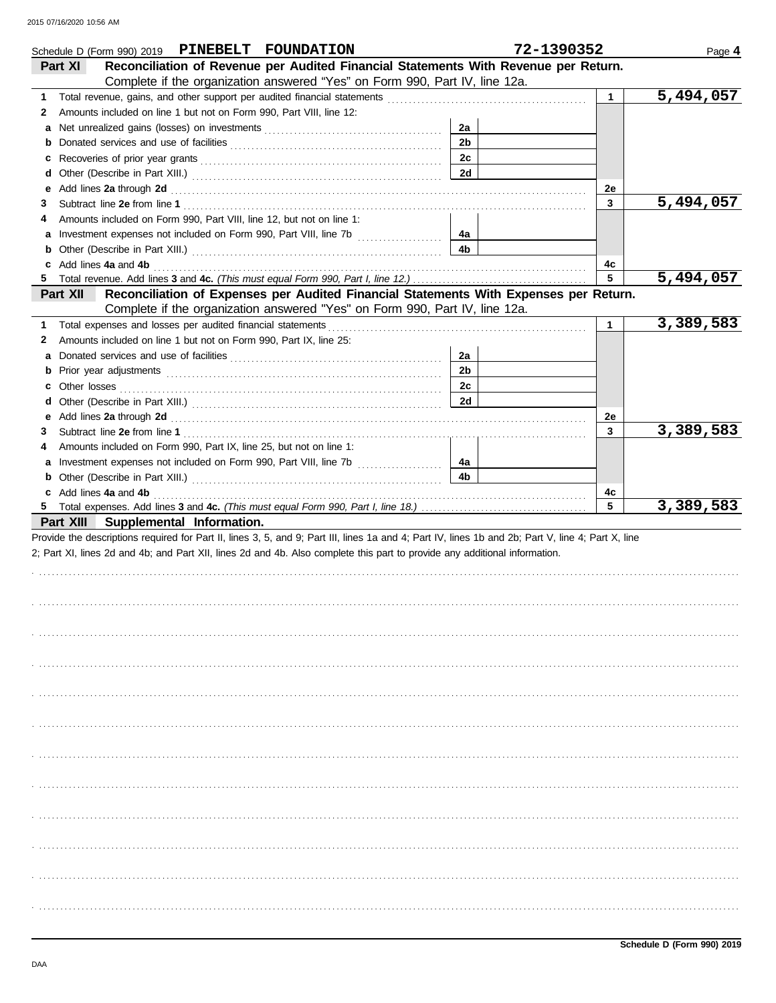|   | Schedule D (Form 990) 2019 PINEBELT FOUNDATION                                                                                                                                                                                 |                | 72-1390352   | Page 4    |
|---|--------------------------------------------------------------------------------------------------------------------------------------------------------------------------------------------------------------------------------|----------------|--------------|-----------|
|   | Reconciliation of Revenue per Audited Financial Statements With Revenue per Return.<br><b>Part XI</b>                                                                                                                          |                |              |           |
|   | Complete if the organization answered "Yes" on Form 990, Part IV, line 12a.                                                                                                                                                    |                |              |           |
| 1 |                                                                                                                                                                                                                                |                | $\mathbf{1}$ | 5,494,057 |
| 2 | Amounts included on line 1 but not on Form 990, Part VIII, line 12:                                                                                                                                                            |                |              |           |
| а |                                                                                                                                                                                                                                | 2a             |              |           |
| b |                                                                                                                                                                                                                                | 2 <sub>b</sub> |              |           |
| с |                                                                                                                                                                                                                                | 2c             |              |           |
| d |                                                                                                                                                                                                                                | 2d             |              |           |
| е | Add lines 2a through 2d [11] Additional Property and Property and Property and Property and Property and Property and Property and Property and Property and Property and Property and Property and Property and Property and  |                | 2e           |           |
| 3 |                                                                                                                                                                                                                                |                | $\mathbf{3}$ | 5,494,057 |
| 4 | Amounts included on Form 990, Part VIII, line 12, but not on line 1:                                                                                                                                                           |                |              |           |
| a | Investment expenses not included on Form 990, Part VIII, line 7b [                                                                                                                                                             | 4а             |              |           |
| b |                                                                                                                                                                                                                                | 4b             |              |           |
|   | c Add lines 4a and 4b                                                                                                                                                                                                          |                | 4с           |           |
|   |                                                                                                                                                                                                                                |                | 5            | 5,494,057 |
|   | Reconciliation of Expenses per Audited Financial Statements With Expenses per Return.<br>Part XII                                                                                                                              |                |              |           |
|   | Complete if the organization answered "Yes" on Form 990, Part IV, line 12a.                                                                                                                                                    |                |              |           |
| 1 | Total expenses and losses per audited financial statements                                                                                                                                                                     |                | $\mathbf{1}$ | 3,389,583 |
| 2 | Amounts included on line 1 but not on Form 990, Part IX, line 25:                                                                                                                                                              |                |              |           |
| а |                                                                                                                                                                                                                                | 2a             |              |           |
| b | Prior year adjustments communications and contain a state of the contact of the state of the state of the state of the state of the state of the state of the state of the state of the state of the state of the state of the | 2 <sub>b</sub> |              |           |
| c |                                                                                                                                                                                                                                | 2c             |              |           |
| d |                                                                                                                                                                                                                                | 2d             |              |           |
| е |                                                                                                                                                                                                                                |                | 2e           |           |
| 3 |                                                                                                                                                                                                                                |                | 3            | 3,389,583 |
| 4 | Amounts included on Form 990, Part IX, line 25, but not on line 1:                                                                                                                                                             |                |              |           |
| a | Investment expenses not included on Form 990, Part VIII, line 7b [                                                                                                                                                             | 4a             |              |           |
| b |                                                                                                                                                                                                                                | 4 <sub>b</sub> |              |           |
|   | c Add lines 4a and 4b                                                                                                                                                                                                          |                | 4c           |           |
|   |                                                                                                                                                                                                                                |                | 5            | 3,389,583 |
|   | Part XIII Supplemental Information.                                                                                                                                                                                            |                |              |           |
|   | Provide the descriptions required for Part II, lines 3, 5, and 9; Part III, lines 1a and 4; Part IV, lines 1b and 2b; Part V, line 4; Part X, line                                                                             |                |              |           |
|   | 2; Part XI, lines 2d and 4b; and Part XII, lines 2d and 4b. Also complete this part to provide any additional information.                                                                                                     |                |              |           |
|   |                                                                                                                                                                                                                                |                |              |           |
|   |                                                                                                                                                                                                                                |                |              |           |
|   |                                                                                                                                                                                                                                |                |              |           |
|   |                                                                                                                                                                                                                                |                |              |           |
|   |                                                                                                                                                                                                                                |                |              |           |
|   |                                                                                                                                                                                                                                |                |              |           |
|   |                                                                                                                                                                                                                                |                |              |           |
|   |                                                                                                                                                                                                                                |                |              |           |
|   |                                                                                                                                                                                                                                |                |              |           |
|   |                                                                                                                                                                                                                                |                |              |           |
|   |                                                                                                                                                                                                                                |                |              |           |
|   |                                                                                                                                                                                                                                |                |              |           |
|   |                                                                                                                                                                                                                                |                |              |           |
|   |                                                                                                                                                                                                                                |                |              |           |
|   |                                                                                                                                                                                                                                |                |              |           |
|   |                                                                                                                                                                                                                                |                |              |           |
|   |                                                                                                                                                                                                                                |                |              |           |
|   |                                                                                                                                                                                                                                |                |              |           |
|   |                                                                                                                                                                                                                                |                |              |           |
|   |                                                                                                                                                                                                                                |                |              |           |
|   |                                                                                                                                                                                                                                |                |              |           |
|   |                                                                                                                                                                                                                                |                |              |           |
|   |                                                                                                                                                                                                                                |                |              |           |
|   |                                                                                                                                                                                                                                |                |              |           |
|   |                                                                                                                                                                                                                                |                |              |           |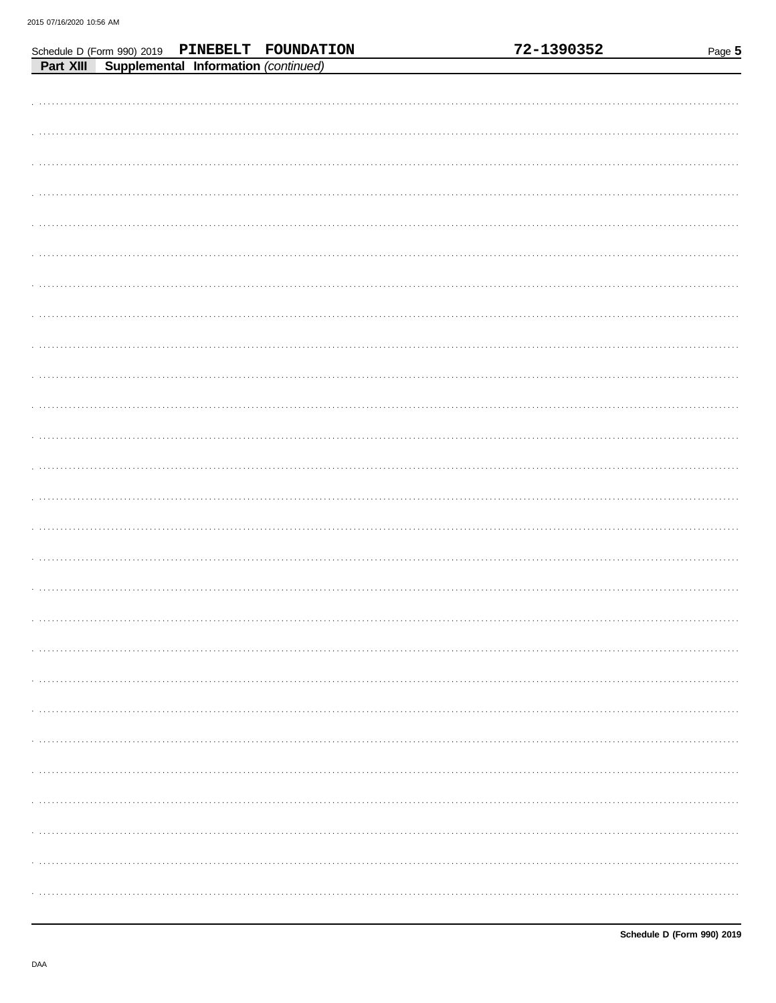|           |                                      | Schedule D (Form 990) 2019 PINEBELT FOUNDATION |  | 72-1390352 | Page 5 |
|-----------|--------------------------------------|------------------------------------------------|--|------------|--------|
| Part XIII | Supplemental Information (continued) |                                                |  |            |        |
|           |                                      |                                                |  |            |        |
|           |                                      |                                                |  |            |        |
|           |                                      |                                                |  |            |        |
|           |                                      |                                                |  |            |        |
|           |                                      |                                                |  |            |        |
|           |                                      |                                                |  |            |        |
|           |                                      |                                                |  |            |        |
|           |                                      |                                                |  |            |        |
|           |                                      |                                                |  |            |        |
|           |                                      |                                                |  |            |        |
|           |                                      |                                                |  |            |        |
|           |                                      |                                                |  |            |        |
|           |                                      |                                                |  |            |        |
|           |                                      |                                                |  |            |        |
|           |                                      |                                                |  |            |        |
|           |                                      |                                                |  |            |        |
|           |                                      |                                                |  |            |        |
|           |                                      |                                                |  |            |        |
|           |                                      |                                                |  |            |        |
|           |                                      |                                                |  |            |        |
|           |                                      |                                                |  |            |        |
|           |                                      |                                                |  |            |        |
|           |                                      |                                                |  |            |        |
|           |                                      |                                                |  |            |        |
|           |                                      |                                                |  |            |        |
|           |                                      |                                                |  |            |        |
|           |                                      |                                                |  |            |        |
|           |                                      |                                                |  |            |        |
|           |                                      |                                                |  |            |        |
|           |                                      |                                                |  |            |        |
|           |                                      |                                                |  |            |        |
|           |                                      |                                                |  |            |        |
|           |                                      |                                                |  |            |        |
|           |                                      |                                                |  |            |        |
|           |                                      |                                                |  |            |        |
|           |                                      |                                                |  |            |        |
|           |                                      |                                                |  |            |        |
|           |                                      |                                                |  |            |        |
|           |                                      |                                                |  |            |        |
|           |                                      |                                                |  |            |        |
|           |                                      |                                                |  |            |        |
|           |                                      |                                                |  |            |        |
|           |                                      |                                                |  |            |        |
|           |                                      |                                                |  |            |        |
|           |                                      |                                                |  |            |        |
|           |                                      |                                                |  |            |        |
|           |                                      |                                                |  |            |        |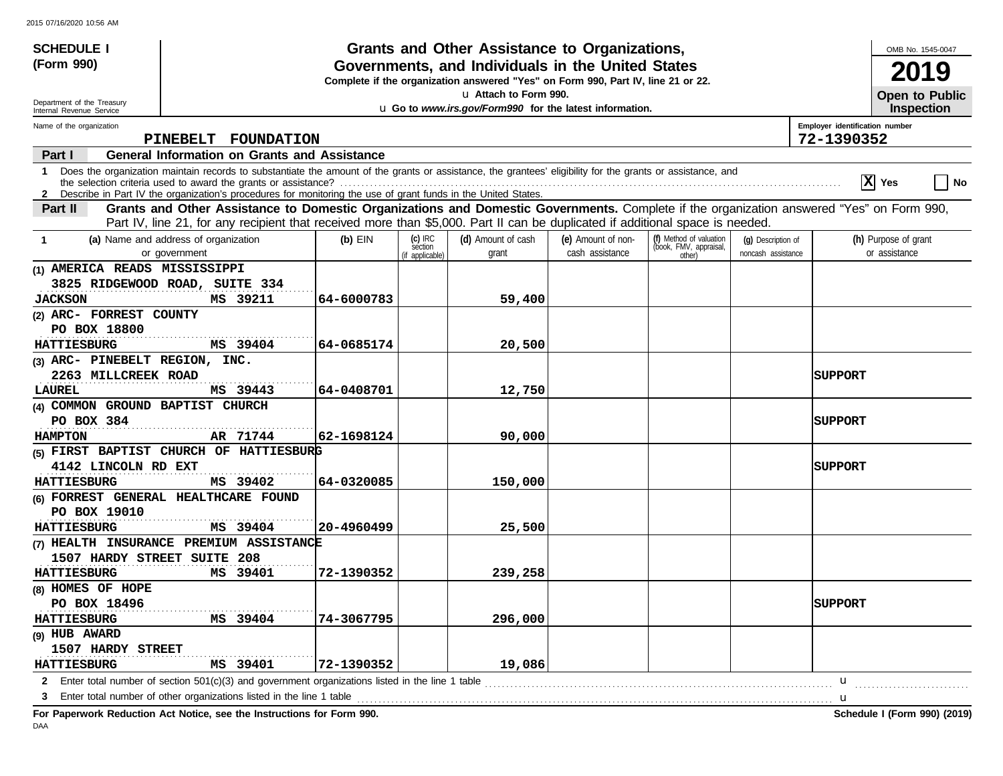| <b>SCHEDULE I</b>                                    |                                                                                                                                                                                                                                                                               |            |                                                                                  | Grants and Other Assistance to Organizations,                                     |                                       |                                                             |                                          |                                | OMB No. 1545-0047                          |  |
|------------------------------------------------------|-------------------------------------------------------------------------------------------------------------------------------------------------------------------------------------------------------------------------------------------------------------------------------|------------|----------------------------------------------------------------------------------|-----------------------------------------------------------------------------------|---------------------------------------|-------------------------------------------------------------|------------------------------------------|--------------------------------|--------------------------------------------|--|
| (Form 990)                                           |                                                                                                                                                                                                                                                                               |            |                                                                                  | Governments, and Individuals in the United States                                 |                                       |                                                             |                                          |                                | 19                                         |  |
|                                                      |                                                                                                                                                                                                                                                                               |            | Complete if the organization answered "Yes" on Form 990, Part IV, line 21 or 22. |                                                                                   |                                       |                                                             |                                          |                                |                                            |  |
| Department of the Treasury                           |                                                                                                                                                                                                                                                                               |            |                                                                                  | La Attach to Form 990.<br>u Go to www.irs.gov/Form990 for the latest information. |                                       |                                                             |                                          |                                | <b>Open to Public</b><br><b>Inspection</b> |  |
| Internal Revenue Service<br>Name of the organization |                                                                                                                                                                                                                                                                               |            |                                                                                  |                                                                                   |                                       |                                                             |                                          | Employer identification number |                                            |  |
|                                                      | <b>PINEBELT</b><br><b>FOUNDATION</b>                                                                                                                                                                                                                                          |            |                                                                                  |                                                                                   |                                       |                                                             |                                          | 72-1390352                     |                                            |  |
| Part I                                               | <b>General Information on Grants and Assistance</b>                                                                                                                                                                                                                           |            |                                                                                  |                                                                                   |                                       |                                                             |                                          |                                |                                            |  |
| $\mathbf 1$                                          | Does the organization maintain records to substantiate the amount of the grants or assistance, the grantees' eligibility for the grants or assistance, and<br>2 Describe in Part IV the organization's procedures for monitoring the use of grant funds in the United States. |            |                                                                                  |                                                                                   |                                       |                                                             |                                          |                                | $ \overline{\mathbf{X}} $ Yes<br><b>No</b> |  |
| Part II                                              | Grants and Other Assistance to Domestic Organizations and Domestic Governments. Complete if the organization answered "Yes" on Form 990,                                                                                                                                      |            |                                                                                  |                                                                                   |                                       |                                                             |                                          |                                |                                            |  |
|                                                      | Part IV, line 21, for any recipient that received more than \$5,000. Part II can be duplicated if additional space is needed.                                                                                                                                                 |            |                                                                                  |                                                                                   |                                       |                                                             |                                          |                                |                                            |  |
| -1                                                   | (a) Name and address of organization<br>or government                                                                                                                                                                                                                         | $(b)$ EIN  | $(c)$ IRC<br>section<br>(if applicable)                                          | (d) Amount of cash<br>grant                                                       | (e) Amount of non-<br>cash assistance | (f) Method of valuation<br>(book, FMV, appraisal,<br>other) | (q) Description of<br>noncash assistance |                                | (h) Purpose of grant<br>or assistance      |  |
| (1) AMERICA READS MISSISSIPPI                        |                                                                                                                                                                                                                                                                               |            |                                                                                  |                                                                                   |                                       |                                                             |                                          |                                |                                            |  |
|                                                      | 3825 RIDGEWOOD ROAD, SUITE 334                                                                                                                                                                                                                                                |            |                                                                                  |                                                                                   |                                       |                                                             |                                          |                                |                                            |  |
| <b>JACKSON</b>                                       | MS 39211                                                                                                                                                                                                                                                                      | 64-6000783 |                                                                                  | 59,400                                                                            |                                       |                                                             |                                          |                                |                                            |  |
| (2) ARC- FORREST COUNTY                              |                                                                                                                                                                                                                                                                               |            |                                                                                  |                                                                                   |                                       |                                                             |                                          |                                |                                            |  |
| PO BOX 18800                                         |                                                                                                                                                                                                                                                                               |            |                                                                                  |                                                                                   |                                       |                                                             |                                          |                                |                                            |  |
| <b>HATTIESBURG</b>                                   | MS 39404                                                                                                                                                                                                                                                                      | 64-0685174 |                                                                                  | 20,500                                                                            |                                       |                                                             |                                          |                                |                                            |  |
| (3) ARC- PINEBELT REGION, INC.                       |                                                                                                                                                                                                                                                                               |            |                                                                                  |                                                                                   |                                       |                                                             |                                          |                                |                                            |  |
| 2263 MILLCREEK ROAD                                  |                                                                                                                                                                                                                                                                               |            |                                                                                  |                                                                                   |                                       |                                                             |                                          | SUPPORT                        |                                            |  |
| LAUREL                                               | MS 39443                                                                                                                                                                                                                                                                      | 64-0408701 |                                                                                  | 12,750                                                                            |                                       |                                                             |                                          |                                |                                            |  |
| (4) COMMON GROUND BAPTIST CHURCH                     |                                                                                                                                                                                                                                                                               |            |                                                                                  |                                                                                   |                                       |                                                             |                                          |                                |                                            |  |
| PO BOX 384                                           |                                                                                                                                                                                                                                                                               |            |                                                                                  |                                                                                   |                                       |                                                             |                                          | SUPPORT                        |                                            |  |
| <b>HAMPTON</b>                                       | AR 71744                                                                                                                                                                                                                                                                      | 62-1698124 |                                                                                  | 90,000                                                                            |                                       |                                                             |                                          |                                |                                            |  |
|                                                      | (5) FIRST BAPTIST CHURCH OF HATTIESBURG                                                                                                                                                                                                                                       |            |                                                                                  |                                                                                   |                                       |                                                             |                                          |                                |                                            |  |
| 4142 LINCOLN RD EXT                                  |                                                                                                                                                                                                                                                                               |            |                                                                                  |                                                                                   |                                       |                                                             |                                          | SUPPORT                        |                                            |  |
| <b>HATTIESBURG</b>                                   | MS 39402                                                                                                                                                                                                                                                                      | 64-0320085 |                                                                                  | 150,000                                                                           |                                       |                                                             |                                          |                                |                                            |  |
|                                                      | (6) FORREST GENERAL HEALTHCARE FOUND                                                                                                                                                                                                                                          |            |                                                                                  |                                                                                   |                                       |                                                             |                                          |                                |                                            |  |
| PO BOX 19010                                         |                                                                                                                                                                                                                                                                               |            |                                                                                  |                                                                                   |                                       |                                                             |                                          |                                |                                            |  |
| <b>HATTIESBURG</b>                                   | MS 39404<br>(7) HEALTH INSURANCE PREMIUM ASSISTANCE                                                                                                                                                                                                                           | 20-4960499 |                                                                                  | 25,500                                                                            |                                       |                                                             |                                          |                                |                                            |  |
| 1507 HARDY STREET SUITE 208                          |                                                                                                                                                                                                                                                                               |            |                                                                                  |                                                                                   |                                       |                                                             |                                          |                                |                                            |  |
| <b>HATTIESBURG</b>                                   | MS 39401                                                                                                                                                                                                                                                                      | 72-1390352 |                                                                                  | 239,258                                                                           |                                       |                                                             |                                          |                                |                                            |  |
| (8) HOMES OF HOPE                                    |                                                                                                                                                                                                                                                                               |            |                                                                                  |                                                                                   |                                       |                                                             |                                          |                                |                                            |  |
| PO BOX 18496                                         |                                                                                                                                                                                                                                                                               |            |                                                                                  |                                                                                   |                                       |                                                             |                                          | SUPPORT                        |                                            |  |
| <b>HATTIESBURG</b>                                   | MS 39404                                                                                                                                                                                                                                                                      | 74-3067795 |                                                                                  | 296,000                                                                           |                                       |                                                             |                                          |                                |                                            |  |
| (9) HUB AWARD                                        |                                                                                                                                                                                                                                                                               |            |                                                                                  |                                                                                   |                                       |                                                             |                                          |                                |                                            |  |
| 1507 HARDY STREET                                    |                                                                                                                                                                                                                                                                               |            |                                                                                  |                                                                                   |                                       |                                                             |                                          |                                |                                            |  |
| <b>HATTIESBURG</b>                                   | MS 39401                                                                                                                                                                                                                                                                      | 72-1390352 |                                                                                  | 19,086                                                                            |                                       |                                                             |                                          |                                |                                            |  |
|                                                      | 2 Enter total number of section 501(c)(3) and government organizations listed in the line 1 table                                                                                                                                                                             |            |                                                                                  |                                                                                   |                                       |                                                             |                                          | u                              |                                            |  |
|                                                      | Enter total number of other organizations listed in the line 1 table                                                                                                                                                                                                          |            |                                                                                  |                                                                                   |                                       |                                                             |                                          | u                              |                                            |  |
|                                                      |                                                                                                                                                                                                                                                                               |            |                                                                                  |                                                                                   |                                       |                                                             |                                          |                                |                                            |  |

**For Paperwork Reduction Act Notice, see the Instructions for Form 990. Schedule I (Form 990) (2019)**

DAA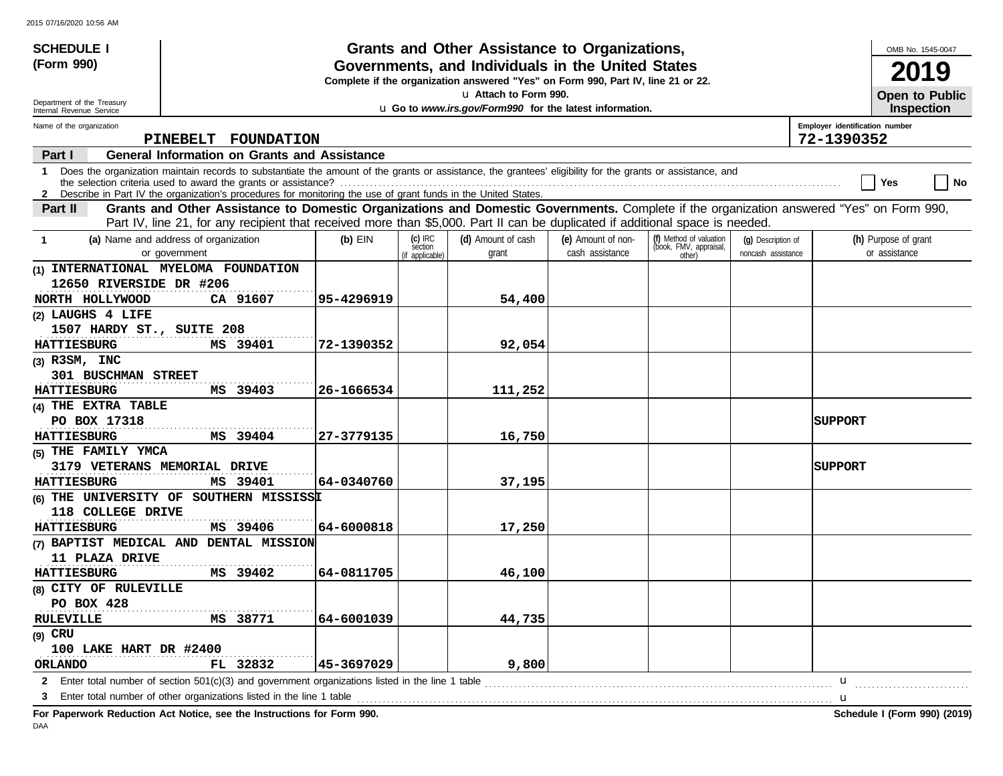| <b>SCHEDULE I</b>                                      |                                                                                                                                                                                                                                                                               |            |                                         | Grants and Other Assistance to Organizations,           |                                       |                                                             |                                          |                                              | OMB No. 1545-0047                     |
|--------------------------------------------------------|-------------------------------------------------------------------------------------------------------------------------------------------------------------------------------------------------------------------------------------------------------------------------------|------------|-----------------------------------------|---------------------------------------------------------|---------------------------------------|-------------------------------------------------------------|------------------------------------------|----------------------------------------------|---------------------------------------|
| (Form 990)                                             | Governments, and Individuals in the United States<br>Complete if the organization answered "Yes" on Form 990, Part IV, line 21 or 22.                                                                                                                                         |            |                                         |                                                         |                                       |                                                             |                                          |                                              | 2019                                  |
|                                                        |                                                                                                                                                                                                                                                                               |            |                                         | u Attach to Form 990.                                   |                                       |                                                             |                                          |                                              | <b>Open to Public</b>                 |
| Department of the Treasury<br>Internal Revenue Service |                                                                                                                                                                                                                                                                               |            |                                         | u Go to www.irs.gov/Form990 for the latest information. |                                       |                                                             |                                          |                                              | <b>Inspection</b>                     |
| Name of the organization                               | PINEBELT FOUNDATION                                                                                                                                                                                                                                                           |            |                                         |                                                         |                                       |                                                             |                                          | Employer identification number<br>72-1390352 |                                       |
| Part I                                                 | <b>General Information on Grants and Assistance</b>                                                                                                                                                                                                                           |            |                                         |                                                         |                                       |                                                             |                                          |                                              |                                       |
| $\mathbf 1$                                            | Does the organization maintain records to substantiate the amount of the grants or assistance, the grantees' eligibility for the grants or assistance, and<br>2 Describe in Part IV the organization's procedures for monitoring the use of grant funds in the United States. |            |                                         |                                                         |                                       |                                                             |                                          |                                              | Yes<br>  No                           |
| Part II                                                | Grants and Other Assistance to Domestic Organizations and Domestic Governments. Complete if the organization answered "Yes" on Form 990,<br>Part IV, line 21, for any recipient that received more than \$5,000. Part II can be duplicated if additional space is needed.     |            |                                         |                                                         |                                       |                                                             |                                          |                                              |                                       |
| $\mathbf{1}$                                           | (a) Name and address of organization<br>or government                                                                                                                                                                                                                         | $(b)$ EIN  | $(c)$ IRC<br>section<br>(if applicable) | (d) Amount of cash<br>grant                             | (e) Amount of non-<br>cash assistance | (f) Method of valuation<br>(book, FMV, appraisal,<br>other) | (q) Description of<br>noncash assistance |                                              | (h) Purpose of grant<br>or assistance |
| 12650 RIVERSIDE DR #206                                | INTERNATIONAL MYELOMA FOUNDATION<br>CA 91607                                                                                                                                                                                                                                  | 95-4296919 |                                         |                                                         |                                       |                                                             |                                          |                                              |                                       |
| NORTH HOLLYWOOD<br>(2) LAUGHS 4 LIFE                   |                                                                                                                                                                                                                                                                               |            |                                         | 54,400                                                  |                                       |                                                             |                                          |                                              |                                       |
| 1507 HARDY ST., SUITE 208                              |                                                                                                                                                                                                                                                                               |            |                                         |                                                         |                                       |                                                             |                                          |                                              |                                       |
| <b>HATTIESBURG</b>                                     | MS 39401                                                                                                                                                                                                                                                                      | 72-1390352 |                                         | 92,054                                                  |                                       |                                                             |                                          |                                              |                                       |
| $(3)$ R3SM, INC                                        |                                                                                                                                                                                                                                                                               |            |                                         |                                                         |                                       |                                                             |                                          |                                              |                                       |
| 301 BUSCHMAN STREET                                    |                                                                                                                                                                                                                                                                               |            |                                         |                                                         |                                       |                                                             |                                          |                                              |                                       |
| <b>HATTIESBURG</b>                                     | MS 39403                                                                                                                                                                                                                                                                      | 26-1666534 |                                         | 111,252                                                 |                                       |                                                             |                                          |                                              |                                       |
| (4) THE EXTRA TABLE                                    |                                                                                                                                                                                                                                                                               |            |                                         |                                                         |                                       |                                                             |                                          |                                              |                                       |
| PO BOX 17318                                           |                                                                                                                                                                                                                                                                               |            |                                         |                                                         |                                       |                                                             |                                          | <b>SUPPORT</b>                               |                                       |
| <b>HATTIESBURG</b>                                     | MS 39404                                                                                                                                                                                                                                                                      | 27-3779135 |                                         | 16,750                                                  |                                       |                                                             |                                          |                                              |                                       |
| (5) THE FAMILY YMCA                                    |                                                                                                                                                                                                                                                                               |            |                                         |                                                         |                                       |                                                             |                                          |                                              |                                       |
| 3179 VETERANS MEMORIAL DRIVE                           |                                                                                                                                                                                                                                                                               |            |                                         |                                                         |                                       |                                                             |                                          | <b>SUPPORT</b>                               |                                       |
| <b>HATTIESBURG</b>                                     | MS 39401                                                                                                                                                                                                                                                                      | 64-0340760 |                                         | 37,195                                                  |                                       |                                                             |                                          |                                              |                                       |
|                                                        | (6) THE UNIVERSITY OF SOUTHERN MISSISSI                                                                                                                                                                                                                                       |            |                                         |                                                         |                                       |                                                             |                                          |                                              |                                       |
| 118 COLLEGE DRIVE                                      |                                                                                                                                                                                                                                                                               |            |                                         |                                                         |                                       |                                                             |                                          |                                              |                                       |
| <b>HATTIESBURG</b>                                     | MS 39406                                                                                                                                                                                                                                                                      | 64-6000818 |                                         | 17,250                                                  |                                       |                                                             |                                          |                                              |                                       |
|                                                        | (7) BAPTIST MEDICAL AND DENTAL MISSION                                                                                                                                                                                                                                        |            |                                         |                                                         |                                       |                                                             |                                          |                                              |                                       |
| 11 PLAZA DRIVE                                         |                                                                                                                                                                                                                                                                               |            |                                         |                                                         |                                       |                                                             |                                          |                                              |                                       |
| <b>HATTIESBURG</b>                                     | MS 39402                                                                                                                                                                                                                                                                      | 64-0811705 |                                         | 46,100                                                  |                                       |                                                             |                                          |                                              |                                       |
| (8) CITY OF RULEVILLE                                  |                                                                                                                                                                                                                                                                               |            |                                         |                                                         |                                       |                                                             |                                          |                                              |                                       |
| PO BOX 428                                             |                                                                                                                                                                                                                                                                               |            |                                         |                                                         |                                       |                                                             |                                          |                                              |                                       |
| <b>RULEVILLE</b>                                       | MS 38771                                                                                                                                                                                                                                                                      | 64-6001039 |                                         | 44,735                                                  |                                       |                                                             |                                          |                                              |                                       |
| $(9)$ CRU                                              |                                                                                                                                                                                                                                                                               |            |                                         |                                                         |                                       |                                                             |                                          |                                              |                                       |
| 100 LAKE HART DR #2400                                 |                                                                                                                                                                                                                                                                               |            |                                         |                                                         |                                       |                                                             |                                          |                                              |                                       |
| ORLANDO                                                | FL 32832                                                                                                                                                                                                                                                                      | 45-3697029 |                                         | 9,800                                                   |                                       |                                                             |                                          |                                              |                                       |
| $\mathbf{2}$                                           | Enter total number of section $501(c)(3)$ and government organizations listed in the line 1 table                                                                                                                                                                             |            |                                         |                                                         |                                       |                                                             |                                          | u                                            |                                       |
| 3                                                      | Enter total number of other organizations listed in the line 1 table                                                                                                                                                                                                          |            | .                                       |                                                         |                                       |                                                             |                                          | <b>u</b>                                     |                                       |

**For Paperwork Reduction Act Notice, see the Instructions for Form 990. Schedule I (Form 990) (2019)** DAA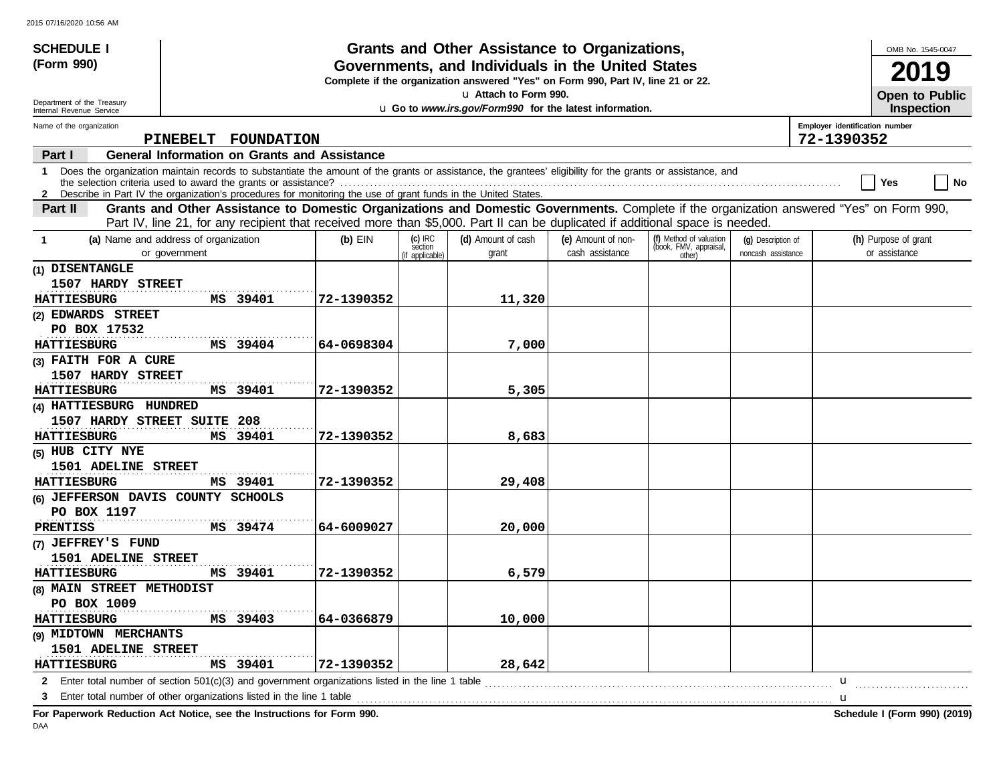| <b>SCHEDULE I</b>                                                                                                                                                                                                                                                                                                                                                                                       |                                                                                                                                                            |            |                                         | Grants and Other Assistance to Organizations,                                                                                         |                                       |                                                             |                                          |                                              |                                       | OMB No. 1545-0047     |
|---------------------------------------------------------------------------------------------------------------------------------------------------------------------------------------------------------------------------------------------------------------------------------------------------------------------------------------------------------------------------------------------------------|------------------------------------------------------------------------------------------------------------------------------------------------------------|------------|-----------------------------------------|---------------------------------------------------------------------------------------------------------------------------------------|---------------------------------------|-------------------------------------------------------------|------------------------------------------|----------------------------------------------|---------------------------------------|-----------------------|
| (Form 990)                                                                                                                                                                                                                                                                                                                                                                                              |                                                                                                                                                            |            |                                         | Governments, and Individuals in the United States<br>Complete if the organization answered "Yes" on Form 990, Part IV, line 21 or 22. |                                       |                                                             |                                          |                                              |                                       | 19                    |
| Department of the Treasury                                                                                                                                                                                                                                                                                                                                                                              |                                                                                                                                                            |            |                                         | La Attach to Form 990.                                                                                                                |                                       |                                                             |                                          |                                              |                                       | <b>Open to Public</b> |
| Internal Revenue Service                                                                                                                                                                                                                                                                                                                                                                                |                                                                                                                                                            |            |                                         | u Go to www.irs.gov/Form990 for the latest information.                                                                               |                                       |                                                             |                                          |                                              |                                       | <b>Inspection</b>     |
| Name of the organization                                                                                                                                                                                                                                                                                                                                                                                | PINEBELT<br><b>FOUNDATION</b>                                                                                                                              |            |                                         |                                                                                                                                       |                                       |                                                             |                                          | Employer identification number<br>72-1390352 |                                       |                       |
| Part I                                                                                                                                                                                                                                                                                                                                                                                                  | <b>General Information on Grants and Assistance</b>                                                                                                        |            |                                         |                                                                                                                                       |                                       |                                                             |                                          |                                              |                                       |                       |
| 1                                                                                                                                                                                                                                                                                                                                                                                                       | Does the organization maintain records to substantiate the amount of the grants or assistance, the grantees' eligibility for the grants or assistance, and |            |                                         |                                                                                                                                       |                                       |                                                             |                                          |                                              | Yes                                   | No                    |
| 2 Describe in Part IV the organization's procedures for monitoring the use of grant funds in the United States.<br>Grants and Other Assistance to Domestic Organizations and Domestic Governments. Complete if the organization answered "Yes" on Form 990,<br>Part II<br>Part IV, line 21, for any recipient that received more than \$5,000. Part II can be duplicated if additional space is needed. |                                                                                                                                                            |            |                                         |                                                                                                                                       |                                       |                                                             |                                          |                                              |                                       |                       |
| $\mathbf 1$                                                                                                                                                                                                                                                                                                                                                                                             | (a) Name and address of organization<br>or government                                                                                                      | $(b)$ EIN  | $(c)$ IRC<br>section<br>(if applicable) | (d) Amount of cash<br>grant                                                                                                           | (e) Amount of non-<br>cash assistance | (f) Method of valuation<br>(book, FMV, appraisal,<br>other) | (g) Description of<br>noncash assistance |                                              | (h) Purpose of grant<br>or assistance |                       |
| (1) DISENTANGLE<br>1507 HARDY STREET<br><b>HATTIESBURG</b>                                                                                                                                                                                                                                                                                                                                              | MS 39401                                                                                                                                                   | 72-1390352 |                                         | 11,320                                                                                                                                |                                       |                                                             |                                          |                                              |                                       |                       |
| (2) EDWARDS STREET                                                                                                                                                                                                                                                                                                                                                                                      |                                                                                                                                                            |            |                                         |                                                                                                                                       |                                       |                                                             |                                          |                                              |                                       |                       |
| PO BOX 17532                                                                                                                                                                                                                                                                                                                                                                                            |                                                                                                                                                            |            |                                         |                                                                                                                                       |                                       |                                                             |                                          |                                              |                                       |                       |
| <b>HATTIESBURG</b>                                                                                                                                                                                                                                                                                                                                                                                      | MS 39404                                                                                                                                                   | 64-0698304 |                                         | 7,000                                                                                                                                 |                                       |                                                             |                                          |                                              |                                       |                       |
| (3) FAITH FOR A CURE                                                                                                                                                                                                                                                                                                                                                                                    |                                                                                                                                                            |            |                                         |                                                                                                                                       |                                       |                                                             |                                          |                                              |                                       |                       |
| 1507 HARDY STREET                                                                                                                                                                                                                                                                                                                                                                                       |                                                                                                                                                            |            |                                         |                                                                                                                                       |                                       |                                                             |                                          |                                              |                                       |                       |
| <b>HATTIESBURG</b>                                                                                                                                                                                                                                                                                                                                                                                      | MS 39401                                                                                                                                                   | 72-1390352 |                                         | 5,305                                                                                                                                 |                                       |                                                             |                                          |                                              |                                       |                       |
| (4) HATTIESBURG HUNDRED                                                                                                                                                                                                                                                                                                                                                                                 |                                                                                                                                                            |            |                                         |                                                                                                                                       |                                       |                                                             |                                          |                                              |                                       |                       |
| 1507 HARDY STREET SUITE 208                                                                                                                                                                                                                                                                                                                                                                             |                                                                                                                                                            |            |                                         |                                                                                                                                       |                                       |                                                             |                                          |                                              |                                       |                       |
| <b>HATTIESBURG</b>                                                                                                                                                                                                                                                                                                                                                                                      | MS 39401                                                                                                                                                   | 72-1390352 |                                         | 8,683                                                                                                                                 |                                       |                                                             |                                          |                                              |                                       |                       |
| (5) HUB CITY NYE<br>1501 ADELINE STREET                                                                                                                                                                                                                                                                                                                                                                 |                                                                                                                                                            |            |                                         |                                                                                                                                       |                                       |                                                             |                                          |                                              |                                       |                       |
| <b>HATTIESBURG</b>                                                                                                                                                                                                                                                                                                                                                                                      | MS 39401                                                                                                                                                   | 72-1390352 |                                         | 29,408                                                                                                                                |                                       |                                                             |                                          |                                              |                                       |                       |
| (6) JEFFERSON DAVIS COUNTY SCHOOLS                                                                                                                                                                                                                                                                                                                                                                      |                                                                                                                                                            |            |                                         |                                                                                                                                       |                                       |                                                             |                                          |                                              |                                       |                       |
| PO BOX 1197                                                                                                                                                                                                                                                                                                                                                                                             |                                                                                                                                                            |            |                                         |                                                                                                                                       |                                       |                                                             |                                          |                                              |                                       |                       |
| <b>PRENTISS</b>                                                                                                                                                                                                                                                                                                                                                                                         | MS 39474                                                                                                                                                   | 64-6009027 |                                         | 20,000                                                                                                                                |                                       |                                                             |                                          |                                              |                                       |                       |
| (7) JEFFREY'S FUND                                                                                                                                                                                                                                                                                                                                                                                      |                                                                                                                                                            |            |                                         |                                                                                                                                       |                                       |                                                             |                                          |                                              |                                       |                       |
| 1501 ADELINE STREET                                                                                                                                                                                                                                                                                                                                                                                     |                                                                                                                                                            |            |                                         |                                                                                                                                       |                                       |                                                             |                                          |                                              |                                       |                       |
| <b>HATTIESBURG</b>                                                                                                                                                                                                                                                                                                                                                                                      | MS 39401                                                                                                                                                   | 72-1390352 |                                         | 6,579                                                                                                                                 |                                       |                                                             |                                          |                                              |                                       |                       |
| (8) MAIN STREET METHODIST                                                                                                                                                                                                                                                                                                                                                                               |                                                                                                                                                            |            |                                         |                                                                                                                                       |                                       |                                                             |                                          |                                              |                                       |                       |
| PO BOX 1009                                                                                                                                                                                                                                                                                                                                                                                             |                                                                                                                                                            |            |                                         |                                                                                                                                       |                                       |                                                             |                                          |                                              |                                       |                       |
| <b>HATTIESBURG</b>                                                                                                                                                                                                                                                                                                                                                                                      | MS 39403                                                                                                                                                   | 64-0366879 |                                         | 10,000                                                                                                                                |                                       |                                                             |                                          |                                              |                                       |                       |
| (9) MIDTOWN MERCHANTS                                                                                                                                                                                                                                                                                                                                                                                   |                                                                                                                                                            |            |                                         |                                                                                                                                       |                                       |                                                             |                                          |                                              |                                       |                       |
| 1501 ADELINE STREET                                                                                                                                                                                                                                                                                                                                                                                     |                                                                                                                                                            |            |                                         |                                                                                                                                       |                                       |                                                             |                                          |                                              |                                       |                       |
| <b>HATTIESBURG</b>                                                                                                                                                                                                                                                                                                                                                                                      | MS 39401                                                                                                                                                   | 72-1390352 |                                         | 28,642                                                                                                                                |                                       |                                                             |                                          |                                              |                                       |                       |
|                                                                                                                                                                                                                                                                                                                                                                                                         | 2 Enter total number of section 501(c)(3) and government organizations listed in the line 1 table                                                          |            |                                         |                                                                                                                                       |                                       |                                                             |                                          | u                                            |                                       |                       |
| З                                                                                                                                                                                                                                                                                                                                                                                                       | Enter total number of other organizations listed in the line 1 table                                                                                       |            |                                         |                                                                                                                                       |                                       |                                                             | <u></u> <b>u</b>                         |                                              |                                       |                       |

**For Paperwork Reduction Act Notice, see the Instructions for Form 990. Schedule I (Form 990) (2019)** DAA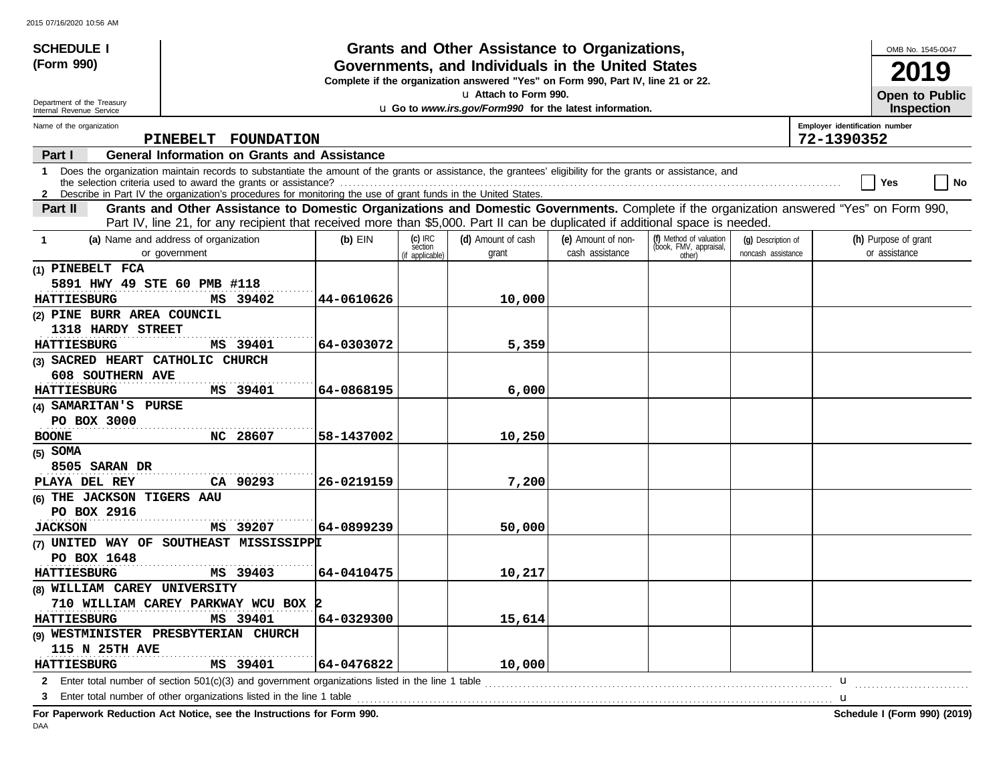| <b>SCHEDULE I</b>                                                                                                                                                                                                                                                                    |                                                                                                                                                                                                                                                                                 |            |                                         | Grants and Other Assistance to Organizations,                                                                                         |                                       |                                                             |                                          |                                              |                                       | OMB No. 1545-0047 |
|--------------------------------------------------------------------------------------------------------------------------------------------------------------------------------------------------------------------------------------------------------------------------------------|---------------------------------------------------------------------------------------------------------------------------------------------------------------------------------------------------------------------------------------------------------------------------------|------------|-----------------------------------------|---------------------------------------------------------------------------------------------------------------------------------------|---------------------------------------|-------------------------------------------------------------|------------------------------------------|----------------------------------------------|---------------------------------------|-------------------|
| (Form 990)                                                                                                                                                                                                                                                                           |                                                                                                                                                                                                                                                                                 |            |                                         | Governments, and Individuals in the United States<br>Complete if the organization answered "Yes" on Form 990, Part IV, line 21 or 22. |                                       |                                                             |                                          |                                              |                                       | Lg                |
| Department of the Treasury                                                                                                                                                                                                                                                           |                                                                                                                                                                                                                                                                                 |            |                                         | La Attach to Form 990.                                                                                                                |                                       |                                                             |                                          |                                              |                                       | Open to Public    |
| Internal Revenue Service                                                                                                                                                                                                                                                             |                                                                                                                                                                                                                                                                                 |            |                                         | u Go to www.irs.gov/Form990 for the latest information.                                                                               |                                       |                                                             |                                          |                                              |                                       | <b>Inspection</b> |
| Name of the organization                                                                                                                                                                                                                                                             | PINEBELT<br><b>FOUNDATION</b>                                                                                                                                                                                                                                                   |            |                                         |                                                                                                                                       |                                       |                                                             |                                          | Employer identification number<br>72-1390352 |                                       |                   |
| Part I                                                                                                                                                                                                                                                                               | <b>General Information on Grants and Assistance</b>                                                                                                                                                                                                                             |            |                                         |                                                                                                                                       |                                       |                                                             |                                          |                                              |                                       |                   |
|                                                                                                                                                                                                                                                                                      | 1 Does the organization maintain records to substantiate the amount of the grants or assistance, the grantees' eligibility for the grants or assistance, and<br>2 Describe in Part IV the organization's procedures for monitoring the use of grant funds in the United States. |            |                                         |                                                                                                                                       |                                       |                                                             |                                          |                                              | Yes                                   | No                |
| Grants and Other Assistance to Domestic Organizations and Domestic Governments. Complete if the organization answered "Yes" on Form 990,<br>Part II<br>Part IV, line 21, for any recipient that received more than \$5,000. Part II can be duplicated if additional space is needed. |                                                                                                                                                                                                                                                                                 |            |                                         |                                                                                                                                       |                                       |                                                             |                                          |                                              |                                       |                   |
| $\mathbf 1$                                                                                                                                                                                                                                                                          | (a) Name and address of organization<br>or government                                                                                                                                                                                                                           | $(b)$ EIN  | $(c)$ IRC<br>section<br>(if applicable) | (d) Amount of cash<br>grant                                                                                                           | (e) Amount of non-<br>cash assistance | (f) Method of valuation<br>(book, FMV, appraisal,<br>other) | (g) Description of<br>noncash assistance |                                              | (h) Purpose of grant<br>or assistance |                   |
| (1) PINEBELT FCA<br>5891 HWY 49 STE 60 PMB #118<br><b>HATTIESBURG</b>                                                                                                                                                                                                                | MS 39402                                                                                                                                                                                                                                                                        | 44-0610626 |                                         | 10,000                                                                                                                                |                                       |                                                             |                                          |                                              |                                       |                   |
| (2) PINE BURR AREA COUNCIL<br>1318 HARDY STREET                                                                                                                                                                                                                                      |                                                                                                                                                                                                                                                                                 |            |                                         |                                                                                                                                       |                                       |                                                             |                                          |                                              |                                       |                   |
| <b>HATTIESBURG</b>                                                                                                                                                                                                                                                                   | MS 39401                                                                                                                                                                                                                                                                        | 64-0303072 |                                         | 5,359                                                                                                                                 |                                       |                                                             |                                          |                                              |                                       |                   |
| (3) SACRED HEART CATHOLIC CHURCH<br><b>608 SOUTHERN AVE</b>                                                                                                                                                                                                                          |                                                                                                                                                                                                                                                                                 |            |                                         |                                                                                                                                       |                                       |                                                             |                                          |                                              |                                       |                   |
| <b>HATTIESBURG</b>                                                                                                                                                                                                                                                                   | MS 39401                                                                                                                                                                                                                                                                        | 64-0868195 |                                         | 6,000                                                                                                                                 |                                       |                                                             |                                          |                                              |                                       |                   |
| (4) SAMARITAN'S PURSE                                                                                                                                                                                                                                                                |                                                                                                                                                                                                                                                                                 |            |                                         |                                                                                                                                       |                                       |                                                             |                                          |                                              |                                       |                   |
| PO BOX 3000                                                                                                                                                                                                                                                                          |                                                                                                                                                                                                                                                                                 |            |                                         |                                                                                                                                       |                                       |                                                             |                                          |                                              |                                       |                   |
| <b>BOONE</b>                                                                                                                                                                                                                                                                         | NC 28607                                                                                                                                                                                                                                                                        | 58-1437002 |                                         | 10,250                                                                                                                                |                                       |                                                             |                                          |                                              |                                       |                   |
| $(5)$ SOMA<br>8505 SARAN DR<br>PLAYA DEL REY                                                                                                                                                                                                                                         | CA 90293                                                                                                                                                                                                                                                                        | 26-0219159 |                                         | 7,200                                                                                                                                 |                                       |                                                             |                                          |                                              |                                       |                   |
| (6) THE JACKSON TIGERS AAU<br>PO BOX 2916                                                                                                                                                                                                                                            |                                                                                                                                                                                                                                                                                 |            |                                         |                                                                                                                                       |                                       |                                                             |                                          |                                              |                                       |                   |
| <b>JACKSON</b>                                                                                                                                                                                                                                                                       | MS 39207                                                                                                                                                                                                                                                                        | 64-0899239 |                                         | 50,000                                                                                                                                |                                       |                                                             |                                          |                                              |                                       |                   |
| PO BOX 1648                                                                                                                                                                                                                                                                          | (7) UNITED WAY OF SOUTHEAST MISSISSIPPI                                                                                                                                                                                                                                         |            |                                         |                                                                                                                                       |                                       |                                                             |                                          |                                              |                                       |                   |
| <b>HATTIESBURG</b>                                                                                                                                                                                                                                                                   | MS 39403                                                                                                                                                                                                                                                                        | 64-0410475 |                                         | 10,217                                                                                                                                |                                       |                                                             |                                          |                                              |                                       |                   |
| (8) WILLIAM CAREY UNIVERSITY                                                                                                                                                                                                                                                         |                                                                                                                                                                                                                                                                                 |            |                                         |                                                                                                                                       |                                       |                                                             |                                          |                                              |                                       |                   |
|                                                                                                                                                                                                                                                                                      | 710 WILLIAM CAREY PARKWAY WCU BOX                                                                                                                                                                                                                                               |            |                                         |                                                                                                                                       |                                       |                                                             |                                          |                                              |                                       |                   |
| <b>HATTIESBURG</b>                                                                                                                                                                                                                                                                   | MS 39401                                                                                                                                                                                                                                                                        | 64-0329300 |                                         | 15,614                                                                                                                                |                                       |                                                             |                                          |                                              |                                       |                   |
|                                                                                                                                                                                                                                                                                      | (9) WESTMINISTER PRESBYTERIAN CHURCH                                                                                                                                                                                                                                            |            |                                         |                                                                                                                                       |                                       |                                                             |                                          |                                              |                                       |                   |
| <b>115 N 25TH AVE</b>                                                                                                                                                                                                                                                                |                                                                                                                                                                                                                                                                                 |            |                                         |                                                                                                                                       |                                       |                                                             |                                          |                                              |                                       |                   |
| MS 39401<br>64-0476822<br>10,000<br><b>HATTIESBURG</b>                                                                                                                                                                                                                               |                                                                                                                                                                                                                                                                                 |            |                                         |                                                                                                                                       |                                       |                                                             |                                          |                                              |                                       |                   |
|                                                                                                                                                                                                                                                                                      | 2 Enter total number of section 501(c)(3) and government organizations listed in the line 1 table                                                                                                                                                                               |            |                                         |                                                                                                                                       |                                       |                                                             |                                          | u                                            |                                       |                   |
| 3                                                                                                                                                                                                                                                                                    | Enter total number of other organizations listed in the line 1 table                                                                                                                                                                                                            |            |                                         |                                                                                                                                       |                                       |                                                             | <u></u> <b>u</b>                         |                                              |                                       |                   |

**For Paperwork Reduction Act Notice, see the Instructions for Form 990. Schedule I (Form 990) (2019)** DAA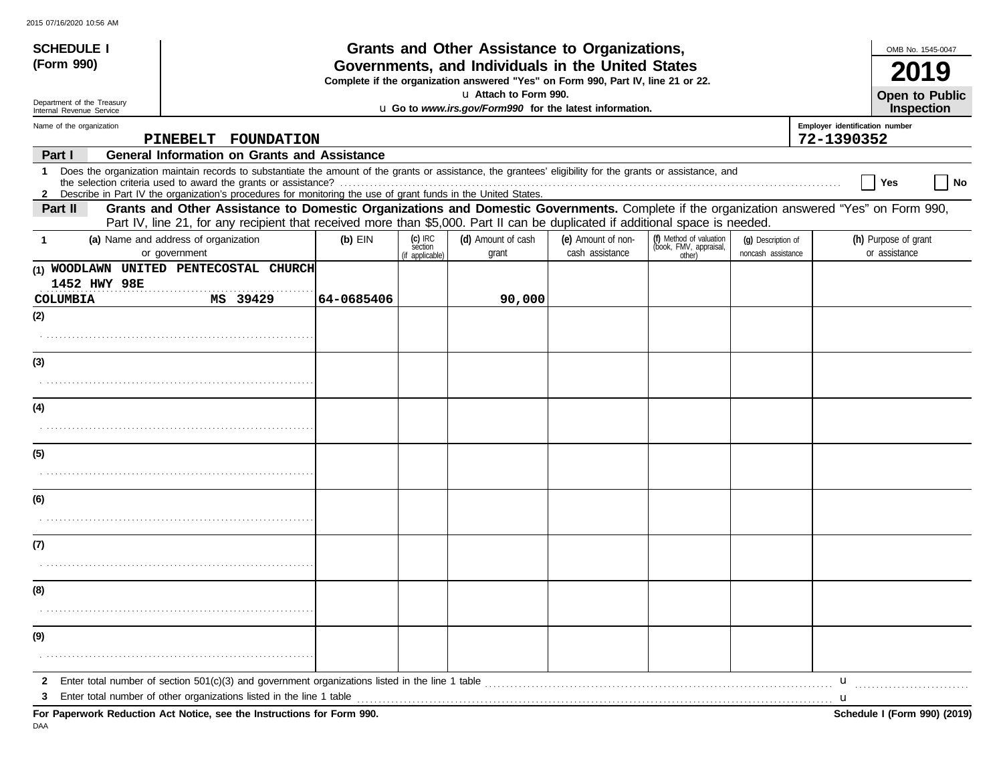| <b>SCHEDULE I</b>                                      |                                                                                                                                                                                                                                                                                                                                      |            |                                         | <b>Grants and Other Assistance to Organizations,</b>                                                                                  |                                       |                                                             |                                          |                                | OMB No. 1545-0047                     |
|--------------------------------------------------------|--------------------------------------------------------------------------------------------------------------------------------------------------------------------------------------------------------------------------------------------------------------------------------------------------------------------------------------|------------|-----------------------------------------|---------------------------------------------------------------------------------------------------------------------------------------|---------------------------------------|-------------------------------------------------------------|------------------------------------------|--------------------------------|---------------------------------------|
| (Form 990)                                             |                                                                                                                                                                                                                                                                                                                                      |            |                                         | Governments, and Individuals in the United States<br>Complete if the organization answered "Yes" on Form 990, Part IV, line 21 or 22. |                                       |                                                             |                                          |                                |                                       |
| Department of the Treasury<br>Internal Revenue Service |                                                                                                                                                                                                                                                                                                                                      |            |                                         | La Attach to Form 990.<br>u Go to www.irs.gov/Form990 for the latest information.                                                     |                                       |                                                             |                                          |                                | Open to Public<br>Inspection          |
| Name of the organization                               |                                                                                                                                                                                                                                                                                                                                      |            |                                         |                                                                                                                                       |                                       |                                                             |                                          | Employer identification number |                                       |
|                                                        | PINEBELT FOUNDATION                                                                                                                                                                                                                                                                                                                  |            |                                         |                                                                                                                                       |                                       |                                                             |                                          | 72-1390352                     |                                       |
| Part I<br>1                                            | <b>General Information on Grants and Assistance</b><br>Does the organization maintain records to substantiate the amount of the grants or assistance, the grantees' eligibility for the grants or assistance, and<br>2 Describe in Part IV the organization's procedures for monitoring the use of grant funds in the United States. |            |                                         |                                                                                                                                       |                                       |                                                             |                                          |                                | Yes<br>No                             |
| Part II                                                | Grants and Other Assistance to Domestic Organizations and Domestic Governments. Complete if the organization answered "Yes" on Form 990,<br>Part IV, line 21, for any recipient that received more than \$5,000. Part II can be duplicated if additional space is needed.                                                            |            |                                         |                                                                                                                                       |                                       |                                                             |                                          |                                |                                       |
| -1                                                     | (a) Name and address of organization<br>or government                                                                                                                                                                                                                                                                                | $(b)$ EIN  | $(c)$ IRC<br>section<br>(if applicable) | (d) Amount of cash<br>grant                                                                                                           | (e) Amount of non-<br>cash assistance | (f) Method of valuation<br>(book, FMV, appraisal,<br>other) | (q) Description of<br>noncash assistance |                                | (h) Purpose of grant<br>or assistance |
| 1452 HWY 98E                                           | (1) WOODLAWN UNITED PENTECOSTAL CHURCH                                                                                                                                                                                                                                                                                               |            |                                         |                                                                                                                                       |                                       |                                                             |                                          |                                |                                       |
| COLUMBIA                                               | MS 39429                                                                                                                                                                                                                                                                                                                             | 64-0685406 |                                         | 90,000                                                                                                                                |                                       |                                                             |                                          |                                |                                       |
| (2)                                                    |                                                                                                                                                                                                                                                                                                                                      |            |                                         |                                                                                                                                       |                                       |                                                             |                                          |                                |                                       |
| (3)                                                    |                                                                                                                                                                                                                                                                                                                                      |            |                                         |                                                                                                                                       |                                       |                                                             |                                          |                                |                                       |
|                                                        |                                                                                                                                                                                                                                                                                                                                      |            |                                         |                                                                                                                                       |                                       |                                                             |                                          |                                |                                       |
| (4)                                                    |                                                                                                                                                                                                                                                                                                                                      |            |                                         |                                                                                                                                       |                                       |                                                             |                                          |                                |                                       |
|                                                        |                                                                                                                                                                                                                                                                                                                                      |            |                                         |                                                                                                                                       |                                       |                                                             |                                          |                                |                                       |
| (5)                                                    |                                                                                                                                                                                                                                                                                                                                      |            |                                         |                                                                                                                                       |                                       |                                                             |                                          |                                |                                       |
| (6)                                                    |                                                                                                                                                                                                                                                                                                                                      |            |                                         |                                                                                                                                       |                                       |                                                             |                                          |                                |                                       |
|                                                        |                                                                                                                                                                                                                                                                                                                                      |            |                                         |                                                                                                                                       |                                       |                                                             |                                          |                                |                                       |
| (7)                                                    |                                                                                                                                                                                                                                                                                                                                      |            |                                         |                                                                                                                                       |                                       |                                                             |                                          |                                |                                       |
|                                                        |                                                                                                                                                                                                                                                                                                                                      |            |                                         |                                                                                                                                       |                                       |                                                             |                                          |                                |                                       |
| (8)                                                    |                                                                                                                                                                                                                                                                                                                                      |            |                                         |                                                                                                                                       |                                       |                                                             |                                          |                                |                                       |
|                                                        |                                                                                                                                                                                                                                                                                                                                      |            |                                         |                                                                                                                                       |                                       |                                                             |                                          |                                |                                       |
| (9)                                                    |                                                                                                                                                                                                                                                                                                                                      |            |                                         |                                                                                                                                       |                                       |                                                             |                                          |                                |                                       |
|                                                        |                                                                                                                                                                                                                                                                                                                                      |            |                                         |                                                                                                                                       |                                       |                                                             |                                          |                                |                                       |
| $\mathbf{2}$                                           | Enter total number of section $501(c)(3)$ and government organizations listed in the line 1 table                                                                                                                                                                                                                                    |            |                                         |                                                                                                                                       |                                       |                                                             |                                          | u                              |                                       |
| З                                                      | Enter total number of other organizations listed in the line 1 table<br>For Paperwork Reduction Act Notice, see the Instructions for Form 990.                                                                                                                                                                                       |            |                                         |                                                                                                                                       |                                       |                                                             |                                          | u                              | Schedule I (Form 990) (2019)          |

DAA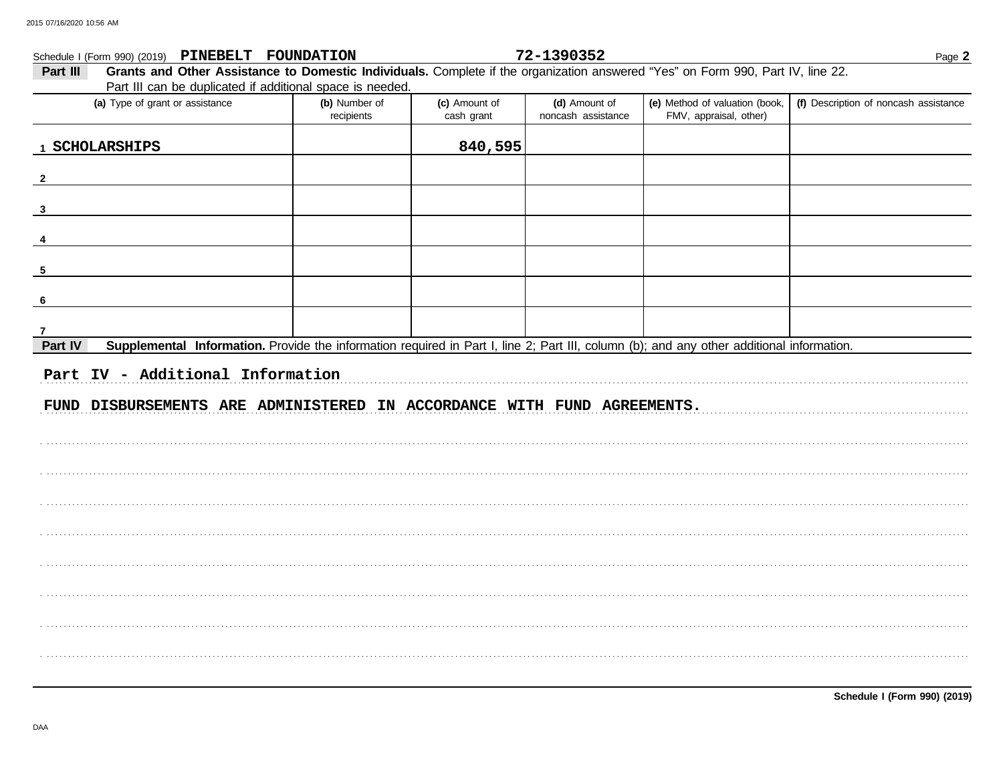|              | Schedule I (Form 990) (2019) PINEBELT FOUNDATION                                                                                          |                             |                             | 72-1390352                          |                                                          | Page 2                                |
|--------------|-------------------------------------------------------------------------------------------------------------------------------------------|-----------------------------|-----------------------------|-------------------------------------|----------------------------------------------------------|---------------------------------------|
| Part III     | Grants and Other Assistance to Domestic Individuals. Complete if the organization answered "Yes" on Form 990, Part IV, line 22.           |                             |                             |                                     |                                                          |                                       |
|              | Part III can be duplicated if additional space is needed.                                                                                 |                             |                             |                                     |                                                          |                                       |
|              | (a) Type of grant or assistance                                                                                                           | (b) Number of<br>recipients | (c) Amount of<br>cash grant | (d) Amount of<br>noncash assistance | (e) Method of valuation (book,<br>FMV, appraisal, other) | (f) Description of noncash assistance |
|              | 1 SCHOLARSHIPS                                                                                                                            |                             | 840,595                     |                                     |                                                          |                                       |
| $\mathbf{2}$ |                                                                                                                                           |                             |                             |                                     |                                                          |                                       |
| $\mathbf{3}$ |                                                                                                                                           |                             |                             |                                     |                                                          |                                       |
|              |                                                                                                                                           |                             |                             |                                     |                                                          |                                       |
| 5            |                                                                                                                                           |                             |                             |                                     |                                                          |                                       |
| 6            |                                                                                                                                           |                             |                             |                                     |                                                          |                                       |
| 7            |                                                                                                                                           |                             |                             |                                     |                                                          |                                       |
| Part IV      | Supplemental Information. Provide the information required in Part I, line 2; Part III, column (b); and any other additional information. |                             |                             |                                     |                                                          |                                       |
|              | Part IV - Additional Information<br>FUND DISBURSEMENTS ARE ADMINISTERED IN ACCORDANCE WITH FUND AGREEMENTS.                               |                             |                             |                                     |                                                          |                                       |
|              |                                                                                                                                           |                             |                             |                                     |                                                          |                                       |
|              |                                                                                                                                           |                             |                             |                                     |                                                          |                                       |
|              |                                                                                                                                           |                             |                             |                                     |                                                          |                                       |
|              |                                                                                                                                           |                             |                             |                                     |                                                          |                                       |
|              |                                                                                                                                           |                             |                             |                                     |                                                          |                                       |
|              |                                                                                                                                           |                             |                             |                                     |                                                          |                                       |
|              |                                                                                                                                           |                             |                             |                                     |                                                          |                                       |
|              |                                                                                                                                           |                             |                             |                                     |                                                          |                                       |
|              |                                                                                                                                           |                             |                             |                                     |                                                          |                                       |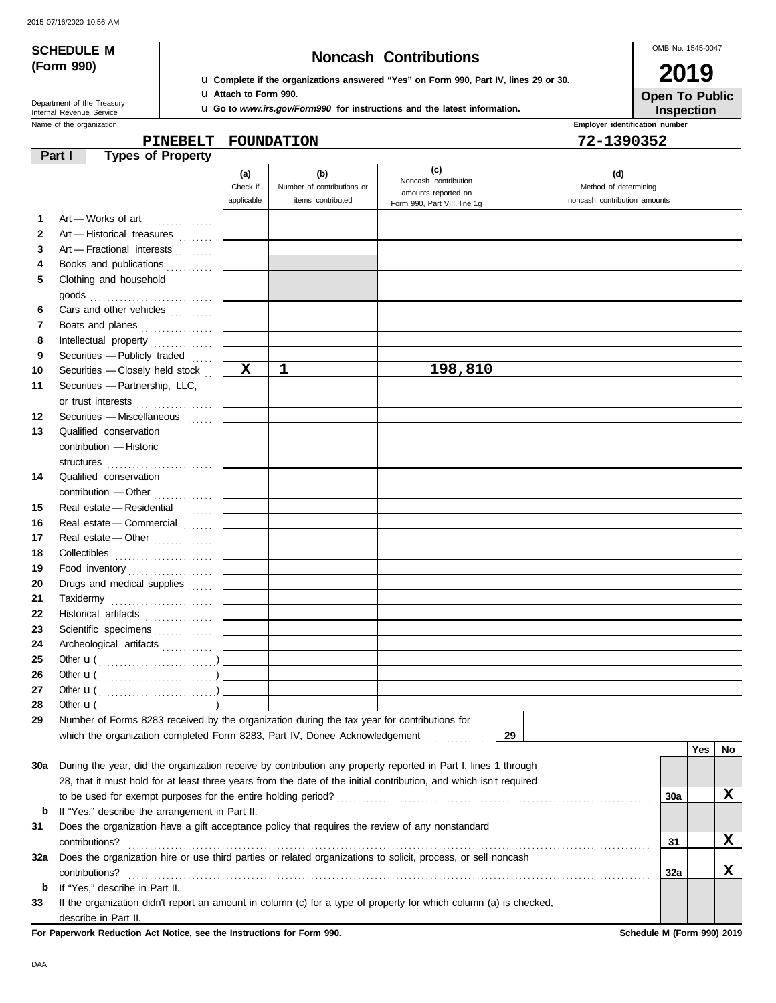# **SCHEDULE M Noncash Contributions**

OMB No. 1545-0047 **2019**

Department of the Treasury<br>Internal Revenue Service

u **Complete if the organizations answered "Yes" on Form 990, Part IV, lines 29 or 30.** u **Attach to Form 990.**

u **Go to** *www.irs.gov/Form990* **for instructions and the latest information.**

Name of the organization **Employer identification number Employer identification number Inspection Open To Public**

**PINEBELT FOUNDATION 72-1390352**

|              | <b>Types of Property</b><br>Part I                                                                                 |             |                            |                                             |                              |     |     |    |
|--------------|--------------------------------------------------------------------------------------------------------------------|-------------|----------------------------|---------------------------------------------|------------------------------|-----|-----|----|
|              |                                                                                                                    | (a)         | (b)                        | (c)                                         | (d)                          |     |     |    |
|              |                                                                                                                    | Check if    | Number of contributions or | Noncash contribution<br>amounts reported on | Method of determining        |     |     |    |
|              |                                                                                                                    | applicable  | items contributed          | Form 990, Part VIII, line 1g                | noncash contribution amounts |     |     |    |
| 1            | Art - Works of art                                                                                                 |             |                            |                                             |                              |     |     |    |
| $\mathbf{2}$ | Art - Historical treasures                                                                                         |             |                            |                                             |                              |     |     |    |
| 3            | Art - Fractional interests                                                                                         |             |                            |                                             |                              |     |     |    |
| 4            | Books and publications                                                                                             |             |                            |                                             |                              |     |     |    |
| 5            | Clothing and household                                                                                             |             |                            |                                             |                              |     |     |    |
|              |                                                                                                                    |             |                            |                                             |                              |     |     |    |
| 6            | Cars and other vehicles                                                                                            |             |                            |                                             |                              |     |     |    |
| 7            | Boats and planes                                                                                                   |             |                            |                                             |                              |     |     |    |
| 8            | Intellectual property                                                                                              |             |                            |                                             |                              |     |     |    |
| 9            | Securities - Publicly traded                                                                                       |             |                            |                                             |                              |     |     |    |
| 10           | Securities - Closely held stock                                                                                    | $\mathbf x$ | $\mathbf{1}$               | 198,810                                     |                              |     |     |    |
| 11           | Securities - Partnership, LLC,                                                                                     |             |                            |                                             |                              |     |     |    |
|              | or trust interests                                                                                                 |             |                            |                                             |                              |     |     |    |
| 12           | Securities - Miscellaneous                                                                                         |             |                            |                                             |                              |     |     |    |
| 13           | Qualified conservation                                                                                             |             |                            |                                             |                              |     |     |    |
|              | contribution - Historic                                                                                            |             |                            |                                             |                              |     |     |    |
|              | structures                                                                                                         |             |                            |                                             |                              |     |     |    |
| 14           | Qualified conservation                                                                                             |             |                            |                                             |                              |     |     |    |
|              |                                                                                                                    |             |                            |                                             |                              |     |     |    |
| 15           | Real estate - Residential                                                                                          |             |                            |                                             |                              |     |     |    |
| 16           | Real estate - Commercial                                                                                           |             |                            |                                             |                              |     |     |    |
| 17           | Real estate - Other                                                                                                |             |                            |                                             |                              |     |     |    |
| 18           |                                                                                                                    |             |                            |                                             |                              |     |     |    |
| 19           | Food inventory                                                                                                     |             |                            |                                             |                              |     |     |    |
| 20           | Drugs and medical supplies                                                                                         |             |                            |                                             |                              |     |     |    |
| 21           | Taxidermy                                                                                                          |             |                            |                                             |                              |     |     |    |
| 22           | Historical artifacts                                                                                               |             |                            |                                             |                              |     |     |    |
| 23           | Scientific specimens                                                                                               |             |                            |                                             |                              |     |     |    |
| 24           | Archeological artifacts                                                                                            |             |                            |                                             |                              |     |     |    |
| 25           |                                                                                                                    |             |                            |                                             |                              |     |     |    |
| 26           |                                                                                                                    |             |                            |                                             |                              |     |     |    |
| 27           |                                                                                                                    |             |                            |                                             |                              |     |     |    |
| 28           | Other $\mathbf{u}$ (                                                                                               |             |                            |                                             |                              |     |     |    |
| 29           | Number of Forms 8283 received by the organization during the tax year for contributions for                        |             |                            |                                             |                              |     |     |    |
|              | which the organization completed Form 8283, Part IV, Donee Acknowledgement                                         |             |                            |                                             | 29                           |     |     |    |
|              |                                                                                                                    |             |                            |                                             |                              |     | Yes | No |
| 30a          | During the year, did the organization receive by contribution any property reported in Part I, lines 1 through     |             |                            |                                             |                              |     |     |    |
|              | 28, that it must hold for at least three years from the date of the initial contribution, and which isn't required |             |                            |                                             |                              |     |     |    |
|              |                                                                                                                    |             |                            |                                             |                              | 30a |     | x  |
| b            | If "Yes," describe the arrangement in Part II.                                                                     |             |                            |                                             |                              |     |     |    |
| 31           | Does the organization have a gift acceptance policy that requires the review of any nonstandard                    |             |                            |                                             |                              |     |     |    |
|              | contributions?                                                                                                     |             |                            |                                             |                              | 31  |     | X  |
| 32a          | Does the organization hire or use third parties or related organizations to solicit, process, or sell noncash      |             |                            |                                             |                              |     |     |    |
|              | contributions?                                                                                                     |             |                            |                                             |                              | 32a |     | X  |
| b            | If "Yes," describe in Part II.                                                                                     |             |                            |                                             |                              |     |     |    |
| 33           | If the organization didn't report an amount in column (c) for a type of property for which column (a) is checked,  |             |                            |                                             |                              |     |     |    |
|              | describe in Part II.                                                                                               |             |                            |                                             |                              |     |     |    |

**For Paperwork Reduction Act Notice, see the Instructions for Form 990. Schedule M (Form 990) 2019**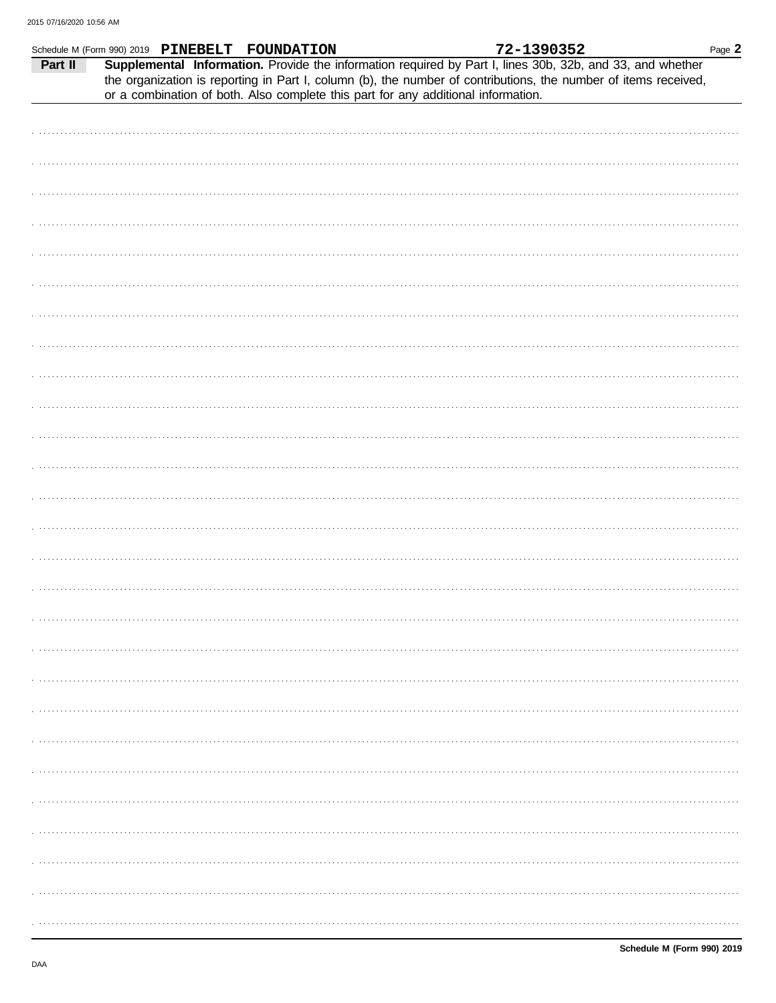|         | Schedule M (Form 990) 2019 PINEBELT FOUNDATION |                                                                                   | 72-1390352                                                                                                                                                                                                                   | Page 2 |
|---------|------------------------------------------------|-----------------------------------------------------------------------------------|------------------------------------------------------------------------------------------------------------------------------------------------------------------------------------------------------------------------------|--------|
| Part II |                                                | or a combination of both. Also complete this part for any additional information. | Supplemental Information. Provide the information required by Part I, lines 30b, 32b, and 33, and whether<br>the organization is reporting in Part I, column (b), the number of contributions, the number of items received, |        |
|         |                                                |                                                                                   |                                                                                                                                                                                                                              |        |
|         |                                                |                                                                                   |                                                                                                                                                                                                                              |        |
|         |                                                |                                                                                   |                                                                                                                                                                                                                              |        |
|         |                                                |                                                                                   |                                                                                                                                                                                                                              |        |
|         |                                                |                                                                                   |                                                                                                                                                                                                                              |        |
|         |                                                |                                                                                   |                                                                                                                                                                                                                              |        |
|         |                                                |                                                                                   |                                                                                                                                                                                                                              |        |
|         |                                                |                                                                                   |                                                                                                                                                                                                                              |        |
|         |                                                |                                                                                   |                                                                                                                                                                                                                              |        |
|         |                                                |                                                                                   |                                                                                                                                                                                                                              |        |
|         |                                                |                                                                                   |                                                                                                                                                                                                                              |        |
|         |                                                |                                                                                   |                                                                                                                                                                                                                              |        |
|         |                                                |                                                                                   |                                                                                                                                                                                                                              |        |
|         |                                                |                                                                                   |                                                                                                                                                                                                                              |        |
|         |                                                |                                                                                   |                                                                                                                                                                                                                              |        |
|         |                                                |                                                                                   |                                                                                                                                                                                                                              |        |
|         |                                                |                                                                                   |                                                                                                                                                                                                                              |        |
|         |                                                |                                                                                   |                                                                                                                                                                                                                              |        |
|         |                                                |                                                                                   |                                                                                                                                                                                                                              |        |
|         |                                                |                                                                                   |                                                                                                                                                                                                                              |        |
|         |                                                |                                                                                   |                                                                                                                                                                                                                              |        |
|         |                                                |                                                                                   |                                                                                                                                                                                                                              |        |
|         |                                                |                                                                                   |                                                                                                                                                                                                                              |        |
|         |                                                |                                                                                   |                                                                                                                                                                                                                              |        |
|         |                                                |                                                                                   |                                                                                                                                                                                                                              |        |
|         |                                                |                                                                                   |                                                                                                                                                                                                                              |        |
|         |                                                |                                                                                   |                                                                                                                                                                                                                              |        |
|         |                                                |                                                                                   |                                                                                                                                                                                                                              |        |
|         |                                                |                                                                                   |                                                                                                                                                                                                                              |        |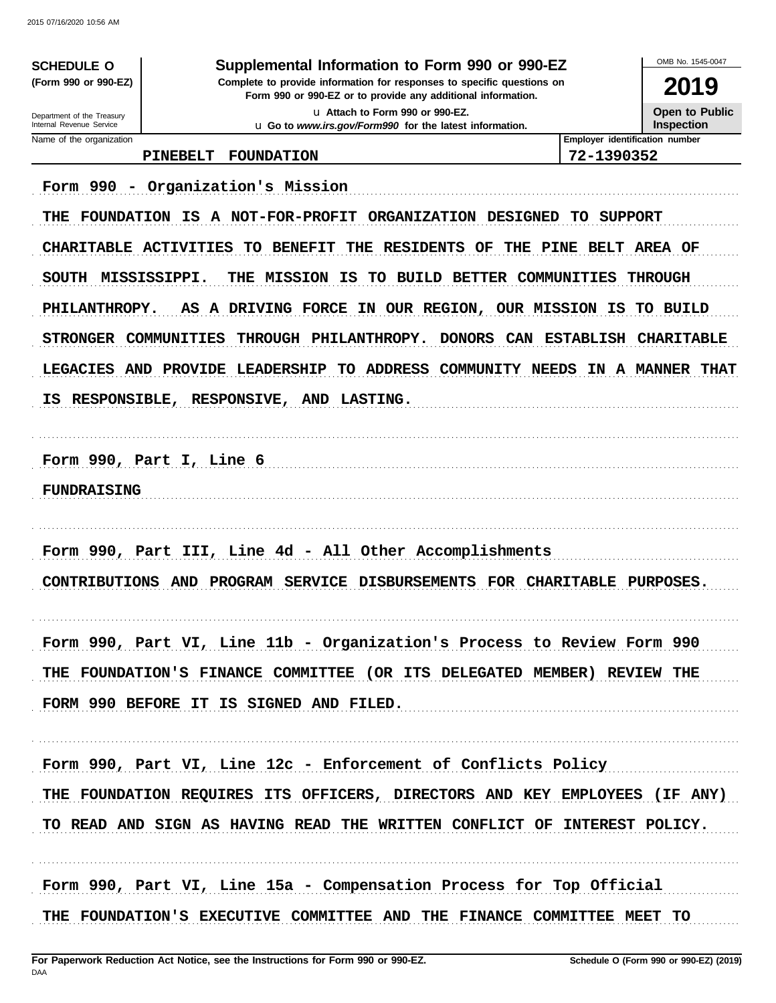**SCHEDULE O** (Form 990 or 990-EZ)

### Supplemental Information to Form 990 or 990-EZ

Complete to provide information for responses to specific questions on Form 990 or 990-EZ or to provide any additional information. u Attach to Form 990 or 990-EZ.

u Go to www.irs.gov/Form990 for the latest information.

2019

Open to Public Inspection

OMB No 1545-0047

Department of the Treasury Internal Revenue Service Name of the organization

### PINEBELT FOUNDATION

Employer identification number 72-1390352

Form 990 - Organization's Mission THE FOUNDATION IS A NOT-FOR-PROFIT ORGANIZATION DESIGNED TO SUPPORT CHARITABLE ACTIVITIES TO BENEFIT THE RESIDENTS OF THE PINE BELT AREA OF SOUTH MISSISSIPPI. THE MISSION IS TO BUILD BETTER COMMUNITIES THROUGH AS A DRIVING FORCE IN OUR REGION, OUR MISSION IS TO BUILD **PHILANTHROPY.** STRONGER COMMUNITIES THROUGH PHILANTHROPY. DONORS CAN ESTABLISH CHARITABLE LEGACIES AND PROVIDE LEADERSHIP TO ADDRESS COMMUNITY NEEDS IN A MANNER THAT IS RESPONSIBLE, RESPONSIVE, AND LASTING. Form 990, Part I, Line 6 **FUNDRAISING** Form 990, Part III, Line 4d - All Other Accomplishments CONTRIBUTIONS AND PROGRAM SERVICE DISBURSEMENTS FOR CHARITABLE PURPOSES. Form 990, Part VI, Line 11b - Organization's Process to Review Form 990 THE FOUNDATION'S FINANCE COMMITTEE (OR ITS DELEGATED MEMBER) REVIEW THE FORM 990 BEFORE IT IS SIGNED AND FILED. Form 990, Part VI, Line 12c - Enforcement of Conflicts Policy THE FOUNDATION REQUIRES ITS OFFICERS, DIRECTORS AND KEY EMPLOYEES (IF ANY) TO READ AND SIGN AS HAVING READ THE WRITTEN CONFLICT OF INTEREST POLICY. Form 990, Part VI, Line 15a - Compensation Process for Top Official

THE FOUNDATION'S EXECUTIVE COMMITTEE AND THE FINANCE COMMITTEE MEET TO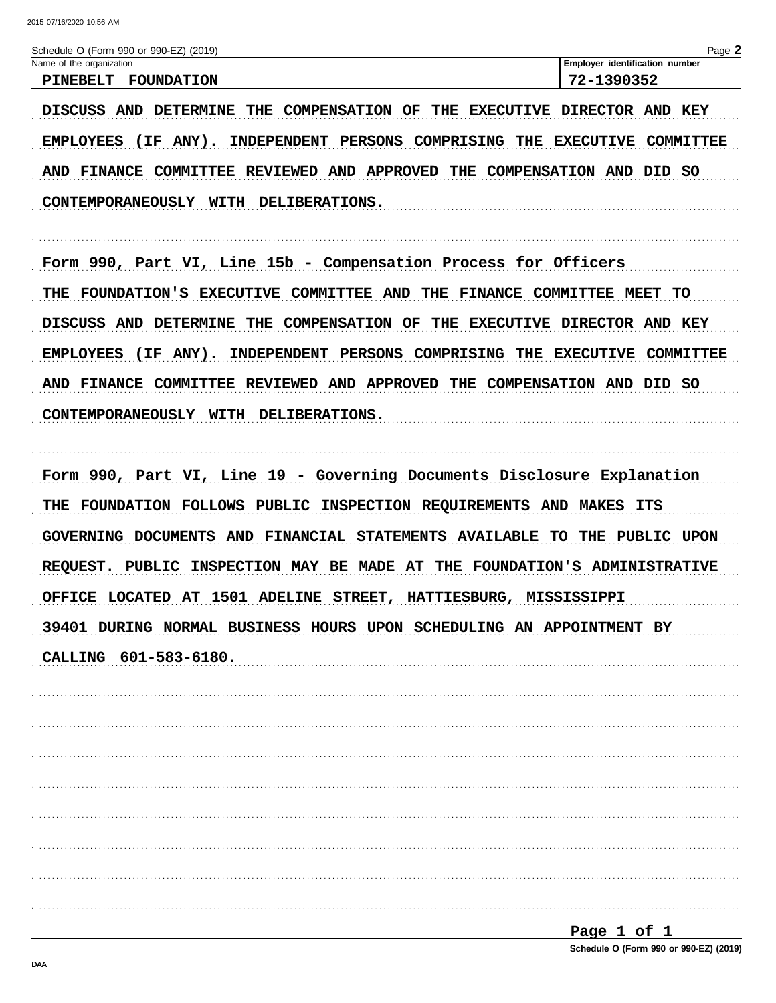| Schedule O (Form 990 or 990-EZ) (2019)                                    | Page 2                               |
|---------------------------------------------------------------------------|--------------------------------------|
| Name of the organization                                                  | Employer identification number       |
| <b>PINEBELT</b><br><b>FOUNDATION</b>                                      | 72-1390352                           |
| DISCUSS AND DETERMINE<br>THE COMPENSATION OF<br>THE<br><b>EXECUTIVE</b>   | DIRECTOR AND KEY                     |
| <b>EMPLOYEES</b><br>$(IF ANY)$ .<br>INDEPENDENT PERSONS COMPRISING THE    | <b>EXECUTIVE</b><br>COMMITTEE        |
| AND FINANCE COMMITTEE REVIEWED AND APPROVED THE COMPENSATION AND DID SO   |                                      |
| <b>DELIBERATIONS.</b><br>CONTEMPORANEOUSLY WITH                           |                                      |
| Form 990, Part VI, Line 15b - Compensation Process for Officers           |                                      |
| THE FOUNDATION'S EXECUTIVE COMMITTEE AND THE                              | <b>FINANCE COMMITTEE MEET</b><br>TO  |
| DISCUSS AND DETERMINE<br><b>THE COMPENSATION OF</b>                       | THE EXECUTIVE DIRECTOR AND KEY       |
| <b>EMPLOYEES</b><br>$(IF ANY)$ .<br>INDEPENDENT PERSONS COMPRISING THE    | <b>EXECUTIVE</b><br><b>COMMITTEE</b> |
| AND FINANCE COMMITTEE REVIEWED AND APPROVED THE COMPENSATION AND DID SO   |                                      |
| <b>DELIBERATIONS.</b><br>CONTEMPORANEOUSLY WITH                           |                                      |
| Form 990, Part VI, Line 19 - Governing Documents Disclosure Explanation   |                                      |
| THE FOUNDATION FOLLOWS PUBLIC INSPECTION REQUIREMENTS AND MAKES ITS       |                                      |
| GOVERNING DOCUMENTS AND FINANCIAL STATEMENTS AVAILABLE                    | THE PUBLIC UPON<br>TO.               |
| REQUEST. PUBLIC INSPECTION MAY BE MADE AT THE FOUNDATION'S ADMINISTRATIVE |                                      |
| OFFICE LOCATED AT 1501 ADELINE STREET, HATTIESBURG, MISSISSIPPI           |                                      |
| 39401 DURING NORMAL BUSINESS HOURS UPON SCHEDULING AN APPOINTMENT BY      |                                      |
| CALLING 601-583-6180.                                                     |                                      |
|                                                                           |                                      |
|                                                                           |                                      |
|                                                                           |                                      |
|                                                                           |                                      |
|                                                                           |                                      |
|                                                                           |                                      |
|                                                                           |                                      |
|                                                                           |                                      |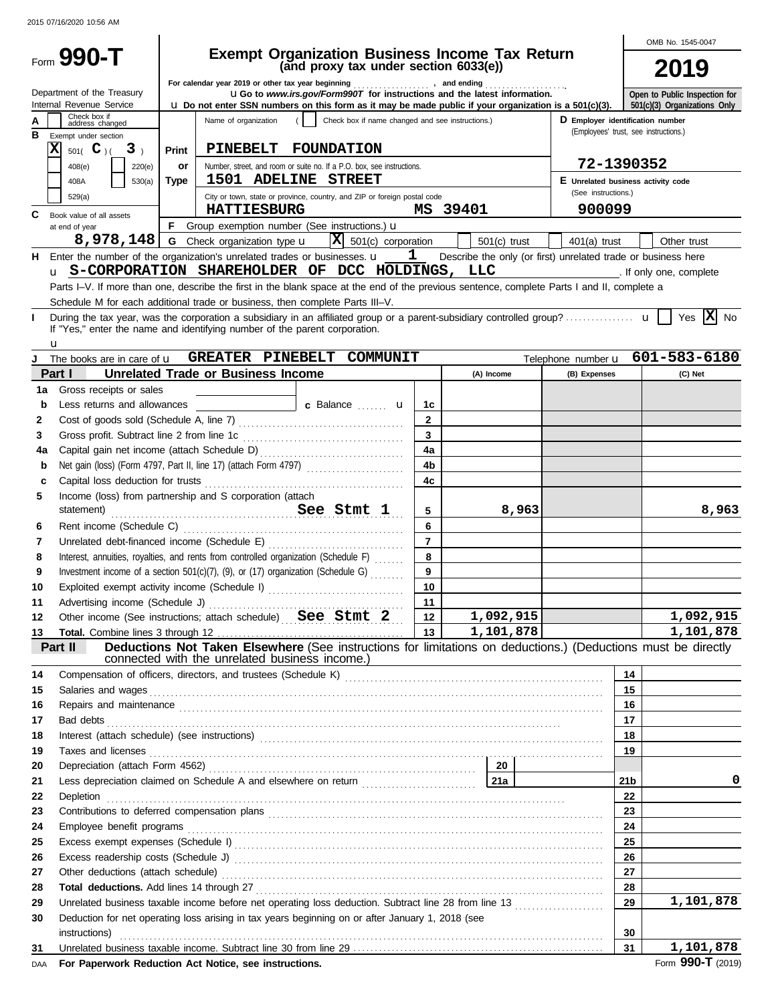|          |                                            |             |                                                                                                                                                                                                                                    |                      |                |       |                                                                                 |                 | OMB No. 1545-0047               |
|----------|--------------------------------------------|-------------|------------------------------------------------------------------------------------------------------------------------------------------------------------------------------------------------------------------------------------|----------------------|----------------|-------|---------------------------------------------------------------------------------|-----------------|---------------------------------|
|          | Form 990-T                                 |             | <b>Exempt Organization Business Income Tax Return</b>                                                                                                                                                                              |                      |                |       |                                                                                 |                 |                                 |
|          |                                            |             | (and proxy tax under section 6033(e))                                                                                                                                                                                              |                      |                |       |                                                                                 |                 | 2019                            |
|          | Department of the Treasury                 |             | For calendar year 2019 or other tax year beginning [1] [1] The calendary and ending [1] [1] The calendary year 2019 or other tax year beginning<br><b>uGo</b> to www.irs.gov/Form990T for instructions and the latest information. |                      |                |       |                                                                                 |                 | Open to Public Inspection for   |
|          | Internal Revenue Service                   |             | $\boldsymbol{\mu}$ Do not enter SSN numbers on this form as it may be made public if your organization is a 501(c)(3).                                                                                                             |                      |                |       |                                                                                 |                 | 501(c)(3) Organizations Only    |
|          | Check box if<br>address changed            |             | Name of organization<br>Check box if name changed and see instructions.)                                                                                                                                                           |                      |                |       | D Employer identification number                                                |                 |                                 |
| в        | Exempt under section                       |             |                                                                                                                                                                                                                                    |                      |                |       | (Employees' trust, see instructions.)                                           |                 |                                 |
|          | X<br>$501($ C $)($<br>3 <sub>1</sub>       | Print       | PINEBELT FOUNDATION                                                                                                                                                                                                                |                      |                |       |                                                                                 |                 |                                 |
|          | 408(e)<br>220(e)                           | or          | Number, street, and room or suite no. If a P.O. box, see instructions.                                                                                                                                                             |                      |                |       | 72-1390352                                                                      |                 |                                 |
|          | 408A<br>530(a)                             | <b>Type</b> | 1501 ADELINE STREET                                                                                                                                                                                                                |                      |                |       | E Unrelated business activity code<br>(See instructions.)                       |                 |                                 |
|          | 529(a)                                     |             | City or town, state or province, country, and ZIP or foreign postal code                                                                                                                                                           |                      |                |       |                                                                                 |                 |                                 |
| C        | Book value of all assets                   |             | <b>HATTIESBURG</b>                                                                                                                                                                                                                 |                      | MS 39401       |       | 900099                                                                          |                 |                                 |
|          | at end of year                             |             | F Group exemption number (See instructions.) $\mathbf u$                                                                                                                                                                           |                      |                |       |                                                                                 |                 |                                 |
|          | 8,978,148                                  |             | $ \mathbf{X} $ 501(c) corporation<br><b>G</b> Check organization type <b>u</b><br>Enter the number of the organization's unrelated trades or businesses. $\mathbf{u} = \mathbf{1}$                                                 |                      | $501(c)$ trust |       | $401(a)$ trust<br>Describe the only (or first) unrelated trade or business here |                 | Other trust                     |
| н.       |                                            |             | u S-CORPORATION SHAREHOLDER OF DCC HOLDINGS, LLC                                                                                                                                                                                   |                      |                |       | . If only one, complete                                                         |                 |                                 |
|          |                                            |             | Parts I-V. If more than one, describe the first in the blank space at the end of the previous sentence, complete Parts I and II, complete a                                                                                        |                      |                |       |                                                                                 |                 |                                 |
|          |                                            |             | Schedule M for each additional trade or business, then complete Parts III-V.                                                                                                                                                       |                      |                |       |                                                                                 |                 |                                 |
|          |                                            |             |                                                                                                                                                                                                                                    |                      |                |       |                                                                                 |                 | Yes $ \mathbf{X} $ No           |
|          |                                            |             | If "Yes," enter the name and identifying number of the parent corporation.                                                                                                                                                         |                      |                |       |                                                                                 |                 |                                 |
|          | u                                          |             |                                                                                                                                                                                                                                    |                      |                |       |                                                                                 |                 |                                 |
|          | The books are in care of <b>u</b>          |             | GREATER PINEBELT COMMUNIT                                                                                                                                                                                                          |                      |                |       |                                                                                 |                 | Telephone number u 601-583-6180 |
|          | Part I                                     |             | <b>Unrelated Trade or Business Income</b>                                                                                                                                                                                          |                      | (A) Income     |       | (B) Expenses                                                                    |                 | (C) Net                         |
| 1a       | Gross receipts or sales                    |             |                                                                                                                                                                                                                                    |                      |                |       |                                                                                 |                 |                                 |
| b        | Less returns and allowances                |             | c Balance <b>but a</b>                                                                                                                                                                                                             | 1c                   |                |       |                                                                                 |                 |                                 |
| 2        |                                            |             |                                                                                                                                                                                                                                    | $\mathbf{2}$         |                |       |                                                                                 |                 |                                 |
| 3        | Gross profit. Subtract line 2 from line 1c |             |                                                                                                                                                                                                                                    | 3                    |                |       |                                                                                 |                 |                                 |
| 4a       |                                            |             |                                                                                                                                                                                                                                    | 4a<br>4 <sub>b</sub> |                |       |                                                                                 |                 |                                 |
| b        |                                            |             |                                                                                                                                                                                                                                    |                      |                |       |                                                                                 |                 |                                 |
| c        | Capital loss deduction for trusts          |             |                                                                                                                                                                                                                                    | 4c                   |                |       |                                                                                 |                 |                                 |
| 5        | statement)                                 |             | Income (loss) from partnership and S corporation (attach                                                                                                                                                                           | 5                    |                | 8,963 |                                                                                 |                 | 8,963                           |
| 6        |                                            |             | See Stmt 1                                                                                                                                                                                                                         | 6                    |                |       |                                                                                 |                 |                                 |
| 7        |                                            |             |                                                                                                                                                                                                                                    | $\overline{7}$       |                |       |                                                                                 |                 |                                 |
| 8        |                                            |             | Interest, annuities, royalties, and rents from controlled organization (Schedule F)                                                                                                                                                | 8                    |                |       |                                                                                 |                 |                                 |
| 9        |                                            |             | Investment income of a section 501(c)(7), (9), or (17) organization (Schedule G)                                                                                                                                                   | 9                    |                |       |                                                                                 |                 |                                 |
| 10       |                                            |             | Exploited exempt activity income (Schedule I)                                                                                                                                                                                      | 10                   |                |       |                                                                                 |                 |                                 |
| 11       |                                            |             |                                                                                                                                                                                                                                    | 11                   |                |       |                                                                                 |                 |                                 |
| 12       |                                            |             | Other income (See instructions; attach schedule) See Stmt 2                                                                                                                                                                        | 12 <sup>1</sup>      | 1,092,915      |       |                                                                                 |                 | 1,092,915                       |
| 13       |                                            |             |                                                                                                                                                                                                                                    | 13 <sup>1</sup>      | 1,101,878      |       |                                                                                 |                 | 1,101,878                       |
|          | Part II                                    |             | Deductions Not Taken Elsewhere (See instructions for limitations on deductions.) (Deductions must be directly                                                                                                                      |                      |                |       |                                                                                 |                 |                                 |
|          |                                            |             | connected with the unrelated business income.)                                                                                                                                                                                     |                      |                |       |                                                                                 | 14              |                                 |
| 14<br>15 |                                            |             |                                                                                                                                                                                                                                    |                      |                |       |                                                                                 | 15              |                                 |
| 16       |                                            |             |                                                                                                                                                                                                                                    |                      |                |       |                                                                                 | 16              |                                 |
| 17       |                                            |             | Repairs and maintenance <i>communically contained and maintenance</i> and maintenance and maintenance<br>Bad debts <b>construction of the construction of the construction of the construction of the construction</b>             |                      |                |       |                                                                                 | 17              |                                 |
| 18       |                                            |             |                                                                                                                                                                                                                                    |                      |                |       |                                                                                 | 18              |                                 |
| 19       |                                            |             |                                                                                                                                                                                                                                    |                      |                |       |                                                                                 | 19              |                                 |
| 20       |                                            |             |                                                                                                                                                                                                                                    |                      | - 20           |       |                                                                                 |                 |                                 |
| 21       |                                            |             | Less depreciation claimed on Schedule A and elsewhere on return <b>Constanting Lawren</b> 21a                                                                                                                                      |                      |                |       |                                                                                 | 21 <sub>b</sub> | 0                               |
| 22       |                                            |             |                                                                                                                                                                                                                                    |                      |                |       |                                                                                 | 22              |                                 |
| 23       |                                            |             |                                                                                                                                                                                                                                    |                      |                |       |                                                                                 | 23              |                                 |
| 24       |                                            |             |                                                                                                                                                                                                                                    |                      |                |       |                                                                                 | 24              |                                 |
| 25       |                                            |             |                                                                                                                                                                                                                                    |                      |                |       |                                                                                 | 25              |                                 |
| 26       |                                            |             |                                                                                                                                                                                                                                    |                      |                |       |                                                                                 | 26              |                                 |
| 27       |                                            |             |                                                                                                                                                                                                                                    |                      |                |       |                                                                                 | 27              |                                 |
| 28       |                                            |             |                                                                                                                                                                                                                                    |                      |                |       |                                                                                 | 28              |                                 |
| 29       |                                            |             | Unrelated business taxable income before net operating loss deduction. Subtract line 28 from line 13                                                                                                                               |                      |                |       |                                                                                 | 29              | 1,101,878                       |
| 30       |                                            |             | Deduction for net operating loss arising in tax years beginning on or after January 1, 2018 (see                                                                                                                                   |                      |                |       |                                                                                 |                 |                                 |
|          |                                            |             |                                                                                                                                                                                                                                    |                      |                |       |                                                                                 | 30              |                                 |
| 31       |                                            |             |                                                                                                                                                                                                                                    |                      |                |       |                                                                                 | 31              | 1,101,878                       |

DAA For Paperwork Reduction Act Notice, see instructions. **Form 990-T** (2019) **Form 990-T** (2019)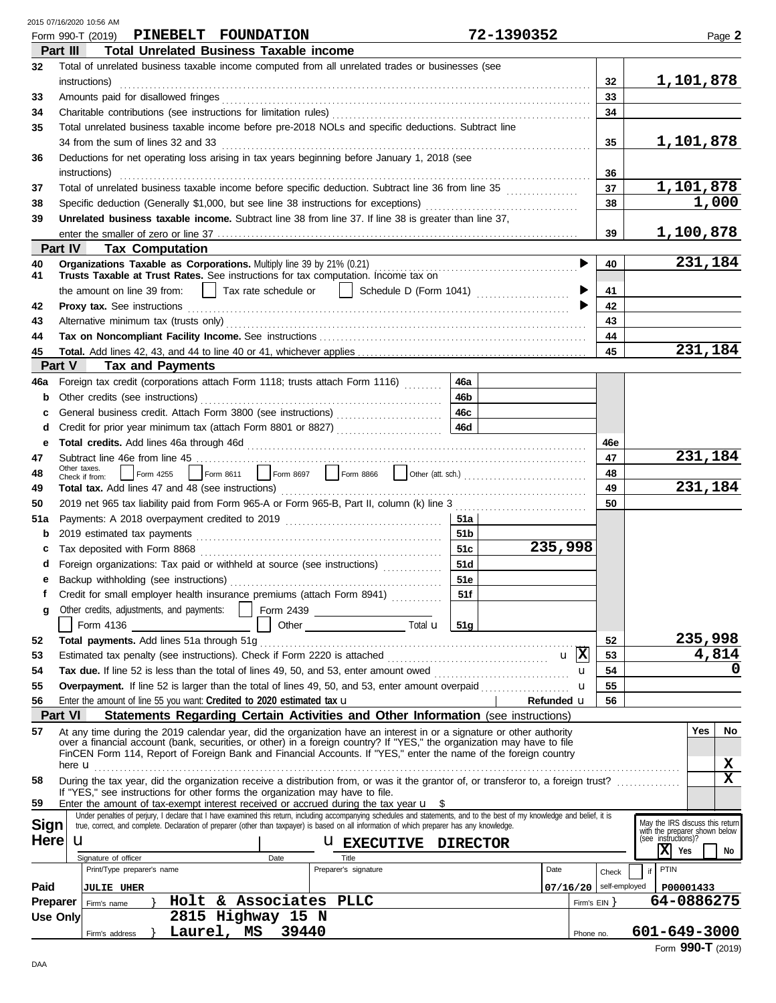| 2015 07/16/2020 10:56 AM |  |  |
|--------------------------|--|--|
|                          |  |  |

|             | Form 990-T (2019) PINEBELT FOUNDATION                                                                                                                                                                                                                                                                                                                               | 72-1390352      |                |               | Page 2                                               |
|-------------|---------------------------------------------------------------------------------------------------------------------------------------------------------------------------------------------------------------------------------------------------------------------------------------------------------------------------------------------------------------------|-----------------|----------------|---------------|------------------------------------------------------|
|             | <b>Total Unrelated Business Taxable income</b><br>Part III                                                                                                                                                                                                                                                                                                          |                 |                |               |                                                      |
| 32          | Total of unrelated business taxable income computed from all unrelated trades or businesses (see                                                                                                                                                                                                                                                                    |                 |                |               |                                                      |
|             | instructions)                                                                                                                                                                                                                                                                                                                                                       |                 |                | 32            | 1,101,878                                            |
| 33          | Amounts paid for disallowed fringes                                                                                                                                                                                                                                                                                                                                 |                 |                | 33            |                                                      |
| 34          |                                                                                                                                                                                                                                                                                                                                                                     |                 |                | 34            |                                                      |
| 35          | Total unrelated business taxable income before pre-2018 NOLs and specific deductions. Subtract line                                                                                                                                                                                                                                                                 |                 |                |               |                                                      |
|             |                                                                                                                                                                                                                                                                                                                                                                     |                 |                | 35            | 1,101,878                                            |
|             | 34 from the sum of lines 32 and 33 <i>manual</i> content of the summary of the summary state state state state state state state state state state state state state state state state state state state state state state state st<br>Deductions for net operating loss arising in tax years beginning before January 1, 2018 (see                                 |                 |                |               |                                                      |
| 36          |                                                                                                                                                                                                                                                                                                                                                                     |                 |                |               |                                                      |
|             | instructions)                                                                                                                                                                                                                                                                                                                                                       |                 |                | 36            |                                                      |
| 37          | Total of unrelated business taxable income before specific deduction. Subtract line 36 from line 35                                                                                                                                                                                                                                                                 |                 |                | 37            | 1,101,878                                            |
| 38          |                                                                                                                                                                                                                                                                                                                                                                     |                 |                | 38            | 1,000                                                |
| 39          | Unrelated business taxable income. Subtract line 38 from line 37. If line 38 is greater than line 37,                                                                                                                                                                                                                                                               |                 |                |               |                                                      |
|             |                                                                                                                                                                                                                                                                                                                                                                     |                 |                | 39            | 1,100,878                                            |
|             | Part IV<br><b>Tax Computation</b>                                                                                                                                                                                                                                                                                                                                   |                 |                |               |                                                      |
| 40          | Organizations Taxable as Corporations. Multiply line 39 by 21% (0.21)                                                                                                                                                                                                                                                                                               |                 |                | 40            | 231,184                                              |
| 41          | Trusts Taxable at Trust Rates. See instructions for tax computation. Income tax on                                                                                                                                                                                                                                                                                  |                 |                |               |                                                      |
|             | Tax rate schedule or     Schedule D (Form 1041) [ [ [ [ [ ] ]<br>the amount on line 39 from:                                                                                                                                                                                                                                                                        |                 |                | 41            |                                                      |
| 42          |                                                                                                                                                                                                                                                                                                                                                                     |                 |                | 42            |                                                      |
| 43          |                                                                                                                                                                                                                                                                                                                                                                     |                 |                | 43            |                                                      |
| 44          |                                                                                                                                                                                                                                                                                                                                                                     |                 |                | 44            |                                                      |
| 45          |                                                                                                                                                                                                                                                                                                                                                                     |                 |                | 45            | 231,184                                              |
|             | <b>Tax and Payments</b><br>Part V                                                                                                                                                                                                                                                                                                                                   |                 |                |               |                                                      |
| 46a         | 46a<br>Foreign tax credit (corporations attach Form 1118; trusts attach Form 1116)                                                                                                                                                                                                                                                                                  |                 |                |               |                                                      |
| b           | 46 <sub>b</sub><br>Other credits (see instructions)                                                                                                                                                                                                                                                                                                                 |                 |                |               |                                                      |
| c           | 46c<br>General business credit. Attach Form 3800 (see instructions) [[[[[[[[[[[[[[[[[[[[[[[[[]]]]]]]]]]                                                                                                                                                                                                                                                             |                 |                |               |                                                      |
| d           | 46d<br>Credit for prior year minimum tax (attach Form 8801 or 8827)                                                                                                                                                                                                                                                                                                 |                 |                |               |                                                      |
| е           |                                                                                                                                                                                                                                                                                                                                                                     |                 |                | 46e           |                                                      |
| 47          |                                                                                                                                                                                                                                                                                                                                                                     |                 |                | 47            | 231,184                                              |
| 48          | Other taxes.<br>Check if from:                                                                                                                                                                                                                                                                                                                                      |                 |                | 48            |                                                      |
| 49          |                                                                                                                                                                                                                                                                                                                                                                     |                 |                | 49            | 231,184                                              |
| 50          |                                                                                                                                                                                                                                                                                                                                                                     |                 |                | 50            |                                                      |
| 51a         |                                                                                                                                                                                                                                                                                                                                                                     | 51a             |                |               |                                                      |
| b           |                                                                                                                                                                                                                                                                                                                                                                     | 51 <sub>b</sub> |                |               |                                                      |
| c           | Tax deposited with Form 8868                                                                                                                                                                                                                                                                                                                                        | 235,998<br>51c  |                |               |                                                      |
| d           | 51d<br>Foreign organizations: Tax paid or withheld at source (see instructions)                                                                                                                                                                                                                                                                                     |                 |                |               |                                                      |
|             |                                                                                                                                                                                                                                                                                                                                                                     | 51e             |                |               |                                                      |
| е           | f Credit for small employer health insurance premiums (attach Form 8941)                                                                                                                                                                                                                                                                                            | 51f             |                |               |                                                      |
|             |                                                                                                                                                                                                                                                                                                                                                                     |                 |                |               |                                                      |
| g           |                                                                                                                                                                                                                                                                                                                                                                     |                 |                |               |                                                      |
|             |                                                                                                                                                                                                                                                                                                                                                                     |                 |                |               |                                                      |
| 52          | Total payments. Add lines 51a through 51g                                                                                                                                                                                                                                                                                                                           |                 |                | 52            | 235,998                                              |
| 53          |                                                                                                                                                                                                                                                                                                                                                                     |                 |                | 53            | 4,814                                                |
| 54          | Tax due. If line 52 is less than the total of lines 49, 50, and 53, enter amount owed <i></i>                                                                                                                                                                                                                                                                       |                 | u              | 54            | 0                                                    |
| 55          | Overpayment. If line 52 is larger than the total of lines 49, 50, and 53, enter amount overpaid                                                                                                                                                                                                                                                                     |                 | u              | 55            |                                                      |
| 56          | Enter the amount of line 55 you want: Credited to 2020 estimated tax $\mathbf u$                                                                                                                                                                                                                                                                                    | Refunded u      |                | 56            |                                                      |
|             | Statements Regarding Certain Activities and Other Information (see instructions)<br><b>Part VI</b>                                                                                                                                                                                                                                                                  |                 |                |               |                                                      |
| 57          | At any time during the 2019 calendar year, did the organization have an interest in or a signature or other authority<br>over a financial account (bank, securities, or other) in a foreign country? If "YES," the organization may have to file<br>FinCEN Form 114, Report of Foreign Bank and Financial Accounts. If "YES," enter the name of the foreign country |                 |                |               | <b>Yes</b><br>No                                     |
|             | here <b>u</b>                                                                                                                                                                                                                                                                                                                                                       |                 |                |               | х                                                    |
| 58          | During the tax year, did the organization receive a distribution from, or was it the grantor of, or transferor to, a foreign trust?                                                                                                                                                                                                                                 |                 |                |               | $\mathbf x$                                          |
| 59          | If "YES," see instructions for other forms the organization may have to file.<br>Enter the amount of tax-exempt interest received or accrued during the tax year $\mathbf{u}$ \$                                                                                                                                                                                    |                 |                |               |                                                      |
|             | Under penalties of perjury, I declare that I have examined this return, including accompanying schedules and statements, and to the best of my knowledge and belief, it is                                                                                                                                                                                          |                 |                |               |                                                      |
| <b>Sign</b> | true, correct, and complete. Declaration of preparer (other than taxpayer) is based on all information of which preparer has any knowledge.                                                                                                                                                                                                                         |                 |                |               | May the IRS discuss this return                      |
| <b>Here</b> | u<br><b>U EXECUTIVE DIRECTOR</b>                                                                                                                                                                                                                                                                                                                                    |                 |                |               | with the preparer shown below<br>(see instructions)? |
|             | Signature of officer<br>Title<br>Date                                                                                                                                                                                                                                                                                                                               |                 |                |               | $X$ Yes<br>No                                        |
|             | Print/Type preparer's name<br>Preparer's signature                                                                                                                                                                                                                                                                                                                  | Date            |                | Check         | PTIN<br>if                                           |
| Paid        | <b>JULIE UHER</b>                                                                                                                                                                                                                                                                                                                                                   | 07/16/20        |                | self-employed | P00001433                                            |
| Preparer    | Holt & Associates PLLC<br>Firm's name                                                                                                                                                                                                                                                                                                                               |                 | Firm's $EIN$ } |               | 64-0886275                                           |
|             | 2815 Highway 15 N<br><b>Use Only</b>                                                                                                                                                                                                                                                                                                                                |                 |                |               |                                                      |
|             | Laurel, MS<br>39440<br>Firm's address                                                                                                                                                                                                                                                                                                                               |                 | Phone no.      |               | 601-649-3000                                         |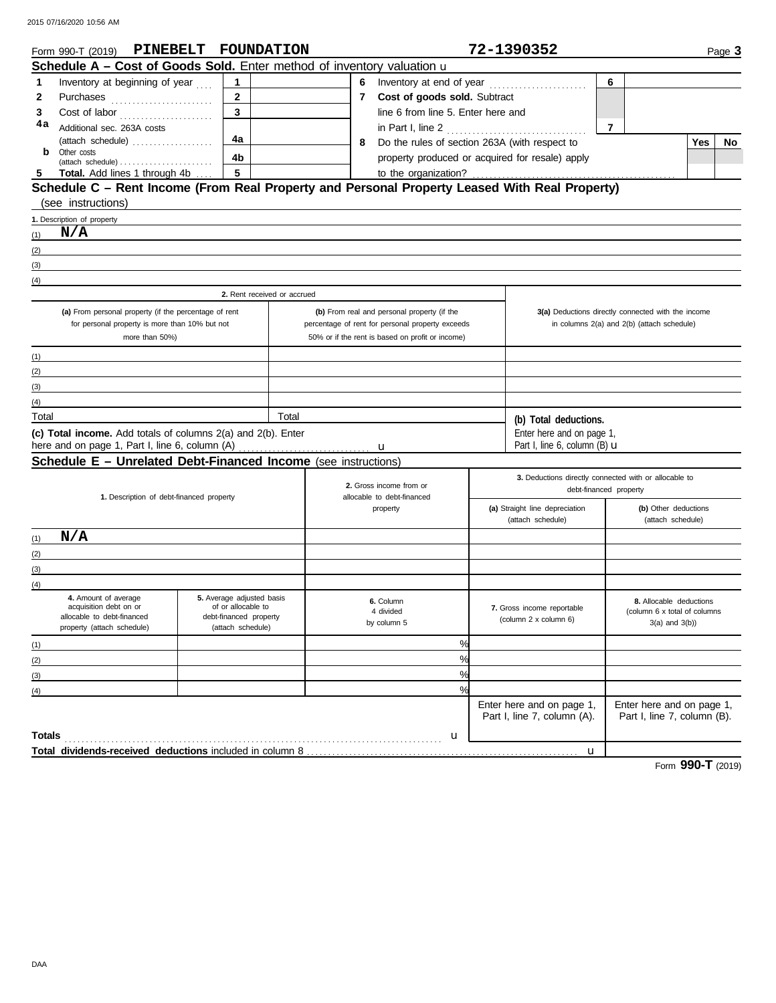|       | Form 990-T (2019) PINEBELT FOUNDATION                                                          |                                                 |       |              | 72-1390352<br>Page 3                             |  |                                                          |                                                          |                                                     |    |
|-------|------------------------------------------------------------------------------------------------|-------------------------------------------------|-------|--------------|--------------------------------------------------|--|----------------------------------------------------------|----------------------------------------------------------|-----------------------------------------------------|----|
|       | Schedule A - Cost of Goods Sold. Enter method of inventory valuation u                         |                                                 |       |              |                                                  |  |                                                          |                                                          |                                                     |    |
| 1     | Inventory at beginning of year                                                                 | $\mathbf{1}$                                    |       | 6            |                                                  |  |                                                          | 6                                                        |                                                     |    |
| 2     |                                                                                                | $\mathbf{2}$                                    |       | $\mathbf{7}$ | Cost of goods sold. Subtract                     |  |                                                          |                                                          |                                                     |    |
| 3     |                                                                                                | $\overline{\mathbf{3}}$                         |       |              | line 6 from line 5. Enter here and               |  |                                                          |                                                          |                                                     |    |
| 4a    | Additional sec. 263A costs                                                                     |                                                 |       |              | in Part I, line 2 $\ldots$                       |  |                                                          | $\overline{7}$                                           |                                                     |    |
|       | (attach schedule)                                                                              | 4a                                              |       | 8            | Do the rules of section 263A (with respect to    |  |                                                          |                                                          | <b>Yes</b>                                          | No |
| b     | Other costs<br>$\mathsf{(attack \; schedule)} \dots \dots \dots \dots \dots \dots \dots \dots$ | 4b                                              |       |              | property produced or acquired for resale) apply  |  |                                                          |                                                          |                                                     |    |
| 5     | Total. Add lines 1 through 4b                                                                  | 5                                               |       |              | to the organization?                             |  |                                                          |                                                          |                                                     |    |
|       | Schedule C - Rent Income (From Real Property and Personal Property Leased With Real Property)  |                                                 |       |              |                                                  |  |                                                          |                                                          |                                                     |    |
|       | (see instructions)                                                                             |                                                 |       |              |                                                  |  |                                                          |                                                          |                                                     |    |
|       | 1. Description of property                                                                     |                                                 |       |              |                                                  |  |                                                          |                                                          |                                                     |    |
| (1)   | N/A                                                                                            |                                                 |       |              |                                                  |  |                                                          |                                                          |                                                     |    |
| (2)   |                                                                                                |                                                 |       |              |                                                  |  |                                                          |                                                          |                                                     |    |
| (3)   |                                                                                                |                                                 |       |              |                                                  |  |                                                          |                                                          |                                                     |    |
| (4)   |                                                                                                |                                                 |       |              |                                                  |  |                                                          |                                                          |                                                     |    |
|       |                                                                                                | 2. Rent received or accrued                     |       |              |                                                  |  |                                                          |                                                          |                                                     |    |
|       | (a) From personal property (if the percentage of rent                                          |                                                 |       |              | (b) From real and personal property (if the      |  |                                                          | 3(a) Deductions directly connected with the income       |                                                     |    |
|       | for personal property is more than 10% but not                                                 |                                                 |       |              | percentage of rent for personal property exceeds |  |                                                          | in columns 2(a) and 2(b) (attach schedule)               |                                                     |    |
|       | more than 50%)                                                                                 |                                                 |       |              | 50% or if the rent is based on profit or income) |  |                                                          |                                                          |                                                     |    |
| (1)   |                                                                                                |                                                 |       |              |                                                  |  |                                                          |                                                          |                                                     |    |
| (2)   |                                                                                                |                                                 |       |              |                                                  |  |                                                          |                                                          |                                                     |    |
| (3)   |                                                                                                |                                                 |       |              |                                                  |  |                                                          |                                                          |                                                     |    |
| (4)   |                                                                                                |                                                 |       |              |                                                  |  |                                                          |                                                          |                                                     |    |
| Total |                                                                                                |                                                 | Total |              |                                                  |  | (b) Total deductions.                                    |                                                          |                                                     |    |
|       | (c) Total income. Add totals of columns 2(a) and 2(b). Enter                                   |                                                 |       |              |                                                  |  | Enter here and on page 1,                                |                                                          |                                                     |    |
|       | here and on page 1, Part I, line 6, column (A)                                                 |                                                 |       |              | u                                                |  | Part I, line 6, column $(B)$ $\mathbf u$                 |                                                          |                                                     |    |
|       | Schedule E - Unrelated Debt-Financed Income (see instructions)                                 |                                                 |       |              |                                                  |  |                                                          |                                                          |                                                     |    |
|       |                                                                                                |                                                 |       |              | 2. Gross income from or                          |  | 3. Deductions directly connected with or allocable to    |                                                          |                                                     |    |
|       | 1. Description of debt-financed property                                                       |                                                 |       |              | allocable to debt-financed                       |  |                                                          | debt-financed property                                   |                                                     |    |
|       |                                                                                                |                                                 |       |              | property                                         |  | (a) Straight line depreciation                           |                                                          | (b) Other deductions                                |    |
|       |                                                                                                |                                                 |       |              |                                                  |  | (attach schedule)                                        |                                                          | (attach schedule)                                   |    |
| (1)   | N/A                                                                                            |                                                 |       |              |                                                  |  |                                                          |                                                          |                                                     |    |
| (2)   |                                                                                                |                                                 |       |              |                                                  |  |                                                          |                                                          |                                                     |    |
| (3)   |                                                                                                |                                                 |       |              |                                                  |  |                                                          |                                                          |                                                     |    |
| (4)   |                                                                                                |                                                 |       |              |                                                  |  |                                                          |                                                          |                                                     |    |
|       | 4. Amount of average<br>acquisition debt on or                                                 | 5. Average adjusted basis<br>of or allocable to |       |              | 6. Column                                        |  | 7. Gross income reportable                               |                                                          | 8. Allocable deductions                             |    |
|       | allocable to debt-financed<br>property (attach schedule)                                       | debt-financed property<br>(attach schedule)     |       |              | 4 divided<br>by column 5                         |  | (column 2 x column 6)                                    |                                                          | (column 6 x total of columns<br>$3(a)$ and $3(b)$ ) |    |
|       |                                                                                                |                                                 |       |              |                                                  |  |                                                          |                                                          |                                                     |    |
| (1)   |                                                                                                |                                                 |       |              | %                                                |  |                                                          |                                                          |                                                     |    |
| (2)   |                                                                                                |                                                 |       |              | $\%$                                             |  |                                                          |                                                          |                                                     |    |
| (3)   |                                                                                                |                                                 |       |              | $\frac{0}{0}$                                    |  |                                                          |                                                          |                                                     |    |
| (4)   |                                                                                                |                                                 |       |              | %                                                |  |                                                          |                                                          |                                                     |    |
|       |                                                                                                |                                                 |       |              |                                                  |  | Enter here and on page 1,<br>Part I, line 7, column (A). | Enter here and on page 1,<br>Part I, line 7, column (B). |                                                     |    |
|       |                                                                                                |                                                 |       |              |                                                  |  |                                                          |                                                          |                                                     |    |
|       | <b>Totals</b>                                                                                  |                                                 |       |              | u                                                |  |                                                          |                                                          |                                                     |    |
|       |                                                                                                |                                                 |       |              |                                                  |  | u                                                        |                                                          |                                                     |    |

Form **990-T** (2019)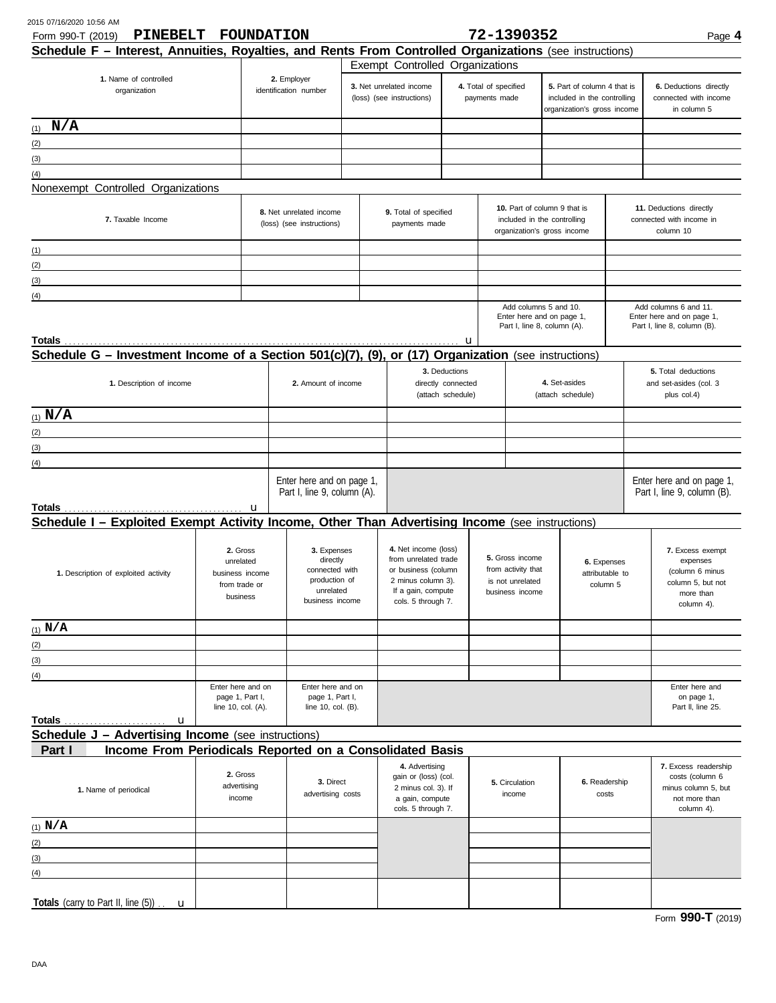| PINEBELT<br>Form 990-T (2019)                                                                           | <b>FOUNDATION</b>                     |                                       |                                       |                                          |                                                           | 72-1390352                  |                                                            |  | Page 4                                             |
|---------------------------------------------------------------------------------------------------------|---------------------------------------|---------------------------------------|---------------------------------------|------------------------------------------|-----------------------------------------------------------|-----------------------------|------------------------------------------------------------|--|----------------------------------------------------|
| Schedule F - Interest, Annuities, Royalties, and Rents From Controlled Organizations (see instructions) |                                       |                                       |                                       |                                          |                                                           |                             |                                                            |  |                                                    |
|                                                                                                         |                                       |                                       | Exempt Controlled Organizations       |                                          |                                                           |                             |                                                            |  |                                                    |
| 1. Name of controlled                                                                                   |                                       | 2. Employer                           |                                       |                                          |                                                           |                             |                                                            |  |                                                    |
| organization                                                                                            |                                       | identification number                 | 3. Net unrelated income               |                                          | 4. Total of specified                                     |                             | 5. Part of column 4 that is                                |  | 6. Deductions directly                             |
|                                                                                                         |                                       |                                       | (loss) (see instructions)             |                                          | payments made                                             |                             | included in the controlling<br>organization's gross income |  | connected with income<br>in column 5               |
|                                                                                                         |                                       |                                       |                                       |                                          |                                                           |                             |                                                            |  |                                                    |
| N/A<br>(1)                                                                                              |                                       |                                       |                                       |                                          |                                                           |                             |                                                            |  |                                                    |
| (2)                                                                                                     |                                       |                                       |                                       |                                          |                                                           |                             |                                                            |  |                                                    |
| (3)                                                                                                     |                                       |                                       |                                       |                                          |                                                           |                             |                                                            |  |                                                    |
| (4)                                                                                                     |                                       |                                       |                                       |                                          |                                                           |                             |                                                            |  |                                                    |
|                                                                                                         |                                       |                                       |                                       |                                          |                                                           |                             |                                                            |  |                                                    |
| Nonexempt Controlled Organizations                                                                      |                                       |                                       |                                       |                                          |                                                           |                             |                                                            |  |                                                    |
|                                                                                                         |                                       | 8. Net unrelated income               | 9. Total of specified                 |                                          |                                                           |                             | 10. Part of column 9 that is                               |  | 11. Deductions directly                            |
| 7. Taxable Income                                                                                       |                                       | (loss) (see instructions)             | payments made                         |                                          |                                                           |                             | included in the controlling                                |  | connected with income in                           |
|                                                                                                         |                                       |                                       |                                       |                                          |                                                           |                             | organization's gross income                                |  | column 10                                          |
| (1)<br>the control of the control of the control of the control of the control of the control of        |                                       |                                       |                                       |                                          |                                                           |                             |                                                            |  |                                                    |
| (2)                                                                                                     |                                       |                                       |                                       |                                          |                                                           |                             |                                                            |  |                                                    |
|                                                                                                         |                                       |                                       |                                       |                                          |                                                           |                             |                                                            |  |                                                    |
| (3)                                                                                                     |                                       |                                       |                                       |                                          |                                                           |                             |                                                            |  |                                                    |
| (4)                                                                                                     |                                       |                                       |                                       |                                          |                                                           |                             |                                                            |  |                                                    |
|                                                                                                         |                                       |                                       |                                       |                                          |                                                           | Add columns 5 and 10.       | Enter here and on page 1,                                  |  | Add columns 6 and 11.<br>Enter here and on page 1, |
|                                                                                                         |                                       |                                       |                                       |                                          |                                                           | Part I, line 8, column (A). |                                                            |  | Part I, line 8, column (B).                        |
|                                                                                                         |                                       |                                       |                                       | u                                        |                                                           |                             |                                                            |  |                                                    |
| Schedule G - Investment Income of a Section 501(c)(7), (9), or (17) Organization (see instructions)     |                                       |                                       |                                       |                                          |                                                           |                             |                                                            |  |                                                    |
|                                                                                                         |                                       |                                       |                                       |                                          |                                                           |                             |                                                            |  |                                                    |
|                                                                                                         |                                       |                                       |                                       | 3. Deductions                            |                                                           |                             | 4. Set-asides                                              |  | 5. Total deductions                                |
| 1. Description of income                                                                                |                                       | 2. Amount of income                   |                                       | directly connected                       |                                                           |                             |                                                            |  | and set-asides (col. 3<br>plus col.4)              |
|                                                                                                         |                                       |                                       |                                       | (attach schedule)                        |                                                           |                             | (attach schedule)                                          |  |                                                    |
| (1) $N/A$                                                                                               |                                       |                                       |                                       |                                          |                                                           |                             |                                                            |  |                                                    |
| (2)                                                                                                     |                                       |                                       |                                       |                                          |                                                           |                             |                                                            |  |                                                    |
| (3)                                                                                                     |                                       |                                       |                                       |                                          |                                                           |                             |                                                            |  |                                                    |
|                                                                                                         |                                       |                                       |                                       |                                          |                                                           |                             |                                                            |  |                                                    |
| (4)                                                                                                     |                                       |                                       |                                       |                                          |                                                           |                             |                                                            |  |                                                    |
|                                                                                                         |                                       | Enter here and on page 1,             |                                       |                                          |                                                           |                             |                                                            |  | Enter here and on page 1,                          |
|                                                                                                         |                                       | Part I, line 9, column (A).           |                                       |                                          |                                                           |                             |                                                            |  | Part I, line 9, column (B).                        |
|                                                                                                         |                                       |                                       |                                       |                                          |                                                           |                             |                                                            |  |                                                    |
| Schedule I - Exploited Exempt Activity Income, Other Than Advertising Income (see instructions)         |                                       |                                       |                                       |                                          |                                                           |                             |                                                            |  |                                                    |
|                                                                                                         |                                       |                                       |                                       |                                          |                                                           |                             |                                                            |  |                                                    |
|                                                                                                         | 2. Gross                              | 3. Expenses                           | 4. Net income (loss)                  |                                          |                                                           |                             |                                                            |  | 7. Excess exempt                                   |
|                                                                                                         | unrelated                             | directly                              | from unrelated trade                  |                                          | 5. Gross income<br>from activity that<br>is not unrelated |                             | 6. Expenses                                                |  | expenses                                           |
| 1. Description of exploited activity                                                                    | business income                       | connected with                        | or business (column                   |                                          |                                                           |                             | attributable to                                            |  | (column 6 minus                                    |
|                                                                                                         | from trade or                         | production of<br>unrelated            | 2 minus column 3).                    |                                          |                                                           |                             | column 5                                                   |  | column 5, but not                                  |
|                                                                                                         | business                              | business income                       |                                       | If a gain, compute<br>cols. 5 through 7. |                                                           | business income             |                                                            |  | more than                                          |
|                                                                                                         |                                       |                                       |                                       |                                          |                                                           |                             |                                                            |  | column 4).                                         |
| $(1)$ N/A                                                                                               |                                       |                                       |                                       |                                          |                                                           |                             |                                                            |  |                                                    |
|                                                                                                         |                                       |                                       |                                       |                                          |                                                           |                             |                                                            |  |                                                    |
| (2)                                                                                                     |                                       |                                       |                                       |                                          |                                                           |                             |                                                            |  |                                                    |
| (3)                                                                                                     |                                       |                                       |                                       |                                          |                                                           |                             |                                                            |  |                                                    |
| (4)                                                                                                     |                                       |                                       |                                       |                                          |                                                           |                             |                                                            |  |                                                    |
|                                                                                                         | Enter here and on                     | Enter here and on                     |                                       |                                          |                                                           |                             |                                                            |  | Enter here and                                     |
|                                                                                                         | page 1, Part I,<br>line 10, col. (A). | page 1, Part I,<br>line 10, col. (B). |                                       |                                          |                                                           |                             |                                                            |  | on page 1,<br>Part II, line 25.                    |
|                                                                                                         |                                       |                                       |                                       |                                          |                                                           |                             |                                                            |  |                                                    |
|                                                                                                         |                                       |                                       |                                       |                                          |                                                           |                             |                                                            |  |                                                    |
| <b>Schedule J - Advertising Income</b> (see instructions)                                               |                                       |                                       |                                       |                                          |                                                           |                             |                                                            |  |                                                    |
| Income From Periodicals Reported on a Consolidated Basis<br>Part I                                      |                                       |                                       |                                       |                                          |                                                           |                             |                                                            |  |                                                    |
|                                                                                                         |                                       |                                       | 4. Advertising                        |                                          |                                                           |                             |                                                            |  | 7. Excess readership                               |
|                                                                                                         | 2. Gross                              | 3. Direct                             | gain or (loss) (col.                  |                                          |                                                           | 5. Circulation              | 6. Readership                                              |  | costs (column 6                                    |
| 1. Name of periodical                                                                                   | advertising                           | advertising costs                     | 2 minus col. 3). If                   |                                          |                                                           | income                      | costs                                                      |  | minus column 5, but                                |
|                                                                                                         | income                                |                                       | a gain, compute<br>cols. 5 through 7. |                                          |                                                           |                             |                                                            |  | not more than<br>column 4).                        |
|                                                                                                         |                                       |                                       |                                       |                                          |                                                           |                             |                                                            |  |                                                    |
| $(1)$ N/A                                                                                               |                                       |                                       |                                       |                                          |                                                           |                             |                                                            |  |                                                    |
| (2)                                                                                                     |                                       |                                       |                                       |                                          |                                                           |                             |                                                            |  |                                                    |
| (3)                                                                                                     |                                       |                                       |                                       |                                          |                                                           |                             |                                                            |  |                                                    |
| (4)                                                                                                     |                                       |                                       |                                       |                                          |                                                           |                             |                                                            |  |                                                    |
|                                                                                                         |                                       |                                       |                                       |                                          |                                                           |                             |                                                            |  |                                                    |
| Totals (carry to Part II, line (5)).<br>$\mathbf{u}$                                                    |                                       |                                       |                                       |                                          |                                                           |                             |                                                            |  |                                                    |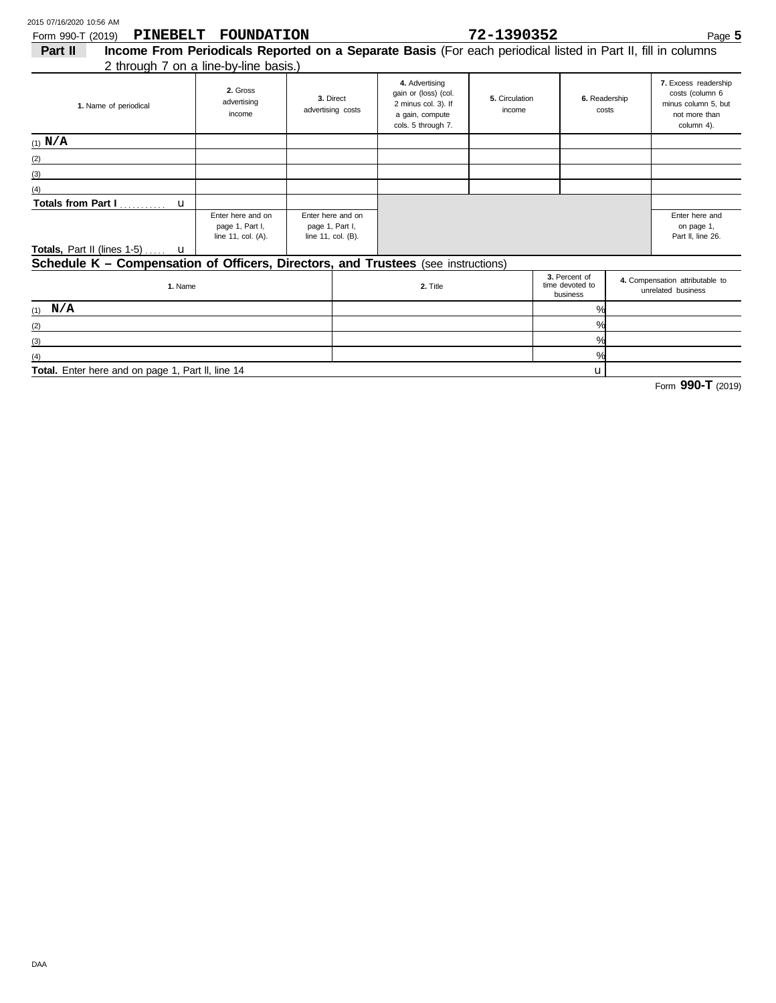(3)  $(4)$ 

| PINEBELT<br>Form 990-T (2019)                                                     | <b>FOUNDATION</b>                                                                                            |                                                            |  |                                                                                                        | Page 5                                            |                        |                                                       |                                                                                               |
|-----------------------------------------------------------------------------------|--------------------------------------------------------------------------------------------------------------|------------------------------------------------------------|--|--------------------------------------------------------------------------------------------------------|---------------------------------------------------|------------------------|-------------------------------------------------------|-----------------------------------------------------------------------------------------------|
| Part II                                                                           | Income From Periodicals Reported on a Separate Basis (For each periodical listed in Part II, fill in columns |                                                            |  |                                                                                                        |                                                   |                        |                                                       |                                                                                               |
|                                                                                   | 2 through 7 on a line-by-line basis.)                                                                        |                                                            |  |                                                                                                        |                                                   |                        |                                                       |                                                                                               |
| 1. Name of periodical                                                             | 2. Gross<br>advertising<br>income                                                                            | 3. Direct<br>advertising costs                             |  | 4. Advertising<br>gain or (loss) (col.<br>2 minus col. 3). If<br>a gain, compute<br>cols. 5 through 7. | 5. Circulation<br>income                          | 6. Readership<br>costs |                                                       | 7. Excess readership<br>costs (column 6<br>minus column 5. but<br>not more than<br>column 4). |
| (1) $N/A$                                                                         |                                                                                                              |                                                            |  |                                                                                                        |                                                   |                        |                                                       |                                                                                               |
| (2)                                                                               |                                                                                                              |                                                            |  |                                                                                                        |                                                   |                        |                                                       |                                                                                               |
| (3)                                                                               |                                                                                                              |                                                            |  |                                                                                                        |                                                   |                        |                                                       |                                                                                               |
| (4)                                                                               |                                                                                                              |                                                            |  |                                                                                                        |                                                   |                        |                                                       |                                                                                               |
| Totals from Part I<br>$\mathbf{u}$                                                |                                                                                                              |                                                            |  |                                                                                                        |                                                   |                        |                                                       |                                                                                               |
| <b>Totals, Part II (lines 1-5)</b> $\ldots$ <b>u</b>                              | Enter here and on<br>page 1, Part I,<br>line 11, col. (A).                                                   | Enter here and on<br>page 1, Part I,<br>line 11, col. (B). |  |                                                                                                        | Enter here and<br>on page 1,<br>Part II, line 26. |                        |                                                       |                                                                                               |
| Schedule K - Compensation of Officers, Directors, and Trustees (see instructions) |                                                                                                              |                                                            |  |                                                                                                        |                                                   |                        |                                                       |                                                                                               |
| 1. Name                                                                           |                                                                                                              | 2. Title                                                   |  |                                                                                                        | 3. Percent of<br>time devoted to<br>business      |                        | 4. Compensation attributable to<br>unrelated business |                                                                                               |
| N/A                                                                               |                                                                                                              |                                                            |  |                                                                                                        |                                                   | %                      |                                                       |                                                                                               |
| (2)                                                                               |                                                                                                              |                                                            |  |                                                                                                        |                                                   | %                      |                                                       |                                                                                               |

Total. Enter here and on page 1, Part II, line 14

Form **990-T** (2019)

u

% %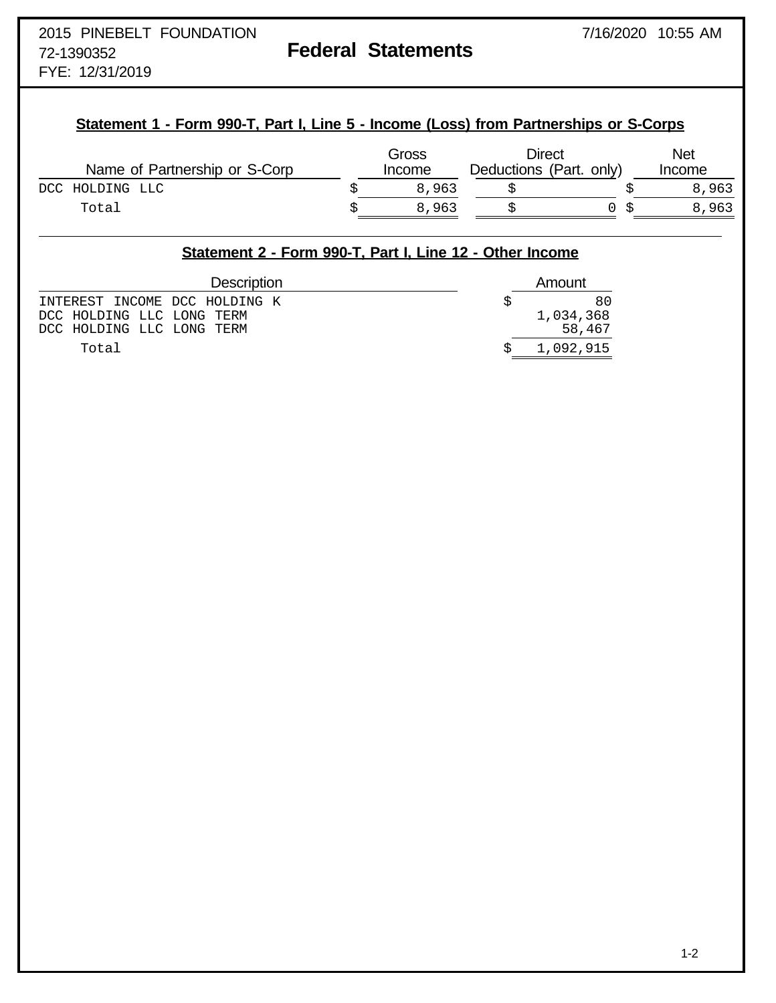FYE: 12/31/2019

# **Statement 1 - Form 990-T, Part I, Line 5 - Income (Loss) from Partnerships or S-Corps**

| Name of Partnership or S-Corp | Gross<br>Income | Direct<br>Deductions (Part. only) |  | <b>Net</b><br>Income |
|-------------------------------|-----------------|-----------------------------------|--|----------------------|
| DCC HOLDING LLC               | 8,963           |                                   |  | 8,963                |
| Total                         | 8,963           |                                   |  | 8,963                |

## **Statement 2 - Form 990-T, Part I, Line 12 - Other Income**

| <b>Description</b>            | Amount    |
|-------------------------------|-----------|
| INTEREST INCOME DCC HOLDING K | 80        |
| DCC HOLDING LLC LONG TERM     | 1,034,368 |
| DCC HOLDING LLC LONG TERM     | 58,467    |
| Total                         | 1,092,915 |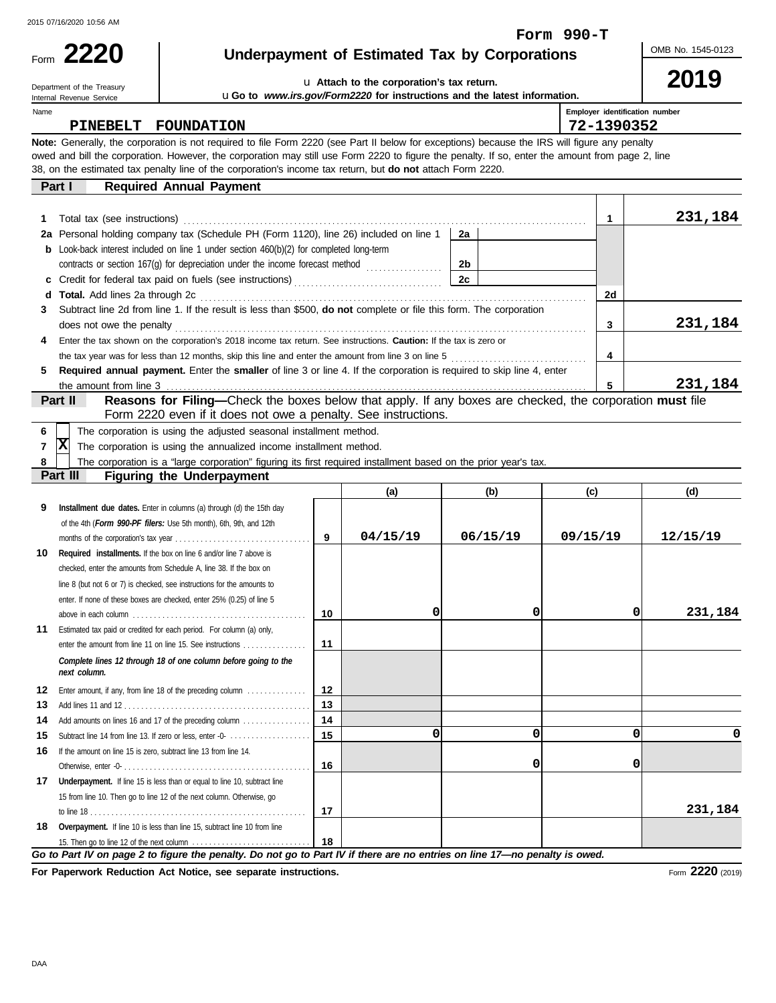2015 07/16/2020 10:56 AM

**2220** Form

# **Underpayment of Estimated Tax by Corporations**

OMB No. 1545-0123

**2019**

**231,184**

#### u **Attach to the corporation's tax return.** u**Go to** *www.irs.gov/Form2220* **for instructions and the latest information.**

Department of the Treasury Internal Revenue Service

Name

**Employer identification number**

**Form 990-T**

**5**

| PINEBELT FOUNDATION                                                                                                                                                                                                                                                                                                                                                                                             |    | 72-1390352 |         |
|-----------------------------------------------------------------------------------------------------------------------------------------------------------------------------------------------------------------------------------------------------------------------------------------------------------------------------------------------------------------------------------------------------------------|----|------------|---------|
| Note: Generally, the corporation is not required to file Form 2220 (see Part II below for exceptions) because the IRS will figure any penalty<br>owed and bill the corporation. However, the corporation may still use Form 2220 to figure the penalty. If so, enter the amount from page 2, line<br>38, on the estimated tax penalty line of the corporation's income tax return, but do not attach Form 2220. |    |            |         |
| <b>Required Annual Payment</b><br>Part I                                                                                                                                                                                                                                                                                                                                                                        |    |            |         |
|                                                                                                                                                                                                                                                                                                                                                                                                                 |    |            | 231,184 |
| 2a Personal holding company tax (Schedule PH (Form 1120), line 26) included on line 1                                                                                                                                                                                                                                                                                                                           | 2а |            |         |
| <b>b</b> Look-back interest included on line 1 under section $460(b)(2)$ for completed long-term                                                                                                                                                                                                                                                                                                                |    |            |         |
| contracts or section 167(g) for depreciation under the income forecast method                                                                                                                                                                                                                                                                                                                                   | 2b |            |         |
|                                                                                                                                                                                                                                                                                                                                                                                                                 | 2c |            |         |
| <b>Total.</b> Add lines 2a through 2c<br>d                                                                                                                                                                                                                                                                                                                                                                      |    | 2d         |         |
|                                                                                                                                                                                                                                                                                                                                                                                                                 |    |            |         |

| Subtract line 2d from line 1. If the result is less than \$500, <b>do not</b> complete or file this form. The corporation          |         |
|------------------------------------------------------------------------------------------------------------------------------------|---------|
| does not owe the penalty                                                                                                           | 231,184 |
| Enter the tax shown on the corporation's 2018 income tax return. See instructions. Caution: If the tax is zero or                  |         |
| the tax year was for less than 12 months, skip this line and enter the amount from line 3 on line 5                                |         |
| <b>Required annual payment.</b> Enter the <b>smaller</b> of line 3 or line 4. If the corporation is required to skip line 4, enter |         |

**Required annual payment.** Enter the **smaller** of line 3 or line 4. If the corporation is required to skip line 4, enter the amount from line 3

## **Part II Reasons for Filing—**Check the boxes below that apply. If any boxes are checked, the corporation **must** file Form 2220 even if it does not owe a penalty. See instructions.

|  | 6     The corporation is using the adjusted seasonal installment method. |  |  |  |  |
|--|--------------------------------------------------------------------------|--|--|--|--|
|  |                                                                          |  |  |  |  |

**7** The corporation is using the annualized income installment method. **X**

|          |  |  |  |                                  |  | 8   The corporation is a "large corporation" figuring its first required installment based on the prior year's tax. |  |  |  |  |
|----------|--|--|--|----------------------------------|--|---------------------------------------------------------------------------------------------------------------------|--|--|--|--|
| Part III |  |  |  | <b>Figuring the Underpayment</b> |  |                                                                                                                     |  |  |  |  |

#### **Overpayment.** If line 10 is less than line 15, subtract line 10 from line **18 17** Underpayment. If line 15 is less than or equal to line 10, subtract line Add amounts on lines 16 and 17 of the preceding column . . . . . . . . . . . . . . . . **14 14** Estimated tax paid or credited for each period. For column (a) only, **11** line 8 (but not 6 or 7) is checked, see instructions for the amounts to *Complete lines 12 through 18 of one column before going to the* **(a) (b) (c) (d) 9 9 10 Required installments.** If the box on line 6 and/or line 7 above is **10 11 12 12** Enter amount, if any, from line 18 of the preceding column . . . . . . . . . . . . . . **13 13** Add lines 11 and 12 . . . . . . . . . . . . . . . . . . . . . . . . . . . . . . . . . . . . . . . . . . . . **15** Subtract line 14 from line 13. If zero or less, enter -0-  $\dots\dots\dots\dots\dots\dots$  | **15** 16 If the amount on line 15 is zero, subtract line 13 from line 14. **16 17 18** of the 4th (*Form 990-PF filers:* Use 5th month), 6th, 9th, and 12th months of the corporation's tax year . . . . . . . . . . . . . . . . . . . . . . . . . . . . . . . . checked, enter the amounts from Schedule A, line 38. If the box on enter. If none of these boxes are checked, enter 25% (0.25) of line 5 above in each column . . . . . . . . . . . . . . . . . . . . . . . . . . . . . . . . . . . . . . . . . enter the amount from line 11 on line 15. See instructions . . . . . . . . . . . . . Otherwise, enter -0- . . . . . . . . . . . . . . . . . . . . . . . . . . . . . . . . . . . . . . . . . . . . 15 from line 10. Then go to line 12 of the next column. Otherwise, go to line 18 . . . . . . . . . . . . . . . . . . . . . . . . . . . . . . . . . . . . . . . . . . . . . . . . . . . 15. Then go to line 12 of the next column . . . . . . . . . . . . . . . . . . . . . . . . . . . . **Installment due dates.** Enter in columns (a) through (d) the 15th day *next column.* **04/15/19 06/15/19 09/15/19 12/15/19 0 0 0 231,184 0 0 0 0 0 0 231,184**

*Go to Part IV on page 2 to figure the penalty. Do not go to Part IV if there are no entries on line 17—no penalty is owed.*

**For Paperwork Reduction Act Notice, see separate instructions.**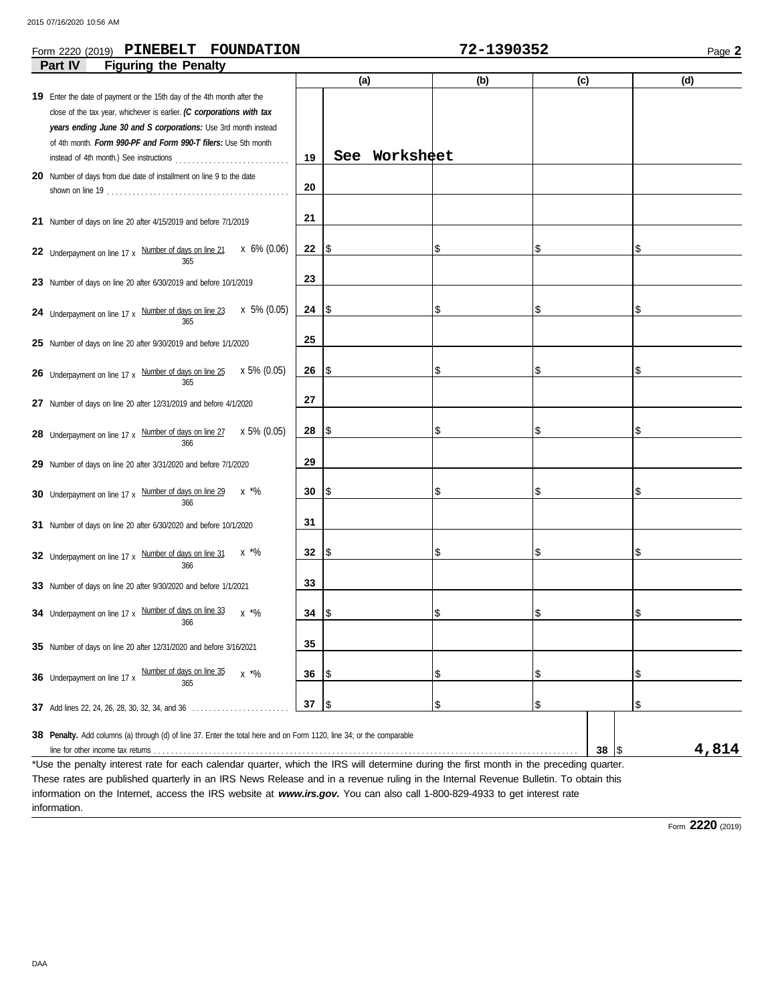### **Form 2220 (2019) PINEBELT FOUNDATION 72-1390352** Page 2

| <b>Figuring the Penalty</b><br>Part IV                                                                                                                                                                                                                                               |    |     |               |     |     |           |       |
|--------------------------------------------------------------------------------------------------------------------------------------------------------------------------------------------------------------------------------------------------------------------------------------|----|-----|---------------|-----|-----|-----------|-------|
|                                                                                                                                                                                                                                                                                      |    | (a) |               | (b) | (c) |           | (d)   |
| 19 Enter the date of payment or the 15th day of the 4th month after the<br>close of the tax year, whichever is earlier. (C corporations with tax<br>years ending June 30 and S corporations: Use 3rd month instead<br>of 4th month. Form 990-PF and Form 990-T filers: Use 5th month | 19 |     | See Worksheet |     |     |           |       |
| 20 Number of days from due date of installment on line 9 to the date                                                                                                                                                                                                                 | 20 |     |               |     |     |           |       |
| 21 Number of days on line 20 after 4/15/2019 and before 7/1/2019                                                                                                                                                                                                                     | 21 |     |               |     |     |           |       |
| x 6% (0.06)<br>22 Underpayment on line 17 x Number of days on line 21<br>365                                                                                                                                                                                                         | 22 | 1\$ |               |     | \$  |           | \$    |
| 23 Number of days on line 20 after 6/30/2019 and before 10/1/2019                                                                                                                                                                                                                    | 23 |     |               |     |     |           |       |
| x 5% (0.05)<br>24 Underpayment on line 17 x Number of days on line 23<br>365                                                                                                                                                                                                         | 24 | 1\$ |               | \$  | \$  |           | \$    |
| 25 Number of days on line 20 after 9/30/2019 and before 1/1/2020                                                                                                                                                                                                                     | 25 |     |               |     |     |           |       |
| x 5% (0.05)<br>26 Underpayment on line 17 x Number of days on line 25<br>365                                                                                                                                                                                                         | 26 | I\$ |               | \$  | \$  |           | \$    |
| 27 Number of days on line 20 after 12/31/2019 and before 4/1/2020                                                                                                                                                                                                                    | 27 |     |               |     |     |           |       |
| x 5% (0.05)<br>28 Underpayment on line 17 x Number of days on line 27<br>366                                                                                                                                                                                                         | 28 | 1\$ |               | \$  | \$  |           | \$    |
| 29 Number of days on line 20 after 3/31/2020 and before 7/1/2020                                                                                                                                                                                                                     | 29 |     |               |     |     |           |       |
| 30 Underpayment on line 17 x Number of days on line 29<br>$x \sqrt[4]{6}$<br>366                                                                                                                                                                                                     | 30 | 1\$ |               | \$  | \$  |           | \$    |
| 31 Number of days on line 20 after 6/30/2020 and before 10/1/2020                                                                                                                                                                                                                    | 31 |     |               |     |     |           |       |
| $x \sqrt[*]{6}$<br>32 Underpayment on line 17 x Number of days on line 31<br>366                                                                                                                                                                                                     | 32 | 1\$ |               | \$  | \$  |           | \$    |
| 33 Number of days on line 20 after 9/30/2020 and before 1/1/2021                                                                                                                                                                                                                     | 33 |     |               |     |     |           |       |
| 34 Underpayment on line 17 x Number of days on line 33<br>$x * \%$<br>366                                                                                                                                                                                                            | 34 | 1\$ |               |     | \$  |           | \$    |
| 35 Number of days on line 20 after 12/31/2020 and before 3/16/2021                                                                                                                                                                                                                   | 35 |     |               |     |     |           |       |
| Number of days on line 35<br>$x * \%$<br>36 Underpayment on line 17 x<br>365                                                                                                                                                                                                         | 36 | 1\$ |               | \$  | \$  |           | \$    |
| <b>37</b> Add lines 22, 24, 26, 28, 30, 32, 34, and 36                                                                                                                                                                                                                               | 37 | 1\$ |               | \$  | \$  |           | \$    |
| 38 Penalty. Add columns (a) through (d) of line 37. Enter the total here and on Form 1120, line 34; or the comparable                                                                                                                                                                |    |     |               |     |     | $38  $ \$ | 4,814 |

\*Use the penalty interest rate for each calendar quarter, which the IRS will determine during the first month in the preceding quarter. These rates are published quarterly in an IRS News Release and in a revenue ruling in the Internal Revenue Bulletin. To obtain this information on the Internet, access the IRS website at *www.irs.gov.* You can also call 1-800-829-4933 to get interest rate information.

Form **2220** (2019)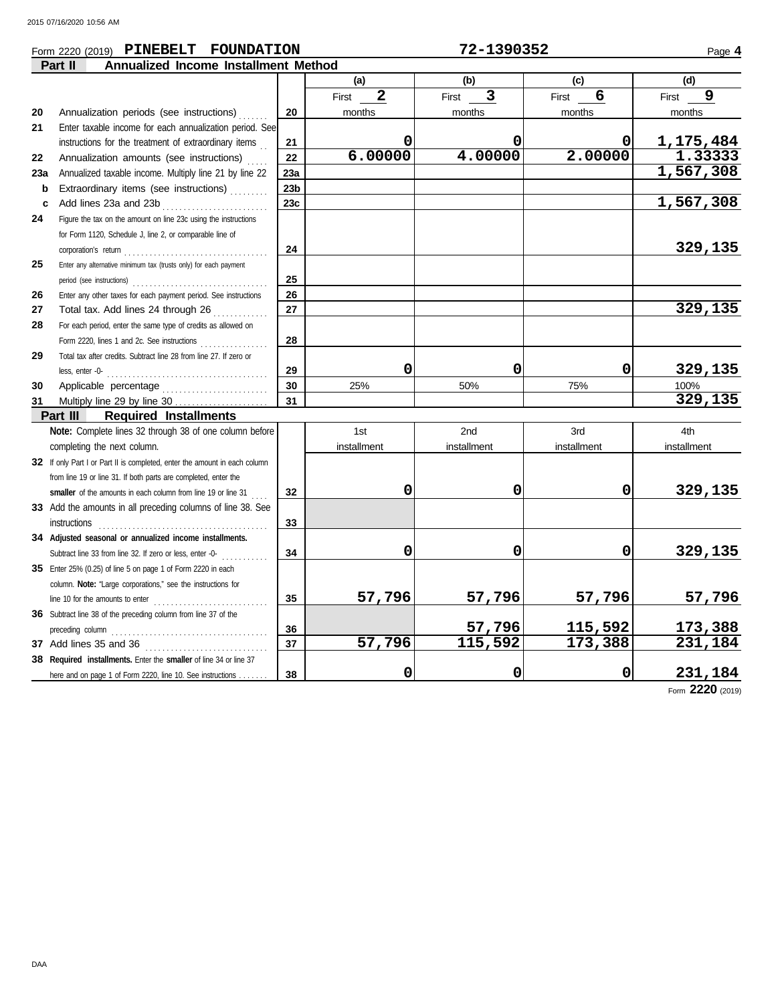### **Form 2220 (2019) PINEBELT FOUNDATION 72-1390352** Page 4

|     | <b>Annualized Income Installment Method</b><br>Part II                     |                 |                       |             |             |             |
|-----|----------------------------------------------------------------------------|-----------------|-----------------------|-------------|-------------|-------------|
|     |                                                                            |                 | (a)                   | (b)         | (c)         | (d)         |
|     |                                                                            |                 | $\mathbf{2}$<br>First | 3<br>First  | 6<br>First  | 9<br>First  |
| 20  | Annualization periods (see instructions)                                   | 20              | months                | months      | months      | months      |
| 21  | Enter taxable income for each annualization period. See                    |                 |                       |             |             |             |
|     | instructions for the treatment of extraordinary items                      | 21              | 0                     | 0           | 0           | 1,175,484   |
| 22  | Annualization amounts (see instructions)                                   | 22              | 6.00000               | 4.00000     | 2.00000     | 1.33333     |
| 23a | Annualized taxable income. Multiply line 21 by line 22                     | 23a             |                       |             |             | 1,567,308   |
| b   | Extraordinary items (see instructions)                                     | 23 <sub>b</sub> |                       |             |             |             |
| c   | Add lines 23a and 23b                                                      | 23c             |                       |             |             | 1,567,308   |
| 24  | Figure the tax on the amount on line 23c using the instructions            |                 |                       |             |             |             |
|     | for Form 1120, Schedule J, line 2, or comparable line of                   |                 |                       |             |             |             |
|     |                                                                            | 24              |                       |             |             | 329,135     |
| 25  | Enter any alternative minimum tax (trusts only) for each payment           |                 |                       |             |             |             |
|     |                                                                            | 25              |                       |             |             |             |
| 26  | Enter any other taxes for each payment period. See instructions            | 26              |                       |             |             |             |
| 27  | Total tax. Add lines 24 through 26                                         | 27              |                       |             |             | 329, 135    |
| 28  | For each period, enter the same type of credits as allowed on              |                 |                       |             |             |             |
|     | Form 2220, lines 1 and 2c. See instructions                                | 28              |                       |             |             |             |
| 29  | Total tax after credits. Subtract line 28 from line 27. If zero or         |                 |                       |             |             |             |
|     | less, enter -0-                                                            | 29              | 0                     | 0           | 0           | 329,135     |
| 30  | Applicable percentage                                                      | 30              | 25%                   | 50%         | 75%         | 100%        |
| 31  | Multiply line 29 by line $30$                                              | 31              |                       |             |             | 329, 135    |
|     | Part III<br><b>Required Installments</b>                                   |                 |                       |             |             |             |
|     | Note: Complete lines 32 through 38 of one column before                    |                 | 1st                   | 2nd         | 3rd         | 4th         |
|     | completing the next column.                                                |                 | installment           | installment | installment | installment |
|     | 32 If only Part I or Part II is completed, enter the amount in each column |                 |                       |             |             |             |
|     | from line 19 or line 31. If both parts are completed, enter the            |                 |                       |             |             |             |
|     | smaller of the amounts in each column from line 19 or line 31              | 32              | 0                     | 0           | 0           | 329,135     |
|     | 33 Add the amounts in all preceding columns of line 38. See                |                 |                       |             |             |             |
|     |                                                                            | 33              |                       |             |             |             |
|     | 34 Adjusted seasonal or annualized income installments.                    |                 |                       |             |             |             |
|     | Subtract line 33 from line 32. If zero or less, enter -0-                  | 34              | 0                     | 0           | 0           | 329,135     |
|     | 35 Enter 25% (0.25) of line 5 on page 1 of Form 2220 in each               |                 |                       |             |             |             |
|     | column. Note: "Large corporations," see the instructions for               |                 |                       |             |             |             |
|     |                                                                            | 35              | 57,796                | 57,796      | 57,796      | 57,796      |
|     | 36 Subtract line 38 of the preceding column from line 37 of the            |                 |                       |             |             |             |
|     |                                                                            | 36              |                       | 57,796      | 115,592     | 173,388     |
|     |                                                                            | 37              | 57,796                | 115,592     | 173,388     | 231,184     |
|     | 38 Required installments. Enter the smaller of line 34 or line 37          |                 |                       |             |             |             |
|     |                                                                            | 38              | 0                     | 0           | 0           | 231,184     |
|     | here and on page 1 of Form 2220, line 10. See instructions                 |                 |                       |             |             |             |

Form **2220** (2019)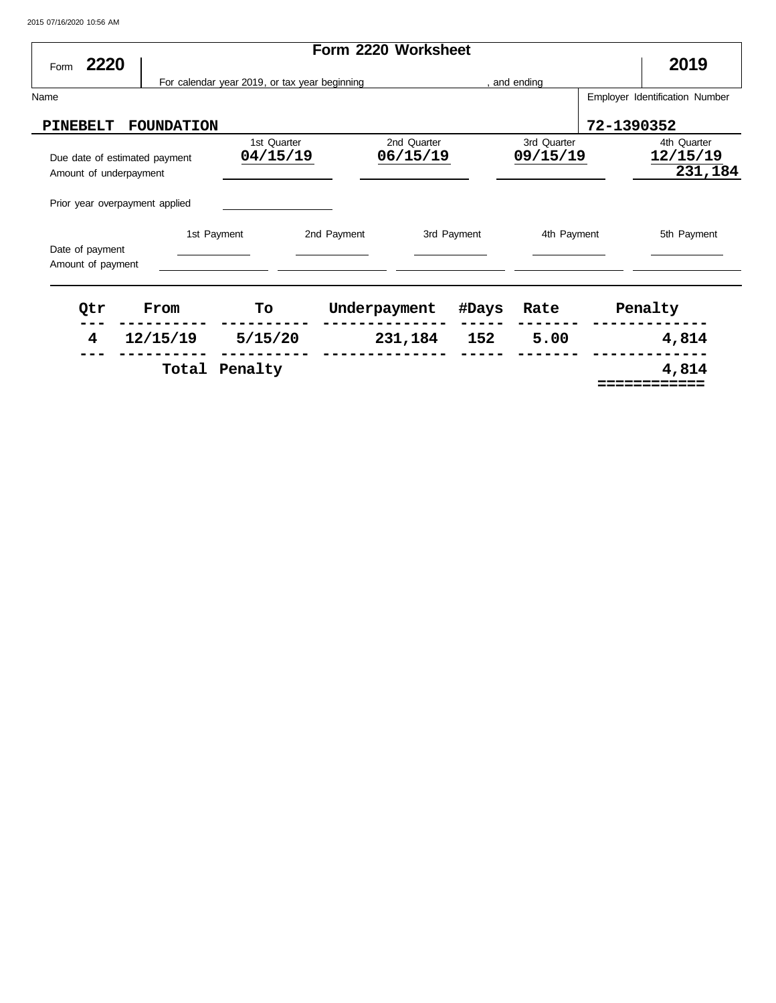2015 07/16/2020 10:56 AM

| 2220<br>Form                                                                              |                   |                                               |                         |                         |            | 2019                               |
|-------------------------------------------------------------------------------------------|-------------------|-----------------------------------------------|-------------------------|-------------------------|------------|------------------------------------|
|                                                                                           |                   | For calendar year 2019, or tax year beginning |                         | and ending              |            |                                    |
| Name                                                                                      |                   |                                               |                         |                         |            | Employer Identification Number     |
| PINEBELT                                                                                  | <b>FOUNDATION</b> |                                               |                         |                         | 72-1390352 |                                    |
| Due date of estimated payment<br>Amount of underpayment<br>Prior year overpayment applied |                   | 1st Quarter<br>04/15/19                       | 2nd Quarter<br>06/15/19 | 3rd Quarter<br>09/15/19 |            | 4th Quarter<br>12/15/19<br>231,184 |
| Date of payment<br>Amount of payment                                                      | 1st Payment       | 2nd Payment                                   | 3rd Payment             | 4th Payment             |            | 5th Payment                        |

| Qtr | From     | To            | Underpayment | #Days | Rate | Penalty |
|-----|----------|---------------|--------------|-------|------|---------|
| 4   | 12/15/19 | 5/15/20       | 231,184      | 152   | 5.00 | 4,814   |
|     |          | Total Penalty |              |       |      | 4,814   |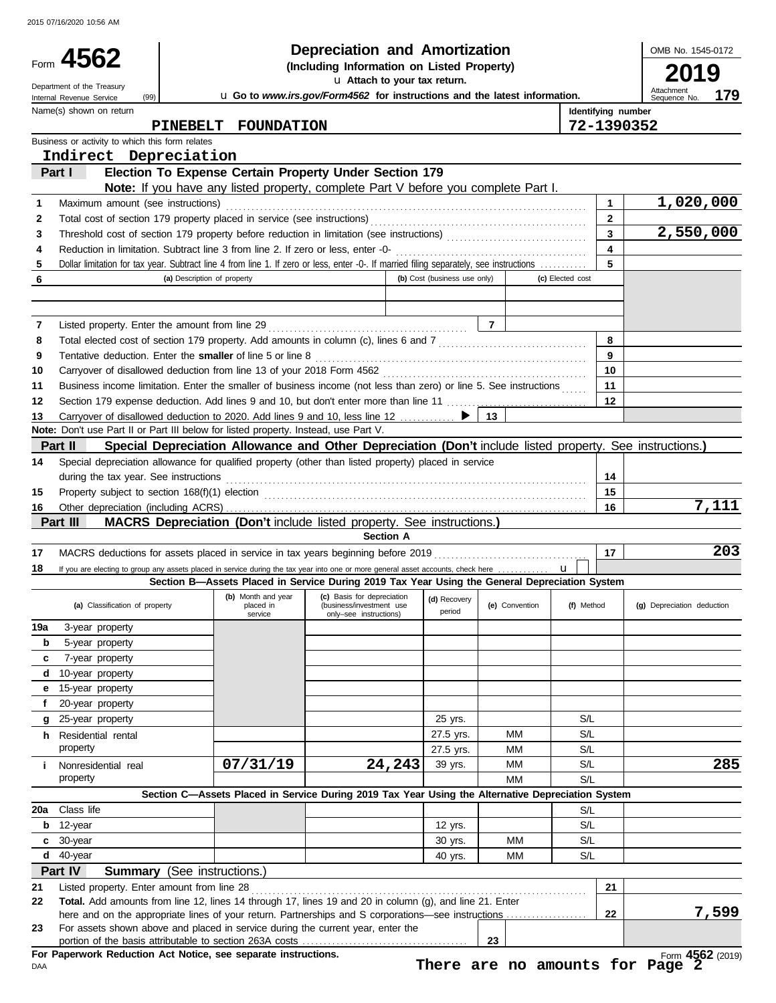|          | Form $4562$<br>Department of the Treasury<br>(99)<br>Internal Revenue Service                                                                                                                                                       | <b>Depreciation and Amortization</b><br>(Including Information on Listed Property)<br>u Attach to your tax return.<br>u Go to www.irs.gov/Form4562 for instructions and the latest information. |                                                    |                              |                |                |                  |                                  | OMB No. 1545-0172<br>19<br>Attachment<br>179<br>Sequence No. |
|----------|-------------------------------------------------------------------------------------------------------------------------------------------------------------------------------------------------------------------------------------|-------------------------------------------------------------------------------------------------------------------------------------------------------------------------------------------------|----------------------------------------------------|------------------------------|----------------|----------------|------------------|----------------------------------|--------------------------------------------------------------|
|          | Name(s) shown on return<br>PINEBELT                                                                                                                                                                                                 | <b>FOUNDATION</b>                                                                                                                                                                               |                                                    |                              |                |                |                  | Identifying number<br>72-1390352 |                                                              |
|          | Business or activity to which this form relates                                                                                                                                                                                     |                                                                                                                                                                                                 |                                                    |                              |                |                |                  |                                  |                                                              |
|          | Indirect Depreciation                                                                                                                                                                                                               |                                                                                                                                                                                                 |                                                    |                              |                |                |                  |                                  |                                                              |
|          | Part I                                                                                                                                                                                                                              | Election To Expense Certain Property Under Section 179<br>Note: If you have any listed property, complete Part V before you complete Part I.                                                    |                                                    |                              |                |                |                  |                                  |                                                              |
| 1        | Maximum amount (see instructions)                                                                                                                                                                                                   |                                                                                                                                                                                                 |                                                    |                              |                |                |                  | $\mathbf{1}$                     | $\overline{1,020,000}$                                       |
| 2        |                                                                                                                                                                                                                                     |                                                                                                                                                                                                 |                                                    |                              |                |                |                  | $\mathbf{2}$                     |                                                              |
| 3        |                                                                                                                                                                                                                                     |                                                                                                                                                                                                 |                                                    |                              |                |                |                  | $\overline{\mathbf{3}}$          | 2,550,000                                                    |
| 4        | Reduction in limitation. Subtract line 3 from line 2. If zero or less, enter -0-                                                                                                                                                    |                                                                                                                                                                                                 |                                                    |                              |                |                |                  | 4                                |                                                              |
| 5        | Dollar limitation for tax year. Subtract line 4 from line 1. If zero or less, enter -0-. If married filing separately, see instructions                                                                                             |                                                                                                                                                                                                 |                                                    |                              |                |                |                  |                                  |                                                              |
| 6        |                                                                                                                                                                                                                                     | (a) Description of property                                                                                                                                                                     |                                                    | (b) Cost (business use only) |                |                | (c) Elected cost |                                  |                                                              |
|          |                                                                                                                                                                                                                                     |                                                                                                                                                                                                 |                                                    |                              |                |                |                  |                                  |                                                              |
| 7        |                                                                                                                                                                                                                                     |                                                                                                                                                                                                 |                                                    |                              | $\overline{7}$ |                |                  |                                  |                                                              |
| 8        |                                                                                                                                                                                                                                     |                                                                                                                                                                                                 |                                                    |                              |                |                |                  | 8                                |                                                              |
| 9        | Tentative deduction. Enter the smaller of line 5 or line 8                                                                                                                                                                          |                                                                                                                                                                                                 |                                                    |                              |                |                |                  | 9                                |                                                              |
| 10       |                                                                                                                                                                                                                                     |                                                                                                                                                                                                 |                                                    |                              |                |                |                  | 10                               |                                                              |
| 11       | Business income limitation. Enter the smaller of business income (not less than zero) or line 5. See instructions                                                                                                                   |                                                                                                                                                                                                 |                                                    |                              |                |                |                  | 11<br>12                         |                                                              |
| 12<br>13 | Carryover of disallowed deduction to 2020. Add lines 9 and 10, less line 12 ▶                                                                                                                                                       |                                                                                                                                                                                                 |                                                    |                              | 13             |                |                  |                                  |                                                              |
|          | Note: Don't use Part II or Part III below for listed property. Instead, use Part V.                                                                                                                                                 |                                                                                                                                                                                                 |                                                    |                              |                |                |                  |                                  |                                                              |
|          | Part II                                                                                                                                                                                                                             | Special Depreciation Allowance and Other Depreciation (Don't include listed property. See instructions.)                                                                                        |                                                    |                              |                |                |                  |                                  |                                                              |
| 14       | Special depreciation allowance for qualified property (other than listed property) placed in service                                                                                                                                |                                                                                                                                                                                                 |                                                    |                              |                |                |                  |                                  |                                                              |
|          | during the tax year. See instructions                                                                                                                                                                                               |                                                                                                                                                                                                 |                                                    |                              |                |                |                  | 14                               |                                                              |
| 15       | Property subject to section 168(f)(1) election <i>manufacture content content</i> and the section of the section of the section of the section of the section of the section of the section of the section of the section of the se |                                                                                                                                                                                                 |                                                    |                              |                |                |                  | 15                               |                                                              |
| 16       |                                                                                                                                                                                                                                     |                                                                                                                                                                                                 |                                                    |                              |                |                |                  | 16                               | 7,111                                                        |
|          | Part III                                                                                                                                                                                                                            | MACRS Depreciation (Don't include listed property. See instructions.)                                                                                                                           |                                                    |                              |                |                |                  |                                  |                                                              |
|          |                                                                                                                                                                                                                                     |                                                                                                                                                                                                 | <b>Section A</b>                                   |                              |                |                |                  |                                  | 203                                                          |
| 17<br>18 | MACRS deductions for assets placed in service in tax years beginning before 2019<br>If you are electing to group any assets placed in service during the tax year into one or more general asset accounts, check here               |                                                                                                                                                                                                 |                                                    |                              |                |                | $\mathbf{u}$     | 17                               |                                                              |
|          |                                                                                                                                                                                                                                     | Section B-Assets Placed in Service During 2019 Tax Year Using the General Depreciation System                                                                                                   |                                                    |                              |                |                |                  |                                  |                                                              |
|          |                                                                                                                                                                                                                                     | (b) Month and year                                                                                                                                                                              | (c) Basis for depreciation                         | (d) Recovery                 |                |                |                  |                                  |                                                              |
|          | (a) Classification of property                                                                                                                                                                                                      | placed in<br>service                                                                                                                                                                            | (business/investment use<br>only-see instructions) | period                       |                | (e) Convention | (f) Method       |                                  | (g) Depreciation deduction                                   |
| 19a      | 3-year property                                                                                                                                                                                                                     |                                                                                                                                                                                                 |                                                    |                              |                |                |                  |                                  |                                                              |
| b        | 5-year property                                                                                                                                                                                                                     |                                                                                                                                                                                                 |                                                    |                              |                |                |                  |                                  |                                                              |
| c        | 7-year property                                                                                                                                                                                                                     |                                                                                                                                                                                                 |                                                    |                              |                |                |                  |                                  |                                                              |
| d        | 10-year property                                                                                                                                                                                                                    |                                                                                                                                                                                                 |                                                    |                              |                |                |                  |                                  |                                                              |
| е        | 15-year property                                                                                                                                                                                                                    |                                                                                                                                                                                                 |                                                    |                              |                |                |                  |                                  |                                                              |
|          | 20-year property                                                                                                                                                                                                                    |                                                                                                                                                                                                 |                                                    |                              |                |                |                  |                                  |                                                              |
| g        | 25-year property                                                                                                                                                                                                                    |                                                                                                                                                                                                 |                                                    | 25 yrs.                      |                |                | S/L              |                                  |                                                              |
| h.       | Residential rental<br>property                                                                                                                                                                                                      |                                                                                                                                                                                                 |                                                    | 27.5 yrs.                    |                | МM<br>МM       | S/L<br>S/L       |                                  |                                                              |
|          | Nonresidential real                                                                                                                                                                                                                 | 07/31/19                                                                                                                                                                                        | 24,243                                             | 27.5 yrs.<br>39 yrs.         |                | MM             | S/L              |                                  | 285                                                          |
|          | property                                                                                                                                                                                                                            |                                                                                                                                                                                                 |                                                    |                              |                | <b>MM</b>      | S/L              |                                  |                                                              |
|          |                                                                                                                                                                                                                                     | Section C-Assets Placed in Service During 2019 Tax Year Using the Alternative Depreciation System                                                                                               |                                                    |                              |                |                |                  |                                  |                                                              |
| 20a      | Class life                                                                                                                                                                                                                          |                                                                                                                                                                                                 |                                                    |                              |                |                | S/L              |                                  |                                                              |
| b        | 12-year                                                                                                                                                                                                                             |                                                                                                                                                                                                 |                                                    | 12 yrs.                      |                |                | S/L              |                                  |                                                              |
| C        | 30-year                                                                                                                                                                                                                             |                                                                                                                                                                                                 |                                                    | 30 yrs.                      |                | МM             | S/L              |                                  |                                                              |
| d        | 40-year                                                                                                                                                                                                                             |                                                                                                                                                                                                 |                                                    | 40 yrs.                      |                | МM             | S/L              |                                  |                                                              |
|          | Part IV<br><b>Summary</b> (See instructions.)                                                                                                                                                                                       |                                                                                                                                                                                                 |                                                    |                              |                |                |                  |                                  |                                                              |
| 21       | Listed property. Enter amount from line 28                                                                                                                                                                                          |                                                                                                                                                                                                 |                                                    |                              |                |                |                  | 21                               |                                                              |
|          |                                                                                                                                                                                                                                     |                                                                                                                                                                                                 |                                                    |                              |                |                |                  |                                  |                                                              |
|          |                                                                                                                                                                                                                                     | Total. Add amounts from line 12, lines 14 through 17, lines 19 and 20 in column (g), and line 21. Enter                                                                                         |                                                    |                              |                |                |                  |                                  |                                                              |
| 22<br>23 | here and on the appropriate lines of your return. Partnerships and S corporations—see instructions<br>For assets shown above and placed in service during the current year, enter the                                               |                                                                                                                                                                                                 |                                                    |                              |                |                |                  | 22                               | 7,599                                                        |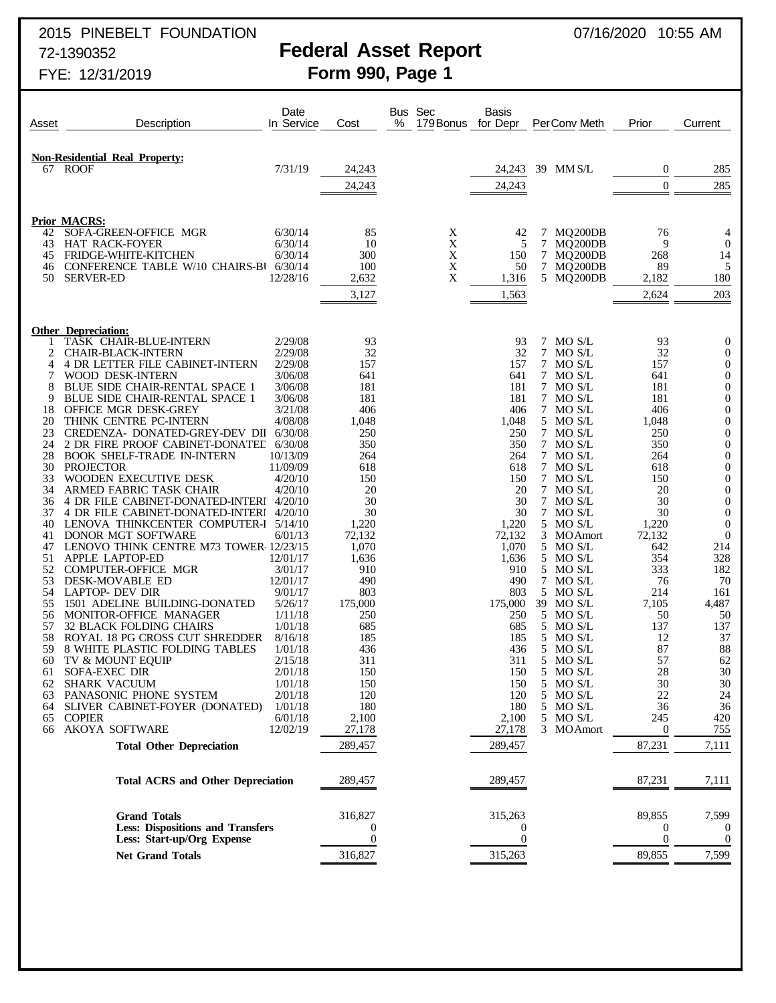# 2015 PINEBELT FOUNDATION 2015 2015 2016/2020 10:55 AM

# 72-1390352 **Federal Asset Report**

# FYE: 12/31/2019 **Form 990, Page 1**

| Asset    | Description                                                                       | Date<br>In Service  | Cost                | % | Bus Sec<br>179 Bonus | Basis<br>for Depr   | PerConv Meth               | Prior              | Current                          |
|----------|-----------------------------------------------------------------------------------|---------------------|---------------------|---|----------------------|---------------------|----------------------------|--------------------|----------------------------------|
|          |                                                                                   |                     |                     |   |                      |                     |                            |                    |                                  |
| 67       | <b>Non-Residential Real Property:</b><br><b>ROOF</b>                              | 7/31/19             | 24,243              |   |                      | 24,243              | 39 MM S/L                  | $\boldsymbol{0}$   | 285                              |
|          |                                                                                   |                     | 24,243              |   |                      | 24,243              |                            | $\theta$           | 285                              |
|          |                                                                                   |                     |                     |   |                      |                     |                            |                    |                                  |
| 42       | <b>Prior MACRS:</b><br>SOFA-GREEN-OFFICE MGR                                      | 6/30/14             | 85                  |   | X                    | 42                  | MQ200DB<br>7               | 76                 | 4                                |
| 43       | <b>HAT RACK-FOYER</b>                                                             | 6/30/14             | 10                  |   | X                    | 5                   | 7<br>MQ200DB               | 9                  | $\mathbf{0}$                     |
| 45<br>46 | FRIDGE-WHITE-KITCHEN<br>CONFERENCE TABLE W/10 CHAIRS-B1 6/30/14                   | 6/30/14             | 300<br>100          |   | X<br>X               | 150<br>50           | 7 MQ200DB<br>7<br>MQ200DB  | 268<br>89          | 14<br>5                          |
| 50       | <b>SERVER-ED</b>                                                                  | 12/28/16            | 2,632               |   | X                    | 1,316               | 5 MQ200DB                  | 2,182              | 180                              |
|          |                                                                                   |                     | 3,127               |   |                      | 1,563               |                            | 2,624              | 203                              |
|          |                                                                                   |                     |                     |   |                      |                     |                            |                    |                                  |
|          | <b>Other Depreciation:</b><br>TASK CHAIR-BLUE-INTERN                              | 2/29/08             | 93                  |   |                      | 93                  | MO S/L<br>7                | 93                 | $\mathbf 0$                      |
| 2<br>4   | <b>CHAIR-BLACK-INTERN</b><br>4 DR LETTER FILE CABINET-INTERN                      | 2/29/08<br>2/29/08  | 32<br>157           |   |                      | 32<br>157           | 7<br>MO S/L<br>7<br>MO S/L | 32<br>157          | $\theta$<br>$\boldsymbol{0}$     |
|          | WOOD DESK-INTERN                                                                  | 3/06/08             | 641                 |   |                      | 641                 | 7 MO S/L                   | 641                | $\mathbf{0}$                     |
| 8<br>9   | <b>BLUE SIDE CHAIR-RENTAL SPACE 1</b><br><b>BLUE SIDE CHAIR-RENTAL SPACE 1</b>    | 3/06/08<br>3/06/08  | 181<br>181          |   |                      | 181<br>181          | 7<br>MO S/L<br>7 MO S/L    | 181<br>181         | $\boldsymbol{0}$<br>$\mathbf{0}$ |
| 18       | <b>OFFICE MGR DESK-GREY</b>                                                       | 3/21/08             | 406                 |   |                      | 406                 | 7 MO S/L                   | 406                | $\boldsymbol{0}$                 |
| 20       | THINK CENTRE PC-INTERN                                                            | 4/08/08             | 1,048               |   |                      | 1,048               | 5 MO S/L                   | 1,048              | $\mathbf{0}$                     |
| 23<br>24 | CREDENZA- DONATED-GREY-DEV DII 6/30/08<br>2 DR FIRE PROOF CABINET-DONATEL 6/30/08 |                     | 250<br>350          |   |                      | 250<br>350          | 7<br>MO S/L<br>7 MOS/L     | 250<br>350         | $\boldsymbol{0}$<br>$\mathbf{0}$ |
| 28       | <b>BOOK SHELF-TRADE IN-INTERN</b>                                                 | 10/13/09            | 264                 |   |                      | 264                 | 7 MO S/L                   | 264                | $\boldsymbol{0}$                 |
| 30<br>33 | <b>PROJECTOR</b><br>WOODEN EXECUTIVE DESK                                         | 11/09/09<br>4/20/10 | 618<br>150          |   |                      | 618<br>150          | 7 MO S/L<br>7<br>MO S/L    | 618<br>150         | $\mathbf{0}$<br>$\boldsymbol{0}$ |
| 34       | ARMED FABRIC TASK CHAIR                                                           | 4/20/10             | 20                  |   |                      | 20                  | 7 MO S/L                   | 20                 | $\mathbf{0}$                     |
| 36       | 4 DR FILE CABINET-DONATED-INTERI 4/20/10                                          |                     | 30                  |   |                      | 30                  | 7<br>MO S/L                | 30                 | $\boldsymbol{0}$                 |
| 37<br>40 | 4 DR FILE CABINET-DONATED-INTERI<br>LENOVA THINKCENTER COMPUTER-I 5/14/10         | 4/20/10             | 30<br>1,220         |   |                      | 30<br>1,220         | 7 MO S/L<br>5 MO S/L       | 30<br>1,220        | $\mathbf{0}$<br>$\mathbf{0}$     |
| 41       | DONOR MGT SOFTWARE                                                                | 6/01/13             | 72,132              |   |                      | 72,132              | 3<br><b>MOAmort</b>        | 72,132             | $\theta$                         |
| 47<br>51 | LENOVO THINK CENTRE M73 TOWER 12/23/15<br>APPLE LAPTOP-ED                         | 12/01/17            | 1,070<br>1,636      |   |                      | 1,070<br>1,636      | 5 MO S/L<br>5 MO S/L       | 642<br>354         | 214<br>328                       |
| 52       | <b>COMPUTER-OFFICE MGR</b>                                                        | 3/01/17             | 910                 |   |                      | 910                 | 5<br>MO S/L                | 333                | 182                              |
| 53       | DESK-MOVABLE ED                                                                   | 12/01/17            | 490                 |   |                      | 490                 | 7<br>MO S/L                | 76                 | 70                               |
| 54<br>55 | <b>LAPTOP- DEV DIR</b><br>1501 ADELINE BUILDING-DONATED                           | 9/01/17<br>5/26/17  | 803<br>175,000      |   |                      | 803<br>175,000      | 5 MO S/L<br>39 MO S/L      | 214<br>7,105       | 161<br>4,487                     |
| 56       | MONITOR-OFFICE MANAGER                                                            | 1/11/18             | 250                 |   |                      | 250                 | 5 MO S/L                   | 50                 | 50                               |
| 57<br>58 | <b>32 BLACK FOLDING CHAIRS</b><br>ROYAL 18 PG CROSS CUT SHREDDER                  | 1/01/18<br>8/16/18  | 685<br>185          |   |                      | 685<br>185          | 5 MO S/L<br>5<br>MO S/L    | 137<br>12          | 137<br>37                        |
| 59       | 8 WHITE PLASTIC FOLDING TABLES                                                    | 1/01/18             | 436                 |   |                      | 436                 | MO S/L<br>5                | 87                 | 88                               |
| 60       | TV & MOUNT EQUIP                                                                  | 2/15/18             | 311                 |   |                      | 311                 | 5 MO S/L                   | 57                 | 62                               |
| 61<br>62 | SOFA-EXEC DIR<br><b>SHARK VACUUM</b>                                              | 2/01/18<br>1/01/18  | 150<br>150          |   |                      | 150<br>150          | 5 MO S/L<br>5<br>MO S/L    | 28<br>30           | 30<br>30                         |
| 63       | PANASONIC PHONE SYSTEM                                                            | 2/01/18             | 120                 |   |                      | 120                 | MO <sub>S/L</sub><br>5     | 22                 | 24                               |
| 64<br>65 | SLIVER CABINET-FOYER (DONATED)<br><b>COPIER</b>                                   | 1/01/18<br>6/01/18  | 180<br>2,100        |   |                      | 180<br>2,100        | 5<br>MO S/L<br>MO S/L<br>5 | 36<br>245          | 36<br>420                        |
| 66       | <b>AKOYA SOFTWARE</b>                                                             | 12/02/19            | 27,178              |   |                      | 27,178              | 3 MOAmort                  | $\boldsymbol{0}$   | 755                              |
|          | <b>Total Other Depreciation</b>                                                   |                     | 289,457             |   |                      | 289,457             |                            | 87,231             | 7,111                            |
|          | <b>Total ACRS and Other Depreciation</b>                                          |                     | 289,457             |   |                      | 289,457             |                            | 87,231             | 7,111                            |
|          |                                                                                   |                     |                     |   |                      |                     |                            |                    |                                  |
|          | <b>Grand Totals</b><br><b>Less: Dispositions and Transfers</b>                    |                     | 316,827<br>$\theta$ |   |                      | 315,263<br>$\theta$ |                            | 89,855<br>$\theta$ | 7,599<br>$\theta$                |
|          | Less: Start-up/Org Expense                                                        |                     | $\boldsymbol{0}$    |   |                      | $\theta$            |                            | $\mathbf{0}$       | $\boldsymbol{0}$                 |
|          | <b>Net Grand Totals</b>                                                           |                     | 316,827             |   |                      | 315,263             |                            | 89,855             | 7,599                            |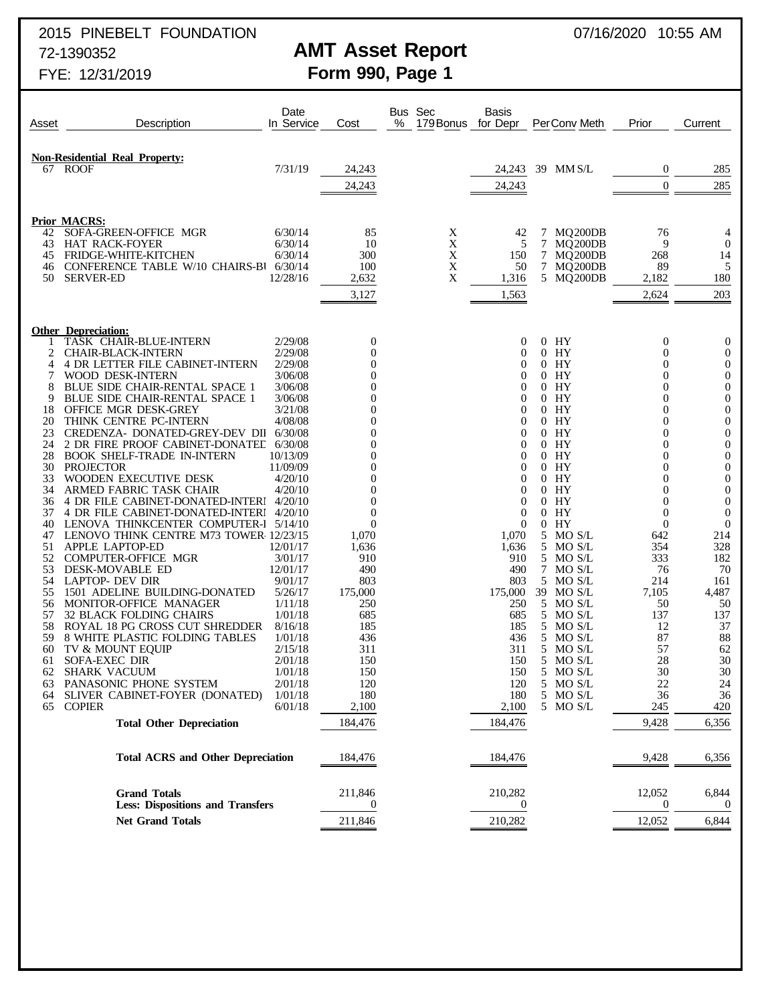# 2015 PINEBELT FOUNDATION 2015 2007/16/2020 10:55 AM

# 72-1390352 **AMT Asset Report**

FYE: 12/31/2019 **Form 990, Page 1**

| Non-Residential Real Property:<br>7/31/19<br>67 ROOF<br>24,243<br>24,243<br>39 MM S/L<br>$\mathbf{0}$<br>$\overline{0}$<br>24,243<br>24,243                              | 285<br>285                           |
|--------------------------------------------------------------------------------------------------------------------------------------------------------------------------|--------------------------------------|
|                                                                                                                                                                          |                                      |
|                                                                                                                                                                          |                                      |
|                                                                                                                                                                          |                                      |
|                                                                                                                                                                          |                                      |
| <b>Prior MACRS:</b>                                                                                                                                                      |                                      |
| 85<br>42<br>SOFA-GREEN-OFFICE MGR<br>6/30/14<br>X<br>42<br>MQ200DB<br>76<br>7                                                                                            | 4                                    |
| X<br>43<br><b>HAT RACK-FOYER</b><br>6/30/14<br>10<br>5<br>MQ200DB<br>9<br>7                                                                                              | $\theta$                             |
| X<br>6/30/14<br>300<br>268<br>45<br><b>FRIDGE-WHITE-KITCHEN</b><br>150<br>7<br>MQ200DB<br>X<br>CONFERENCE TABLE W/10 CHAIRS-B1 6/30/14<br>7<br>89<br>46                  | 14<br>5                              |
| 100<br>50<br>MQ200DB<br>X<br>50<br><b>SERVER-ED</b><br>12/28/16<br>5 MQ200DB<br>2,632<br>1,316<br>2,182                                                                  | 180                                  |
| 3,127<br>2,624<br>1,563                                                                                                                                                  | 203                                  |
|                                                                                                                                                                          |                                      |
| <b>Other Depreciation:</b>                                                                                                                                               |                                      |
| TASK CHAIR-BLUE-INTERN<br>2/29/08<br>$\boldsymbol{0}$<br>$0$ HY<br>$\overline{0}$<br>0                                                                                   | $\mathbf 0$                          |
| 2/29/08<br>2<br><b>CHAIR-BLACK-INTERN</b><br>$\mathbf{0}$<br>$0$ HY<br>$\overline{0}$<br>0                                                                               | $\boldsymbol{0}$                     |
| <b>4 DR LETTER FILE CABINET-INTERN</b><br>2/29/08<br>$\Omega$<br>$0$ HY<br>0<br>4<br>0<br>WOOD DESK-INTERN<br>3/06/08<br>0<br>$0$ HY<br>$\Omega$<br>7<br>$\theta$        | $\boldsymbol{0}$<br>$\boldsymbol{0}$ |
| <b>BLUE SIDE CHAIR-RENTAL SPACE 1</b><br>3/06/08<br>$\Omega$<br>$0$ HY<br>0<br>8<br>0                                                                                    | $\boldsymbol{0}$                     |
| 9<br><b>BLUE SIDE CHAIR-RENTAL SPACE 1</b><br>3/06/08<br>$0$ HY<br>$\overline{0}$<br>0<br>$\theta$                                                                       | $\boldsymbol{0}$                     |
| $0$ HY<br>18<br><b>OFFICE MGR DESK-GREY</b><br>3/21/08<br>$\Omega$<br>0<br>0<br>4/08/08                                                                                  | $\boldsymbol{0}$                     |
| 20<br>THINK CENTRE PC-INTERN<br>0<br>$0$ HY<br>$\overline{0}$<br>$\theta$<br>23<br>CREDENZA- DONATED-GREY-DEV DII<br>6/30/08<br>0<br>$0$ HY<br>0<br>0                    | $\boldsymbol{0}$<br>$\boldsymbol{0}$ |
| 24<br>2 DR FIRE PROOF CABINET-DONATED<br>6/30/08<br>$0$ HY<br>$\overline{0}$<br>0<br>$\theta$                                                                            | $\boldsymbol{0}$                     |
| 28<br><b>BOOK SHELF-TRADE IN-INTERN</b><br>10/13/09<br>$\theta$<br>$0$ HY<br>0<br>0                                                                                      | $\mathbf{0}$                         |
| 30<br><b>PROJECTOR</b><br>11/09/09<br>0<br>$0$ HY<br>$\overline{0}$<br>$\theta$                                                                                          | $\boldsymbol{0}$                     |
| 33<br>WOODEN EXECUTIVE DESK<br>4/20/10<br>0<br>$0$ HY<br>0<br>0<br>34<br>ARMED FABRIC TASK CHAIR<br>4/20/10<br>0<br>$0$ HY<br>$\overline{0}$<br>$\theta$                 | $\boldsymbol{0}$<br>$\boldsymbol{0}$ |
| 4 DR FILE CABINET-DONATED-INTERI 4/20/10<br>$\Omega$<br>$0$ HY<br>0<br>36<br>0                                                                                           | $\boldsymbol{0}$                     |
| 4 DR FILE CABINET-DONATED-INTERI 4/20/10<br>$\mathbf{0}$<br>$\overline{0}$<br>HY<br>$\overline{0}$<br>37<br>$\theta$                                                     | $\boldsymbol{0}$                     |
| $0$ HY<br>LENOVA THINKCENTER COMPUTER-I 5/14/10<br>$\theta$<br>$\Omega$<br>$\theta$<br>40                                                                                | $\theta$                             |
| LENOVO THINK CENTRE M73 TOWER 12/23/15<br>1,070<br>1,070<br>5<br>MO S/L<br>642<br>47<br>APPLE LAPTOP-ED<br>12/01/17<br>1,636<br>1,636<br>5 MO S/L<br>354<br>51           | 214<br>328                           |
| 52<br><b>COMPUTER-OFFICE MGR</b><br>3/01/17<br>910<br>910<br>5<br>MO S/L<br>333                                                                                          | 182                                  |
| 53<br>DESK-MOVABLE ED<br>12/01/17<br>490<br>490<br>7 MO S/L<br>76                                                                                                        | 70                                   |
| 803<br>803<br>54<br><b>LAPTOP- DEV DIR</b><br>9/01/17<br>5 MO S/L<br>214                                                                                                 | 161                                  |
| 1501 ADELINE BUILDING-DONATED<br>5/26/17<br>175,000<br>175,000<br>39 MO S/L<br>7,105<br>55<br>MONITOR-OFFICE MANAGER<br>1/11/18<br>250<br>250<br>5<br>MO S/L<br>50<br>56 | 4,487<br>50                          |
| <b>32 BLACK FOLDING CHAIRS</b><br>1/01/18<br>685<br>685<br>5 MO S/L<br>137<br>57                                                                                         | 137                                  |
| 58<br>ROYAL 18 PG CROSS CUT SHREDDER<br>8/16/18<br>185<br>185<br>5<br>MO S/L<br>12                                                                                       | 37                                   |
| 59<br>8 WHITE PLASTIC FOLDING TABLES<br>1/01/18<br>436<br>436<br>5 MO S/L<br>87                                                                                          | 88                                   |
| 2/15/18<br>311<br>311<br>MO S/L<br>57<br>60<br>TV & MOUNT EQUIP<br>5<br><b>SOFA-EXEC DIR</b><br>2/01/18<br>150<br>150<br>5 MO S/L<br>28<br>61                            | 62<br>30                             |
| 150<br>30<br>62<br>1/01/18<br>150<br>SHARK VACUUM<br>5 MO S/L                                                                                                            | $30\,$                               |
| PANASONIC PHONE SYSTEM<br>2/01/18<br>120<br>5 MO S/L<br>22<br>63<br>120                                                                                                  | 24                                   |
| 1/01/18<br>180<br>5<br>MO S/L<br>SLIVER CABINET-FOYER (DONATED)<br>180<br>36<br>64<br>6/01/18<br>5 MO S/L<br><b>COPIER</b><br>2,100<br>2,100<br>245<br>65                | 36<br>420                            |
| 184,476<br>9,428<br><b>Total Other Depreciation</b><br>184,476                                                                                                           | 6,356                                |
|                                                                                                                                                                          |                                      |
| 184,476<br>184,476<br>9,428<br><b>Total ACRS and Other Depreciation</b>                                                                                                  | 6,356                                |
| <b>Grand Totals</b><br>211,846<br>210,282<br>12,052<br><b>Less: Dispositions and Transfers</b><br>$\boldsymbol{0}$<br>$\theta$<br>$\theta$                               | 6,844<br>$\theta$                    |
| 211,846<br><b>Net Grand Totals</b><br>210,282<br>12,052                                                                                                                  | 6,844                                |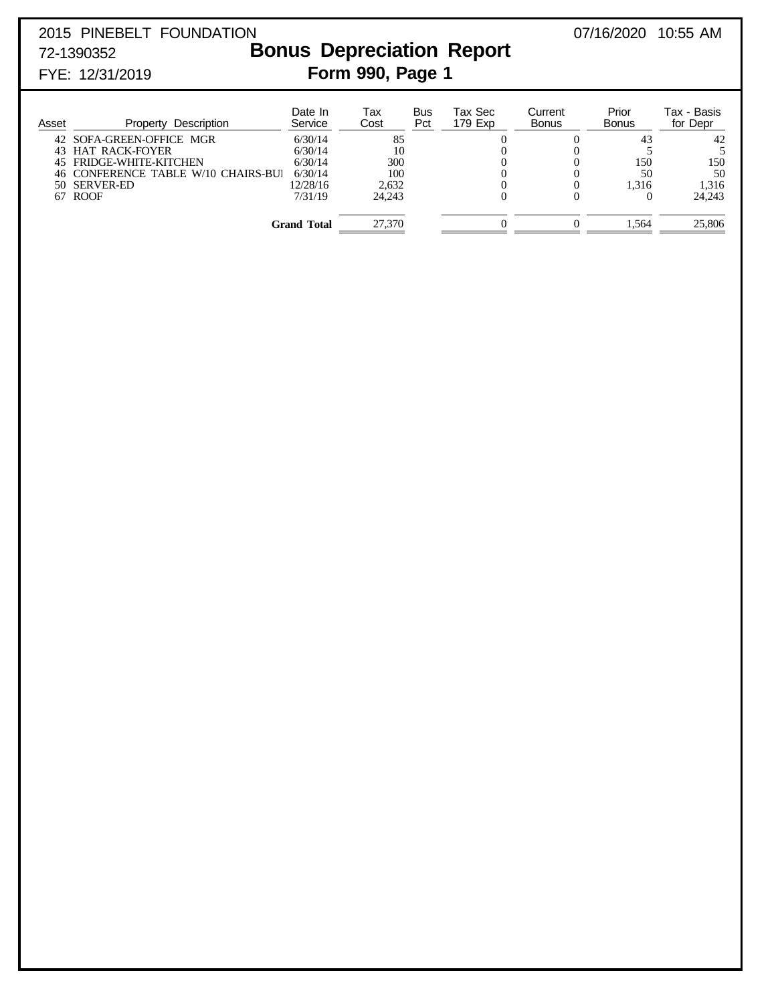# 2015 PINEBELT FOUNDATION 07/16/2020 10:55 AM 72-1390352 **Bonus Depreciation Report**

# FYE: 12/31/2019 **Form 990, Page 1**

### Date In Tax Bus Tax Sec Current Prior Tax - Basis<br>Service Cost Pct 179 Exp Bonus Bonus for Depr Asset Property Description 42 SOFA-GREEN-OFFICE MGR<br>
43 HAT RACK-FOYER 6/30/14 10 0 0 5 5 5 43 HAT RACK-FOYER 6/30/14 10 0 0 5 5 5<br>45 FRIDGE-WHITE-KITCHEN 6/30/14 300 0 0 150 150 45 FRIDGE-WHITE-KITCHEN 6/30/14 300 0 0 150 150 150<br>46 CONFERENCE TABLE W/10 CHAIRS-BUI 6/30/14 100 0 0 0 50 50 46 CONFERENCE TABLE W/10 CHAIRS-BUI 6/30/14  $\begin{array}{cccc} 100 & 0 & 0 & 50 & 50 \\ 12/28/16 & 2,632 & 0 & 0 & 1,316 \\ \end{array}$  1,316 1,316 50 SERVER-ED 12/28/16 2,632 0 0 1,316 1,316<br>
50 SERVER-ED 12/28/16 2,632 0 0 1,316 1,316<br>
7/31/19 24,243 0 0 0 24,243 67 ROOF 24,243 0 0 0 24,243 **Grand Total** 27,370 0 0 1,564 25,806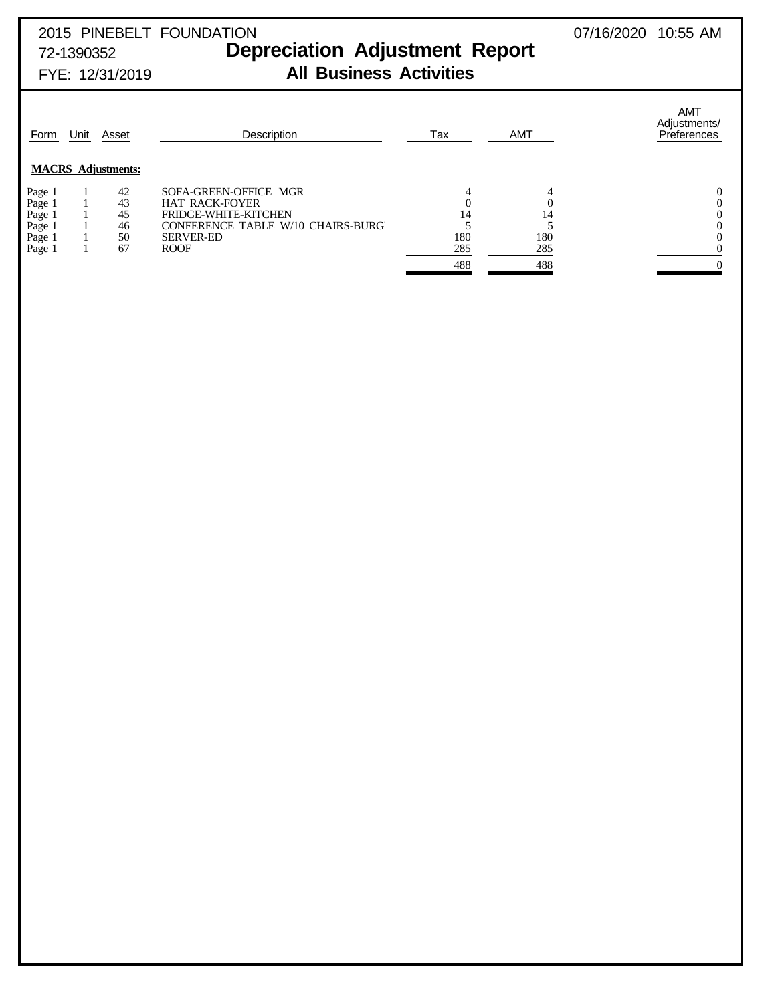| 2015 PINEBELT FOUNDATION |                                       |  |
|--------------------------|---------------------------------------|--|
| 72-1390352               | <b>Depreciation Adjustment Report</b> |  |

# FYE: 12/31/2019 **All Business Activities**

| Form   | Unit | Asset                     | Description                              | Tax | <b>AMT</b> | <b>AMT</b><br>Adjustments/<br>Preferences |
|--------|------|---------------------------|------------------------------------------|-----|------------|-------------------------------------------|
|        |      | <b>MACRS</b> Adjustments: |                                          |     |            |                                           |
| Page 1 |      | 42                        | SOFA-GREEN-OFFICE MGR                    |     |            |                                           |
| Page 1 |      | 43                        | <b>HAT RACK-FOYER</b>                    |     |            |                                           |
| Page 1 |      | 45                        | <b>FRIDGE-WHITE-KITCHEN</b>              | 14  | 14         |                                           |
| Page 1 |      | 46                        | <b>CONFERENCE TABLE W/10 CHAIRS-BURG</b> |     |            |                                           |
| Page 1 |      | 50                        | <b>SERVER-ED</b>                         | 180 | 180        |                                           |
| Page 1 |      | 67                        | <b>ROOF</b>                              | 285 | 285        |                                           |
|        |      |                           |                                          | 488 | 488        |                                           |
|        |      |                           |                                          |     |            |                                           |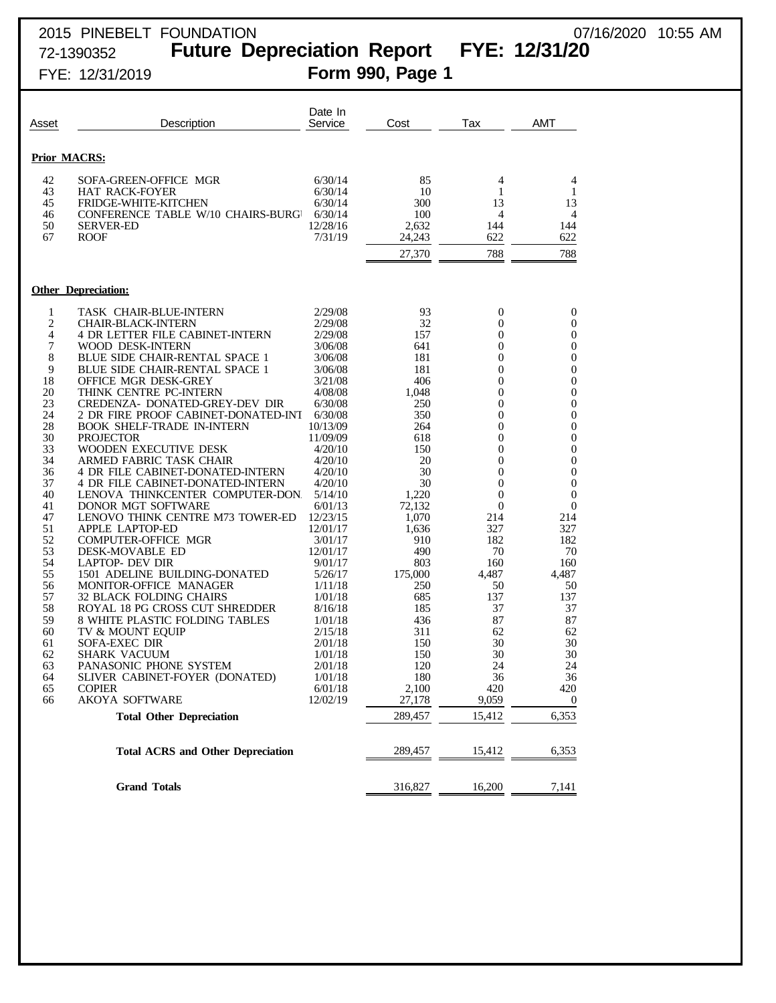# 2015 PINEBELT FOUNDATION 07/16/2020 10:55 AM 72-1390352 **Future Depreciation Report FYE: 12/31/20**

| 10:55 AM<br>07/16/2020 |
|------------------------|
|------------------------|

| FYE: 12/31/2019 | Form 990, Page 1 |
|-----------------|------------------|
|                 |                  |

| Asset                                                                                                                                                                                                                 | Description                                                                                                                                                                                                                                                                                                                                                                                                                                                                                                                                                                                                                                                                                                                                                                                                                                                                                                                                                                                                                                                                   | Date In<br>Service                                                                                                                                                                                                                                                                                                                                                                                  | Cost                                                                                                                                                                                                                                                                        | Tax                                                                                                                                                                                                                                                                                                                                                                      | AMT                                                                                                                                                                                                                                                    |
|-----------------------------------------------------------------------------------------------------------------------------------------------------------------------------------------------------------------------|-------------------------------------------------------------------------------------------------------------------------------------------------------------------------------------------------------------------------------------------------------------------------------------------------------------------------------------------------------------------------------------------------------------------------------------------------------------------------------------------------------------------------------------------------------------------------------------------------------------------------------------------------------------------------------------------------------------------------------------------------------------------------------------------------------------------------------------------------------------------------------------------------------------------------------------------------------------------------------------------------------------------------------------------------------------------------------|-----------------------------------------------------------------------------------------------------------------------------------------------------------------------------------------------------------------------------------------------------------------------------------------------------------------------------------------------------------------------------------------------------|-----------------------------------------------------------------------------------------------------------------------------------------------------------------------------------------------------------------------------------------------------------------------------|--------------------------------------------------------------------------------------------------------------------------------------------------------------------------------------------------------------------------------------------------------------------------------------------------------------------------------------------------------------------------|--------------------------------------------------------------------------------------------------------------------------------------------------------------------------------------------------------------------------------------------------------|
|                                                                                                                                                                                                                       | <b>Prior MACRS:</b>                                                                                                                                                                                                                                                                                                                                                                                                                                                                                                                                                                                                                                                                                                                                                                                                                                                                                                                                                                                                                                                           |                                                                                                                                                                                                                                                                                                                                                                                                     |                                                                                                                                                                                                                                                                             |                                                                                                                                                                                                                                                                                                                                                                          |                                                                                                                                                                                                                                                        |
| 42<br>43<br>45<br>46<br>50<br>67                                                                                                                                                                                      | SOFA-GREEN-OFFICE MGR<br><b>HAT RACK-FOYER</b><br><b>FRIDGE-WHITE-KITCHEN</b><br>CONFERENCE TABLE W/10 CHAIRS-BURG<br><b>SERVER-ED</b><br><b>ROOF</b>                                                                                                                                                                                                                                                                                                                                                                                                                                                                                                                                                                                                                                                                                                                                                                                                                                                                                                                         | 6/30/14<br>6/30/14<br>6/30/14<br>6/30/14<br>12/28/16<br>7/31/19                                                                                                                                                                                                                                                                                                                                     | 85<br>10<br>300<br>100<br>2,632<br>24,243<br>27,370                                                                                                                                                                                                                         | 4<br>1<br>13<br>4<br>144<br>622<br>788                                                                                                                                                                                                                                                                                                                                   | 4<br>1<br>13<br>4<br>144<br>622<br>788                                                                                                                                                                                                                 |
|                                                                                                                                                                                                                       | <b>Other Depreciation:</b>                                                                                                                                                                                                                                                                                                                                                                                                                                                                                                                                                                                                                                                                                                                                                                                                                                                                                                                                                                                                                                                    |                                                                                                                                                                                                                                                                                                                                                                                                     |                                                                                                                                                                                                                                                                             |                                                                                                                                                                                                                                                                                                                                                                          |                                                                                                                                                                                                                                                        |
| 1<br>$\overline{c}$<br>4<br>7<br>8<br>9<br>18<br>20<br>23<br>24<br>28<br>30<br>33<br>34<br>36<br>37<br>40<br>41<br>47<br>51<br>52<br>53<br>54<br>55<br>56<br>57<br>58<br>59<br>60<br>61<br>62<br>63<br>64<br>65<br>66 | TASK CHAIR-BLUE-INTERN<br><b>CHAIR-BLACK-INTERN</b><br>4 DR LETTER FILE CABINET-INTERN<br>WOOD DESK-INTERN<br>BLUE SIDE CHAIR-RENTAL SPACE 1<br><b>BLUE SIDE CHAIR-RENTAL SPACE 1</b><br>OFFICE MGR DESK-GREY<br>THINK CENTRE PC-INTERN<br>CREDENZA- DONATED-GREY-DEV DIR<br>2 DR FIRE PROOF CABINET-DONATED-INT<br><b>BOOK SHELF-TRADE IN-INTERN</b><br><b>PROJECTOR</b><br>WOODEN EXECUTIVE DESK<br><b>ARMED FABRIC TASK CHAIR</b><br>4 DR FILE CABINET-DONATED-INTERN<br>4 DR FILE CABINET-DONATED-INTERN<br>LENOVA THINKCENTER COMPUTER-DON<br>DONOR MGT SOFTWARE<br>LENOVO THINK CENTRE M73 TOWER-ED<br>APPLE LAPTOP-ED<br><b>COMPUTER-OFFICE MGR</b><br>DESK-MOVABLE ED<br><b>LAPTOP- DEV DIR</b><br>1501 ADELINE BUILDING-DONATED<br>MONITOR-OFFICE MANAGER<br><b>32 BLACK FOLDING CHAIRS</b><br>ROYAL 18 PG CROSS CUT SHREDDER<br>8 WHITE PLASTIC FOLDING TABLES<br>TV & MOUNT EQUIP<br>SOFA-EXEC DIR<br><b>SHARK VACUUM</b><br>PANASONIC PHONE SYSTEM<br>SLIVER CABINET-FOYER (DONATED)<br><b>COPIER</b><br><b>AKOYA SOFTWARE</b><br><b>Total Other Depreciation</b> | 2/29/08<br>2/29/08<br>2/29/08<br>3/06/08<br>3/06/08<br>3/06/08<br>3/21/08<br>4/08/08<br>6/30/08<br>6/30/08<br>10/13/09<br>11/09/09<br>4/20/10<br>4/20/10<br>4/20/10<br>4/20/10<br>5/14/10<br>6/01/13<br>12/23/15<br>12/01/17<br>3/01/17<br>12/01/17<br>9/01/17<br>5/26/17<br>1/11/18<br>1/01/18<br>8/16/18<br>1/01/18<br>2/15/18<br>2/01/18<br>1/01/18<br>2/01/18<br>1/01/18<br>6/01/18<br>12/02/19 | 93<br>32<br>157<br>641<br>181<br>181<br>406<br>1,048<br>250<br>350<br>264<br>618<br>150<br>20<br>30<br>30<br>1,220<br>72,132<br>1,070<br>1,636<br>910<br>490<br>803<br>175,000<br>250<br>685<br>185<br>436<br>311<br>150<br>150<br>120<br>180<br>2,100<br>27,178<br>289,457 | $\boldsymbol{0}$<br>0<br>0<br>0<br>$\boldsymbol{0}$<br>0<br>$\boldsymbol{0}$<br>0<br>$\boldsymbol{0}$<br>$\boldsymbol{0}$<br>$\boldsymbol{0}$<br>0<br>$\boldsymbol{0}$<br>0<br>$\boldsymbol{0}$<br>0<br>$\boldsymbol{0}$<br>$\boldsymbol{0}$<br>214<br>327<br>182<br>70<br>160<br>4,487<br>50<br>137<br>37<br>87<br>62<br>30<br>30<br>24<br>36<br>420<br>9,059<br>15,412 | $\mathbf{0}$<br>0<br>0<br>0<br>0<br>0<br>0<br>0<br>0<br>0<br>0<br>0<br>0<br>0<br>0<br>0<br>0<br>$\boldsymbol{0}$<br>214<br>327<br>182<br>70<br>160<br>4,487<br>50<br>137<br>37<br>87<br>62<br>30<br>30<br>24<br>36<br>420<br>$\boldsymbol{0}$<br>6,353 |
|                                                                                                                                                                                                                       | <b>Total ACRS and Other Depreciation</b>                                                                                                                                                                                                                                                                                                                                                                                                                                                                                                                                                                                                                                                                                                                                                                                                                                                                                                                                                                                                                                      |                                                                                                                                                                                                                                                                                                                                                                                                     | 289,457                                                                                                                                                                                                                                                                     | 15,412                                                                                                                                                                                                                                                                                                                                                                   | 6,353                                                                                                                                                                                                                                                  |
|                                                                                                                                                                                                                       | <b>Grand Totals</b>                                                                                                                                                                                                                                                                                                                                                                                                                                                                                                                                                                                                                                                                                                                                                                                                                                                                                                                                                                                                                                                           |                                                                                                                                                                                                                                                                                                                                                                                                     | 316,827                                                                                                                                                                                                                                                                     | 16,200                                                                                                                                                                                                                                                                                                                                                                   | 7,141                                                                                                                                                                                                                                                  |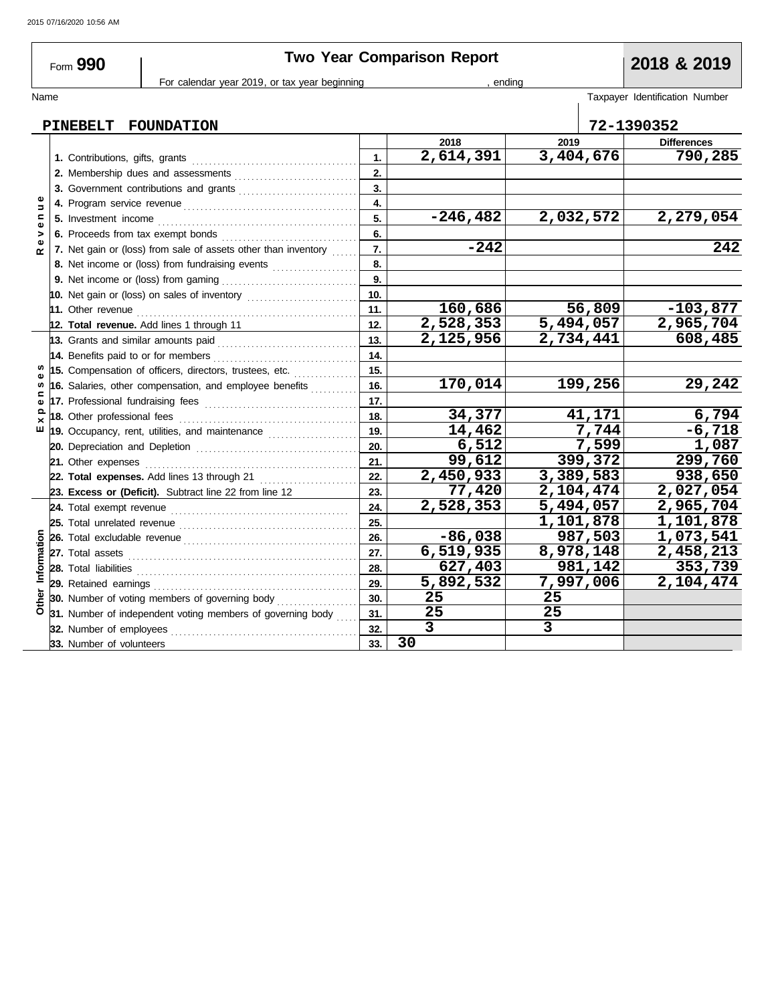# **Two Year Comparison Report 2018 & 2019**

Form **990**

### For calendar year 2019, or tax year beginning and the set of the set of the set of the set of the set of the set of the set of the set of the set of the set of the set of the set of the set of the set of the set of the set

Name Taxpayer Identification Number

#### **PINEBELT FOUNDATION 72-1390352 2018 2019 Differences 2,614,391 3,404,676 790,285 1. 1.** Contributions, gifts, grants . . . . . . . . . . . . . . . . . . . . . . . . . . . . . . . . . . . . . . . **2. 2.** Membership dues and assessments . . . . . . . . . . . . . . . . . . . . . . . . . . . . . **3. 3.** Government contributions and grants **......................... R e v e n u e 4. 4.** Program service revenue . . . . . . . . . . . . . . . . . . . . . . . . . . . . . . . . . . . . . . . . . **-246,482 2,032,572 2,279,054 5. 5.** Investment income . . . . . . . . . . . . . . . . . . . . . . . . . . . . . . . . . . . . . . . . . . . . . . . **6. 6.** Proceeds from tax exempt bonds . . . . . . . . . . . . . . . . . . . . . . . . . . . . . . . . **-242 242 7. 7.** Net gain or (loss) from sale of assets other than inventory  $\ldots$ **8. 8.** Net income or (loss) from fundraising events .................... **9.** Net income or (loss) from gaming . . . . . . . . . . . . . . . . . . . . . . . . . . . . . . . . **9. 10. 10.** Net gain or (loss) on sales of inventory ............................ **160,686 56,809 -103,877 11.** Other revenue . . . . . . . . . . . . . . . . . . . . . . . . . . . . . . . . . . . . . . . . . . . . . . . . . . . . **11. 12. 2,528,353 5,494,057 2,965,704 Total revenue.** Add lines 1 through 11 **12. 2,125,956 2,734,441 608,485 13.** Grants and similar amounts paid . . . . . . . . . . . . . . . . . . . . . . . . . . . . . . . . . **13. 14. 14.** Benefits paid to or for members . . . . . . . . . . . . . . . . . . . . . . . . . . . . . . . . . . s, **15. E x p e n s e s 15.** Compensation of officers, directors, trustees, etc. . . . . . . . . . . . . . . . pense **16. 170,014 199,256 29,242 16.** Salaries, other compensation, and employee benefits *.........*... **17. 17.** Professional fundraising fees . . . . . . . . . . . . . . . . . . . . . . . . . . . . . . . . . . . . **34,377 41,171 6,794 18. 18.** Other professional fees . . . . . . . . . . . . . . . . . . . . . . . . . . . . . . . . . . . . . . . . . .  $\tilde{E}$  X **19. 14,462 7,744 -6,718 19.** Occupancy, rent, utilities, and maintenance *...................*... **6,512 7,599 1,087 20. 20.** Depreciation and Depletion . . . . . . . . . . . . . . . . . . . . . . . . . . . . . . . . . . . . . . . **99,612 399,372 299,760 21. 21.** Other expenses . . . . . . . . . . . . . . . . . . . . . . . . . . . . . . . . . . . . . . . . . . . . . . . . . . **2,450,933 3,389,583 938,650 22. Total expenses.** Add lines 13 through 21 . . . . . . . . . . . . . . . . . . . . . . . **22. 23. 77,420 2,104,474 2,027,054 Excess or (Deficit).** Subtract line 22 from line 12 **23. 24. 2,528,353 5,494,057 2,965,704 24.** Total exempt revenue . . . . . . . . . . . . . . . . . . . . . . . . . . . . . . . . . . . . . . . . . . **1,101,878 1,101,878 25. 25.** Total unrelated revenue . . . . . . . . . . . . . . . . . . . . . . . . . . . . . . . . . . . . . . . . . . Information **-86,038 987,503 1,073,541 Other Information 26.** Total excludable revenue . . . . . . . . . . . . . . . . . . . . . . . . . . . . . . . . . . . . . . . . . **26. 27.** Total assets **6,519,935 8,978,148 2,458,213 27. 627,403 981,142 353,739** Total liabilities . . . . . . . . . . . . . . . . . . . . . . . . . . . . . . . . . . . . . . . . . . . . . . . . . . . . **28. 28. 5,892,532 7,997,006 2,104,474** Retained earnings . . . . . . . . . . . . . . . . . . . . . . . . . . . . . . . . . . . . . . . . . . . . . . . . **29. 29.** Other **30.** Number of voting members of governing body . . . . . . . . . . . . . . . . . **30. 25 25 31. 25 25 31.** Number of independent voting members of governing body  $\ldots$ **32.** Number of employees . . . . . . . . . . . . . . . . . . . . . . . . . . . . . . . . . . . . . . . . . . . . **3 3 32. 30 33.** Number of volunteers **33.**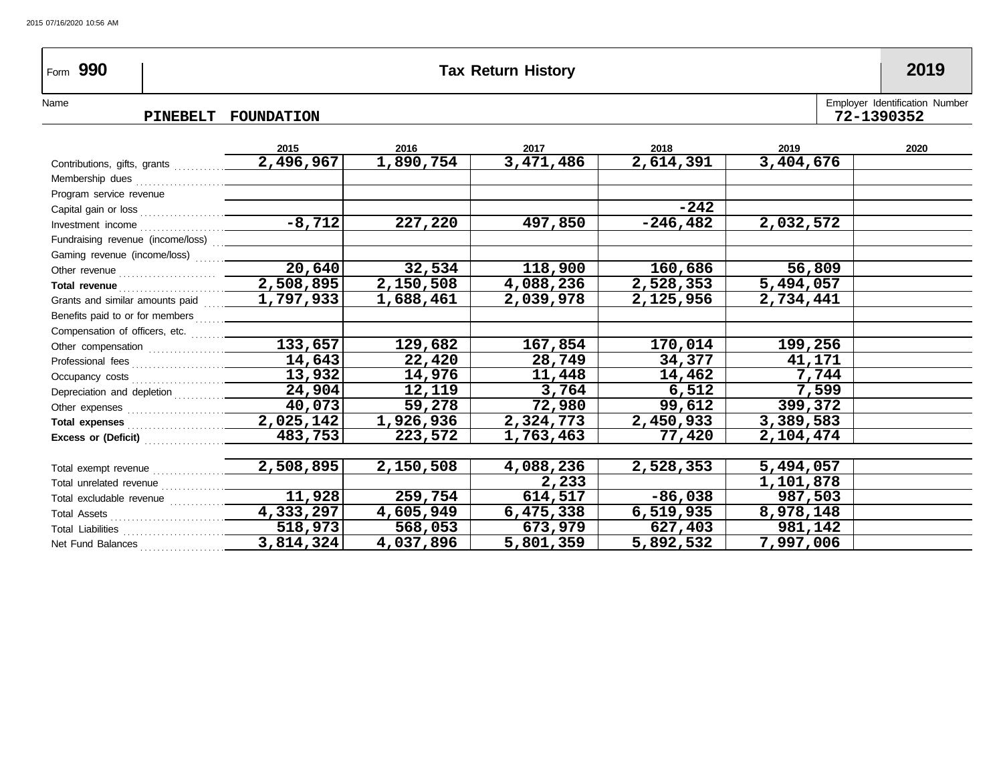# Form **990 Tax Return History 2019**

### PINEBELT FOUNDATION **72-13903**

| Name |                                      | Emplover Identification Number |  |
|------|--------------------------------------|--------------------------------|--|
|      | <b>FOINDATTON</b><br><b>DINERELT</b> | ワクー<br>390352                  |  |

|                                                               | 2015                | 2016      | 2017      | 2018       | 2019      | 2020 |
|---------------------------------------------------------------|---------------------|-----------|-----------|------------|-----------|------|
| Contributions, gifts, grants                                  | 2,496,967           | 1,890,754 | 3,471,486 | 2,614,391  | 3,404,676 |      |
| Membership dues                                               |                     |           |           |            |           |      |
| Program service revenue                                       |                     |           |           |            |           |      |
| Capital gain or loss                                          |                     |           |           | $-242$     |           |      |
|                                                               | $-8,712$            | 227,220   | 497,850   | $-246,482$ | 2,032,572 |      |
| Fundraising revenue (income/loss)                             |                     |           |           |            |           |      |
| Gaming revenue (income/loss)                                  |                     |           |           |            |           |      |
|                                                               | $\overline{20,640}$ | 32,534    | 118,900   | 160,686    | 56,809    |      |
| Total revenue                                                 | 2,508,895           | 2,150,508 | 4,088,236 | 2,528,353  | 5,494,057 |      |
| Grants and similar amounts paid                               | 1,797,933           | 1,688,461 | 2,039,978 | 2,125,956  | 2,734,441 |      |
| Benefits paid to or for members                               |                     |           |           |            |           |      |
| Compensation of officers, etc.                                |                     |           |           |            |           |      |
| Other compensation                                            | 133,657             | 129,682   | 167,854   | 170,014    | 199,256   |      |
|                                                               | 14,643              | 22,420    | 28,749    | 34,377     | 41,171    |      |
| Occupancy costs                                               | 13,932              | 14,976    | 11,448    | 14,462     | 7,744     |      |
| Depreciation and depletion [1] [1] Depreciation and depletion | 24,904              | 12,119    | 3,764     | 6,512      | 7,599     |      |
|                                                               | 40,073              | 59,278    | 72,980    | 99,612     | 399,372   |      |
| Total expenses                                                | 2,025,142           | 1,926,936 | 2,324,773 | 2,450,933  | 3,389,583 |      |
| Excess or (Deficit)                                           | 483,753             | 223,572   | 1,763,463 | 77,420     | 2,104,474 |      |
|                                                               |                     |           |           |            |           |      |
| Total exempt revenue                                          | 2,508,895           | 2,150,508 | 4,088,236 | 2,528,353  | 5,494,057 |      |
| Total unrelated revenue                                       |                     |           | 2,233     |            | 1,101,878 |      |
|                                                               | 11,928              | 259,754   | 614,517   | $-86,038$  | 987,503   |      |
|                                                               | 4,333,297           | 4,605,949 | 6,475,338 | 6,519,935  | 8,978,148 |      |
| Total Liabilities                                             | 518,973             | 568,053   | 673,979   | 627,403    | 981,142   |      |
| Net Fund Balances                                             | 3,814,324           | 4,037,896 | 5,801,359 | 5,892,532  | 7,997,006 |      |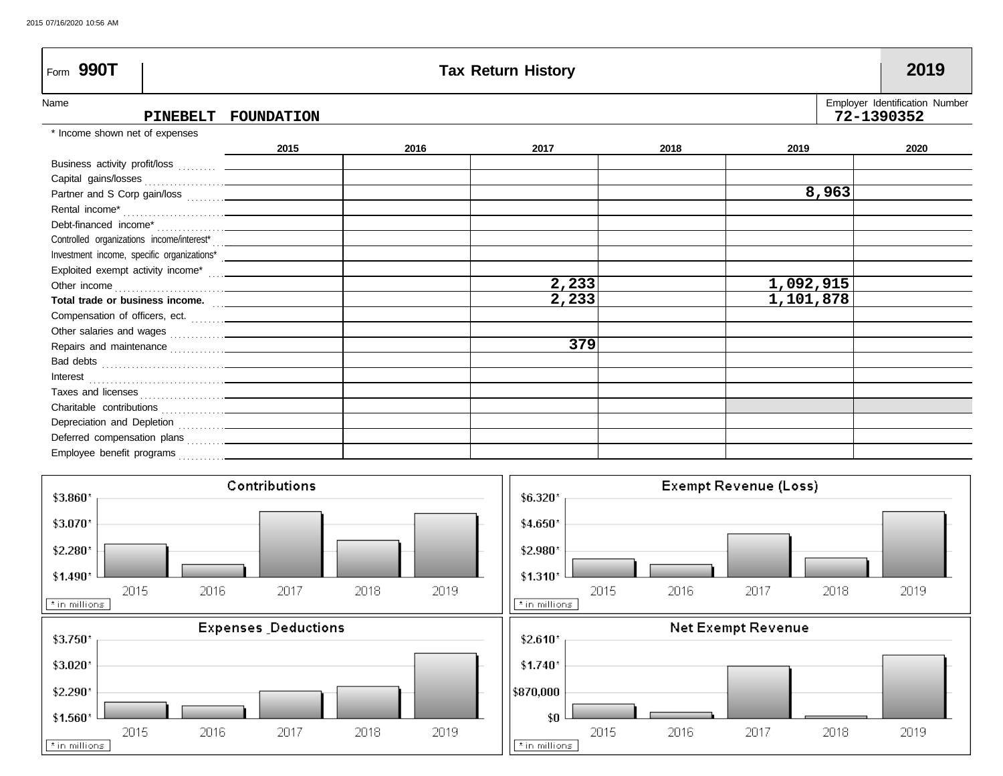| Form 990T                                          |            |      | <b>Tax Return History</b> |      |           |            | 2019                           |
|----------------------------------------------------|------------|------|---------------------------|------|-----------|------------|--------------------------------|
| Name<br><b>PINEBELT</b>                            | FOUNDATION |      |                           |      |           | 72-1390352 | Employer Identification Number |
| * Income shown net of expenses                     |            |      |                           |      |           |            |                                |
|                                                    | 2015       | 2016 | 2017                      | 2018 | 2019      |            | 2020                           |
| Business activity profit/loss  ____________        |            |      |                           |      |           |            |                                |
|                                                    |            |      |                           |      |           |            |                                |
|                                                    |            |      |                           |      |           | 8,963      |                                |
|                                                    |            |      |                           |      |           |            |                                |
|                                                    |            |      |                           |      |           |            |                                |
|                                                    |            |      |                           |      |           |            |                                |
|                                                    |            |      |                           |      |           |            |                                |
| Exploited exempt activity income*  _______________ |            |      |                           |      |           |            |                                |
| Other income                                       |            |      | 2,233                     |      | 1,092,915 |            |                                |
| Total trade or business income.                    |            |      | 2,233                     |      | 1,101,878 |            |                                |
|                                                    |            |      |                           |      |           |            |                                |
|                                                    |            |      |                           |      |           |            |                                |
|                                                    |            |      | 379                       |      |           |            |                                |
|                                                    |            |      |                           |      |           |            |                                |
| Interest<br><br><u> </u>                           |            |      |                           |      |           |            |                                |
|                                                    |            |      |                           |      |           |            |                                |
|                                                    |            |      |                           |      |           |            |                                |
|                                                    |            |      |                           |      |           |            |                                |
|                                                    |            |      |                           |      |           |            |                                |
|                                                    |            |      |                           |      |           |            |                                |

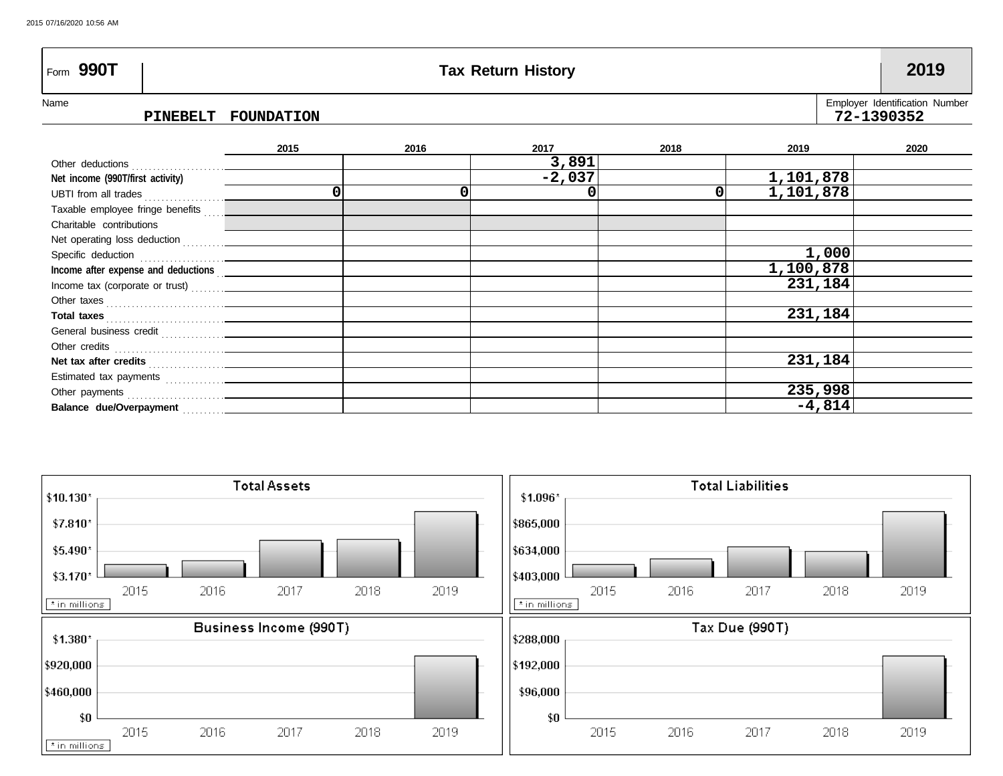| Form 990T                        | <b>Tax Return History</b> |            |      |          |      |           |                                |  |  |  |
|----------------------------------|---------------------------|------------|------|----------|------|-----------|--------------------------------|--|--|--|
| Name                             |                           |            |      |          |      |           | Employer Identification Number |  |  |  |
|                                  | PINEBELT                  | FOUNDATION |      |          |      |           | 72-1390352                     |  |  |  |
|                                  |                           |            |      |          |      |           |                                |  |  |  |
|                                  |                           | 2015       | 2016 | 2017     | 2018 | 2019      | 2020                           |  |  |  |
| Other deductions                 |                           |            |      | 3,891    |      |           |                                |  |  |  |
| Net income (990T/first activity) |                           |            |      | $-2,037$ |      | 1,101,878 |                                |  |  |  |
| UBTI from all trades             |                           |            |      |          |      | 1,101,878 |                                |  |  |  |
| Taxable employee fringe benefits |                           |            |      |          |      |           |                                |  |  |  |

**1,000 1,100,878 231,184**

**231,184**

**231,184**

**235,998 -4,814**



Balance due/Overpayment **. . . . . . . .** 

Estimated tax payments ............... **Net tax after credits** . . . . . . . . . . . . . . . . . . Other credits . . . . . . . . . . . . . . . . . . . . . . . . . . General business credit ................ **Total taxes** . . . . . . . . . . . . . . . . . . . . . . . . . . . . Other taxes . . . . . . . . . . . . . . . . . . . . . . . . . . . . Income tax (corporate or trust) ........ **Income after expense and deductions** . .

Other payments . . . . . . . . . . . . . . . . . . . . . . .

Net operating loss deduction . . . . . . . . . . Specific deduction **constants** 

Charitable contributions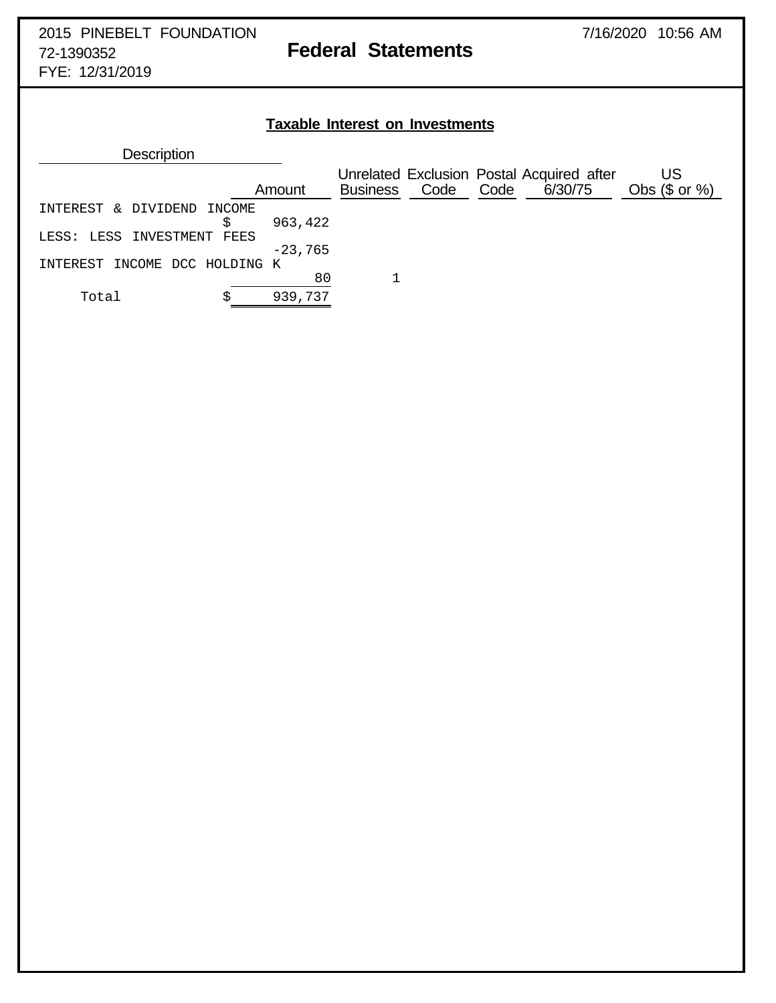FYE: 12/31/2019

# **Taxable Interest on Investments**

| <b>Description</b>               |        |           |                 |      |      |                                                      |                        |
|----------------------------------|--------|-----------|-----------------|------|------|------------------------------------------------------|------------------------|
|                                  |        | Amount    | <b>Business</b> | Code | Code | Unrelated Exclusion Postal Acquired after<br>6/30/75 | US<br>Obs $(\$$ or $%$ |
| INTEREST<br>DIVIDEND<br>$\delta$ | INCOME |           |                 |      |      |                                                      |                        |
|                                  | S      | 963,422   |                 |      |      |                                                      |                        |
| LESS INVESTMENT<br>FEES<br>LESS: |        |           |                 |      |      |                                                      |                        |
|                                  |        | $-23,765$ |                 |      |      |                                                      |                        |
| INCOME DCC HOLDING K<br>TNTEREST |        |           |                 |      |      |                                                      |                        |
|                                  |        | 80        |                 |      |      |                                                      |                        |
| Total                            |        | 939,737   |                 |      |      |                                                      |                        |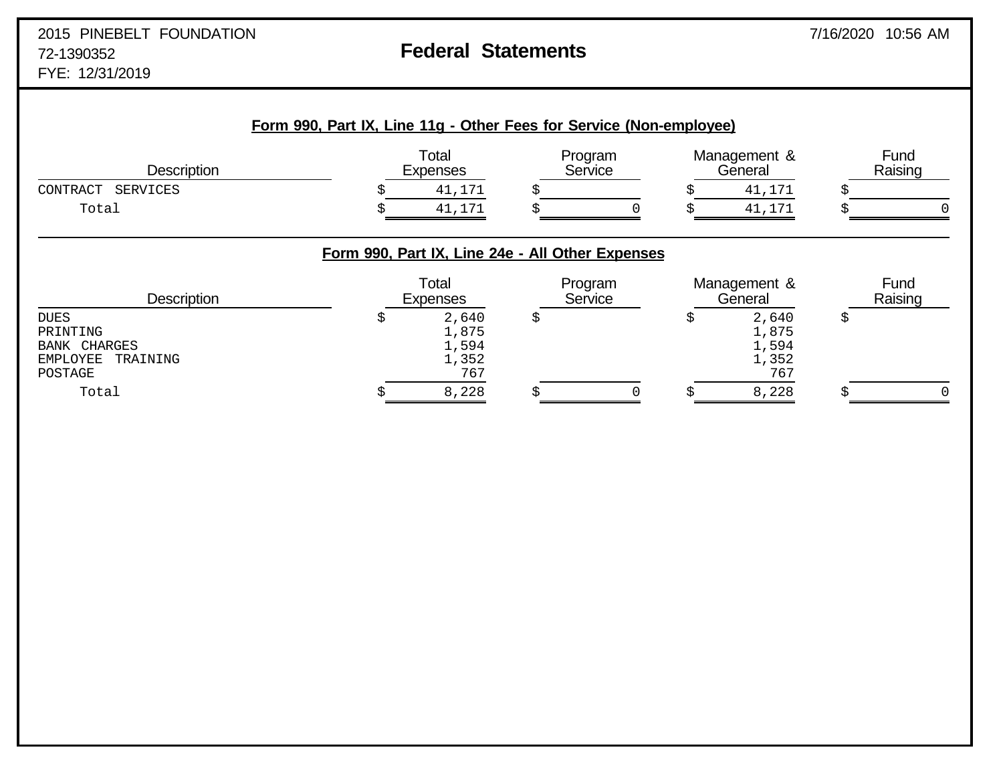| <b>Description</b>                                                                |                                                  | Total<br>Expenses                       |    | Program<br>Service |   | Management &<br>General                 |    | Fund<br>Raising |  |
|-----------------------------------------------------------------------------------|--------------------------------------------------|-----------------------------------------|----|--------------------|---|-----------------------------------------|----|-----------------|--|
| <b>SERVICES</b><br>CONTRACT                                                       |                                                  | 41,171                                  |    |                    |   | 41,171                                  |    |                 |  |
| Total                                                                             |                                                  | 41,171                                  |    |                    |   | 41,171                                  |    |                 |  |
|                                                                                   | Form 990, Part IX, Line 24e - All Other Expenses |                                         |    |                    |   |                                         |    |                 |  |
| <b>Description</b>                                                                |                                                  | Total<br><b>Expenses</b>                |    | Program<br>Service |   | Management &<br>General                 |    | Fund<br>Raising |  |
| <b>DUES</b><br>PRINTING<br><b>BANK CHARGES</b><br>EMPLOYEE<br>TRAINING<br>POSTAGE | S                                                | 2,640<br>1,875<br>1,594<br>1,352<br>767 | \$ |                    | 5 | 2,640<br>1,875<br>1,594<br>1,352<br>767 | \$ |                 |  |